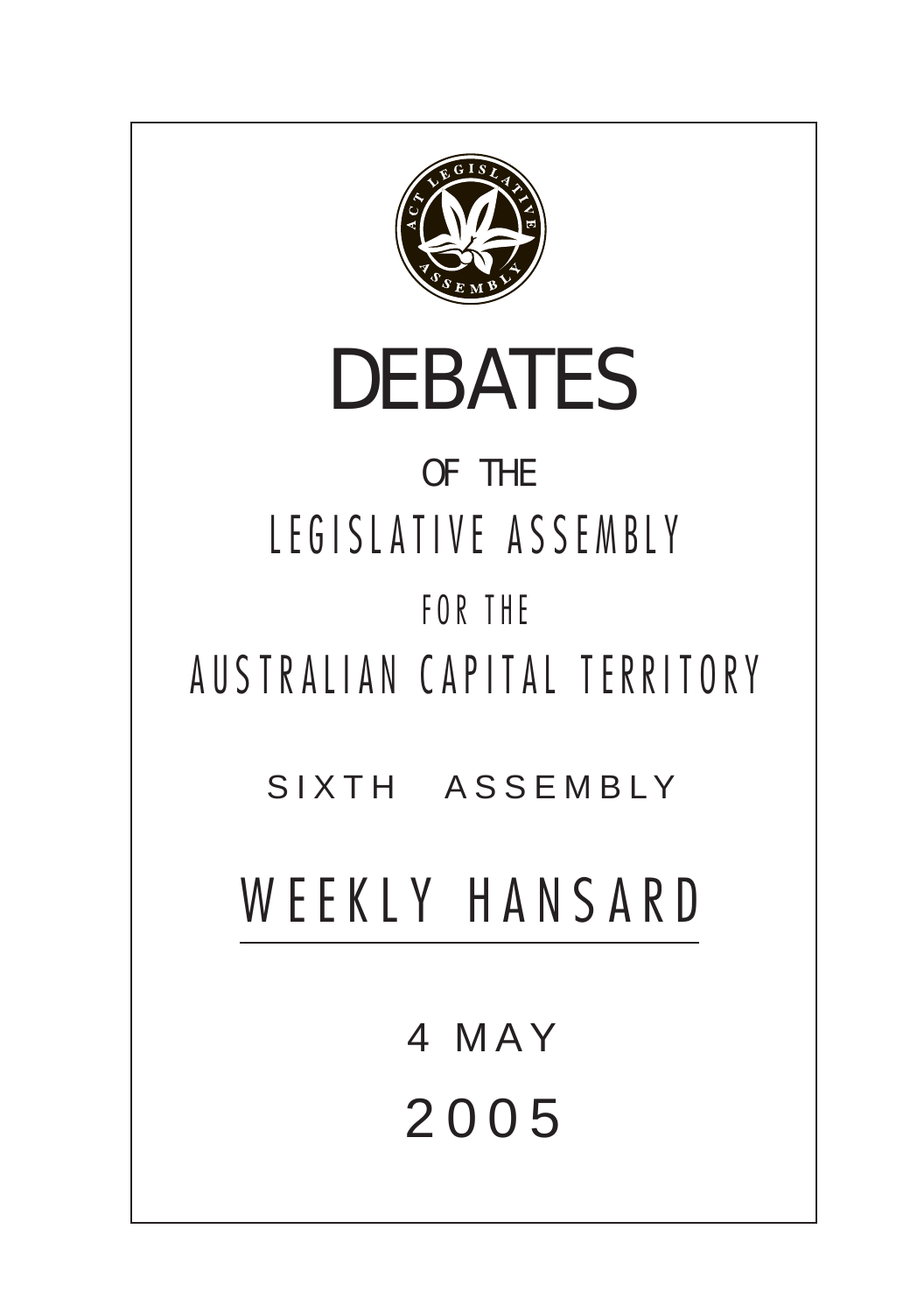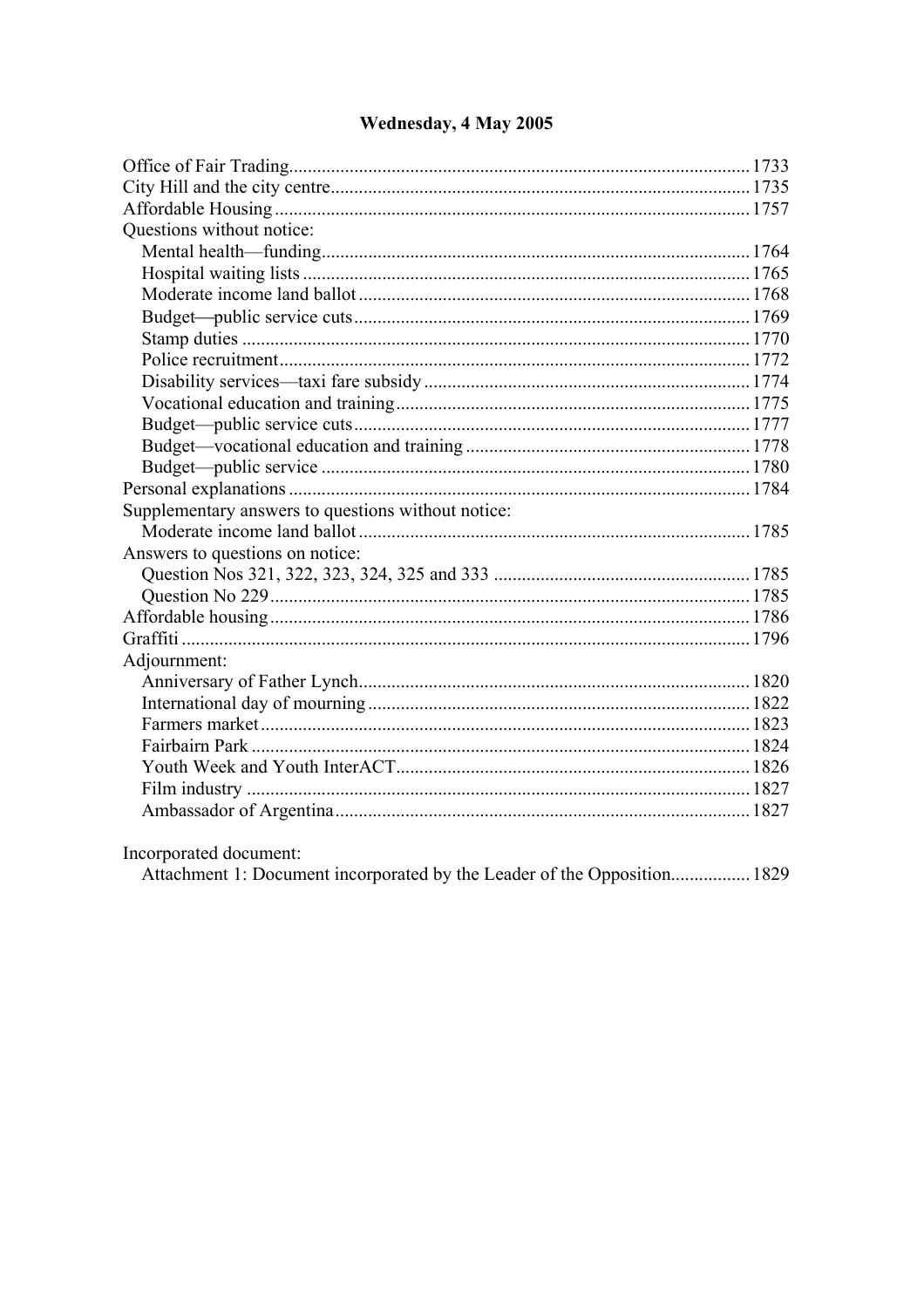| Questions without notice:                                                |  |
|--------------------------------------------------------------------------|--|
|                                                                          |  |
|                                                                          |  |
|                                                                          |  |
|                                                                          |  |
|                                                                          |  |
|                                                                          |  |
|                                                                          |  |
|                                                                          |  |
|                                                                          |  |
|                                                                          |  |
|                                                                          |  |
|                                                                          |  |
| Supplementary answers to questions without notice:                       |  |
|                                                                          |  |
| Answers to questions on notice:                                          |  |
|                                                                          |  |
|                                                                          |  |
|                                                                          |  |
|                                                                          |  |
| Adjournment:                                                             |  |
|                                                                          |  |
|                                                                          |  |
|                                                                          |  |
|                                                                          |  |
|                                                                          |  |
|                                                                          |  |
|                                                                          |  |
| Incorporated document:                                                   |  |
| Attachment 1: Document incorporated by the Leader of the Opposition 1829 |  |

# Wednesday, 4 May 2005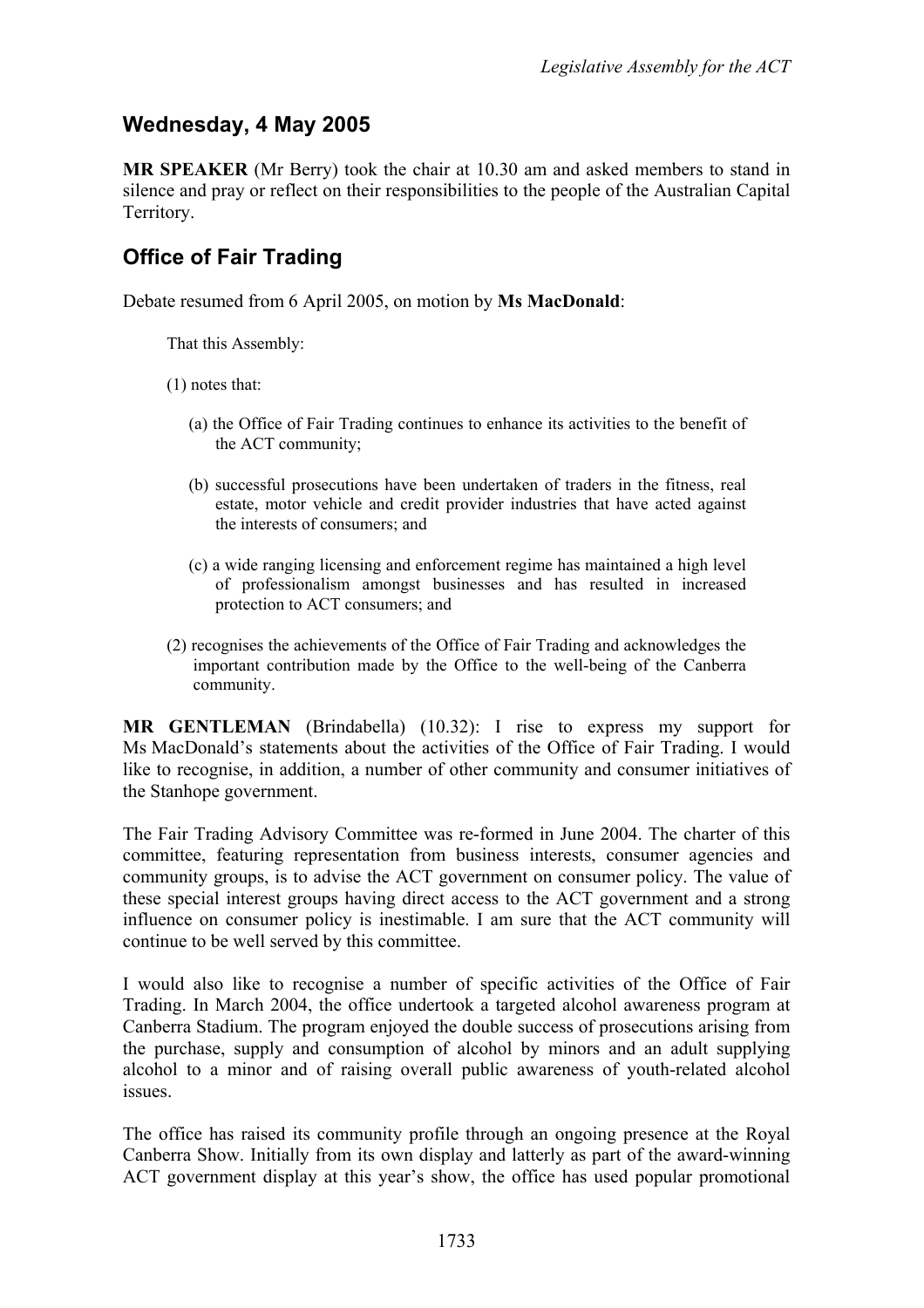# **Wednesday, 4 May 2005**

**MR SPEAKER** (Mr Berry) took the chair at 10.30 am and asked members to stand in silence and pray or reflect on their responsibilities to the people of the Australian Capital Territory.

# <span id="page-2-0"></span>**Office of Fair Trading**

Debate resumed from 6 April 2005, on motion by **Ms MacDonald**:

That this Assembly:

(1) notes that:

- (a) the Office of Fair Trading continues to enhance its activities to the benefit of the ACT community;
- (b) successful prosecutions have been undertaken of traders in the fitness, real estate, motor vehicle and credit provider industries that have acted against the interests of consumers; and
- (c) a wide ranging licensing and enforcement regime has maintained a high level of professionalism amongst businesses and has resulted in increased protection to ACT consumers; and
- (2) recognises the achievements of the Office of Fair Trading and acknowledges the important contribution made by the Office to the well-being of the Canberra community.

**MR GENTLEMAN** (Brindabella) (10.32): I rise to express my support for Ms MacDonald's statements about the activities of the Office of Fair Trading. I would like to recognise, in addition, a number of other community and consumer initiatives of the Stanhope government.

The Fair Trading Advisory Committee was re-formed in June 2004. The charter of this committee, featuring representation from business interests, consumer agencies and community groups, is to advise the ACT government on consumer policy. The value of these special interest groups having direct access to the ACT government and a strong influence on consumer policy is inestimable. I am sure that the ACT community will continue to be well served by this committee.

I would also like to recognise a number of specific activities of the Office of Fair Trading. In March 2004, the office undertook a targeted alcohol awareness program at Canberra Stadium. The program enjoyed the double success of prosecutions arising from the purchase, supply and consumption of alcohol by minors and an adult supplying alcohol to a minor and of raising overall public awareness of youth-related alcohol issues.

The office has raised its community profile through an ongoing presence at the Royal Canberra Show. Initially from its own display and latterly as part of the award-winning ACT government display at this year's show, the office has used popular promotional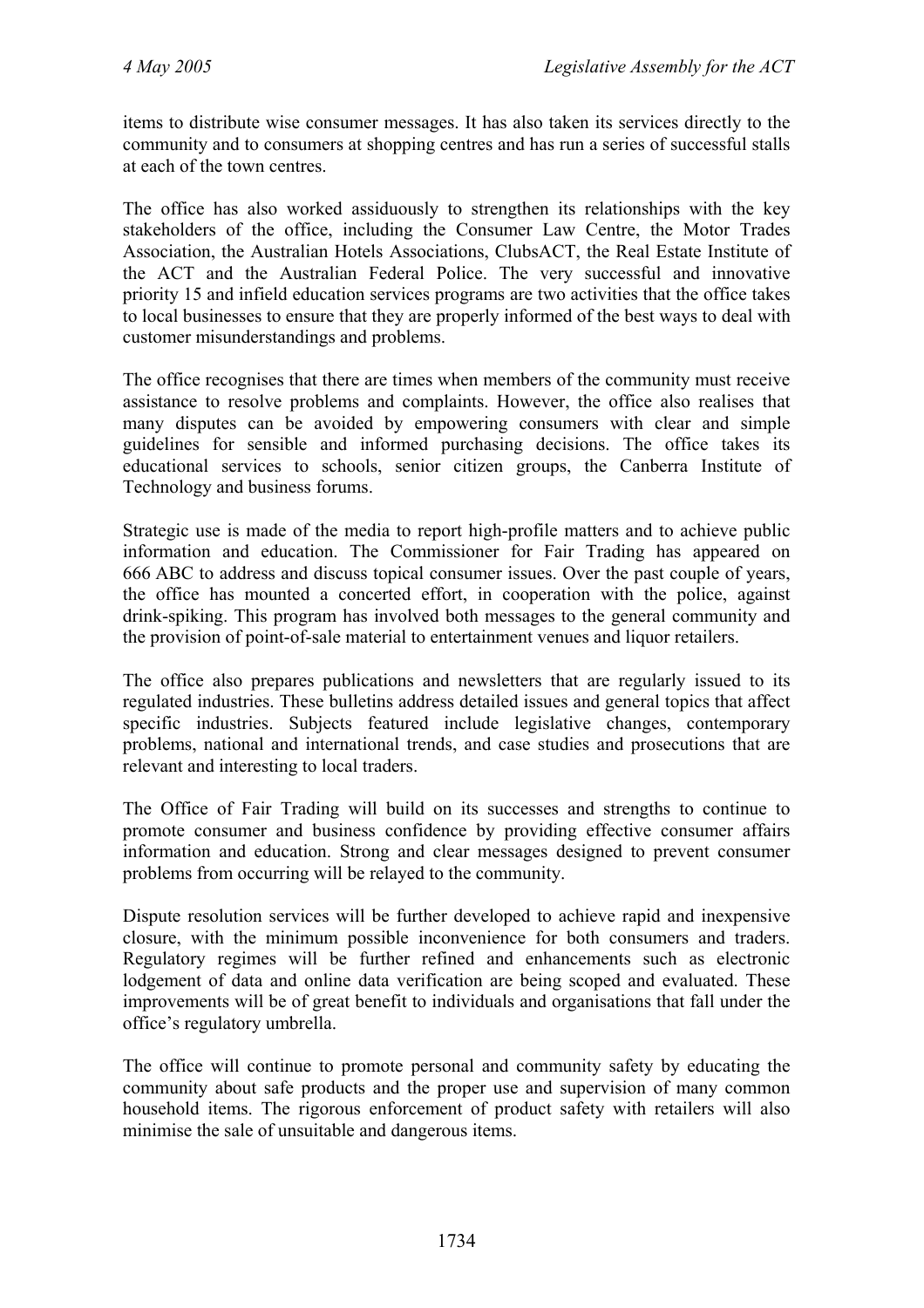items to distribute wise consumer messages. It has also taken its services directly to the community and to consumers at shopping centres and has run a series of successful stalls at each of the town centres.

The office has also worked assiduously to strengthen its relationships with the key stakeholders of the office, including the Consumer Law Centre, the Motor Trades Association, the Australian Hotels Associations, ClubsACT, the Real Estate Institute of the ACT and the Australian Federal Police. The very successful and innovative priority 15 and infield education services programs are two activities that the office takes to local businesses to ensure that they are properly informed of the best ways to deal with customer misunderstandings and problems.

The office recognises that there are times when members of the community must receive assistance to resolve problems and complaints. However, the office also realises that many disputes can be avoided by empowering consumers with clear and simple guidelines for sensible and informed purchasing decisions. The office takes its educational services to schools, senior citizen groups, the Canberra Institute of Technology and business forums.

Strategic use is made of the media to report high-profile matters and to achieve public information and education. The Commissioner for Fair Trading has appeared on 666 ABC to address and discuss topical consumer issues. Over the past couple of years, the office has mounted a concerted effort, in cooperation with the police, against drink-spiking. This program has involved both messages to the general community and the provision of point-of-sale material to entertainment venues and liquor retailers.

The office also prepares publications and newsletters that are regularly issued to its regulated industries. These bulletins address detailed issues and general topics that affect specific industries. Subjects featured include legislative changes, contemporary problems, national and international trends, and case studies and prosecutions that are relevant and interesting to local traders.

The Office of Fair Trading will build on its successes and strengths to continue to promote consumer and business confidence by providing effective consumer affairs information and education. Strong and clear messages designed to prevent consumer problems from occurring will be relayed to the community.

Dispute resolution services will be further developed to achieve rapid and inexpensive closure, with the minimum possible inconvenience for both consumers and traders. Regulatory regimes will be further refined and enhancements such as electronic lodgement of data and online data verification are being scoped and evaluated. These improvements will be of great benefit to individuals and organisations that fall under the office's regulatory umbrella.

The office will continue to promote personal and community safety by educating the community about safe products and the proper use and supervision of many common household items. The rigorous enforcement of product safety with retailers will also minimise the sale of unsuitable and dangerous items.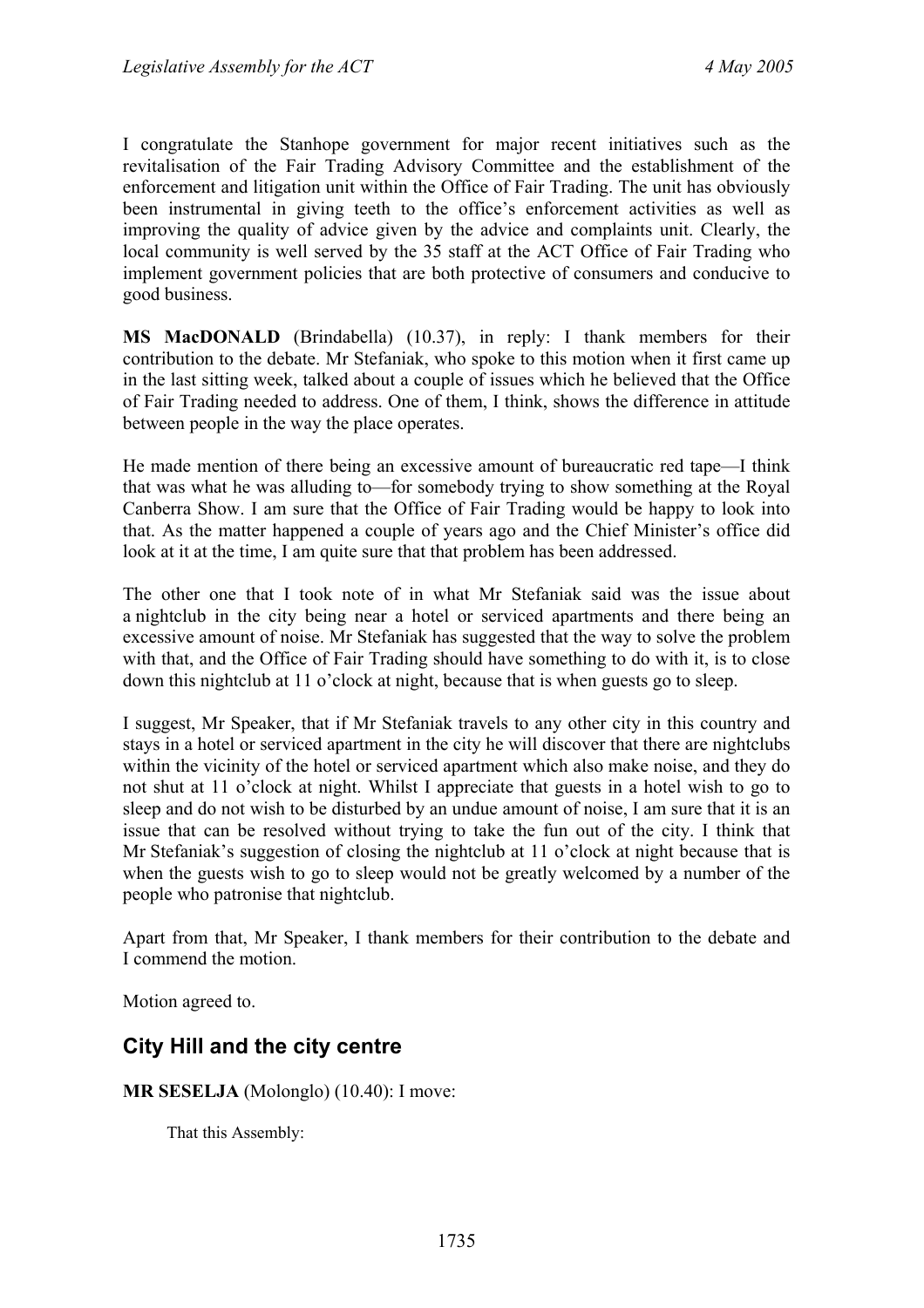I congratulate the Stanhope government for major recent initiatives such as the revitalisation of the Fair Trading Advisory Committee and the establishment of the enforcement and litigation unit within the Office of Fair Trading. The unit has obviously been instrumental in giving teeth to the office's enforcement activities as well as improving the quality of advice given by the advice and complaints unit. Clearly, the local community is well served by the 35 staff at the ACT Office of Fair Trading who implement government policies that are both protective of consumers and conducive to good business.

**MS MacDONALD** (Brindabella) (10.37), in reply: I thank members for their contribution to the debate. Mr Stefaniak, who spoke to this motion when it first came up in the last sitting week, talked about a couple of issues which he believed that the Office of Fair Trading needed to address. One of them, I think, shows the difference in attitude between people in the way the place operates.

He made mention of there being an excessive amount of bureaucratic red tape—I think that was what he was alluding to—for somebody trying to show something at the Royal Canberra Show. I am sure that the Office of Fair Trading would be happy to look into that. As the matter happened a couple of years ago and the Chief Minister's office did look at it at the time, I am quite sure that that problem has been addressed.

The other one that I took note of in what Mr Stefaniak said was the issue about a nightclub in the city being near a hotel or serviced apartments and there being an excessive amount of noise. Mr Stefaniak has suggested that the way to solve the problem with that, and the Office of Fair Trading should have something to do with it, is to close down this nightclub at 11 o'clock at night, because that is when guests go to sleep.

I suggest, Mr Speaker, that if Mr Stefaniak travels to any other city in this country and stays in a hotel or serviced apartment in the city he will discover that there are nightclubs within the vicinity of the hotel or serviced apartment which also make noise, and they do not shut at 11 o'clock at night. Whilst I appreciate that guests in a hotel wish to go to sleep and do not wish to be disturbed by an undue amount of noise, I am sure that it is an issue that can be resolved without trying to take the fun out of the city. I think that Mr Stefaniak's suggestion of closing the nightclub at 11 o'clock at night because that is when the guests wish to go to sleep would not be greatly welcomed by a number of the people who patronise that nightclub.

Apart from that, Mr Speaker, I thank members for their contribution to the debate and I commend the motion.

Motion agreed to.

### <span id="page-4-0"></span>**City Hill and the city centre**

**MR SESELJA** (Molonglo) (10.40): I move:

That this Assembly: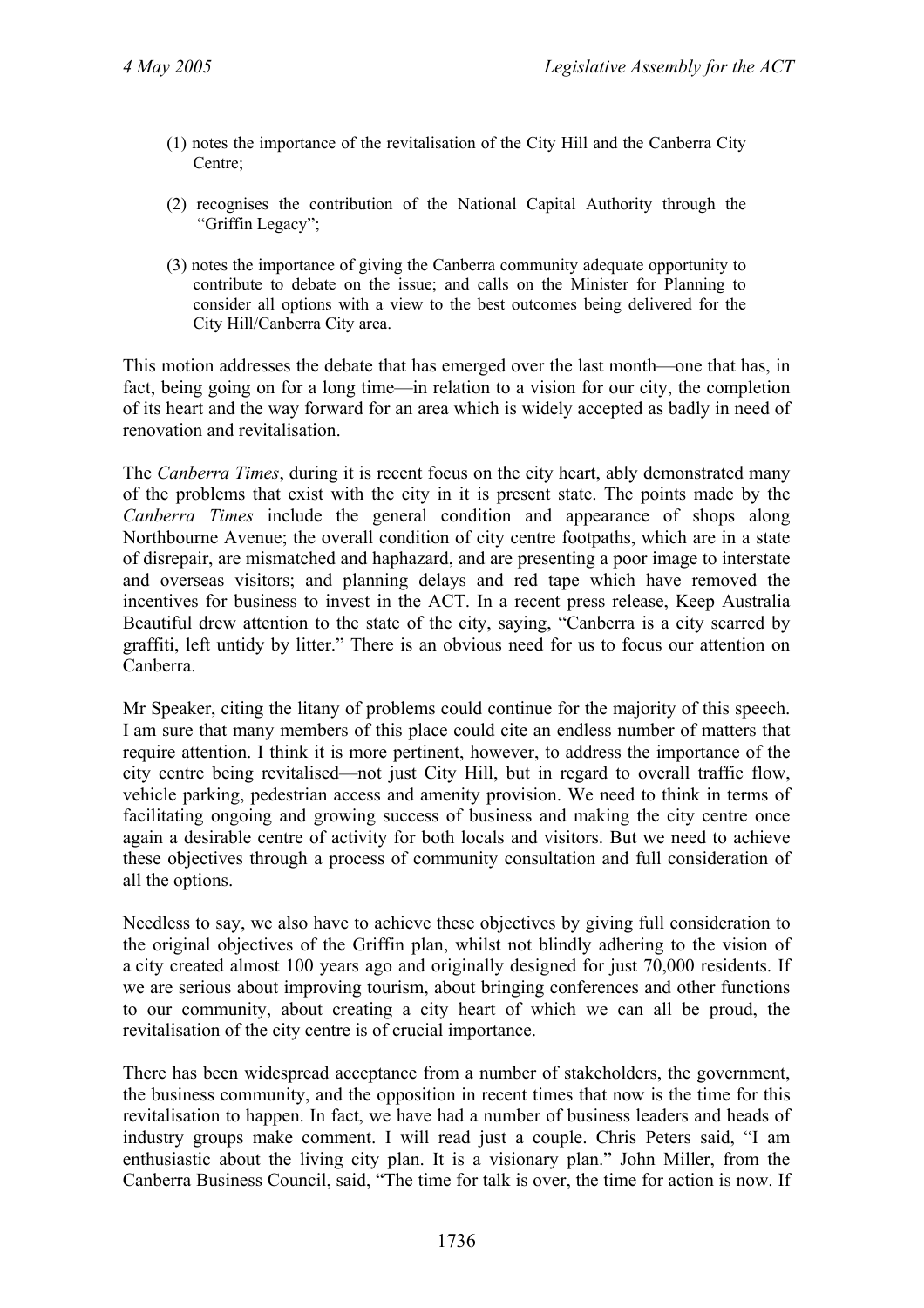- (1) notes the importance of the revitalisation of the City Hill and the Canberra City Centre;
- (2) recognises the contribution of the National Capital Authority through the "Griffin Legacy";
- (3) notes the importance of giving the Canberra community adequate opportunity to contribute to debate on the issue; and calls on the Minister for Planning to consider all options with a view to the best outcomes being delivered for the City Hill/Canberra City area.

This motion addresses the debate that has emerged over the last month—one that has, in fact, being going on for a long time—in relation to a vision for our city, the completion of its heart and the way forward for an area which is widely accepted as badly in need of renovation and revitalisation.

The *Canberra Times*, during it is recent focus on the city heart, ably demonstrated many of the problems that exist with the city in it is present state. The points made by the *Canberra Times* include the general condition and appearance of shops along Northbourne Avenue; the overall condition of city centre footpaths, which are in a state of disrepair, are mismatched and haphazard, and are presenting a poor image to interstate and overseas visitors; and planning delays and red tape which have removed the incentives for business to invest in the ACT. In a recent press release, Keep Australia Beautiful drew attention to the state of the city, saying, "Canberra is a city scarred by graffiti, left untidy by litter." There is an obvious need for us to focus our attention on Canberra.

Mr Speaker, citing the litany of problems could continue for the majority of this speech. I am sure that many members of this place could cite an endless number of matters that require attention. I think it is more pertinent, however, to address the importance of the city centre being revitalised—not just City Hill, but in regard to overall traffic flow, vehicle parking, pedestrian access and amenity provision. We need to think in terms of facilitating ongoing and growing success of business and making the city centre once again a desirable centre of activity for both locals and visitors. But we need to achieve these objectives through a process of community consultation and full consideration of all the options.

Needless to say, we also have to achieve these objectives by giving full consideration to the original objectives of the Griffin plan, whilst not blindly adhering to the vision of a city created almost 100 years ago and originally designed for just 70,000 residents. If we are serious about improving tourism, about bringing conferences and other functions to our community, about creating a city heart of which we can all be proud, the revitalisation of the city centre is of crucial importance.

There has been widespread acceptance from a number of stakeholders, the government, the business community, and the opposition in recent times that now is the time for this revitalisation to happen. In fact, we have had a number of business leaders and heads of industry groups make comment. I will read just a couple. Chris Peters said, "I am enthusiastic about the living city plan. It is a visionary plan." John Miller, from the Canberra Business Council, said, "The time for talk is over, the time for action is now. If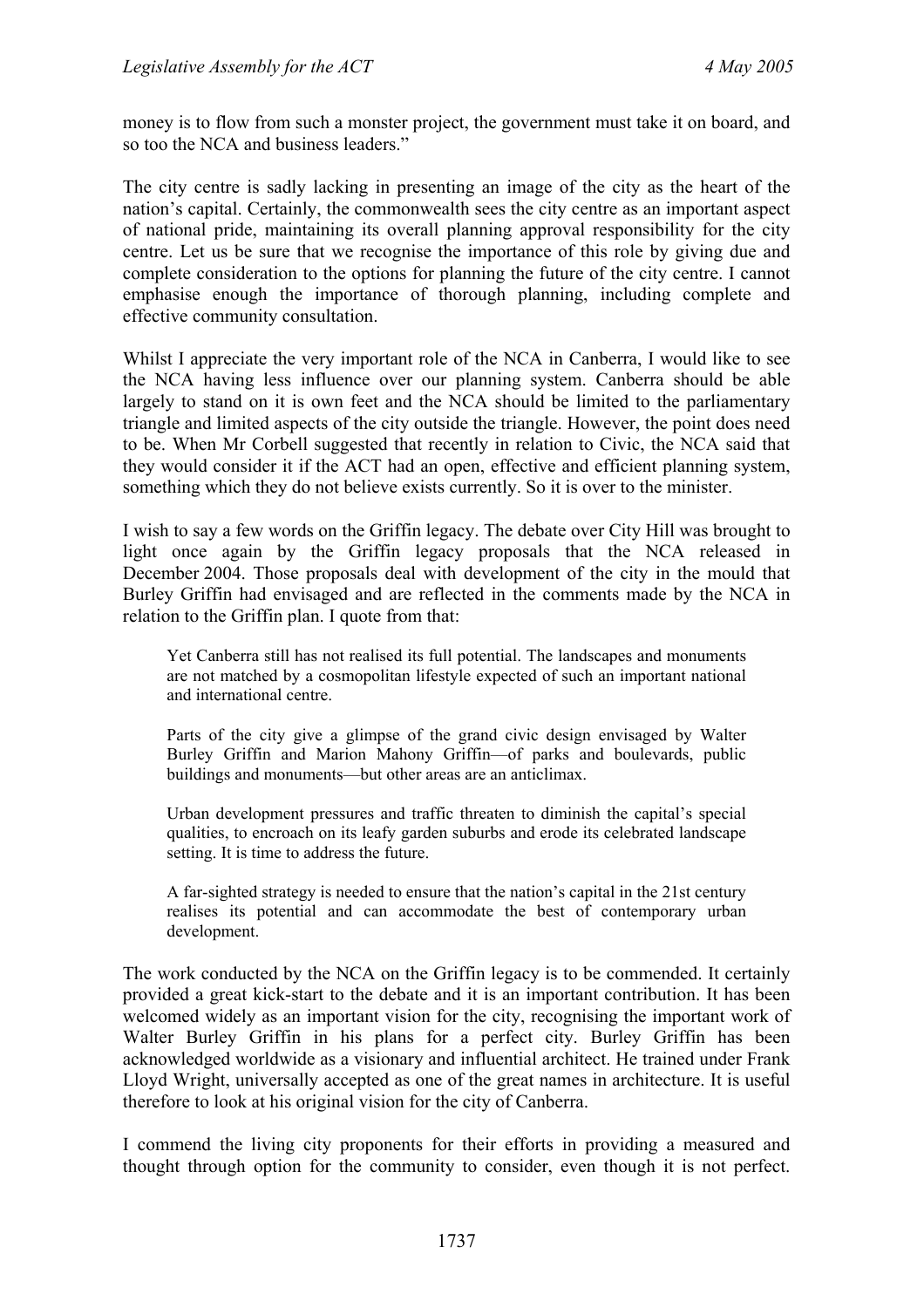money is to flow from such a monster project, the government must take it on board, and so too the NCA and business leaders."

The city centre is sadly lacking in presenting an image of the city as the heart of the nation's capital. Certainly, the commonwealth sees the city centre as an important aspect of national pride, maintaining its overall planning approval responsibility for the city centre. Let us be sure that we recognise the importance of this role by giving due and complete consideration to the options for planning the future of the city centre. I cannot emphasise enough the importance of thorough planning, including complete and effective community consultation.

Whilst I appreciate the very important role of the NCA in Canberra, I would like to see the NCA having less influence over our planning system. Canberra should be able largely to stand on it is own feet and the NCA should be limited to the parliamentary triangle and limited aspects of the city outside the triangle. However, the point does need to be. When Mr Corbell suggested that recently in relation to Civic, the NCA said that they would consider it if the ACT had an open, effective and efficient planning system, something which they do not believe exists currently. So it is over to the minister.

I wish to say a few words on the Griffin legacy. The debate over City Hill was brought to light once again by the Griffin legacy proposals that the NCA released in December 2004. Those proposals deal with development of the city in the mould that Burley Griffin had envisaged and are reflected in the comments made by the NCA in relation to the Griffin plan. I quote from that:

Yet Canberra still has not realised its full potential. The landscapes and monuments are not matched by a cosmopolitan lifestyle expected of such an important national and international centre.

Parts of the city give a glimpse of the grand civic design envisaged by Walter Burley Griffin and Marion Mahony Griffin—of parks and boulevards, public buildings and monuments—but other areas are an anticlimax.

Urban development pressures and traffic threaten to diminish the capital's special qualities, to encroach on its leafy garden suburbs and erode its celebrated landscape setting. It is time to address the future.

A far-sighted strategy is needed to ensure that the nation's capital in the 21st century realises its potential and can accommodate the best of contemporary urban development.

The work conducted by the NCA on the Griffin legacy is to be commended. It certainly provided a great kick-start to the debate and it is an important contribution. It has been welcomed widely as an important vision for the city, recognising the important work of Walter Burley Griffin in his plans for a perfect city. Burley Griffin has been acknowledged worldwide as a visionary and influential architect. He trained under Frank Lloyd Wright, universally accepted as one of the great names in architecture. It is useful therefore to look at his original vision for the city of Canberra.

I commend the living city proponents for their efforts in providing a measured and thought through option for the community to consider, even though it is not perfect.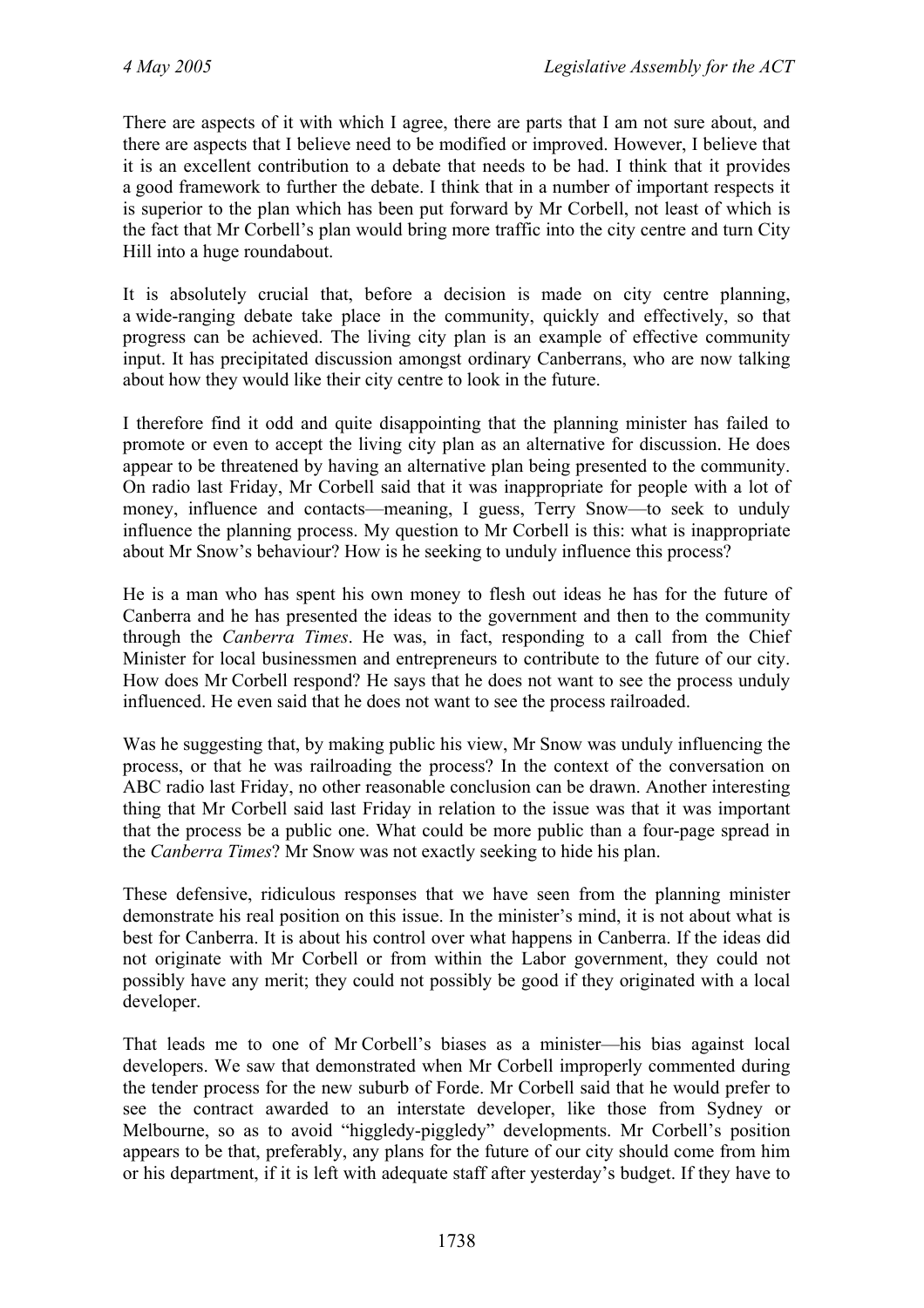There are aspects of it with which I agree, there are parts that I am not sure about, and there are aspects that I believe need to be modified or improved. However, I believe that it is an excellent contribution to a debate that needs to be had. I think that it provides a good framework to further the debate. I think that in a number of important respects it is superior to the plan which has been put forward by Mr Corbell, not least of which is the fact that Mr Corbell's plan would bring more traffic into the city centre and turn City Hill into a huge roundabout.

It is absolutely crucial that, before a decision is made on city centre planning, a wide-ranging debate take place in the community, quickly and effectively, so that progress can be achieved. The living city plan is an example of effective community input. It has precipitated discussion amongst ordinary Canberrans, who are now talking about how they would like their city centre to look in the future.

I therefore find it odd and quite disappointing that the planning minister has failed to promote or even to accept the living city plan as an alternative for discussion. He does appear to be threatened by having an alternative plan being presented to the community. On radio last Friday, Mr Corbell said that it was inappropriate for people with a lot of money, influence and contacts—meaning, I guess, Terry Snow—to seek to unduly influence the planning process. My question to Mr Corbell is this: what is inappropriate about Mr Snow's behaviour? How is he seeking to unduly influence this process?

He is a man who has spent his own money to flesh out ideas he has for the future of Canberra and he has presented the ideas to the government and then to the community through the *Canberra Times*. He was, in fact, responding to a call from the Chief Minister for local businessmen and entrepreneurs to contribute to the future of our city. How does Mr Corbell respond? He says that he does not want to see the process unduly influenced. He even said that he does not want to see the process railroaded.

Was he suggesting that, by making public his view, Mr Snow was unduly influencing the process, or that he was railroading the process? In the context of the conversation on ABC radio last Friday, no other reasonable conclusion can be drawn. Another interesting thing that Mr Corbell said last Friday in relation to the issue was that it was important that the process be a public one. What could be more public than a four-page spread in the *Canberra Times*? Mr Snow was not exactly seeking to hide his plan.

These defensive, ridiculous responses that we have seen from the planning minister demonstrate his real position on this issue. In the minister's mind, it is not about what is best for Canberra. It is about his control over what happens in Canberra. If the ideas did not originate with Mr Corbell or from within the Labor government, they could not possibly have any merit; they could not possibly be good if they originated with a local developer.

That leads me to one of Mr Corbell's biases as a minister—his bias against local developers. We saw that demonstrated when Mr Corbell improperly commented during the tender process for the new suburb of Forde. Mr Corbell said that he would prefer to see the contract awarded to an interstate developer, like those from Sydney or Melbourne, so as to avoid "higgledy-piggledy" developments. Mr Corbell's position appears to be that, preferably, any plans for the future of our city should come from him or his department, if it is left with adequate staff after yesterday's budget. If they have to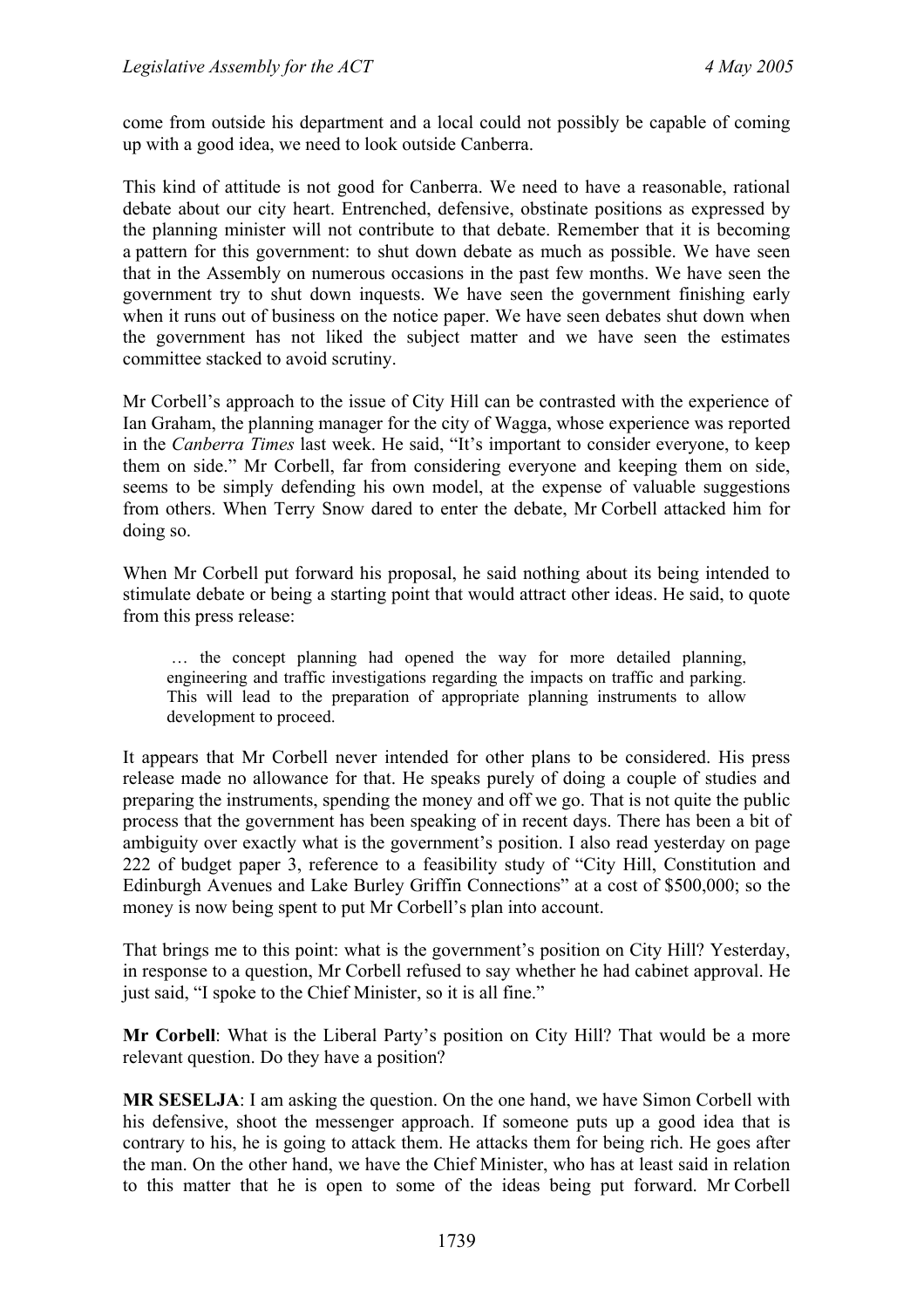come from outside his department and a local could not possibly be capable of coming up with a good idea, we need to look outside Canberra.

This kind of attitude is not good for Canberra. We need to have a reasonable, rational debate about our city heart. Entrenched, defensive, obstinate positions as expressed by the planning minister will not contribute to that debate. Remember that it is becoming a pattern for this government: to shut down debate as much as possible. We have seen that in the Assembly on numerous occasions in the past few months. We have seen the government try to shut down inquests. We have seen the government finishing early when it runs out of business on the notice paper. We have seen debates shut down when the government has not liked the subject matter and we have seen the estimates committee stacked to avoid scrutiny.

Mr Corbell's approach to the issue of City Hill can be contrasted with the experience of Ian Graham, the planning manager for the city of Wagga, whose experience was reported in the *Canberra Times* last week. He said, "It's important to consider everyone, to keep them on side." Mr Corbell, far from considering everyone and keeping them on side, seems to be simply defending his own model, at the expense of valuable suggestions from others. When Terry Snow dared to enter the debate, Mr Corbell attacked him for doing so.

When Mr Corbell put forward his proposal, he said nothing about its being intended to stimulate debate or being a starting point that would attract other ideas. He said, to quote from this press release:

 … the concept planning had opened the way for more detailed planning, engineering and traffic investigations regarding the impacts on traffic and parking. This will lead to the preparation of appropriate planning instruments to allow development to proceed.

It appears that Mr Corbell never intended for other plans to be considered. His press release made no allowance for that. He speaks purely of doing a couple of studies and preparing the instruments, spending the money and off we go. That is not quite the public process that the government has been speaking of in recent days. There has been a bit of ambiguity over exactly what is the government's position. I also read yesterday on page 222 of budget paper 3, reference to a feasibility study of "City Hill, Constitution and Edinburgh Avenues and Lake Burley Griffin Connections" at a cost of \$500,000; so the money is now being spent to put Mr Corbell's plan into account.

That brings me to this point: what is the government's position on City Hill? Yesterday, in response to a question, Mr Corbell refused to say whether he had cabinet approval. He just said, "I spoke to the Chief Minister, so it is all fine."

**Mr Corbell**: What is the Liberal Party's position on City Hill? That would be a more relevant question. Do they have a position?

**MR SESELJA**: I am asking the question. On the one hand, we have Simon Corbell with his defensive, shoot the messenger approach. If someone puts up a good idea that is contrary to his, he is going to attack them. He attacks them for being rich. He goes after the man. On the other hand, we have the Chief Minister, who has at least said in relation to this matter that he is open to some of the ideas being put forward. Mr Corbell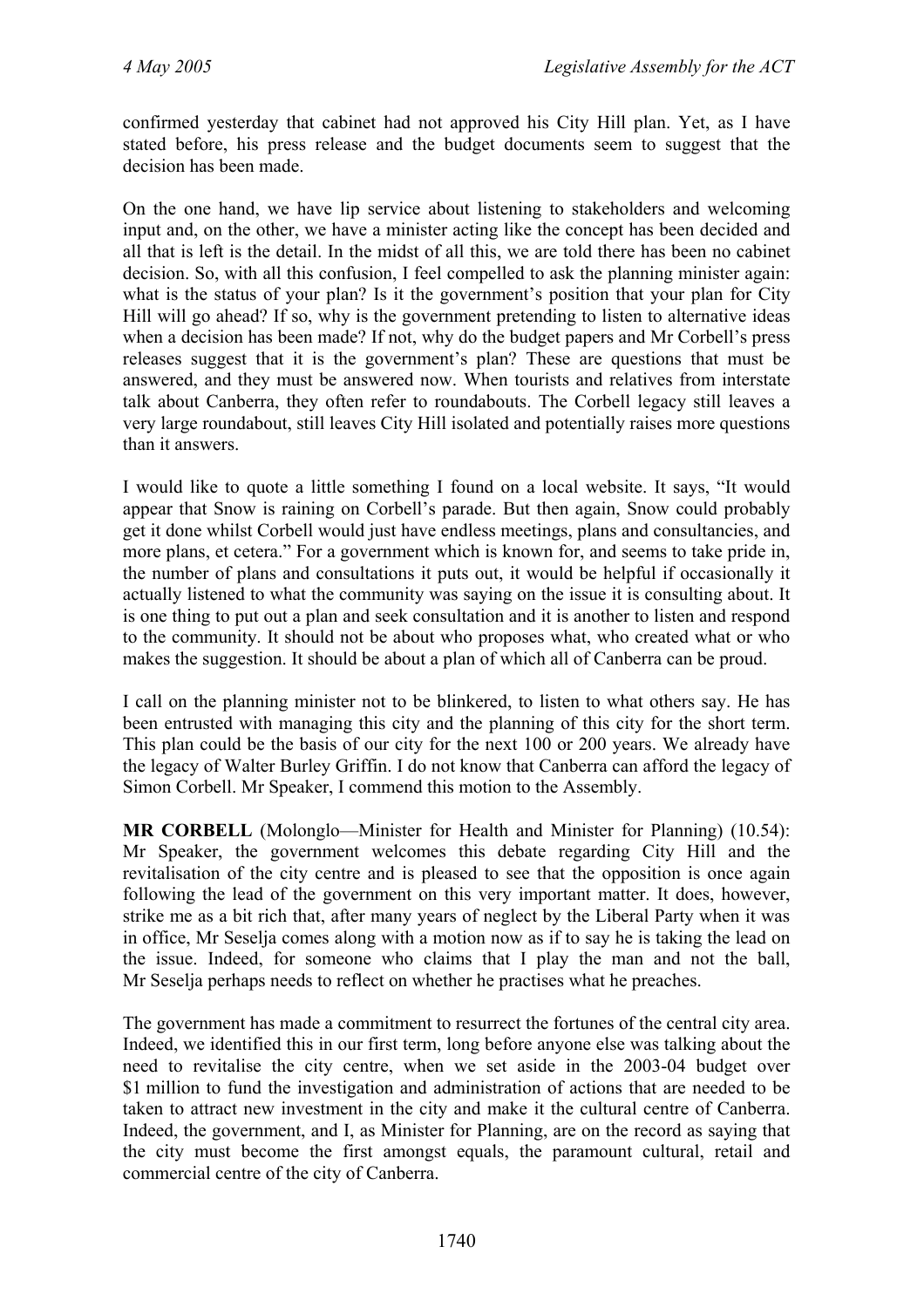confirmed yesterday that cabinet had not approved his City Hill plan. Yet, as I have stated before, his press release and the budget documents seem to suggest that the decision has been made

On the one hand, we have lip service about listening to stakeholders and welcoming input and, on the other, we have a minister acting like the concept has been decided and all that is left is the detail. In the midst of all this, we are told there has been no cabinet decision. So, with all this confusion, I feel compelled to ask the planning minister again: what is the status of your plan? Is it the government's position that your plan for City Hill will go ahead? If so, why is the government pretending to listen to alternative ideas when a decision has been made? If not, why do the budget papers and Mr Corbell's press releases suggest that it is the government's plan? These are questions that must be answered, and they must be answered now. When tourists and relatives from interstate talk about Canberra, they often refer to roundabouts. The Corbell legacy still leaves a very large roundabout, still leaves City Hill isolated and potentially raises more questions than it answers.

I would like to quote a little something I found on a local website. It says, "It would appear that Snow is raining on Corbell's parade. But then again, Snow could probably get it done whilst Corbell would just have endless meetings, plans and consultancies, and more plans, et cetera." For a government which is known for, and seems to take pride in, the number of plans and consultations it puts out, it would be helpful if occasionally it actually listened to what the community was saying on the issue it is consulting about. It is one thing to put out a plan and seek consultation and it is another to listen and respond to the community. It should not be about who proposes what, who created what or who makes the suggestion. It should be about a plan of which all of Canberra can be proud.

I call on the planning minister not to be blinkered, to listen to what others say. He has been entrusted with managing this city and the planning of this city for the short term. This plan could be the basis of our city for the next 100 or 200 years. We already have the legacy of Walter Burley Griffin. I do not know that Canberra can afford the legacy of Simon Corbell. Mr Speaker, I commend this motion to the Assembly.

**MR CORBELL** (Molonglo—Minister for Health and Minister for Planning) (10.54): Mr Speaker, the government welcomes this debate regarding City Hill and the revitalisation of the city centre and is pleased to see that the opposition is once again following the lead of the government on this very important matter. It does, however, strike me as a bit rich that, after many years of neglect by the Liberal Party when it was in office, Mr Seselja comes along with a motion now as if to say he is taking the lead on the issue. Indeed, for someone who claims that I play the man and not the ball, Mr Seselja perhaps needs to reflect on whether he practises what he preaches.

The government has made a commitment to resurrect the fortunes of the central city area. Indeed, we identified this in our first term, long before anyone else was talking about the need to revitalise the city centre, when we set aside in the 2003-04 budget over \$1 million to fund the investigation and administration of actions that are needed to be taken to attract new investment in the city and make it the cultural centre of Canberra. Indeed, the government, and I, as Minister for Planning, are on the record as saying that the city must become the first amongst equals, the paramount cultural, retail and commercial centre of the city of Canberra.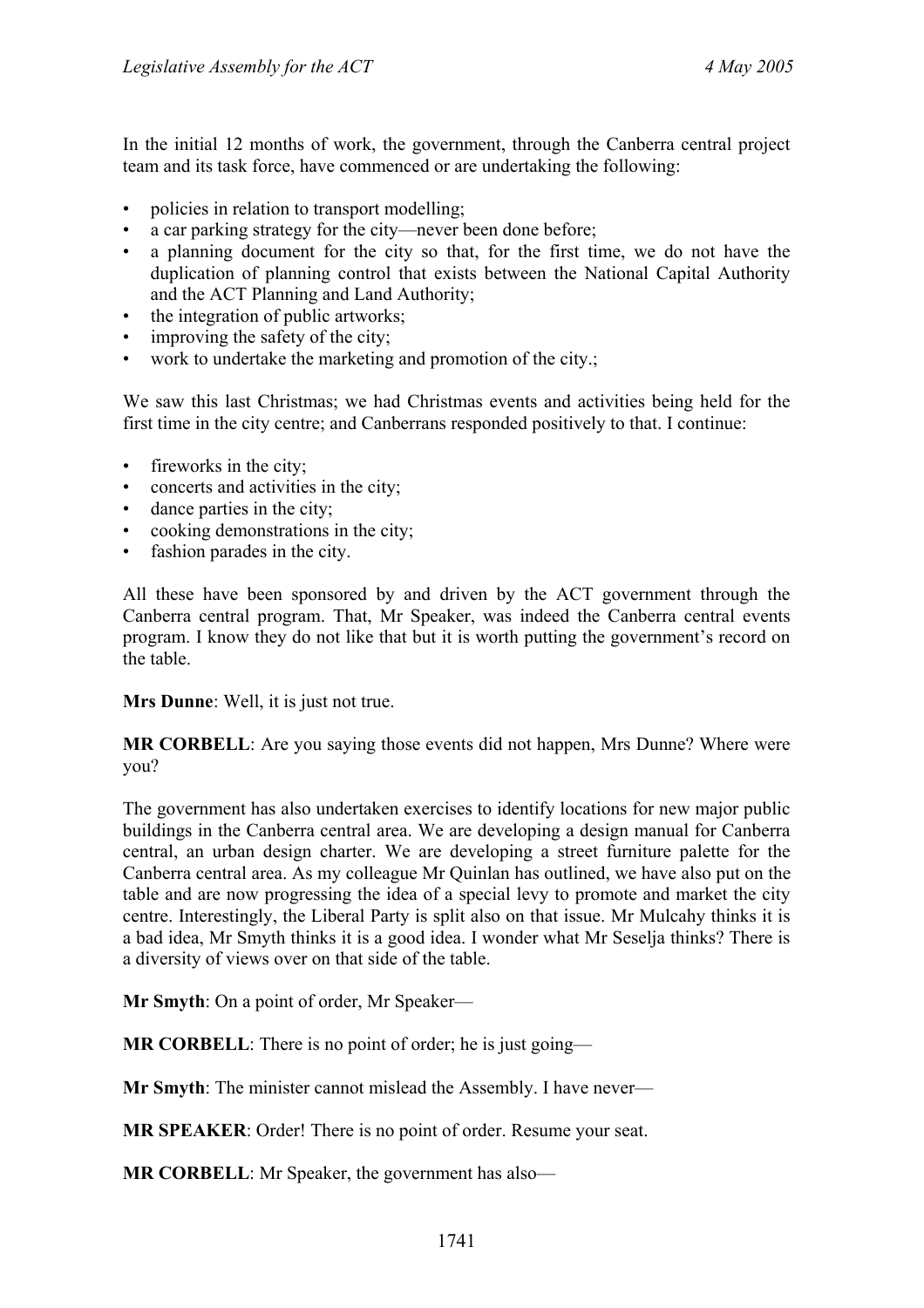In the initial 12 months of work, the government, through the Canberra central project team and its task force, have commenced or are undertaking the following:

- policies in relation to transport modelling;
- a car parking strategy for the city—never been done before;
- a planning document for the city so that, for the first time, we do not have the duplication of planning control that exists between the National Capital Authority and the ACT Planning and Land Authority;
- the integration of public artworks:
- improving the safety of the city;
- work to undertake the marketing and promotion of the city.;

We saw this last Christmas; we had Christmas events and activities being held for the first time in the city centre; and Canberrans responded positively to that. I continue:

- fireworks in the city;
- concerts and activities in the city;
- dance parties in the city;
- cooking demonstrations in the city;
- fashion parades in the city.

All these have been sponsored by and driven by the ACT government through the Canberra central program. That, Mr Speaker, was indeed the Canberra central events program. I know they do not like that but it is worth putting the government's record on the table.

**Mrs Dunne**: Well, it is just not true.

**MR CORBELL**: Are you saying those events did not happen, Mrs Dunne? Where were you?

The government has also undertaken exercises to identify locations for new major public buildings in the Canberra central area. We are developing a design manual for Canberra central, an urban design charter. We are developing a street furniture palette for the Canberra central area. As my colleague Mr Quinlan has outlined, we have also put on the table and are now progressing the idea of a special levy to promote and market the city centre. Interestingly, the Liberal Party is split also on that issue. Mr Mulcahy thinks it is a bad idea, Mr Smyth thinks it is a good idea. I wonder what Mr Seselja thinks? There is a diversity of views over on that side of the table.

**Mr Smyth**: On a point of order, Mr Speaker—

**MR CORBELL:** There is no point of order; he is just going—

**Mr Smyth**: The minister cannot mislead the Assembly. I have never—

**MR SPEAKER**: Order! There is no point of order. Resume your seat.

**MR CORBELL**: Mr Speaker, the government has also—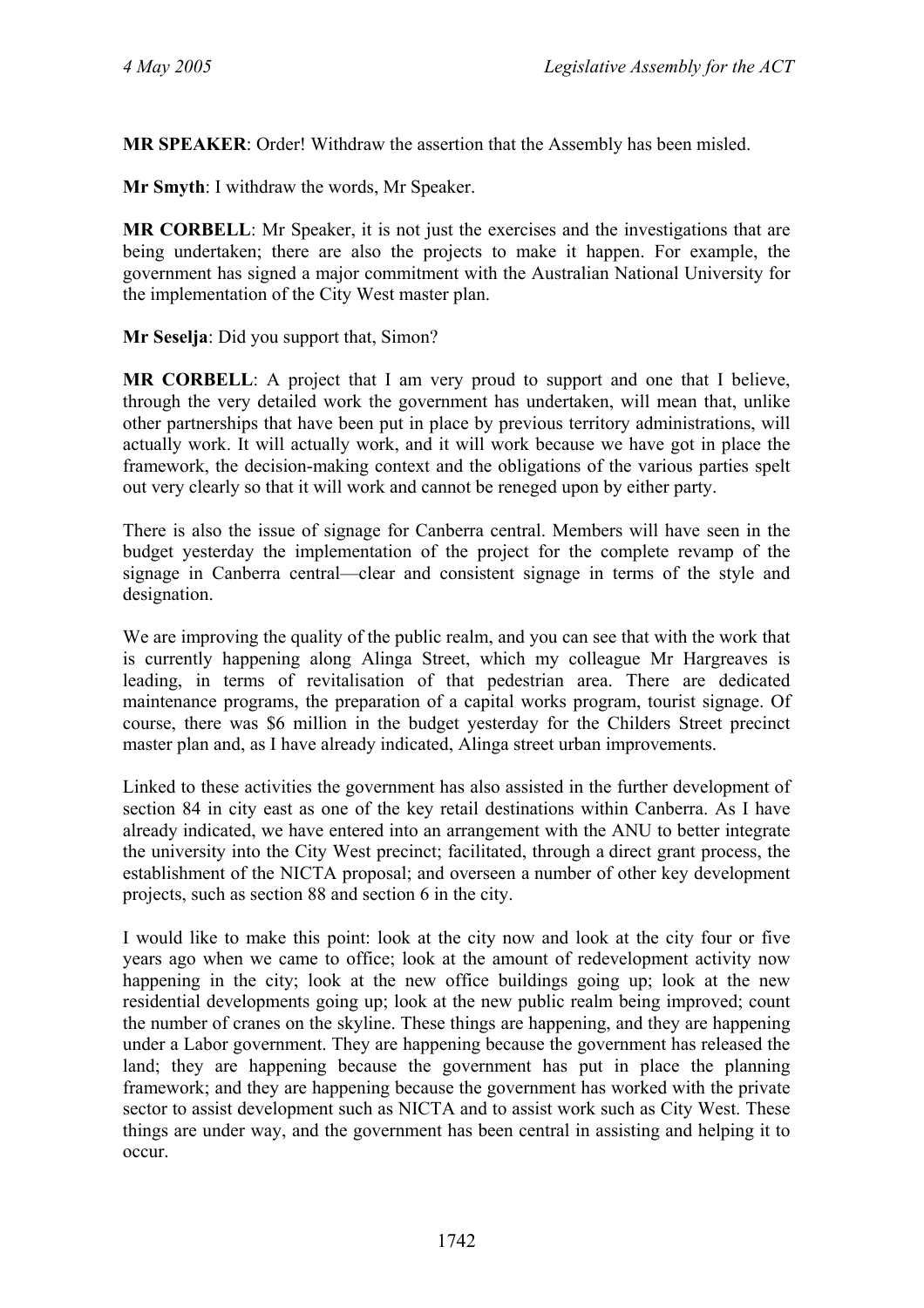**MR SPEAKER**: Order! Withdraw the assertion that the Assembly has been misled.

**Mr Smyth**: I withdraw the words, Mr Speaker.

**MR CORBELL**: Mr Speaker, it is not just the exercises and the investigations that are being undertaken; there are also the projects to make it happen. For example, the government has signed a major commitment with the Australian National University for the implementation of the City West master plan.

#### **Mr Seselja**: Did you support that, Simon?

**MR CORBELL**: A project that I am very proud to support and one that I believe, through the very detailed work the government has undertaken, will mean that, unlike other partnerships that have been put in place by previous territory administrations, will actually work. It will actually work, and it will work because we have got in place the framework, the decision-making context and the obligations of the various parties spelt out very clearly so that it will work and cannot be reneged upon by either party.

There is also the issue of signage for Canberra central. Members will have seen in the budget yesterday the implementation of the project for the complete revamp of the signage in Canberra central—clear and consistent signage in terms of the style and designation.

We are improving the quality of the public realm, and you can see that with the work that is currently happening along Alinga Street, which my colleague Mr Hargreaves is leading, in terms of revitalisation of that pedestrian area. There are dedicated maintenance programs, the preparation of a capital works program, tourist signage. Of course, there was \$6 million in the budget yesterday for the Childers Street precinct master plan and, as I have already indicated, Alinga street urban improvements.

Linked to these activities the government has also assisted in the further development of section 84 in city east as one of the key retail destinations within Canberra. As I have already indicated, we have entered into an arrangement with the ANU to better integrate the university into the City West precinct; facilitated, through a direct grant process, the establishment of the NICTA proposal; and overseen a number of other key development projects, such as section 88 and section 6 in the city.

I would like to make this point: look at the city now and look at the city four or five years ago when we came to office; look at the amount of redevelopment activity now happening in the city; look at the new office buildings going up; look at the new residential developments going up; look at the new public realm being improved; count the number of cranes on the skyline. These things are happening, and they are happening under a Labor government. They are happening because the government has released the land; they are happening because the government has put in place the planning framework; and they are happening because the government has worked with the private sector to assist development such as NICTA and to assist work such as City West. These things are under way, and the government has been central in assisting and helping it to occur.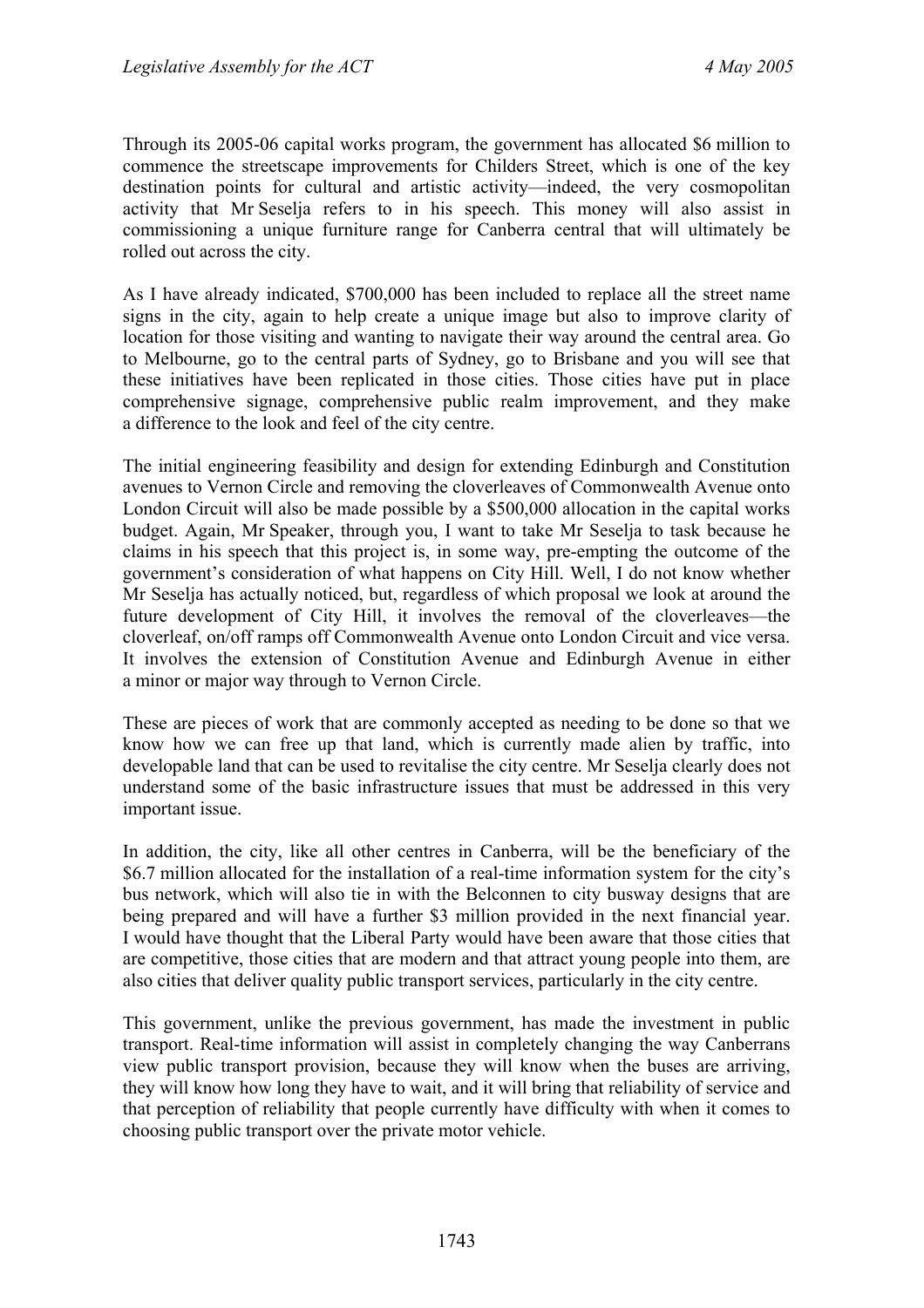Through its 2005-06 capital works program, the government has allocated \$6 million to commence the streetscape improvements for Childers Street, which is one of the key destination points for cultural and artistic activity—indeed, the very cosmopolitan activity that Mr Seselja refers to in his speech. This money will also assist in commissioning a unique furniture range for Canberra central that will ultimately be rolled out across the city.

As I have already indicated, \$700,000 has been included to replace all the street name signs in the city, again to help create a unique image but also to improve clarity of location for those visiting and wanting to navigate their way around the central area. Go to Melbourne, go to the central parts of Sydney, go to Brisbane and you will see that these initiatives have been replicated in those cities. Those cities have put in place comprehensive signage, comprehensive public realm improvement, and they make a difference to the look and feel of the city centre.

The initial engineering feasibility and design for extending Edinburgh and Constitution avenues to Vernon Circle and removing the cloverleaves of Commonwealth Avenue onto London Circuit will also be made possible by a \$500,000 allocation in the capital works budget. Again, Mr Speaker, through you, I want to take Mr Seselja to task because he claims in his speech that this project is, in some way, pre-empting the outcome of the government's consideration of what happens on City Hill. Well, I do not know whether Mr Seselja has actually noticed, but, regardless of which proposal we look at around the future development of City Hill, it involves the removal of the cloverleaves—the cloverleaf, on/off ramps off Commonwealth Avenue onto London Circuit and vice versa. It involves the extension of Constitution Avenue and Edinburgh Avenue in either a minor or major way through to Vernon Circle.

These are pieces of work that are commonly accepted as needing to be done so that we know how we can free up that land, which is currently made alien by traffic, into developable land that can be used to revitalise the city centre. Mr Seselja clearly does not understand some of the basic infrastructure issues that must be addressed in this very important issue.

In addition, the city, like all other centres in Canberra, will be the beneficiary of the \$6.7 million allocated for the installation of a real-time information system for the city's bus network, which will also tie in with the Belconnen to city busway designs that are being prepared and will have a further \$3 million provided in the next financial year. I would have thought that the Liberal Party would have been aware that those cities that are competitive, those cities that are modern and that attract young people into them, are also cities that deliver quality public transport services, particularly in the city centre.

This government, unlike the previous government, has made the investment in public transport. Real-time information will assist in completely changing the way Canberrans view public transport provision, because they will know when the buses are arriving, they will know how long they have to wait, and it will bring that reliability of service and that perception of reliability that people currently have difficulty with when it comes to choosing public transport over the private motor vehicle.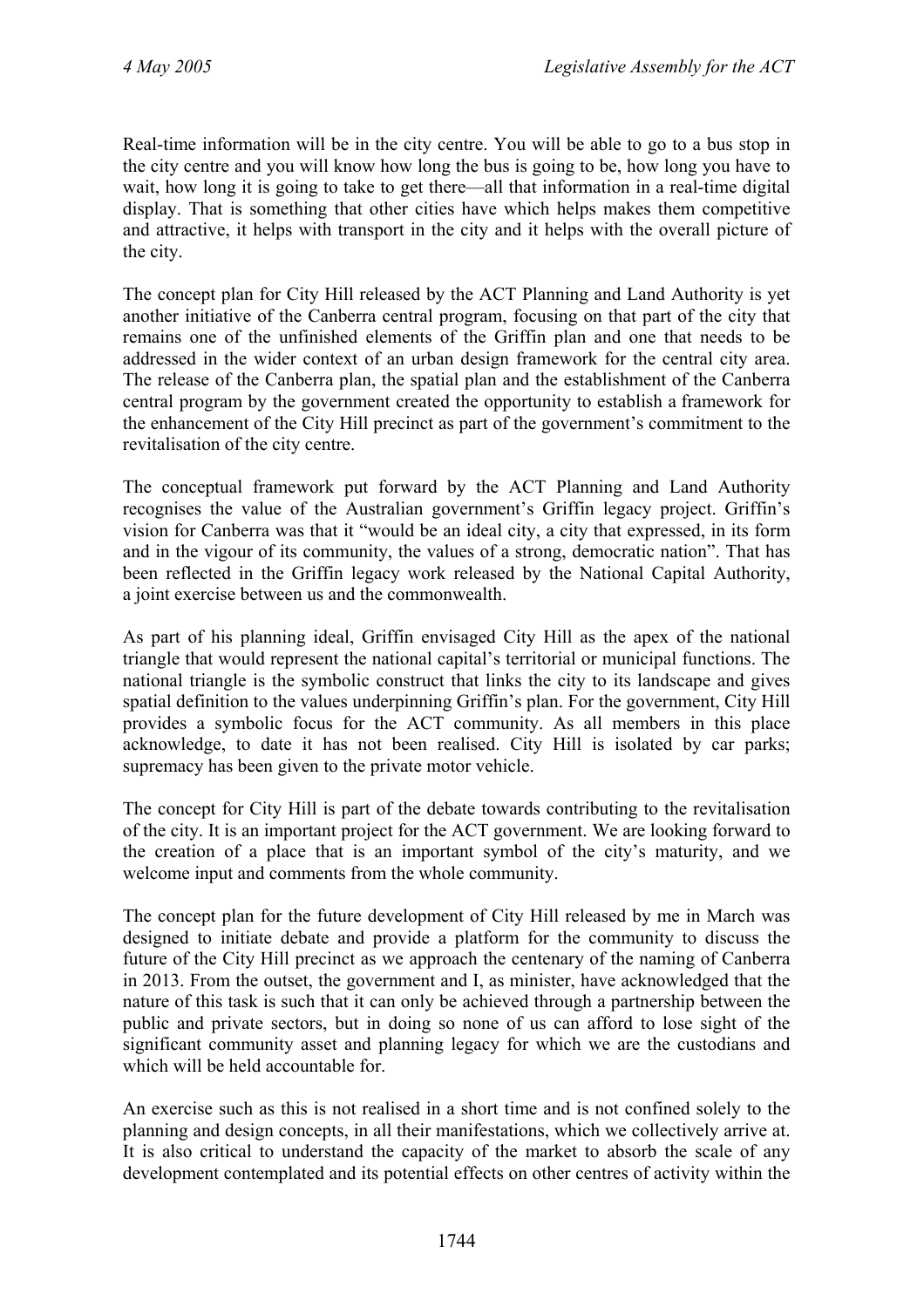Real-time information will be in the city centre. You will be able to go to a bus stop in the city centre and you will know how long the bus is going to be, how long you have to wait, how long it is going to take to get there—all that information in a real-time digital display. That is something that other cities have which helps makes them competitive and attractive, it helps with transport in the city and it helps with the overall picture of the city.

The concept plan for City Hill released by the ACT Planning and Land Authority is yet another initiative of the Canberra central program, focusing on that part of the city that remains one of the unfinished elements of the Griffin plan and one that needs to be addressed in the wider context of an urban design framework for the central city area. The release of the Canberra plan, the spatial plan and the establishment of the Canberra central program by the government created the opportunity to establish a framework for the enhancement of the City Hill precinct as part of the government's commitment to the revitalisation of the city centre.

The conceptual framework put forward by the ACT Planning and Land Authority recognises the value of the Australian government's Griffin legacy project. Griffin's vision for Canberra was that it "would be an ideal city, a city that expressed, in its form and in the vigour of its community, the values of a strong, democratic nation". That has been reflected in the Griffin legacy work released by the National Capital Authority, a joint exercise between us and the commonwealth.

As part of his planning ideal, Griffin envisaged City Hill as the apex of the national triangle that would represent the national capital's territorial or municipal functions. The national triangle is the symbolic construct that links the city to its landscape and gives spatial definition to the values underpinning Griffin's plan. For the government, City Hill provides a symbolic focus for the ACT community. As all members in this place acknowledge, to date it has not been realised. City Hill is isolated by car parks; supremacy has been given to the private motor vehicle.

The concept for City Hill is part of the debate towards contributing to the revitalisation of the city. It is an important project for the ACT government. We are looking forward to the creation of a place that is an important symbol of the city's maturity, and we welcome input and comments from the whole community.

The concept plan for the future development of City Hill released by me in March was designed to initiate debate and provide a platform for the community to discuss the future of the City Hill precinct as we approach the centenary of the naming of Canberra in 2013. From the outset, the government and I, as minister, have acknowledged that the nature of this task is such that it can only be achieved through a partnership between the public and private sectors, but in doing so none of us can afford to lose sight of the significant community asset and planning legacy for which we are the custodians and which will be held accountable for.

An exercise such as this is not realised in a short time and is not confined solely to the planning and design concepts, in all their manifestations, which we collectively arrive at. It is also critical to understand the capacity of the market to absorb the scale of any development contemplated and its potential effects on other centres of activity within the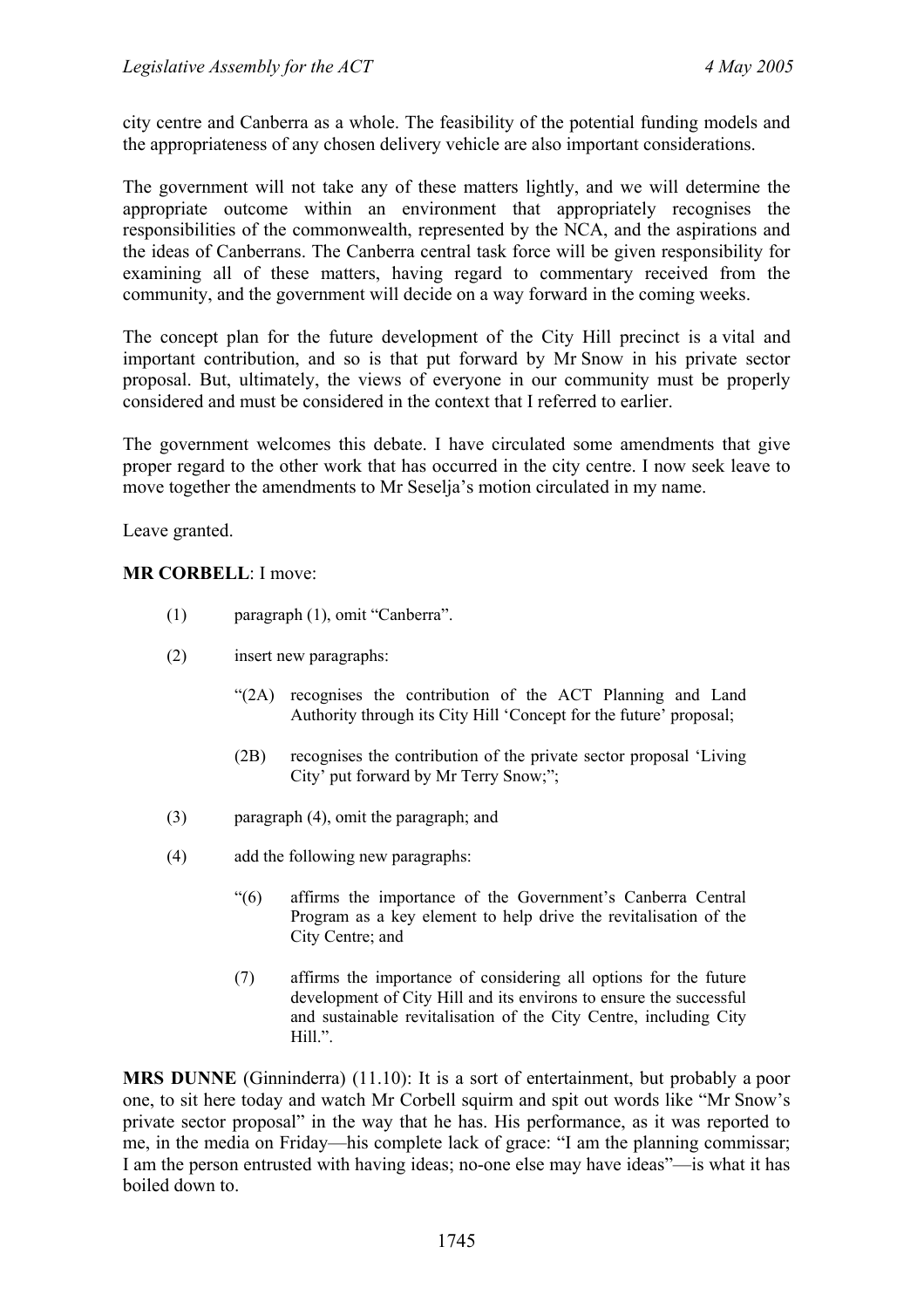city centre and Canberra as a whole. The feasibility of the potential funding models and the appropriateness of any chosen delivery vehicle are also important considerations.

The government will not take any of these matters lightly, and we will determine the appropriate outcome within an environment that appropriately recognises the responsibilities of the commonwealth, represented by the NCA, and the aspirations and the ideas of Canberrans. The Canberra central task force will be given responsibility for examining all of these matters, having regard to commentary received from the community, and the government will decide on a way forward in the coming weeks.

The concept plan for the future development of the City Hill precinct is a vital and important contribution, and so is that put forward by Mr Snow in his private sector proposal. But, ultimately, the views of everyone in our community must be properly considered and must be considered in the context that I referred to earlier.

The government welcomes this debate. I have circulated some amendments that give proper regard to the other work that has occurred in the city centre. I now seek leave to move together the amendments to Mr Seselja's motion circulated in my name.

Leave granted.

**MR CORBELL**: I move:

- (1) paragraph (1), omit "Canberra".
- (2) insert new paragraphs:
	- "(2A) recognises the contribution of the ACT Planning and Land Authority through its City Hill 'Concept for the future' proposal;
	- (2B) recognises the contribution of the private sector proposal 'Living City' put forward by Mr Terry Snow;";
- (3) paragraph (4), omit the paragraph; and
- (4) add the following new paragraphs:
	- "(6) affirms the importance of the Government's Canberra Central Program as a key element to help drive the revitalisation of the City Centre; and
	- (7) affirms the importance of considering all options for the future development of City Hill and its environs to ensure the successful and sustainable revitalisation of the City Centre, including City Hill.".

**MRS DUNNE** (Ginninderra) (11.10): It is a sort of entertainment, but probably a poor one, to sit here today and watch Mr Corbell squirm and spit out words like "Mr Snow's private sector proposal" in the way that he has. His performance, as it was reported to me, in the media on Friday—his complete lack of grace: "I am the planning commissar; I am the person entrusted with having ideas; no-one else may have ideas"—is what it has boiled down to.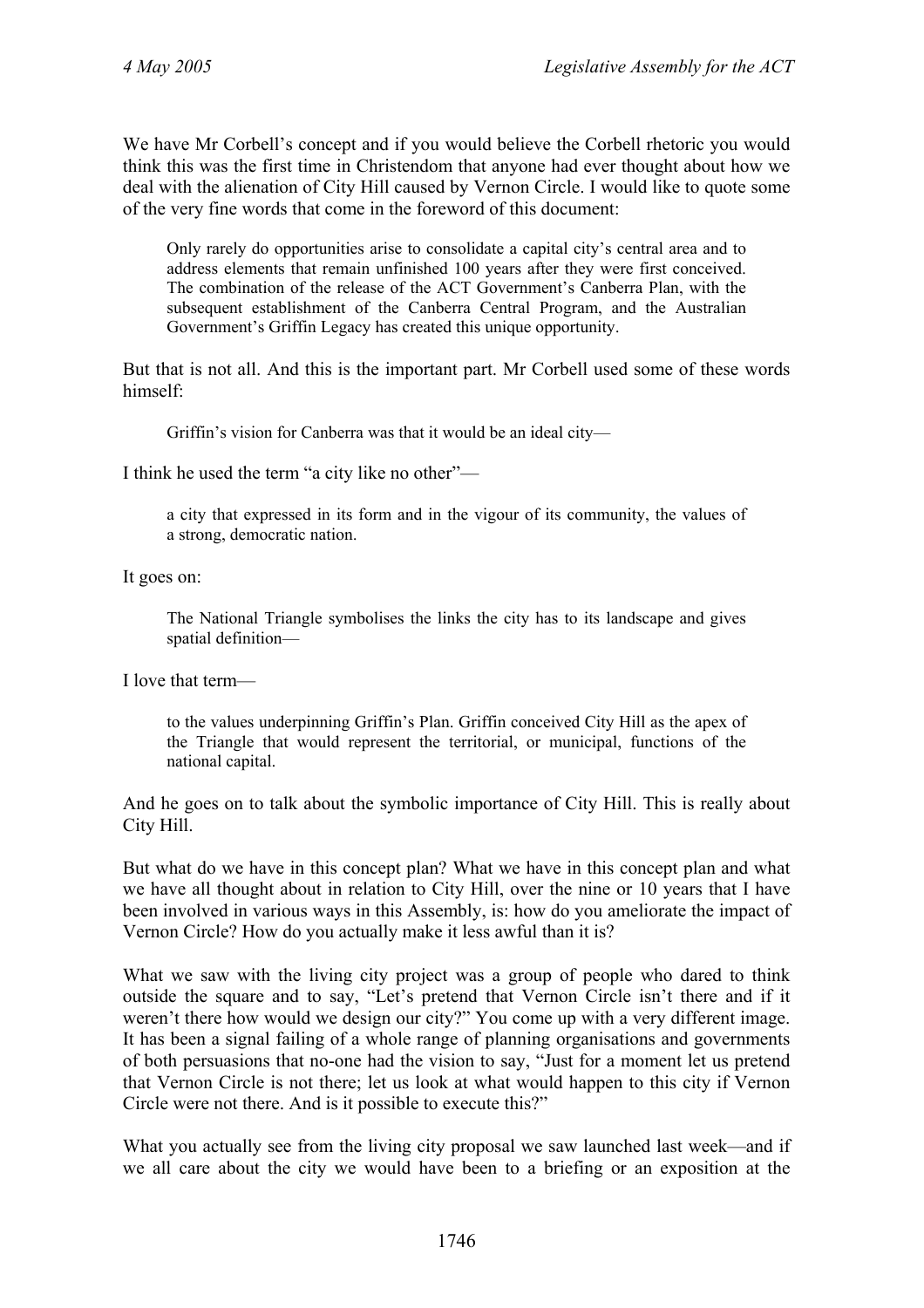We have Mr Corbell's concept and if you would believe the Corbell rhetoric you would think this was the first time in Christendom that anyone had ever thought about how we deal with the alienation of City Hill caused by Vernon Circle. I would like to quote some of the very fine words that come in the foreword of this document:

Only rarely do opportunities arise to consolidate a capital city's central area and to address elements that remain unfinished 100 years after they were first conceived. The combination of the release of the ACT Government's Canberra Plan, with the subsequent establishment of the Canberra Central Program, and the Australian Government's Griffin Legacy has created this unique opportunity.

But that is not all. And this is the important part. Mr Corbell used some of these words himself:

Griffin's vision for Canberra was that it would be an ideal city—

I think he used the term "a city like no other"—

a city that expressed in its form and in the vigour of its community, the values of a strong, democratic nation.

It goes on:

The National Triangle symbolises the links the city has to its landscape and gives spatial definition—

I love that term—

to the values underpinning Griffin's Plan. Griffin conceived City Hill as the apex of the Triangle that would represent the territorial, or municipal, functions of the national capital.

And he goes on to talk about the symbolic importance of City Hill. This is really about City Hill.

But what do we have in this concept plan? What we have in this concept plan and what we have all thought about in relation to City Hill, over the nine or 10 years that I have been involved in various ways in this Assembly, is: how do you ameliorate the impact of Vernon Circle? How do you actually make it less awful than it is?

What we saw with the living city project was a group of people who dared to think outside the square and to say, "Let's pretend that Vernon Circle isn't there and if it weren't there how would we design our city?" You come up with a very different image. It has been a signal failing of a whole range of planning organisations and governments of both persuasions that no-one had the vision to say, "Just for a moment let us pretend that Vernon Circle is not there; let us look at what would happen to this city if Vernon Circle were not there. And is it possible to execute this?"

What you actually see from the living city proposal we saw launched last week—and if we all care about the city we would have been to a briefing or an exposition at the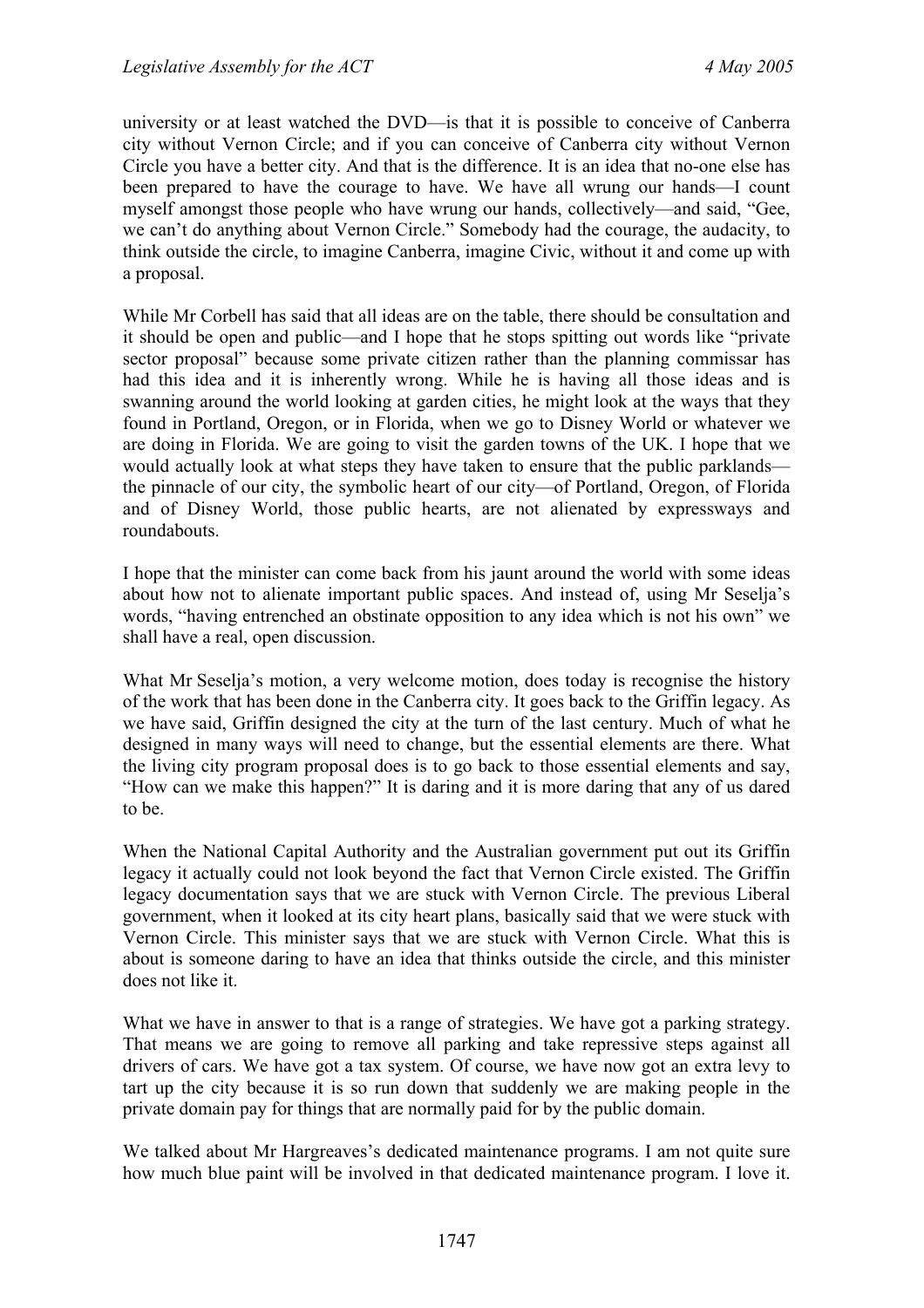university or at least watched the DVD—is that it is possible to conceive of Canberra city without Vernon Circle; and if you can conceive of Canberra city without Vernon Circle you have a better city. And that is the difference. It is an idea that no-one else has been prepared to have the courage to have. We have all wrung our hands—I count myself amongst those people who have wrung our hands, collectively—and said, "Gee, we can't do anything about Vernon Circle." Somebody had the courage, the audacity, to think outside the circle, to imagine Canberra, imagine Civic, without it and come up with a proposal.

While Mr Corbell has said that all ideas are on the table, there should be consultation and it should be open and public—and I hope that he stops spitting out words like "private sector proposal" because some private citizen rather than the planning commissar has had this idea and it is inherently wrong. While he is having all those ideas and is swanning around the world looking at garden cities, he might look at the ways that they found in Portland, Oregon, or in Florida, when we go to Disney World or whatever we are doing in Florida. We are going to visit the garden towns of the UK. I hope that we would actually look at what steps they have taken to ensure that the public parklands the pinnacle of our city, the symbolic heart of our city—of Portland, Oregon, of Florida and of Disney World, those public hearts, are not alienated by expressways and roundabouts.

I hope that the minister can come back from his jaunt around the world with some ideas about how not to alienate important public spaces. And instead of, using Mr Seselja's words, "having entrenched an obstinate opposition to any idea which is not his own" we shall have a real, open discussion.

What Mr Seselja's motion, a very welcome motion, does today is recognise the history of the work that has been done in the Canberra city. It goes back to the Griffin legacy. As we have said, Griffin designed the city at the turn of the last century. Much of what he designed in many ways will need to change, but the essential elements are there. What the living city program proposal does is to go back to those essential elements and say, "How can we make this happen?" It is daring and it is more daring that any of us dared to be.

When the National Capital Authority and the Australian government put out its Griffin legacy it actually could not look beyond the fact that Vernon Circle existed. The Griffin legacy documentation says that we are stuck with Vernon Circle. The previous Liberal government, when it looked at its city heart plans, basically said that we were stuck with Vernon Circle. This minister says that we are stuck with Vernon Circle. What this is about is someone daring to have an idea that thinks outside the circle, and this minister does not like it.

What we have in answer to that is a range of strategies. We have got a parking strategy. That means we are going to remove all parking and take repressive steps against all drivers of cars. We have got a tax system. Of course, we have now got an extra levy to tart up the city because it is so run down that suddenly we are making people in the private domain pay for things that are normally paid for by the public domain.

We talked about Mr Hargreaves's dedicated maintenance programs. I am not quite sure how much blue paint will be involved in that dedicated maintenance program. I love it.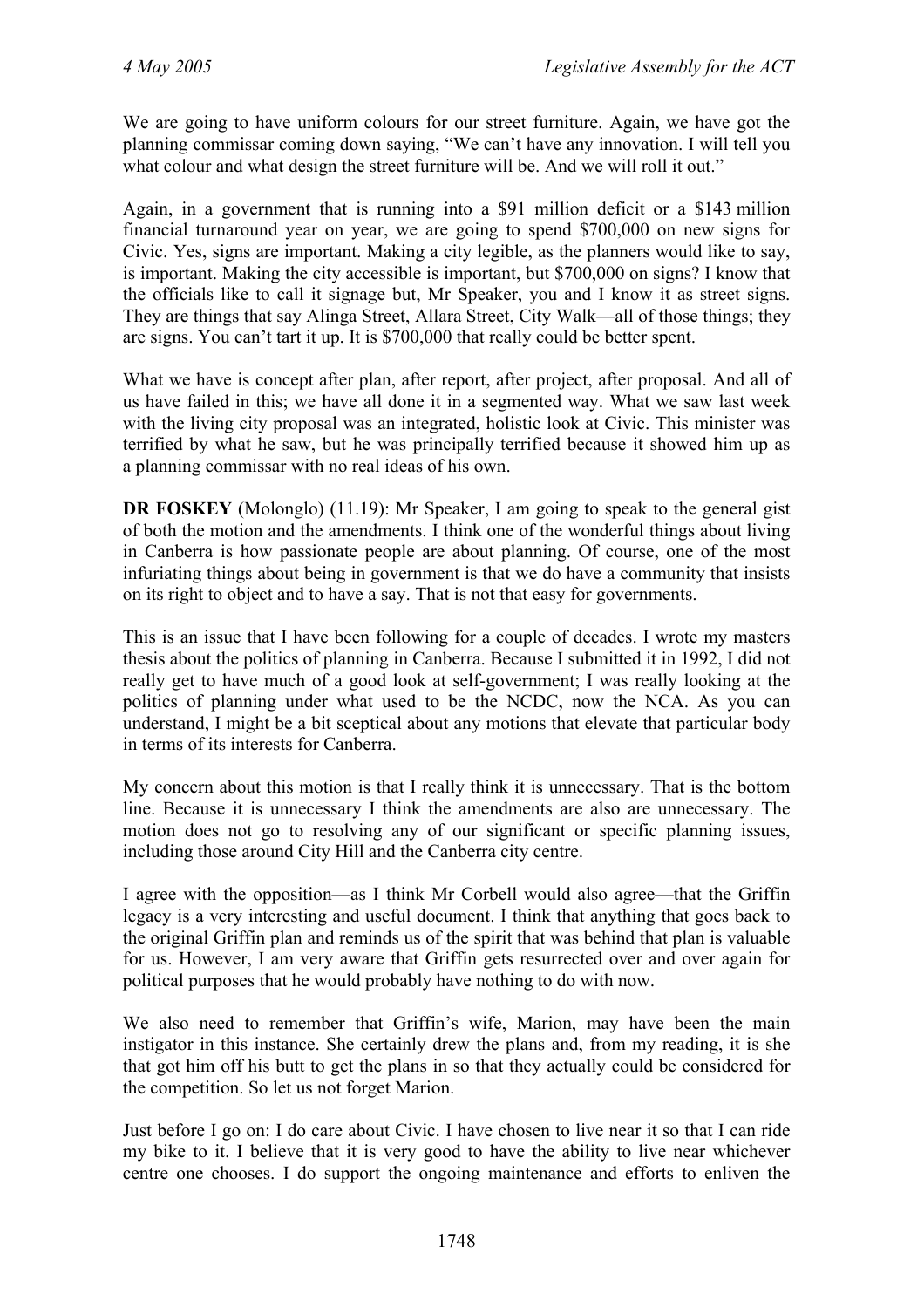We are going to have uniform colours for our street furniture. Again, we have got the planning commissar coming down saying, "We can't have any innovation. I will tell you what colour and what design the street furniture will be. And we will roll it out."

Again, in a government that is running into a \$91 million deficit or a \$143 million financial turnaround year on year, we are going to spend \$700,000 on new signs for Civic. Yes, signs are important. Making a city legible, as the planners would like to say, is important. Making the city accessible is important, but \$700,000 on signs? I know that the officials like to call it signage but, Mr Speaker, you and I know it as street signs. They are things that say Alinga Street, Allara Street, City Walk—all of those things; they are signs. You can't tart it up. It is \$700,000 that really could be better spent.

What we have is concept after plan, after report, after project, after proposal. And all of us have failed in this; we have all done it in a segmented way. What we saw last week with the living city proposal was an integrated, holistic look at Civic. This minister was terrified by what he saw, but he was principally terrified because it showed him up as a planning commissar with no real ideas of his own.

**DR FOSKEY** (Molonglo) (11.19): Mr Speaker, I am going to speak to the general gist of both the motion and the amendments. I think one of the wonderful things about living in Canberra is how passionate people are about planning. Of course, one of the most infuriating things about being in government is that we do have a community that insists on its right to object and to have a say. That is not that easy for governments.

This is an issue that I have been following for a couple of decades. I wrote my masters thesis about the politics of planning in Canberra. Because I submitted it in 1992, I did not really get to have much of a good look at self-government; I was really looking at the politics of planning under what used to be the NCDC, now the NCA. As you can understand, I might be a bit sceptical about any motions that elevate that particular body in terms of its interests for Canberra.

My concern about this motion is that I really think it is unnecessary. That is the bottom line. Because it is unnecessary I think the amendments are also are unnecessary. The motion does not go to resolving any of our significant or specific planning issues, including those around City Hill and the Canberra city centre.

I agree with the opposition—as I think Mr Corbell would also agree—that the Griffin legacy is a very interesting and useful document. I think that anything that goes back to the original Griffin plan and reminds us of the spirit that was behind that plan is valuable for us. However, I am very aware that Griffin gets resurrected over and over again for political purposes that he would probably have nothing to do with now.

We also need to remember that Griffin's wife, Marion, may have been the main instigator in this instance. She certainly drew the plans and, from my reading, it is she that got him off his butt to get the plans in so that they actually could be considered for the competition. So let us not forget Marion.

Just before I go on: I do care about Civic. I have chosen to live near it so that I can ride my bike to it. I believe that it is very good to have the ability to live near whichever centre one chooses. I do support the ongoing maintenance and efforts to enliven the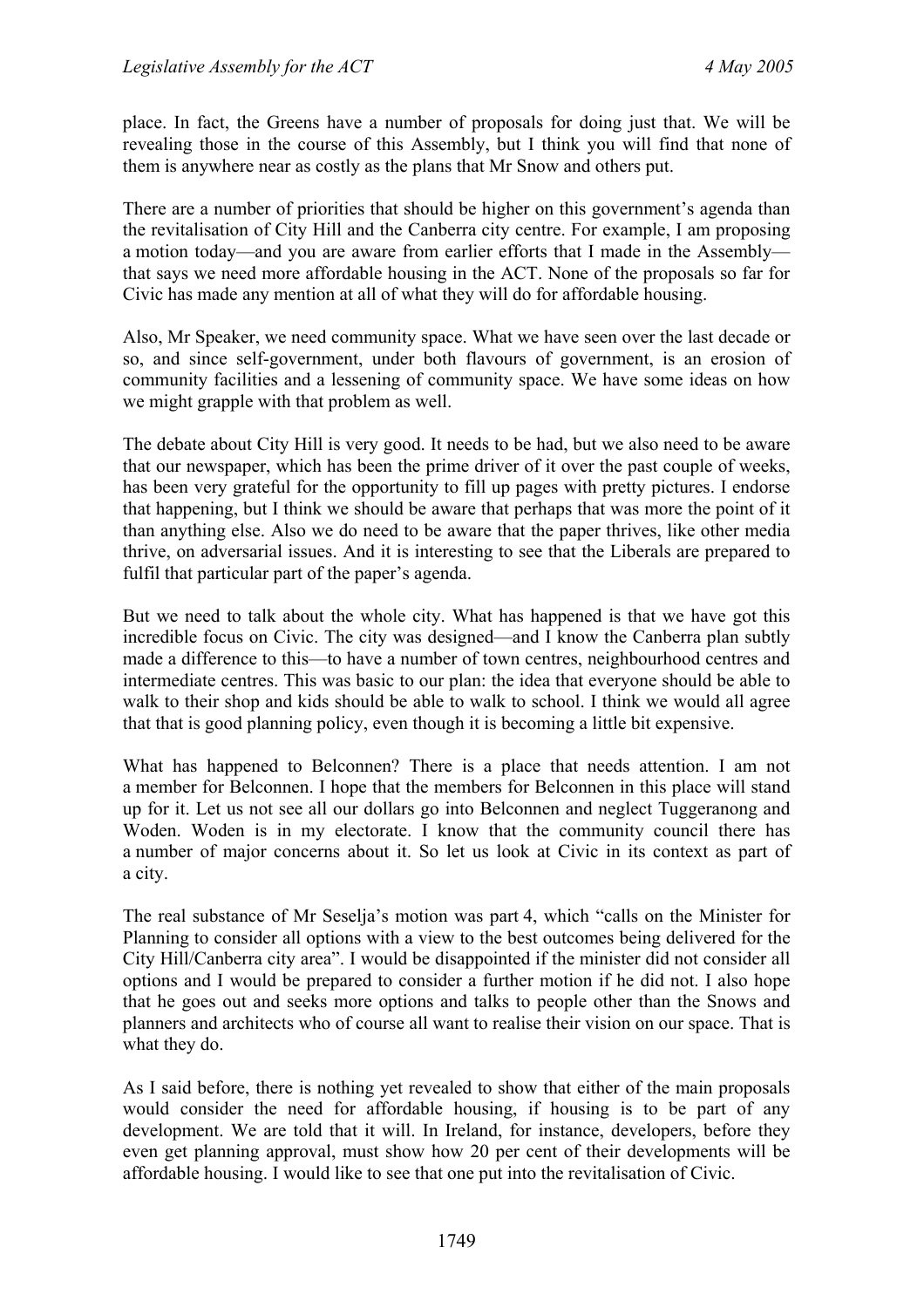place. In fact, the Greens have a number of proposals for doing just that. We will be revealing those in the course of this Assembly, but I think you will find that none of them is anywhere near as costly as the plans that Mr Snow and others put.

There are a number of priorities that should be higher on this government's agenda than the revitalisation of City Hill and the Canberra city centre. For example, I am proposing a motion today—and you are aware from earlier efforts that I made in the Assembly that says we need more affordable housing in the ACT. None of the proposals so far for Civic has made any mention at all of what they will do for affordable housing.

Also, Mr Speaker, we need community space. What we have seen over the last decade or so, and since self-government, under both flavours of government, is an erosion of community facilities and a lessening of community space. We have some ideas on how we might grapple with that problem as well.

The debate about City Hill is very good. It needs to be had, but we also need to be aware that our newspaper, which has been the prime driver of it over the past couple of weeks, has been very grateful for the opportunity to fill up pages with pretty pictures. I endorse that happening, but I think we should be aware that perhaps that was more the point of it than anything else. Also we do need to be aware that the paper thrives, like other media thrive, on adversarial issues. And it is interesting to see that the Liberals are prepared to fulfil that particular part of the paper's agenda.

But we need to talk about the whole city. What has happened is that we have got this incredible focus on Civic. The city was designed—and I know the Canberra plan subtly made a difference to this—to have a number of town centres, neighbourhood centres and intermediate centres. This was basic to our plan: the idea that everyone should be able to walk to their shop and kids should be able to walk to school. I think we would all agree that that is good planning policy, even though it is becoming a little bit expensive.

What has happened to Belconnen? There is a place that needs attention. I am not a member for Belconnen. I hope that the members for Belconnen in this place will stand up for it. Let us not see all our dollars go into Belconnen and neglect Tuggeranong and Woden. Woden is in my electorate. I know that the community council there has a number of major concerns about it. So let us look at Civic in its context as part of a city.

The real substance of Mr Seselja's motion was part 4, which "calls on the Minister for Planning to consider all options with a view to the best outcomes being delivered for the City Hill/Canberra city area". I would be disappointed if the minister did not consider all options and I would be prepared to consider a further motion if he did not. I also hope that he goes out and seeks more options and talks to people other than the Snows and planners and architects who of course all want to realise their vision on our space. That is what they do.

As I said before, there is nothing yet revealed to show that either of the main proposals would consider the need for affordable housing, if housing is to be part of any development. We are told that it will. In Ireland, for instance, developers, before they even get planning approval, must show how 20 per cent of their developments will be affordable housing. I would like to see that one put into the revitalisation of Civic.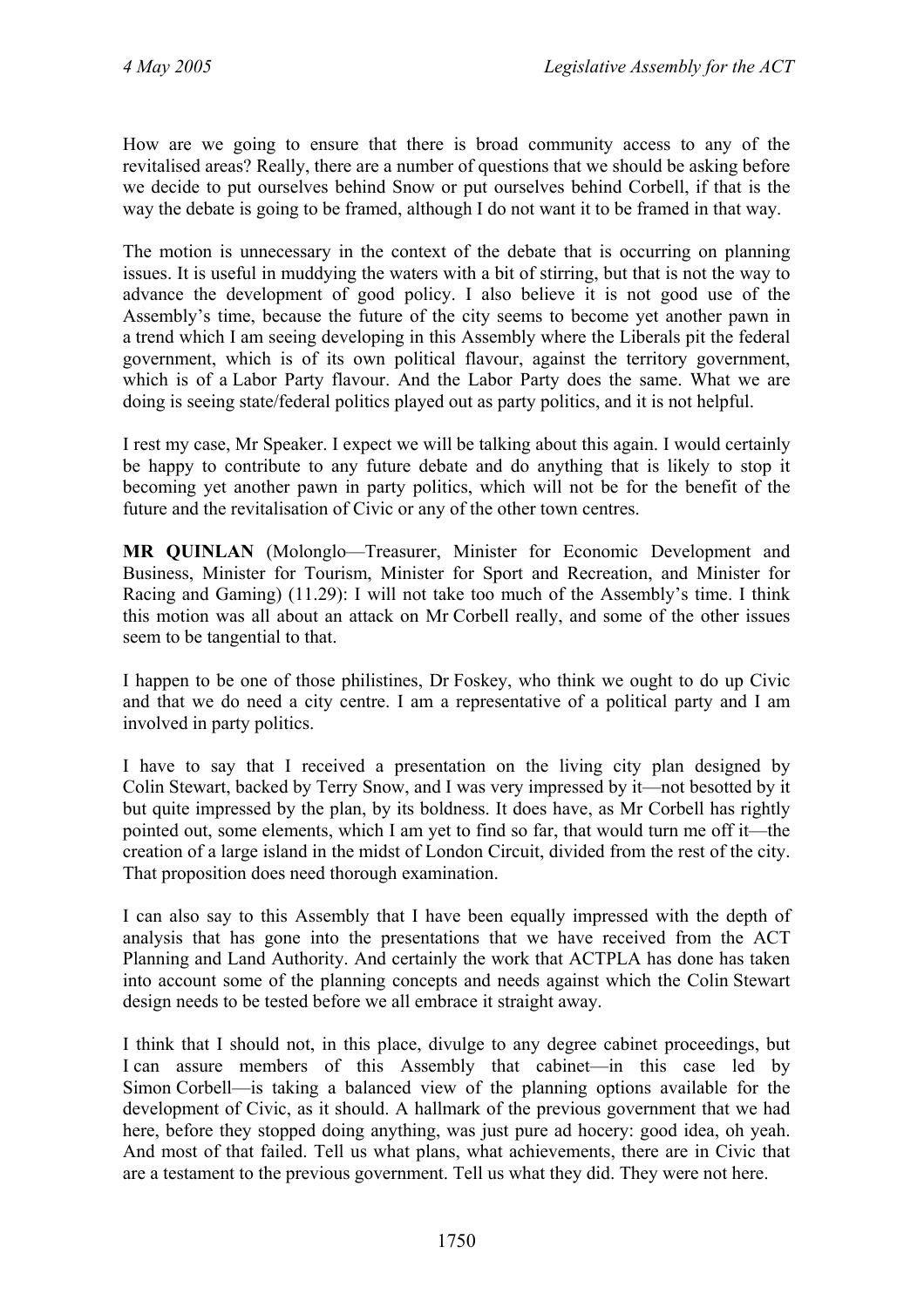How are we going to ensure that there is broad community access to any of the revitalised areas? Really, there are a number of questions that we should be asking before we decide to put ourselves behind Snow or put ourselves behind Corbell, if that is the way the debate is going to be framed, although I do not want it to be framed in that way.

The motion is unnecessary in the context of the debate that is occurring on planning issues. It is useful in muddying the waters with a bit of stirring, but that is not the way to advance the development of good policy. I also believe it is not good use of the Assembly's time, because the future of the city seems to become yet another pawn in a trend which I am seeing developing in this Assembly where the Liberals pit the federal government, which is of its own political flavour, against the territory government, which is of a Labor Party flavour. And the Labor Party does the same. What we are doing is seeing state/federal politics played out as party politics, and it is not helpful.

I rest my case, Mr Speaker. I expect we will be talking about this again. I would certainly be happy to contribute to any future debate and do anything that is likely to stop it becoming yet another pawn in party politics, which will not be for the benefit of the future and the revitalisation of Civic or any of the other town centres.

**MR QUINLAN** (Molonglo—Treasurer, Minister for Economic Development and Business, Minister for Tourism, Minister for Sport and Recreation, and Minister for Racing and Gaming) (11.29): I will not take too much of the Assembly's time. I think this motion was all about an attack on Mr Corbell really, and some of the other issues seem to be tangential to that.

I happen to be one of those philistines, Dr Foskey, who think we ought to do up Civic and that we do need a city centre. I am a representative of a political party and I am involved in party politics.

I have to say that I received a presentation on the living city plan designed by Colin Stewart, backed by Terry Snow, and I was very impressed by it—not besotted by it but quite impressed by the plan, by its boldness. It does have, as Mr Corbell has rightly pointed out, some elements, which I am yet to find so far, that would turn me off it—the creation of a large island in the midst of London Circuit, divided from the rest of the city. That proposition does need thorough examination.

I can also say to this Assembly that I have been equally impressed with the depth of analysis that has gone into the presentations that we have received from the ACT Planning and Land Authority. And certainly the work that ACTPLA has done has taken into account some of the planning concepts and needs against which the Colin Stewart design needs to be tested before we all embrace it straight away.

I think that I should not, in this place, divulge to any degree cabinet proceedings, but I can assure members of this Assembly that cabinet—in this case led by Simon Corbell—is taking a balanced view of the planning options available for the development of Civic, as it should. A hallmark of the previous government that we had here, before they stopped doing anything, was just pure ad hocery: good idea, oh yeah. And most of that failed. Tell us what plans, what achievements, there are in Civic that are a testament to the previous government. Tell us what they did. They were not here.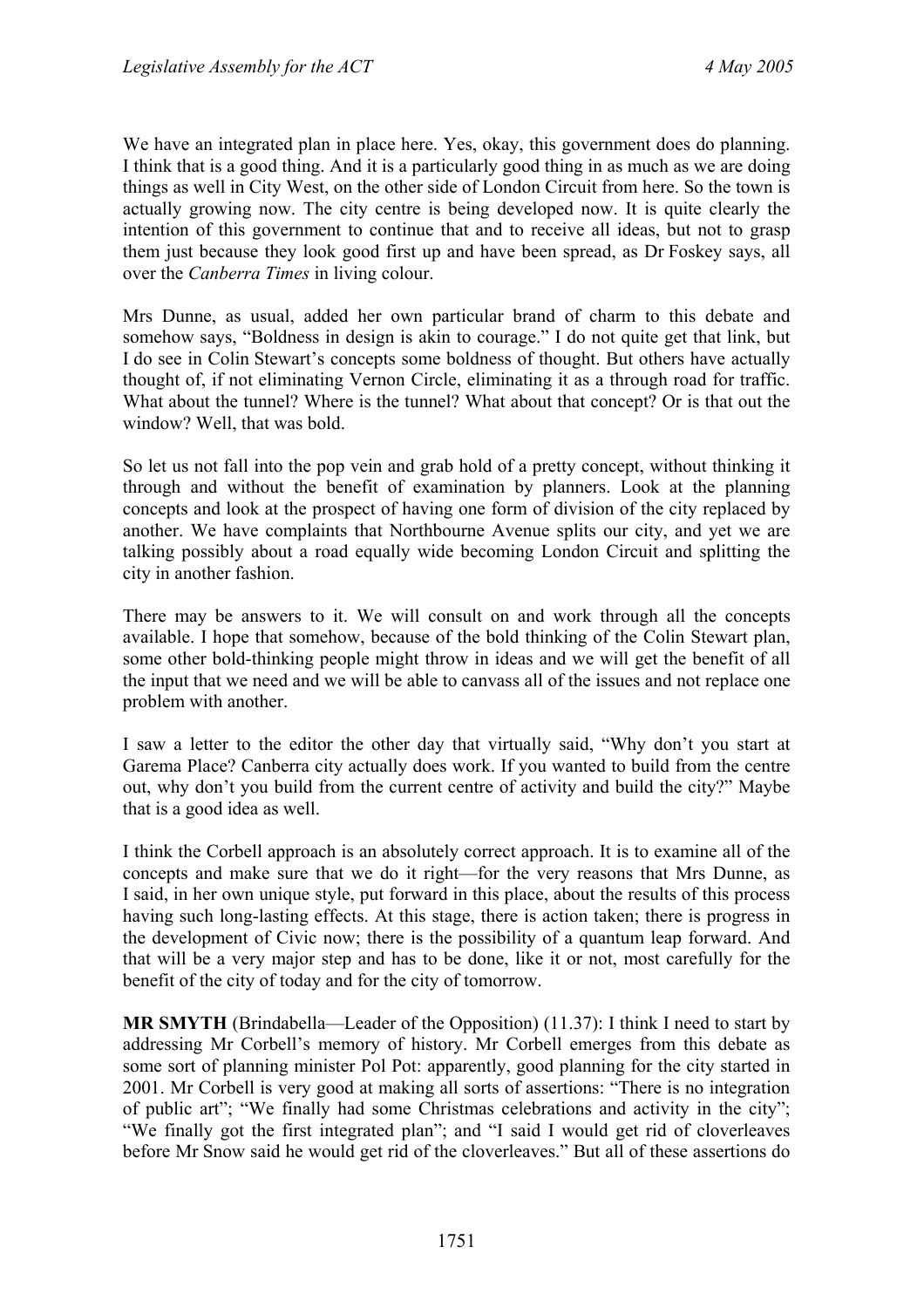We have an integrated plan in place here. Yes, okay, this government does do planning. I think that is a good thing. And it is a particularly good thing in as much as we are doing things as well in City West, on the other side of London Circuit from here. So the town is actually growing now. The city centre is being developed now. It is quite clearly the intention of this government to continue that and to receive all ideas, but not to grasp them just because they look good first up and have been spread, as Dr Foskey says, all over the *Canberra Times* in living colour.

Mrs Dunne, as usual, added her own particular brand of charm to this debate and somehow says, "Boldness in design is akin to courage." I do not quite get that link, but I do see in Colin Stewart's concepts some boldness of thought. But others have actually thought of, if not eliminating Vernon Circle, eliminating it as a through road for traffic. What about the tunnel? Where is the tunnel? What about that concept? Or is that out the window? Well, that was bold.

So let us not fall into the pop vein and grab hold of a pretty concept, without thinking it through and without the benefit of examination by planners. Look at the planning concepts and look at the prospect of having one form of division of the city replaced by another. We have complaints that Northbourne Avenue splits our city, and yet we are talking possibly about a road equally wide becoming London Circuit and splitting the city in another fashion.

There may be answers to it. We will consult on and work through all the concepts available. I hope that somehow, because of the bold thinking of the Colin Stewart plan, some other bold-thinking people might throw in ideas and we will get the benefit of all the input that we need and we will be able to canvass all of the issues and not replace one problem with another.

I saw a letter to the editor the other day that virtually said, "Why don't you start at Garema Place? Canberra city actually does work. If you wanted to build from the centre out, why don't you build from the current centre of activity and build the city?" Maybe that is a good idea as well.

I think the Corbell approach is an absolutely correct approach. It is to examine all of the concepts and make sure that we do it right—for the very reasons that Mrs Dunne, as I said, in her own unique style, put forward in this place, about the results of this process having such long-lasting effects. At this stage, there is action taken; there is progress in the development of Civic now; there is the possibility of a quantum leap forward. And that will be a very major step and has to be done, like it or not, most carefully for the benefit of the city of today and for the city of tomorrow.

**MR SMYTH** (Brindabella—Leader of the Opposition) (11.37): I think I need to start by addressing Mr Corbell's memory of history. Mr Corbell emerges from this debate as some sort of planning minister Pol Pot: apparently, good planning for the city started in 2001. Mr Corbell is very good at making all sorts of assertions: "There is no integration of public art"; "We finally had some Christmas celebrations and activity in the city"; "We finally got the first integrated plan"; and "I said I would get rid of cloverleaves before Mr Snow said he would get rid of the cloverleaves." But all of these assertions do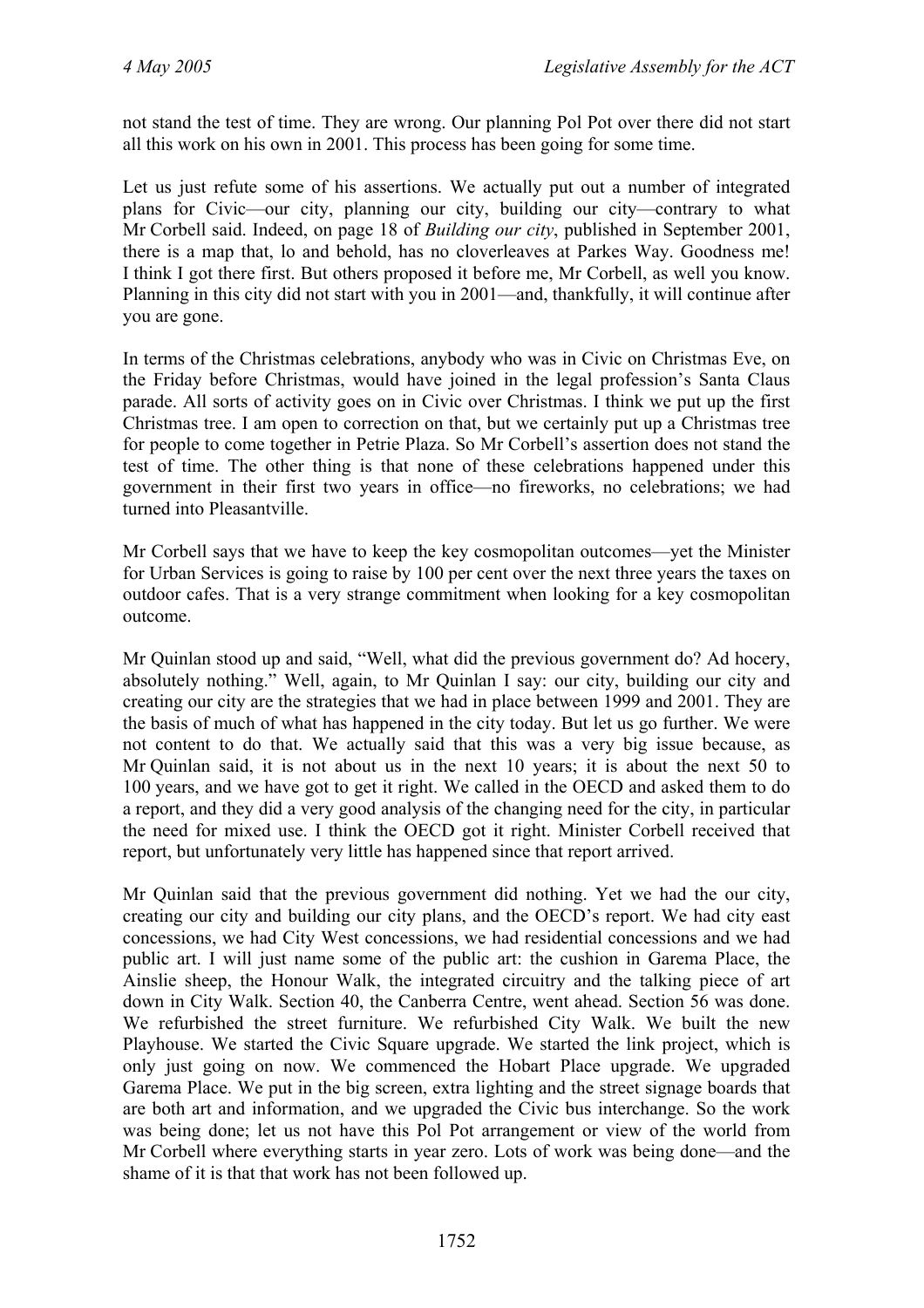not stand the test of time. They are wrong. Our planning Pol Pot over there did not start all this work on his own in 2001. This process has been going for some time.

Let us just refute some of his assertions. We actually put out a number of integrated plans for Civic—our city, planning our city, building our city—contrary to what Mr Corbell said. Indeed, on page 18 of *Building our city*, published in September 2001, there is a map that, lo and behold, has no cloverleaves at Parkes Way. Goodness me! I think I got there first. But others proposed it before me, Mr Corbell, as well you know. Planning in this city did not start with you in 2001—and, thankfully, it will continue after you are gone.

In terms of the Christmas celebrations, anybody who was in Civic on Christmas Eve, on the Friday before Christmas, would have joined in the legal profession's Santa Claus parade. All sorts of activity goes on in Civic over Christmas. I think we put up the first Christmas tree. I am open to correction on that, but we certainly put up a Christmas tree for people to come together in Petrie Plaza. So Mr Corbell's assertion does not stand the test of time. The other thing is that none of these celebrations happened under this government in their first two years in office—no fireworks, no celebrations; we had turned into Pleasantville.

Mr Corbell says that we have to keep the key cosmopolitan outcomes—yet the Minister for Urban Services is going to raise by 100 per cent over the next three years the taxes on outdoor cafes. That is a very strange commitment when looking for a key cosmopolitan outcome.

Mr Quinlan stood up and said, "Well, what did the previous government do? Ad hocery, absolutely nothing." Well, again, to Mr Quinlan I say: our city, building our city and creating our city are the strategies that we had in place between 1999 and 2001. They are the basis of much of what has happened in the city today. But let us go further. We were not content to do that. We actually said that this was a very big issue because, as Mr Quinlan said, it is not about us in the next 10 years; it is about the next 50 to 100 years, and we have got to get it right. We called in the OECD and asked them to do a report, and they did a very good analysis of the changing need for the city, in particular the need for mixed use. I think the OECD got it right. Minister Corbell received that report, but unfortunately very little has happened since that report arrived.

Mr Quinlan said that the previous government did nothing. Yet we had the our city, creating our city and building our city plans, and the OECD's report. We had city east concessions, we had City West concessions, we had residential concessions and we had public art. I will just name some of the public art: the cushion in Garema Place, the Ainslie sheep, the Honour Walk, the integrated circuitry and the talking piece of art down in City Walk. Section 40, the Canberra Centre, went ahead. Section 56 was done. We refurbished the street furniture. We refurbished City Walk. We built the new Playhouse. We started the Civic Square upgrade. We started the link project, which is only just going on now. We commenced the Hobart Place upgrade. We upgraded Garema Place. We put in the big screen, extra lighting and the street signage boards that are both art and information, and we upgraded the Civic bus interchange. So the work was being done; let us not have this Pol Pot arrangement or view of the world from Mr Corbell where everything starts in year zero. Lots of work was being done—and the shame of it is that that work has not been followed up.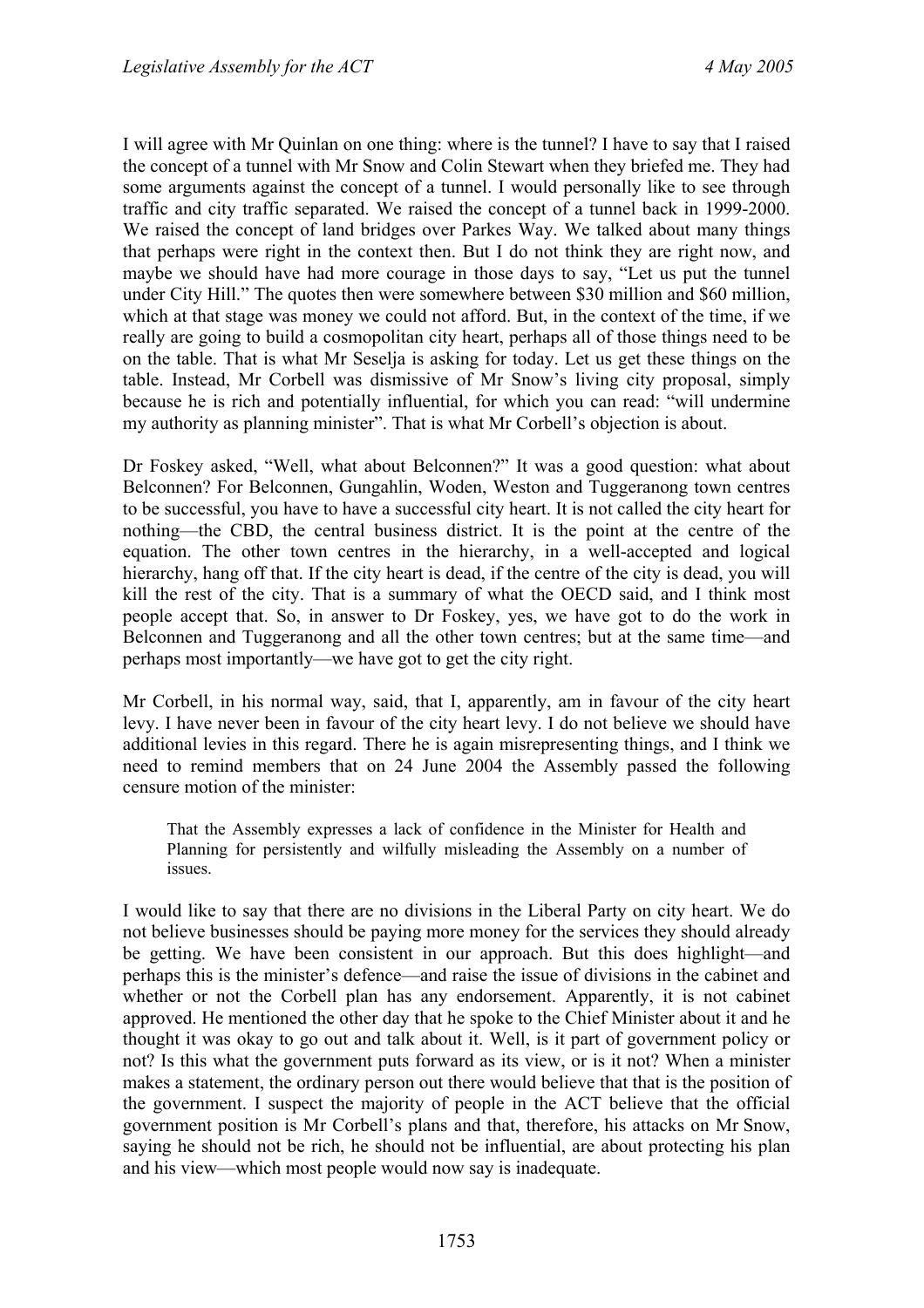I will agree with Mr Quinlan on one thing: where is the tunnel? I have to say that I raised the concept of a tunnel with Mr Snow and Colin Stewart when they briefed me. They had some arguments against the concept of a tunnel. I would personally like to see through traffic and city traffic separated. We raised the concept of a tunnel back in 1999-2000. We raised the concept of land bridges over Parkes Way. We talked about many things that perhaps were right in the context then. But I do not think they are right now, and maybe we should have had more courage in those days to say, "Let us put the tunnel under City Hill." The quotes then were somewhere between \$30 million and \$60 million, which at that stage was money we could not afford. But, in the context of the time, if we really are going to build a cosmopolitan city heart, perhaps all of those things need to be on the table. That is what Mr Seselja is asking for today. Let us get these things on the table. Instead, Mr Corbell was dismissive of Mr Snow's living city proposal, simply because he is rich and potentially influential, for which you can read: "will undermine my authority as planning minister". That is what Mr Corbell's objection is about.

Dr Foskey asked, "Well, what about Belconnen?" It was a good question: what about Belconnen? For Belconnen, Gungahlin, Woden, Weston and Tuggeranong town centres to be successful, you have to have a successful city heart. It is not called the city heart for nothing—the CBD, the central business district. It is the point at the centre of the equation. The other town centres in the hierarchy, in a well-accepted and logical hierarchy, hang off that. If the city heart is dead, if the centre of the city is dead, you will kill the rest of the city. That is a summary of what the OECD said, and I think most people accept that. So, in answer to Dr Foskey, yes, we have got to do the work in Belconnen and Tuggeranong and all the other town centres; but at the same time—and perhaps most importantly—we have got to get the city right.

Mr Corbell, in his normal way, said, that I, apparently, am in favour of the city heart levy. I have never been in favour of the city heart levy. I do not believe we should have additional levies in this regard. There he is again misrepresenting things, and I think we need to remind members that on 24 June 2004 the Assembly passed the following censure motion of the minister:

That the Assembly expresses a lack of confidence in the Minister for Health and Planning for persistently and wilfully misleading the Assembly on a number of issues.

I would like to say that there are no divisions in the Liberal Party on city heart. We do not believe businesses should be paying more money for the services they should already be getting. We have been consistent in our approach. But this does highlight—and perhaps this is the minister's defence—and raise the issue of divisions in the cabinet and whether or not the Corbell plan has any endorsement. Apparently, it is not cabinet approved. He mentioned the other day that he spoke to the Chief Minister about it and he thought it was okay to go out and talk about it. Well, is it part of government policy or not? Is this what the government puts forward as its view, or is it not? When a minister makes a statement, the ordinary person out there would believe that that is the position of the government. I suspect the majority of people in the ACT believe that the official government position is Mr Corbell's plans and that, therefore, his attacks on Mr Snow, saying he should not be rich, he should not be influential, are about protecting his plan and his view—which most people would now say is inadequate.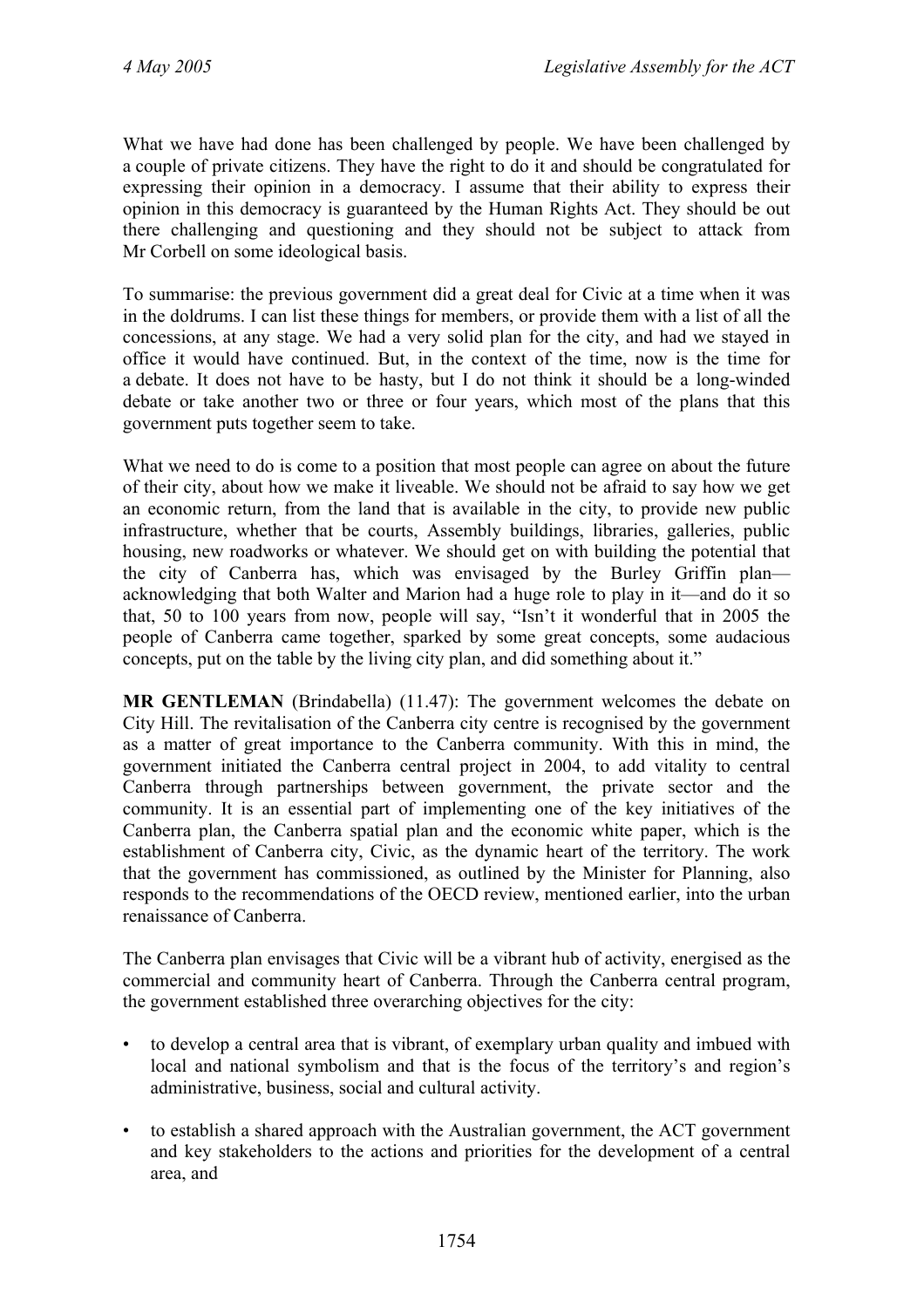What we have had done has been challenged by people. We have been challenged by a couple of private citizens. They have the right to do it and should be congratulated for expressing their opinion in a democracy. I assume that their ability to express their opinion in this democracy is guaranteed by the Human Rights Act. They should be out there challenging and questioning and they should not be subject to attack from Mr Corbell on some ideological basis.

To summarise: the previous government did a great deal for Civic at a time when it was in the doldrums. I can list these things for members, or provide them with a list of all the concessions, at any stage. We had a very solid plan for the city, and had we stayed in office it would have continued. But, in the context of the time, now is the time for a debate. It does not have to be hasty, but I do not think it should be a long-winded debate or take another two or three or four years, which most of the plans that this government puts together seem to take.

What we need to do is come to a position that most people can agree on about the future of their city, about how we make it liveable. We should not be afraid to say how we get an economic return, from the land that is available in the city, to provide new public infrastructure, whether that be courts, Assembly buildings, libraries, galleries, public housing, new roadworks or whatever. We should get on with building the potential that the city of Canberra has, which was envisaged by the Burley Griffin plan acknowledging that both Walter and Marion had a huge role to play in it—and do it so that, 50 to 100 years from now, people will say, "Isn't it wonderful that in 2005 the people of Canberra came together, sparked by some great concepts, some audacious concepts, put on the table by the living city plan, and did something about it."

**MR GENTLEMAN** (Brindabella) (11.47): The government welcomes the debate on City Hill. The revitalisation of the Canberra city centre is recognised by the government as a matter of great importance to the Canberra community. With this in mind, the government initiated the Canberra central project in 2004, to add vitality to central Canberra through partnerships between government, the private sector and the community. It is an essential part of implementing one of the key initiatives of the Canberra plan, the Canberra spatial plan and the economic white paper, which is the establishment of Canberra city, Civic, as the dynamic heart of the territory. The work that the government has commissioned, as outlined by the Minister for Planning, also responds to the recommendations of the OECD review, mentioned earlier, into the urban renaissance of Canberra.

The Canberra plan envisages that Civic will be a vibrant hub of activity, energised as the commercial and community heart of Canberra. Through the Canberra central program, the government established three overarching objectives for the city:

- to develop a central area that is vibrant, of exemplary urban quality and imbued with local and national symbolism and that is the focus of the territory's and region's administrative, business, social and cultural activity.
- to establish a shared approach with the Australian government, the ACT government and key stakeholders to the actions and priorities for the development of a central area, and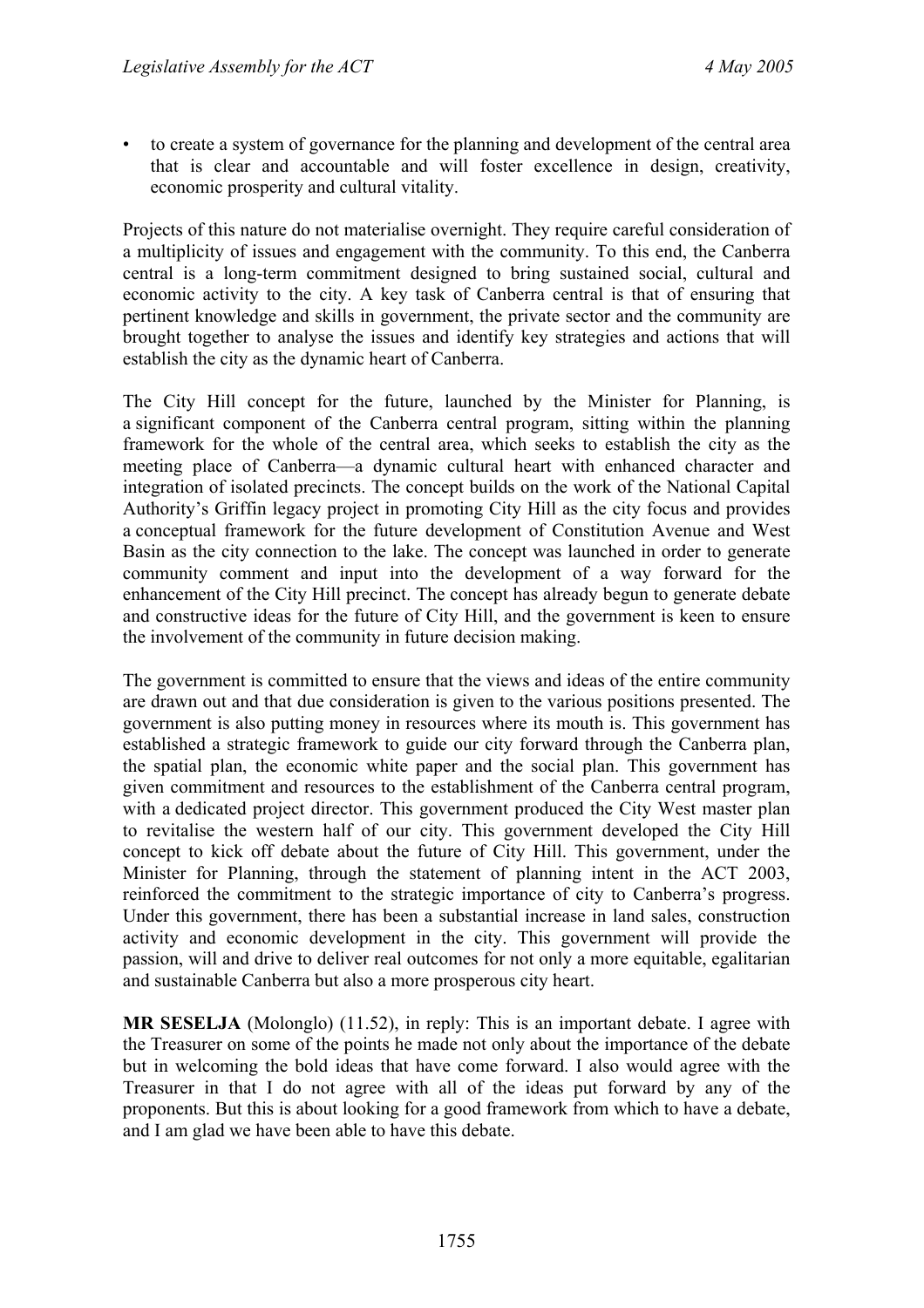• to create a system of governance for the planning and development of the central area that is clear and accountable and will foster excellence in design, creativity, economic prosperity and cultural vitality.

Projects of this nature do not materialise overnight. They require careful consideration of a multiplicity of issues and engagement with the community. To this end, the Canberra central is a long-term commitment designed to bring sustained social, cultural and economic activity to the city. A key task of Canberra central is that of ensuring that pertinent knowledge and skills in government, the private sector and the community are brought together to analyse the issues and identify key strategies and actions that will establish the city as the dynamic heart of Canberra.

The City Hill concept for the future, launched by the Minister for Planning, is a significant component of the Canberra central program, sitting within the planning framework for the whole of the central area, which seeks to establish the city as the meeting place of Canberra—a dynamic cultural heart with enhanced character and integration of isolated precincts. The concept builds on the work of the National Capital Authority's Griffin legacy project in promoting City Hill as the city focus and provides a conceptual framework for the future development of Constitution Avenue and West Basin as the city connection to the lake. The concept was launched in order to generate community comment and input into the development of a way forward for the enhancement of the City Hill precinct. The concept has already begun to generate debate and constructive ideas for the future of City Hill, and the government is keen to ensure the involvement of the community in future decision making.

The government is committed to ensure that the views and ideas of the entire community are drawn out and that due consideration is given to the various positions presented. The government is also putting money in resources where its mouth is. This government has established a strategic framework to guide our city forward through the Canberra plan, the spatial plan, the economic white paper and the social plan. This government has given commitment and resources to the establishment of the Canberra central program, with a dedicated project director. This government produced the City West master plan to revitalise the western half of our city. This government developed the City Hill concept to kick off debate about the future of City Hill. This government, under the Minister for Planning, through the statement of planning intent in the ACT 2003, reinforced the commitment to the strategic importance of city to Canberra's progress. Under this government, there has been a substantial increase in land sales, construction activity and economic development in the city. This government will provide the passion, will and drive to deliver real outcomes for not only a more equitable, egalitarian and sustainable Canberra but also a more prosperous city heart.

**MR SESELJA** (Molonglo) (11.52), in reply: This is an important debate. I agree with the Treasurer on some of the points he made not only about the importance of the debate but in welcoming the bold ideas that have come forward. I also would agree with the Treasurer in that I do not agree with all of the ideas put forward by any of the proponents. But this is about looking for a good framework from which to have a debate, and I am glad we have been able to have this debate.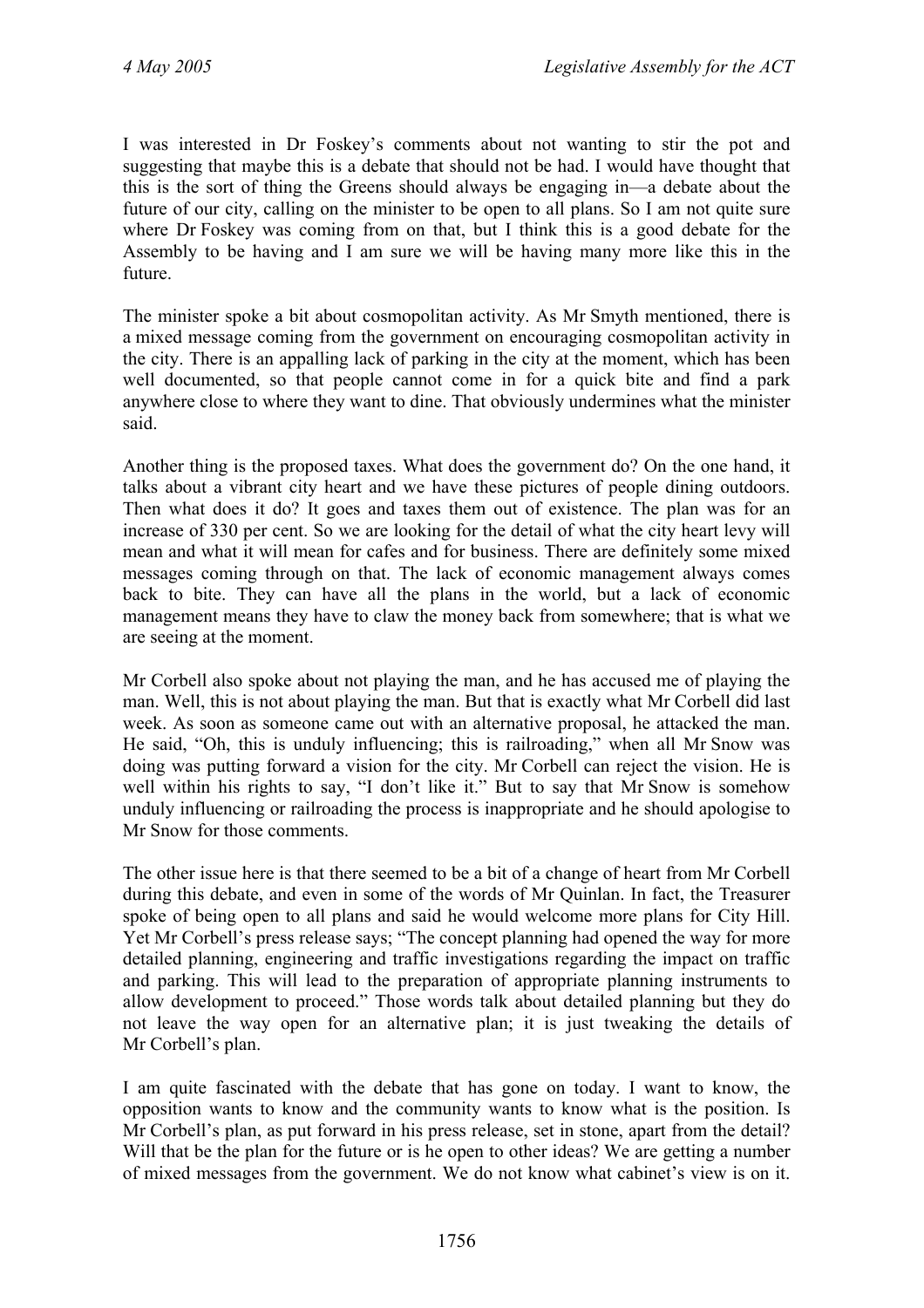I was interested in Dr Foskey's comments about not wanting to stir the pot and suggesting that maybe this is a debate that should not be had. I would have thought that this is the sort of thing the Greens should always be engaging in—a debate about the future of our city, calling on the minister to be open to all plans. So I am not quite sure where Dr Foskey was coming from on that, but I think this is a good debate for the Assembly to be having and I am sure we will be having many more like this in the future.

The minister spoke a bit about cosmopolitan activity. As Mr Smyth mentioned, there is a mixed message coming from the government on encouraging cosmopolitan activity in the city. There is an appalling lack of parking in the city at the moment, which has been well documented, so that people cannot come in for a quick bite and find a park anywhere close to where they want to dine. That obviously undermines what the minister said.

Another thing is the proposed taxes. What does the government do? On the one hand, it talks about a vibrant city heart and we have these pictures of people dining outdoors. Then what does it do? It goes and taxes them out of existence. The plan was for an increase of 330 per cent. So we are looking for the detail of what the city heart levy will mean and what it will mean for cafes and for business. There are definitely some mixed messages coming through on that. The lack of economic management always comes back to bite. They can have all the plans in the world, but a lack of economic management means they have to claw the money back from somewhere; that is what we are seeing at the moment.

Mr Corbell also spoke about not playing the man, and he has accused me of playing the man. Well, this is not about playing the man. But that is exactly what Mr Corbell did last week. As soon as someone came out with an alternative proposal, he attacked the man. He said, "Oh, this is unduly influencing; this is railroading," when all Mr Snow was doing was putting forward a vision for the city. Mr Corbell can reject the vision. He is well within his rights to say, "I don't like it." But to say that Mr Snow is somehow unduly influencing or railroading the process is inappropriate and he should apologise to Mr Snow for those comments.

The other issue here is that there seemed to be a bit of a change of heart from Mr Corbell during this debate, and even in some of the words of Mr Quinlan. In fact, the Treasurer spoke of being open to all plans and said he would welcome more plans for City Hill. Yet Mr Corbell's press release says; "The concept planning had opened the way for more detailed planning, engineering and traffic investigations regarding the impact on traffic and parking. This will lead to the preparation of appropriate planning instruments to allow development to proceed." Those words talk about detailed planning but they do not leave the way open for an alternative plan; it is just tweaking the details of Mr Corbell's plan.

I am quite fascinated with the debate that has gone on today. I want to know, the opposition wants to know and the community wants to know what is the position. Is Mr Corbell's plan, as put forward in his press release, set in stone, apart from the detail? Will that be the plan for the future or is he open to other ideas? We are getting a number of mixed messages from the government. We do not know what cabinet's view is on it.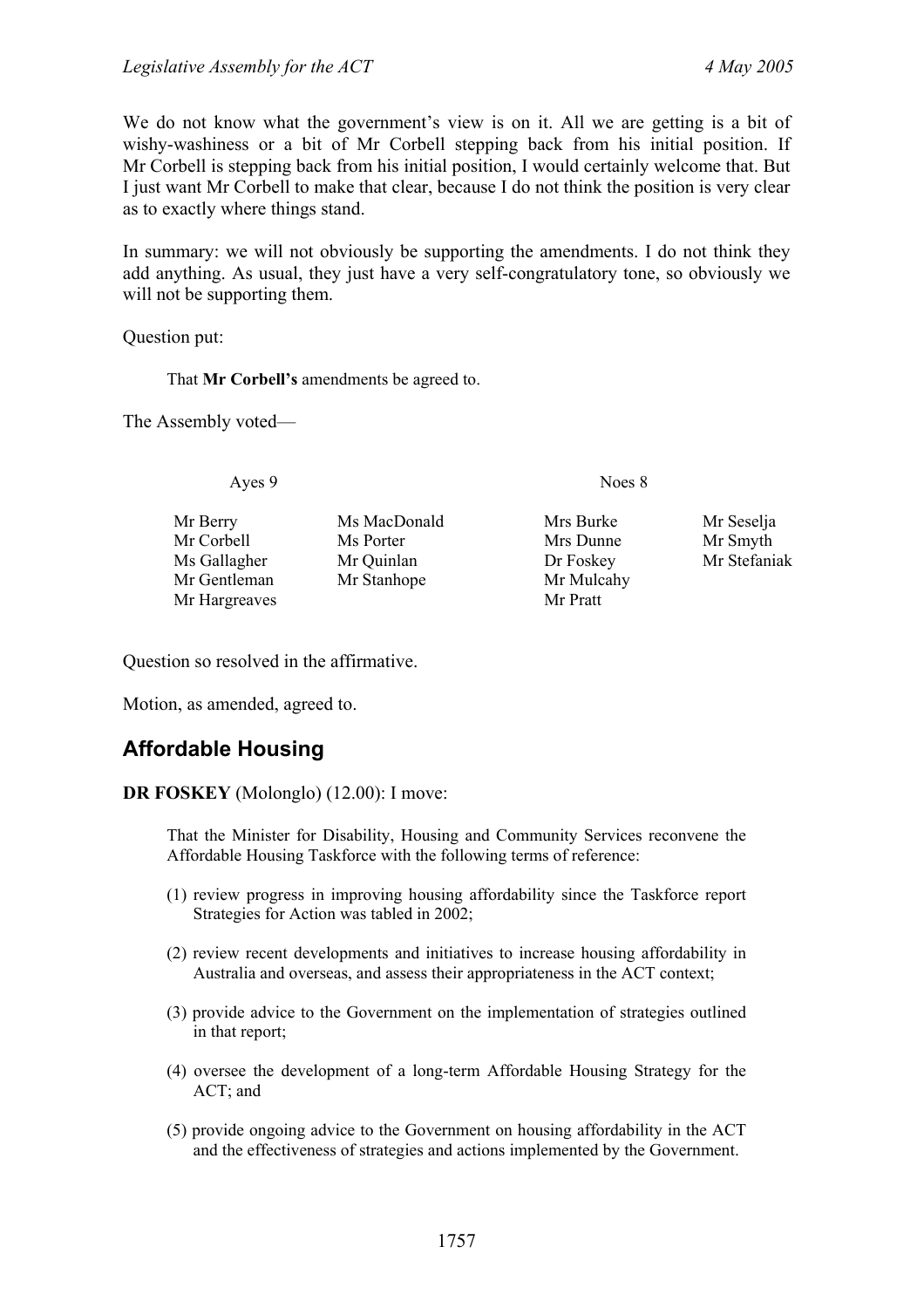We do not know what the government's view is on it. All we are getting is a bit of wishy-washiness or a bit of Mr Corbell stepping back from his initial position. If Mr Corbell is stepping back from his initial position, I would certainly welcome that. But I just want Mr Corbell to make that clear, because I do not think the position is very clear as to exactly where things stand.

In summary: we will not obviously be supporting the amendments. I do not think they add anything. As usual, they just have a very self-congratulatory tone, so obviously we will not be supporting them.

Question put:

That **Mr Corbell's** amendments be agreed to.

The Assembly voted—

Ayes 9 Noes 8

Mr Corbell Ms Porter Mrs Dunne Mr Smyth Ms Gallagher Mr Quinlan Dr Foskey Mr Stefaniak Mr Gentleman Mr Stanhope Mr Mulcahy Mr Hargreaves Mr Pratt

Mr Berry Ms MacDonald Mrs Burke Mr Seselja

Question so resolved in the affirmative.

Motion, as amended, agreed to.

# <span id="page-26-0"></span>**Affordable Housing**

**DR FOSKEY** (Molonglo) (12.00): I move:

That the Minister for Disability, Housing and Community Services reconvene the Affordable Housing Taskforce with the following terms of reference:

- (1) review progress in improving housing affordability since the Taskforce report Strategies for Action was tabled in 2002;
- (2) review recent developments and initiatives to increase housing affordability in Australia and overseas, and assess their appropriateness in the ACT context;
- (3) provide advice to the Government on the implementation of strategies outlined in that report;
- (4) oversee the development of a long-term Affordable Housing Strategy for the ACT; and
- (5) provide ongoing advice to the Government on housing affordability in the ACT and the effectiveness of strategies and actions implemented by the Government.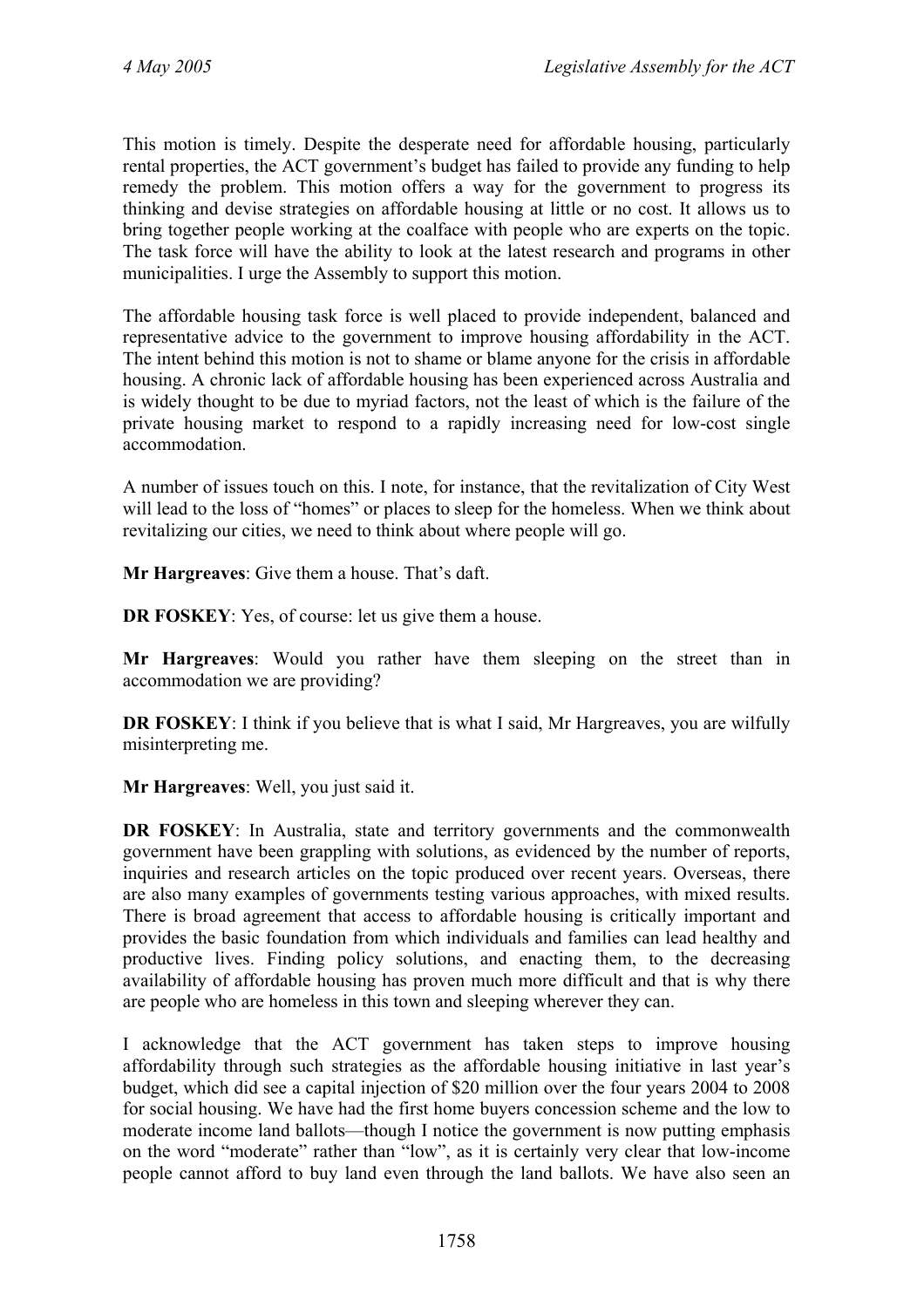This motion is timely. Despite the desperate need for affordable housing, particularly rental properties, the ACT government's budget has failed to provide any funding to help remedy the problem. This motion offers a way for the government to progress its thinking and devise strategies on affordable housing at little or no cost. It allows us to bring together people working at the coalface with people who are experts on the topic. The task force will have the ability to look at the latest research and programs in other municipalities. I urge the Assembly to support this motion.

The affordable housing task force is well placed to provide independent, balanced and representative advice to the government to improve housing affordability in the ACT. The intent behind this motion is not to shame or blame anyone for the crisis in affordable housing. A chronic lack of affordable housing has been experienced across Australia and is widely thought to be due to myriad factors, not the least of which is the failure of the private housing market to respond to a rapidly increasing need for low-cost single accommodation.

A number of issues touch on this. I note, for instance, that the revitalization of City West will lead to the loss of "homes" or places to sleep for the homeless. When we think about revitalizing our cities, we need to think about where people will go.

**Mr Hargreaves**: Give them a house. That's daft.

**DR FOSKEY:** Yes, of course: let us give them a house.

**Mr Hargreaves**: Would you rather have them sleeping on the street than in accommodation we are providing?

**DR FOSKEY**: I think if you believe that is what I said, Mr Hargreaves, you are wilfully misinterpreting me.

**Mr Hargreaves**: Well, you just said it.

**DR FOSKEY**: In Australia, state and territory governments and the commonwealth government have been grappling with solutions, as evidenced by the number of reports, inquiries and research articles on the topic produced over recent years. Overseas, there are also many examples of governments testing various approaches, with mixed results. There is broad agreement that access to affordable housing is critically important and provides the basic foundation from which individuals and families can lead healthy and productive lives. Finding policy solutions, and enacting them, to the decreasing availability of affordable housing has proven much more difficult and that is why there are people who are homeless in this town and sleeping wherever they can.

I acknowledge that the ACT government has taken steps to improve housing affordability through such strategies as the affordable housing initiative in last year's budget, which did see a capital injection of \$20 million over the four years 2004 to 2008 for social housing. We have had the first home buyers concession scheme and the low to moderate income land ballots—though I notice the government is now putting emphasis on the word "moderate" rather than "low", as it is certainly very clear that low-income people cannot afford to buy land even through the land ballots. We have also seen an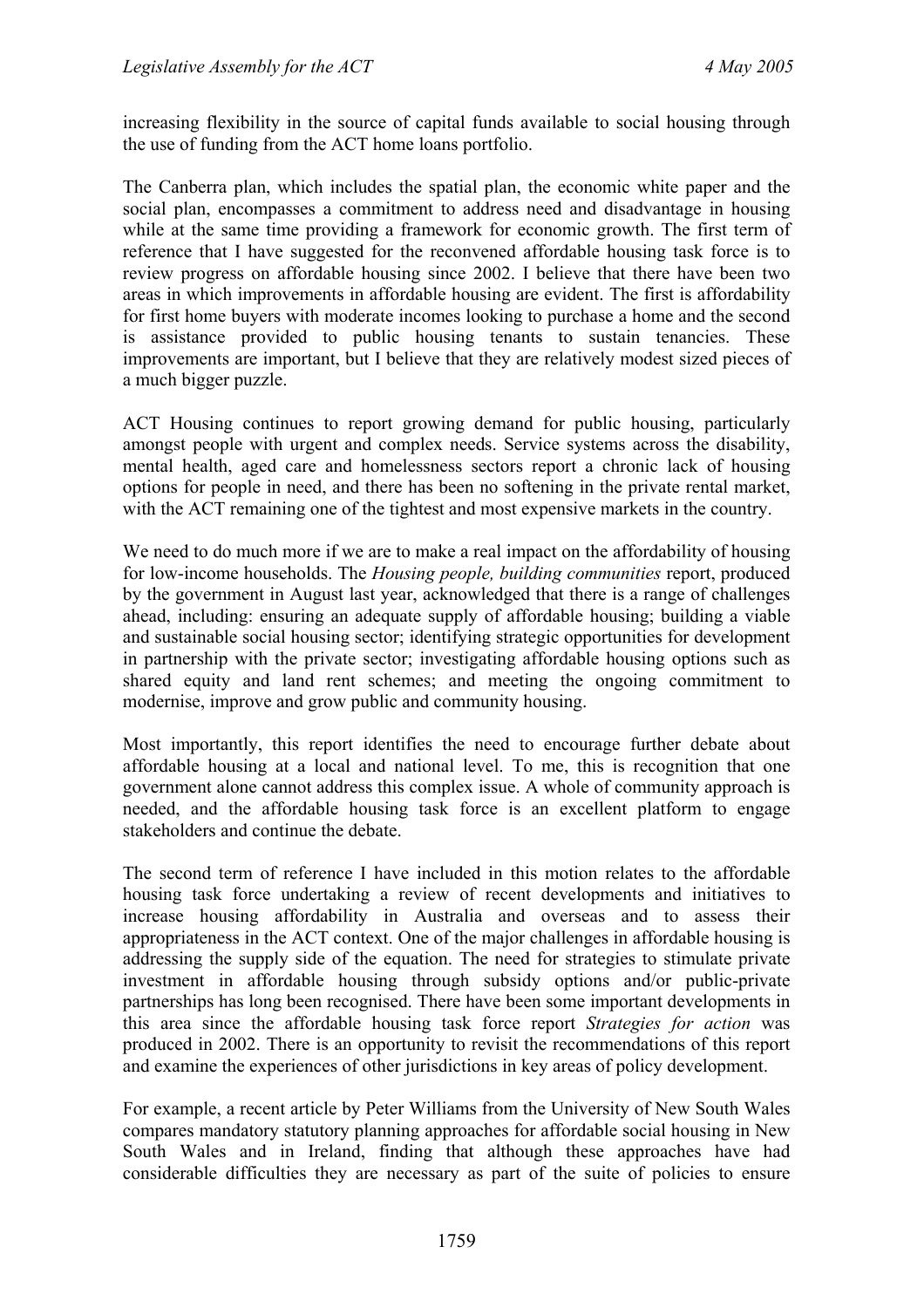increasing flexibility in the source of capital funds available to social housing through the use of funding from the ACT home loans portfolio.

The Canberra plan, which includes the spatial plan, the economic white paper and the social plan, encompasses a commitment to address need and disadvantage in housing while at the same time providing a framework for economic growth. The first term of reference that I have suggested for the reconvened affordable housing task force is to review progress on affordable housing since 2002. I believe that there have been two areas in which improvements in affordable housing are evident. The first is affordability for first home buyers with moderate incomes looking to purchase a home and the second is assistance provided to public housing tenants to sustain tenancies. These improvements are important, but I believe that they are relatively modest sized pieces of a much bigger puzzle.

ACT Housing continues to report growing demand for public housing, particularly amongst people with urgent and complex needs. Service systems across the disability, mental health, aged care and homelessness sectors report a chronic lack of housing options for people in need, and there has been no softening in the private rental market, with the ACT remaining one of the tightest and most expensive markets in the country.

We need to do much more if we are to make a real impact on the affordability of housing for low-income households. The *Housing people, building communities* report, produced by the government in August last year, acknowledged that there is a range of challenges ahead, including: ensuring an adequate supply of affordable housing; building a viable and sustainable social housing sector; identifying strategic opportunities for development in partnership with the private sector; investigating affordable housing options such as shared equity and land rent schemes; and meeting the ongoing commitment to modernise, improve and grow public and community housing.

Most importantly, this report identifies the need to encourage further debate about affordable housing at a local and national level. To me, this is recognition that one government alone cannot address this complex issue. A whole of community approach is needed, and the affordable housing task force is an excellent platform to engage stakeholders and continue the debate.

The second term of reference I have included in this motion relates to the affordable housing task force undertaking a review of recent developments and initiatives to increase housing affordability in Australia and overseas and to assess their appropriateness in the ACT context. One of the major challenges in affordable housing is addressing the supply side of the equation. The need for strategies to stimulate private investment in affordable housing through subsidy options and/or public-private partnerships has long been recognised. There have been some important developments in this area since the affordable housing task force report *Strategies for action* was produced in 2002. There is an opportunity to revisit the recommendations of this report and examine the experiences of other jurisdictions in key areas of policy development.

For example, a recent article by Peter Williams from the University of New South Wales compares mandatory statutory planning approaches for affordable social housing in New South Wales and in Ireland, finding that although these approaches have had considerable difficulties they are necessary as part of the suite of policies to ensure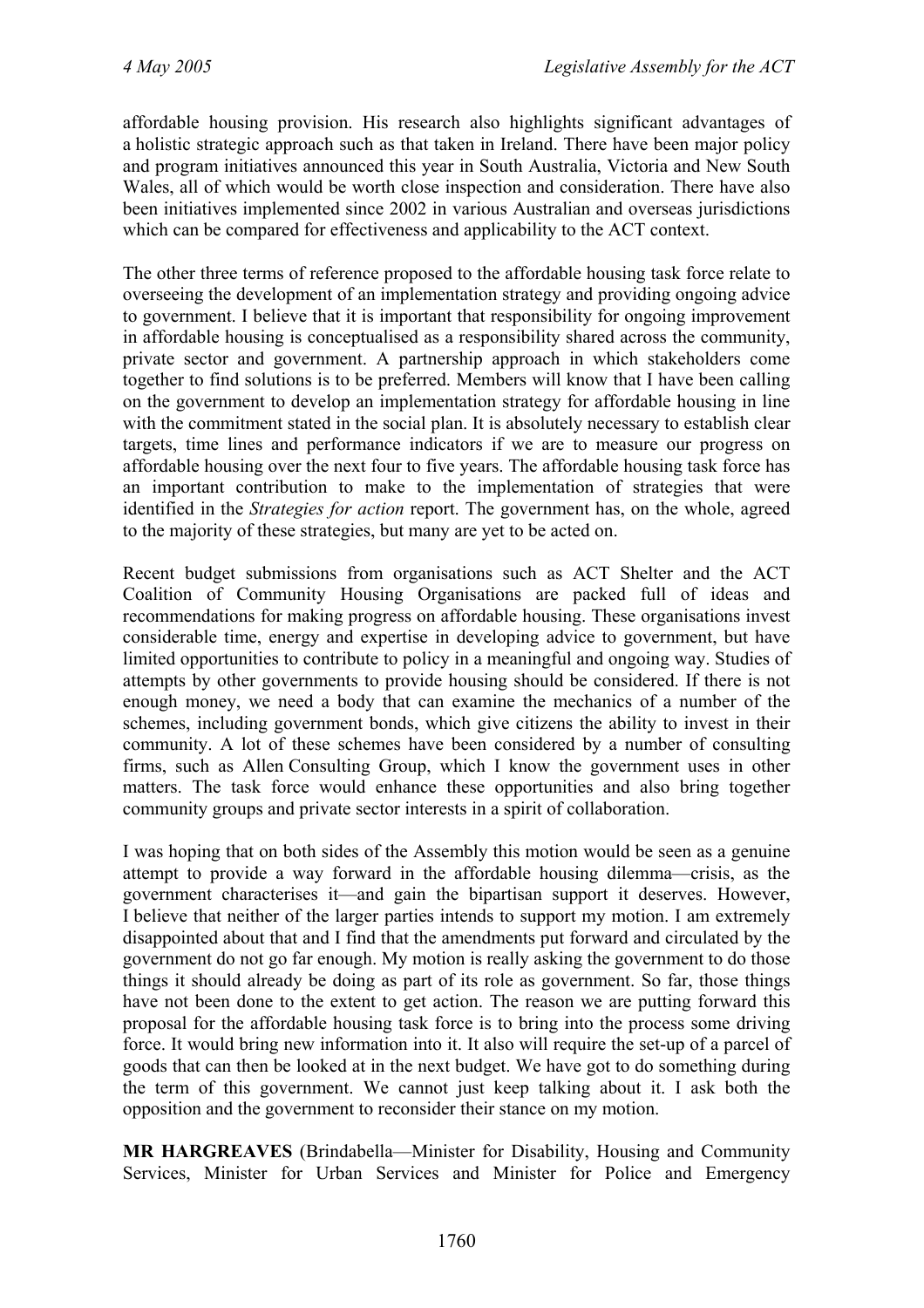affordable housing provision. His research also highlights significant advantages of a holistic strategic approach such as that taken in Ireland. There have been major policy and program initiatives announced this year in South Australia, Victoria and New South Wales, all of which would be worth close inspection and consideration. There have also been initiatives implemented since 2002 in various Australian and overseas jurisdictions which can be compared for effectiveness and applicability to the ACT context.

The other three terms of reference proposed to the affordable housing task force relate to overseeing the development of an implementation strategy and providing ongoing advice to government. I believe that it is important that responsibility for ongoing improvement in affordable housing is conceptualised as a responsibility shared across the community, private sector and government. A partnership approach in which stakeholders come together to find solutions is to be preferred. Members will know that I have been calling on the government to develop an implementation strategy for affordable housing in line with the commitment stated in the social plan. It is absolutely necessary to establish clear targets, time lines and performance indicators if we are to measure our progress on affordable housing over the next four to five years. The affordable housing task force has an important contribution to make to the implementation of strategies that were identified in the *Strategies for action* report. The government has, on the whole, agreed to the majority of these strategies, but many are yet to be acted on.

Recent budget submissions from organisations such as ACT Shelter and the ACT Coalition of Community Housing Organisations are packed full of ideas and recommendations for making progress on affordable housing. These organisations invest considerable time, energy and expertise in developing advice to government, but have limited opportunities to contribute to policy in a meaningful and ongoing way. Studies of attempts by other governments to provide housing should be considered. If there is not enough money, we need a body that can examine the mechanics of a number of the schemes, including government bonds, which give citizens the ability to invest in their community. A lot of these schemes have been considered by a number of consulting firms, such as Allen Consulting Group, which I know the government uses in other matters. The task force would enhance these opportunities and also bring together community groups and private sector interests in a spirit of collaboration.

I was hoping that on both sides of the Assembly this motion would be seen as a genuine attempt to provide a way forward in the affordable housing dilemma—crisis, as the government characterises it—and gain the bipartisan support it deserves. However, I believe that neither of the larger parties intends to support my motion. I am extremely disappointed about that and I find that the amendments put forward and circulated by the government do not go far enough. My motion is really asking the government to do those things it should already be doing as part of its role as government. So far, those things have not been done to the extent to get action. The reason we are putting forward this proposal for the affordable housing task force is to bring into the process some driving force. It would bring new information into it. It also will require the set-up of a parcel of goods that can then be looked at in the next budget. We have got to do something during the term of this government. We cannot just keep talking about it. I ask both the opposition and the government to reconsider their stance on my motion.

**MR HARGREAVES** (Brindabella—Minister for Disability, Housing and Community Services, Minister for Urban Services and Minister for Police and Emergency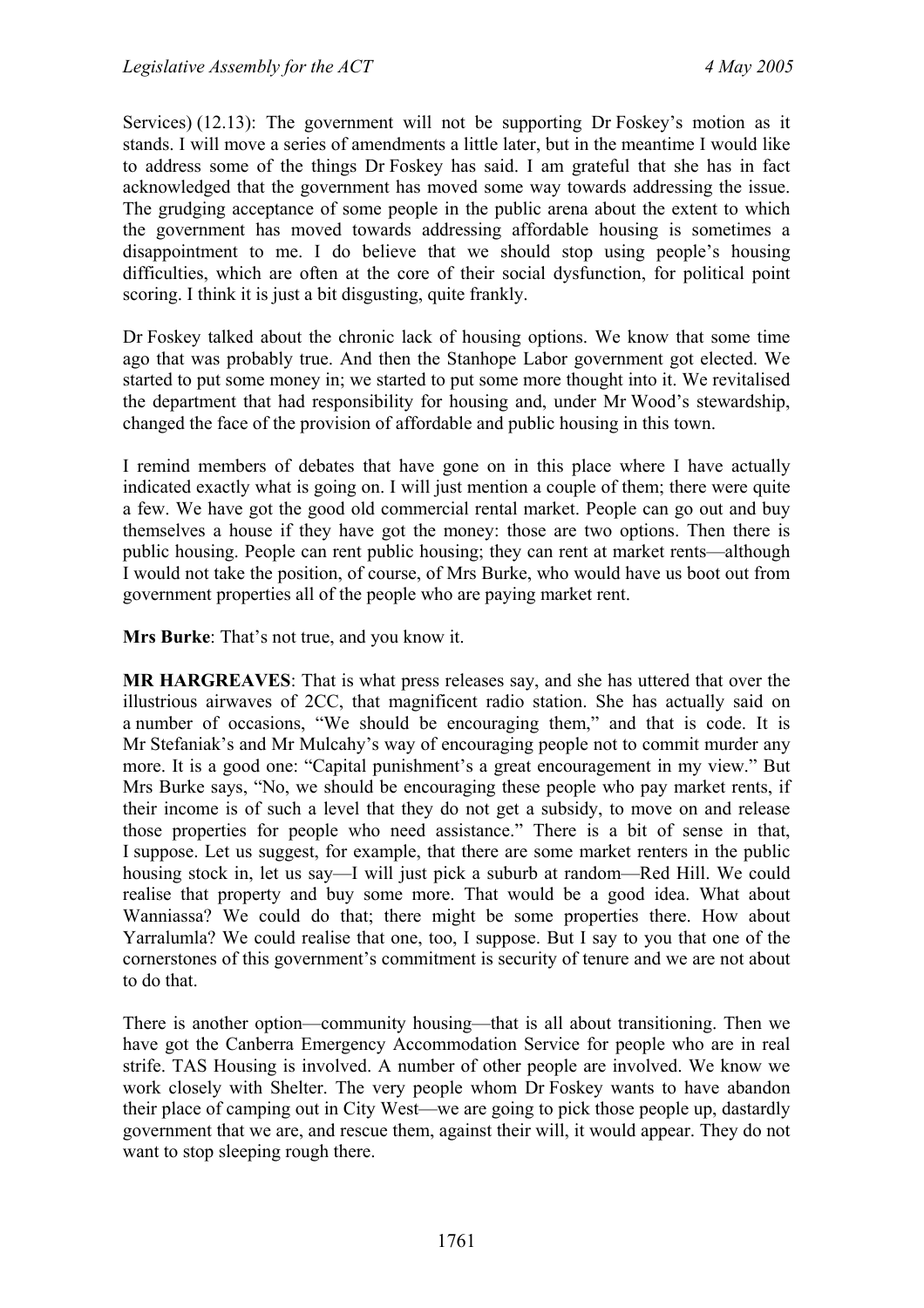Services) (12.13): The government will not be supporting Dr Foskey's motion as it stands. I will move a series of amendments a little later, but in the meantime I would like to address some of the things Dr Foskey has said. I am grateful that she has in fact acknowledged that the government has moved some way towards addressing the issue. The grudging acceptance of some people in the public arena about the extent to which the government has moved towards addressing affordable housing is sometimes a disappointment to me. I do believe that we should stop using people's housing difficulties, which are often at the core of their social dysfunction, for political point scoring. I think it is just a bit disgusting, quite frankly.

Dr Foskey talked about the chronic lack of housing options. We know that some time ago that was probably true. And then the Stanhope Labor government got elected. We started to put some money in; we started to put some more thought into it. We revitalised the department that had responsibility for housing and, under Mr Wood's stewardship, changed the face of the provision of affordable and public housing in this town.

I remind members of debates that have gone on in this place where I have actually indicated exactly what is going on. I will just mention a couple of them; there were quite a few. We have got the good old commercial rental market. People can go out and buy themselves a house if they have got the money: those are two options. Then there is public housing. People can rent public housing; they can rent at market rents—although I would not take the position, of course, of Mrs Burke, who would have us boot out from government properties all of the people who are paying market rent.

**Mrs Burke**: That's not true, and you know it.

**MR HARGREAVES**: That is what press releases say, and she has uttered that over the illustrious airwaves of 2CC, that magnificent radio station. She has actually said on a number of occasions, "We should be encouraging them," and that is code. It is Mr Stefaniak's and Mr Mulcahy's way of encouraging people not to commit murder any more. It is a good one: "Capital punishment's a great encouragement in my view." But Mrs Burke says, "No, we should be encouraging these people who pay market rents, if their income is of such a level that they do not get a subsidy, to move on and release those properties for people who need assistance." There is a bit of sense in that, I suppose. Let us suggest, for example, that there are some market renters in the public housing stock in, let us say—I will just pick a suburb at random—Red Hill. We could realise that property and buy some more. That would be a good idea. What about Wanniassa? We could do that; there might be some properties there. How about Yarralumla? We could realise that one, too, I suppose. But I say to you that one of the cornerstones of this government's commitment is security of tenure and we are not about to do that.

There is another option—community housing—that is all about transitioning. Then we have got the Canberra Emergency Accommodation Service for people who are in real strife. TAS Housing is involved. A number of other people are involved. We know we work closely with Shelter. The very people whom Dr Foskey wants to have abandon their place of camping out in City West—we are going to pick those people up, dastardly government that we are, and rescue them, against their will, it would appear. They do not want to stop sleeping rough there.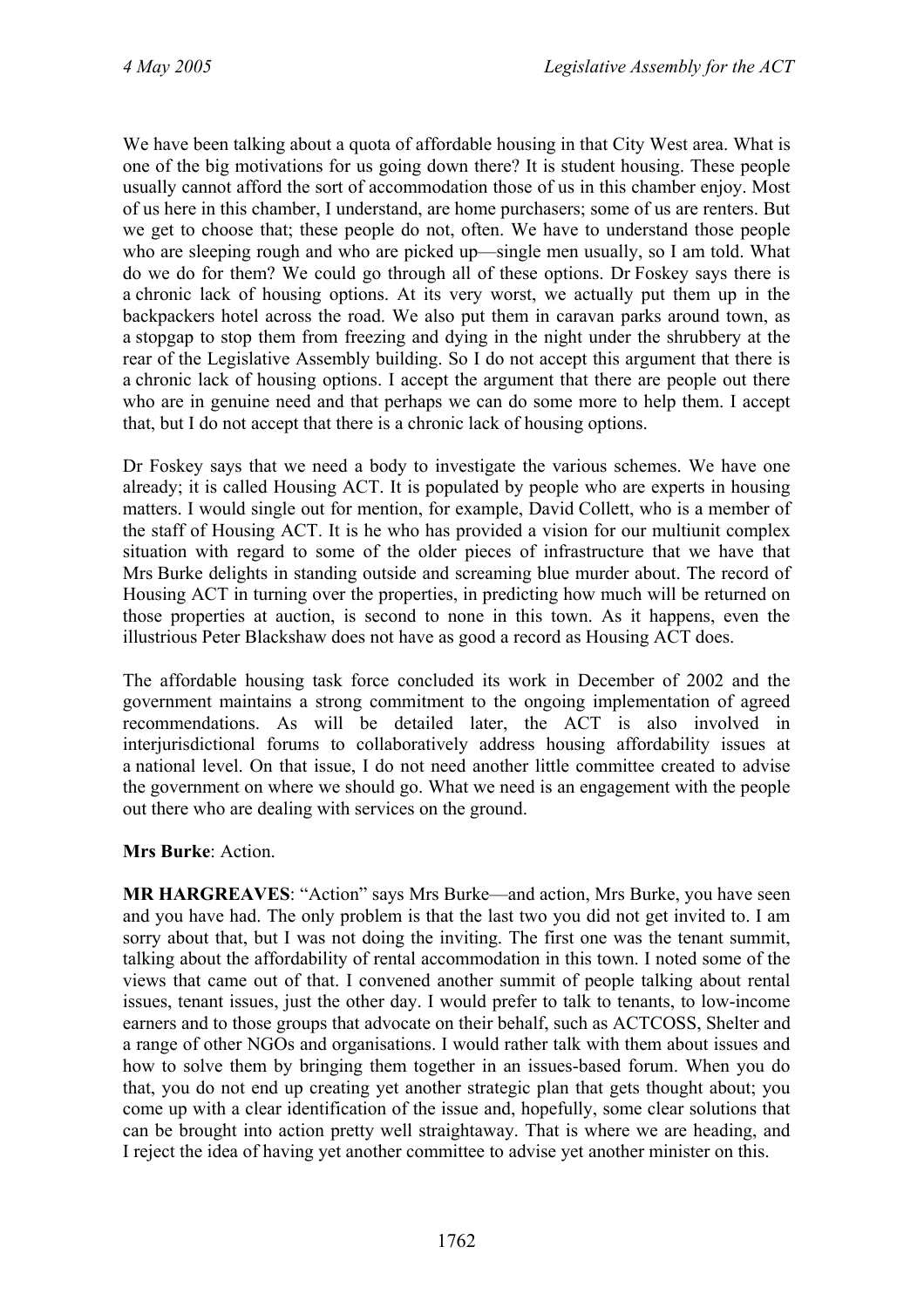We have been talking about a quota of affordable housing in that City West area. What is one of the big motivations for us going down there? It is student housing. These people usually cannot afford the sort of accommodation those of us in this chamber enjoy. Most of us here in this chamber, I understand, are home purchasers; some of us are renters. But we get to choose that; these people do not, often. We have to understand those people who are sleeping rough and who are picked up—single men usually, so I am told. What do we do for them? We could go through all of these options. Dr Foskey says there is a chronic lack of housing options. At its very worst, we actually put them up in the backpackers hotel across the road. We also put them in caravan parks around town, as a stopgap to stop them from freezing and dying in the night under the shrubbery at the rear of the Legislative Assembly building. So I do not accept this argument that there is a chronic lack of housing options. I accept the argument that there are people out there who are in genuine need and that perhaps we can do some more to help them. I accept that, but I do not accept that there is a chronic lack of housing options.

Dr Foskey says that we need a body to investigate the various schemes. We have one already; it is called Housing ACT. It is populated by people who are experts in housing matters. I would single out for mention, for example, David Collett, who is a member of the staff of Housing ACT. It is he who has provided a vision for our multiunit complex situation with regard to some of the older pieces of infrastructure that we have that Mrs Burke delights in standing outside and screaming blue murder about. The record of Housing ACT in turning over the properties, in predicting how much will be returned on those properties at auction, is second to none in this town. As it happens, even the illustrious Peter Blackshaw does not have as good a record as Housing ACT does.

The affordable housing task force concluded its work in December of 2002 and the government maintains a strong commitment to the ongoing implementation of agreed recommendations. As will be detailed later, the ACT is also involved in interjurisdictional forums to collaboratively address housing affordability issues at a national level. On that issue, I do not need another little committee created to advise the government on where we should go. What we need is an engagement with the people out there who are dealing with services on the ground.

#### **Mrs Burke**: Action.

**MR HARGREAVES**: "Action" says Mrs Burke—and action, Mrs Burke, you have seen and you have had. The only problem is that the last two you did not get invited to. I am sorry about that, but I was not doing the inviting. The first one was the tenant summit, talking about the affordability of rental accommodation in this town. I noted some of the views that came out of that. I convened another summit of people talking about rental issues, tenant issues, just the other day. I would prefer to talk to tenants, to low-income earners and to those groups that advocate on their behalf, such as ACTCOSS, Shelter and a range of other NGOs and organisations. I would rather talk with them about issues and how to solve them by bringing them together in an issues-based forum. When you do that, you do not end up creating yet another strategic plan that gets thought about; you come up with a clear identification of the issue and, hopefully, some clear solutions that can be brought into action pretty well straightaway. That is where we are heading, and I reject the idea of having yet another committee to advise yet another minister on this.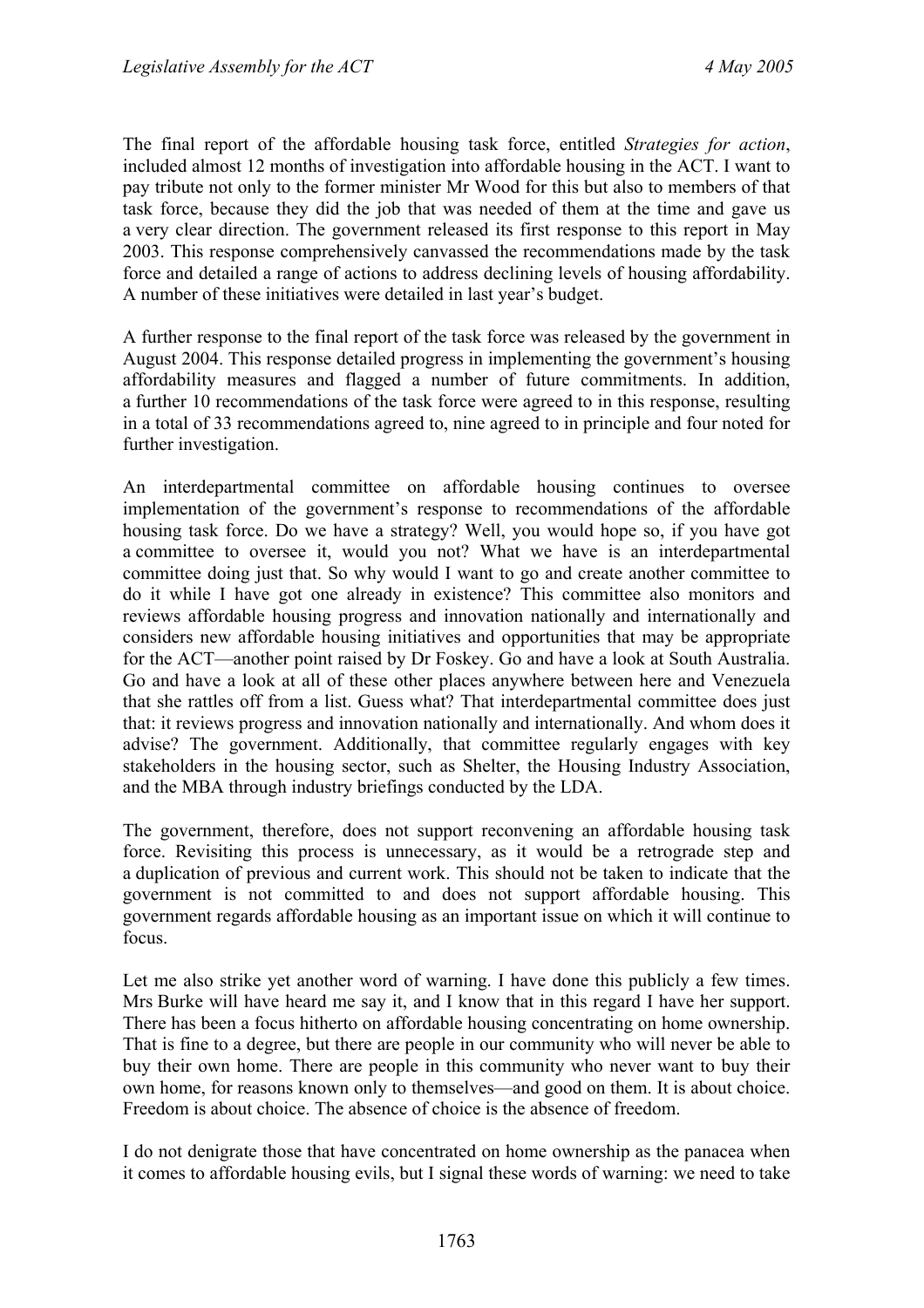The final report of the affordable housing task force, entitled *Strategies for action*, included almost 12 months of investigation into affordable housing in the ACT. I want to pay tribute not only to the former minister Mr Wood for this but also to members of that task force, because they did the job that was needed of them at the time and gave us a very clear direction. The government released its first response to this report in May 2003. This response comprehensively canvassed the recommendations made by the task force and detailed a range of actions to address declining levels of housing affordability. A number of these initiatives were detailed in last year's budget.

A further response to the final report of the task force was released by the government in August 2004. This response detailed progress in implementing the government's housing affordability measures and flagged a number of future commitments. In addition, a further 10 recommendations of the task force were agreed to in this response, resulting in a total of 33 recommendations agreed to, nine agreed to in principle and four noted for further investigation.

An interdepartmental committee on affordable housing continues to oversee implementation of the government's response to recommendations of the affordable housing task force. Do we have a strategy? Well, you would hope so, if you have got a committee to oversee it, would you not? What we have is an interdepartmental committee doing just that. So why would I want to go and create another committee to do it while I have got one already in existence? This committee also monitors and reviews affordable housing progress and innovation nationally and internationally and considers new affordable housing initiatives and opportunities that may be appropriate for the ACT—another point raised by Dr Foskey. Go and have a look at South Australia. Go and have a look at all of these other places anywhere between here and Venezuela that she rattles off from a list. Guess what? That interdepartmental committee does just that: it reviews progress and innovation nationally and internationally. And whom does it advise? The government. Additionally, that committee regularly engages with key stakeholders in the housing sector, such as Shelter, the Housing Industry Association, and the MBA through industry briefings conducted by the LDA.

The government, therefore, does not support reconvening an affordable housing task force. Revisiting this process is unnecessary, as it would be a retrograde step and a duplication of previous and current work. This should not be taken to indicate that the government is not committed to and does not support affordable housing. This government regards affordable housing as an important issue on which it will continue to focus.

Let me also strike yet another word of warning. I have done this publicly a few times. Mrs Burke will have heard me say it, and I know that in this regard I have her support. There has been a focus hitherto on affordable housing concentrating on home ownership. That is fine to a degree, but there are people in our community who will never be able to buy their own home. There are people in this community who never want to buy their own home, for reasons known only to themselves—and good on them. It is about choice. Freedom is about choice. The absence of choice is the absence of freedom.

I do not denigrate those that have concentrated on home ownership as the panacea when it comes to affordable housing evils, but I signal these words of warning: we need to take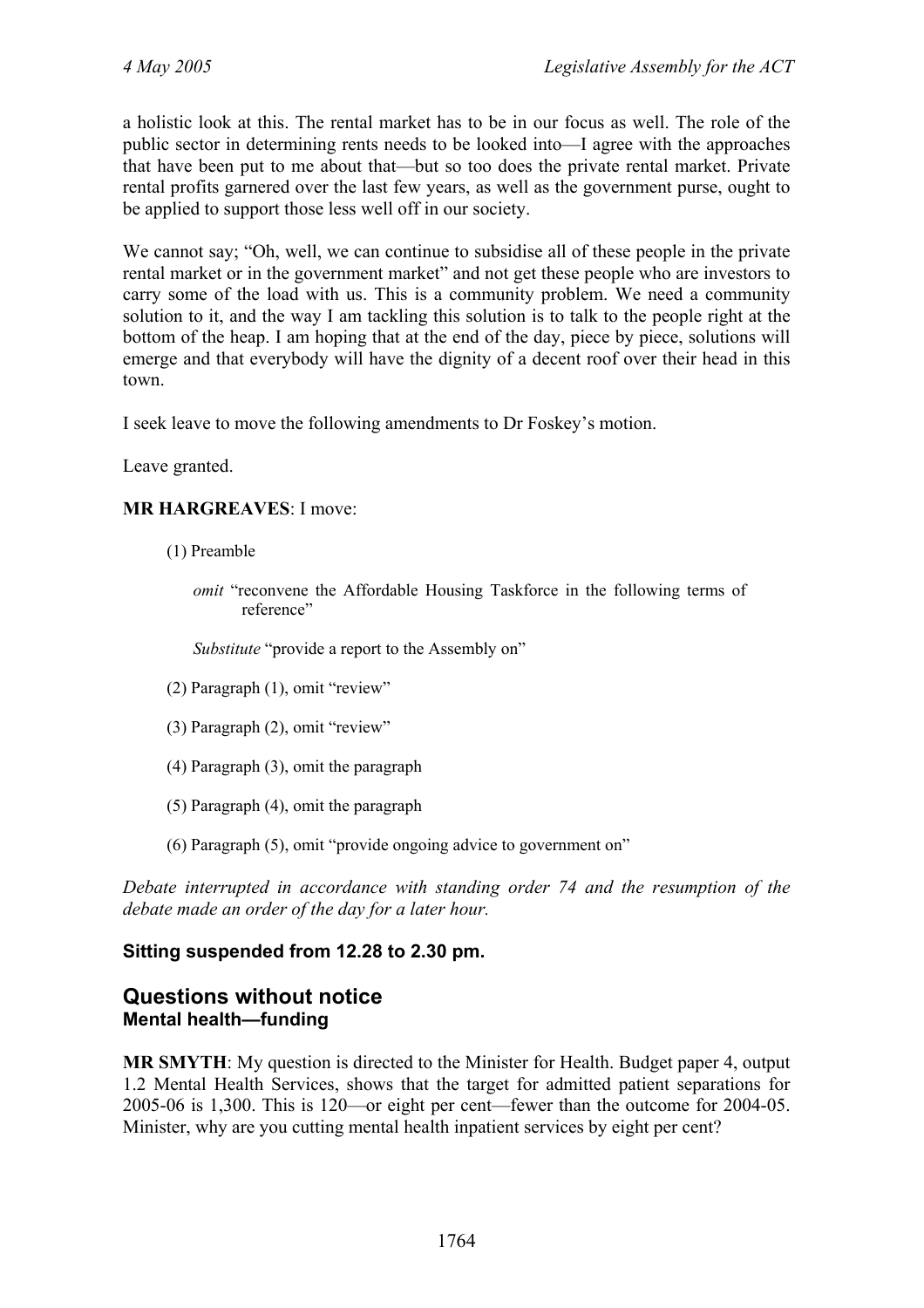a holistic look at this. The rental market has to be in our focus as well. The role of the public sector in determining rents needs to be looked into—I agree with the approaches that have been put to me about that—but so too does the private rental market. Private rental profits garnered over the last few years, as well as the government purse, ought to be applied to support those less well off in our society.

We cannot say; "Oh, well, we can continue to subsidise all of these people in the private rental market or in the government market" and not get these people who are investors to carry some of the load with us. This is a community problem. We need a community solution to it, and the way I am tackling this solution is to talk to the people right at the bottom of the heap. I am hoping that at the end of the day, piece by piece, solutions will emerge and that everybody will have the dignity of a decent roof over their head in this town.

I seek leave to move the following amendments to Dr Foskey's motion.

Leave granted.

#### **MR HARGREAVES**: I move:

- (1) Preamble
	- *omit* "reconvene the Affordable Housing Taskforce in the following terms of reference"

*Substitute* "provide a report to the Assembly on"

- (2) Paragraph (1), omit "review"
- (3) Paragraph (2), omit "review"
- (4) Paragraph (3), omit the paragraph
- (5) Paragraph (4), omit the paragraph
- (6) Paragraph (5), omit "provide ongoing advice to government on"

*Debate interrupted in accordance with standing order 74 and the resumption of the debate made an order of the day for a later hour.*

#### **Sitting suspended from 12.28 to 2.30 pm.**

### <span id="page-33-0"></span>**Questions without notice Mental health—funding**

**MR SMYTH**: My question is directed to the Minister for Health. Budget paper 4, output 1.2 Mental Health Services, shows that the target for admitted patient separations for 2005-06 is 1,300. This is 120—or eight per cent—fewer than the outcome for 2004-05. Minister, why are you cutting mental health inpatient services by eight per cent?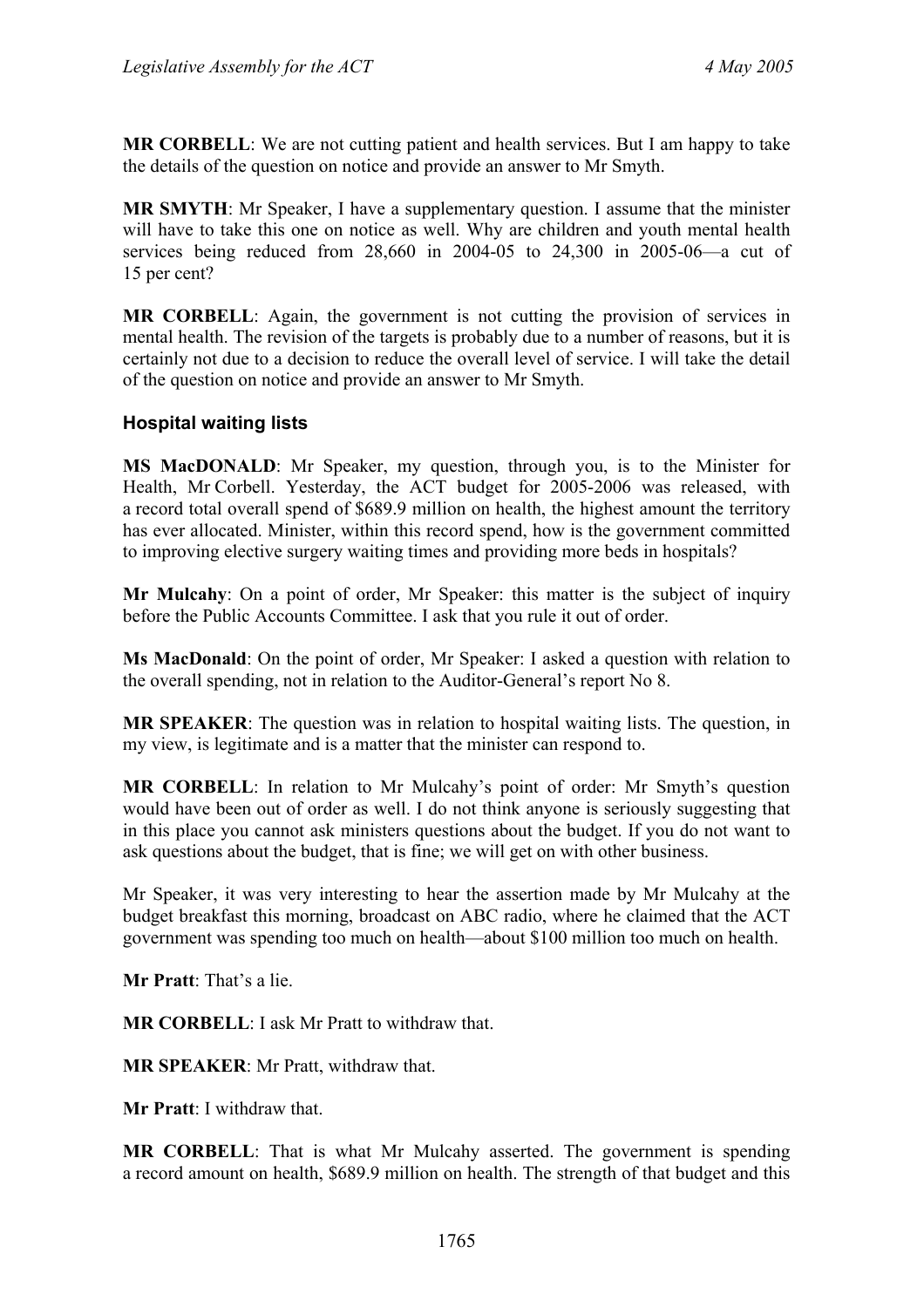**MR CORBELL**: We are not cutting patient and health services. But I am happy to take the details of the question on notice and provide an answer to Mr Smyth.

**MR SMYTH**: Mr Speaker, I have a supplementary question. I assume that the minister will have to take this one on notice as well. Why are children and youth mental health services being reduced from  $28,660$  in  $2004-05$  to  $24,300$  in  $2005-06$ —a cut of 15 per cent?

**MR CORBELL**: Again, the government is not cutting the provision of services in mental health. The revision of the targets is probably due to a number of reasons, but it is certainly not due to a decision to reduce the overall level of service. I will take the detail of the question on notice and provide an answer to Mr Smyth.

#### <span id="page-34-0"></span>**Hospital waiting lists**

**MS MacDONALD**: Mr Speaker, my question, through you, is to the Minister for Health, Mr Corbell. Yesterday, the ACT budget for 2005-2006 was released, with a record total overall spend of \$689.9 million on health, the highest amount the territory has ever allocated. Minister, within this record spend, how is the government committed to improving elective surgery waiting times and providing more beds in hospitals?

**Mr Mulcahy**: On a point of order, Mr Speaker: this matter is the subject of inquiry before the Public Accounts Committee. I ask that you rule it out of order.

**Ms MacDonald**: On the point of order, Mr Speaker: I asked a question with relation to the overall spending, not in relation to the Auditor-General's report No 8.

**MR SPEAKER**: The question was in relation to hospital waiting lists. The question, in my view, is legitimate and is a matter that the minister can respond to.

**MR CORBELL**: In relation to Mr Mulcahy's point of order: Mr Smyth's question would have been out of order as well. I do not think anyone is seriously suggesting that in this place you cannot ask ministers questions about the budget. If you do not want to ask questions about the budget, that is fine; we will get on with other business.

Mr Speaker, it was very interesting to hear the assertion made by Mr Mulcahy at the budget breakfast this morning, broadcast on ABC radio, where he claimed that the ACT government was spending too much on health—about \$100 million too much on health.

**Mr Pratt**: That's a lie.

**MR CORBELL**: I ask Mr Pratt to withdraw that.

**MR SPEAKER**: Mr Pratt, withdraw that.

**Mr Pratt**: I withdraw that.

**MR CORBELL**: That is what Mr Mulcahy asserted. The government is spending a record amount on health, \$689.9 million on health. The strength of that budget and this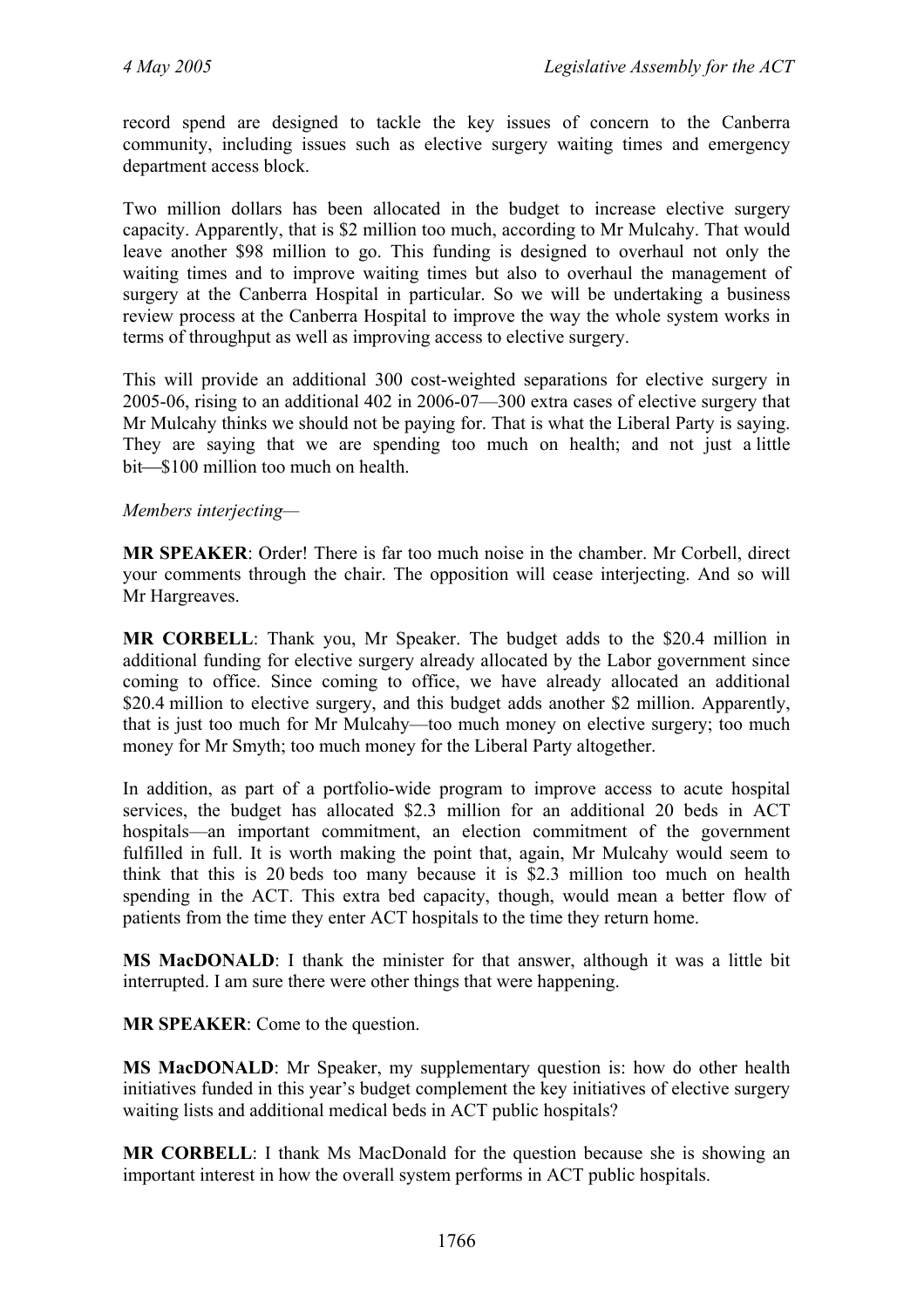record spend are designed to tackle the key issues of concern to the Canberra community, including issues such as elective surgery waiting times and emergency department access block.

Two million dollars has been allocated in the budget to increase elective surgery capacity. Apparently, that is \$2 million too much, according to Mr Mulcahy. That would leave another \$98 million to go. This funding is designed to overhaul not only the waiting times and to improve waiting times but also to overhaul the management of surgery at the Canberra Hospital in particular. So we will be undertaking a business review process at the Canberra Hospital to improve the way the whole system works in terms of throughput as well as improving access to elective surgery.

This will provide an additional 300 cost-weighted separations for elective surgery in 2005-06, rising to an additional 402 in 2006-07—300 extra cases of elective surgery that Mr Mulcahy thinks we should not be paying for. That is what the Liberal Party is saying. They are saying that we are spending too much on health; and not just a little bit—\$100 million too much on health.

#### *Members interjecting—*

**MR SPEAKER**: Order! There is far too much noise in the chamber. Mr Corbell, direct your comments through the chair. The opposition will cease interjecting. And so will Mr Hargreaves.

**MR CORBELL**: Thank you, Mr Speaker. The budget adds to the \$20.4 million in additional funding for elective surgery already allocated by the Labor government since coming to office. Since coming to office, we have already allocated an additional \$20.4 million to elective surgery, and this budget adds another \$2 million. Apparently, that is just too much for Mr Mulcahy—too much money on elective surgery; too much money for Mr Smyth; too much money for the Liberal Party altogether.

In addition, as part of a portfolio-wide program to improve access to acute hospital services, the budget has allocated \$2.3 million for an additional 20 beds in ACT hospitals—an important commitment, an election commitment of the government fulfilled in full. It is worth making the point that, again, Mr Mulcahy would seem to think that this is 20 beds too many because it is \$2.3 million too much on health spending in the ACT. This extra bed capacity, though, would mean a better flow of patients from the time they enter ACT hospitals to the time they return home.

**MS MacDONALD**: I thank the minister for that answer, although it was a little bit interrupted. I am sure there were other things that were happening.

**MR SPEAKER**: Come to the question.

**MS MacDONALD**: Mr Speaker, my supplementary question is: how do other health initiatives funded in this year's budget complement the key initiatives of elective surgery waiting lists and additional medical beds in ACT public hospitals?

**MR CORBELL**: I thank Ms MacDonald for the question because she is showing an important interest in how the overall system performs in ACT public hospitals.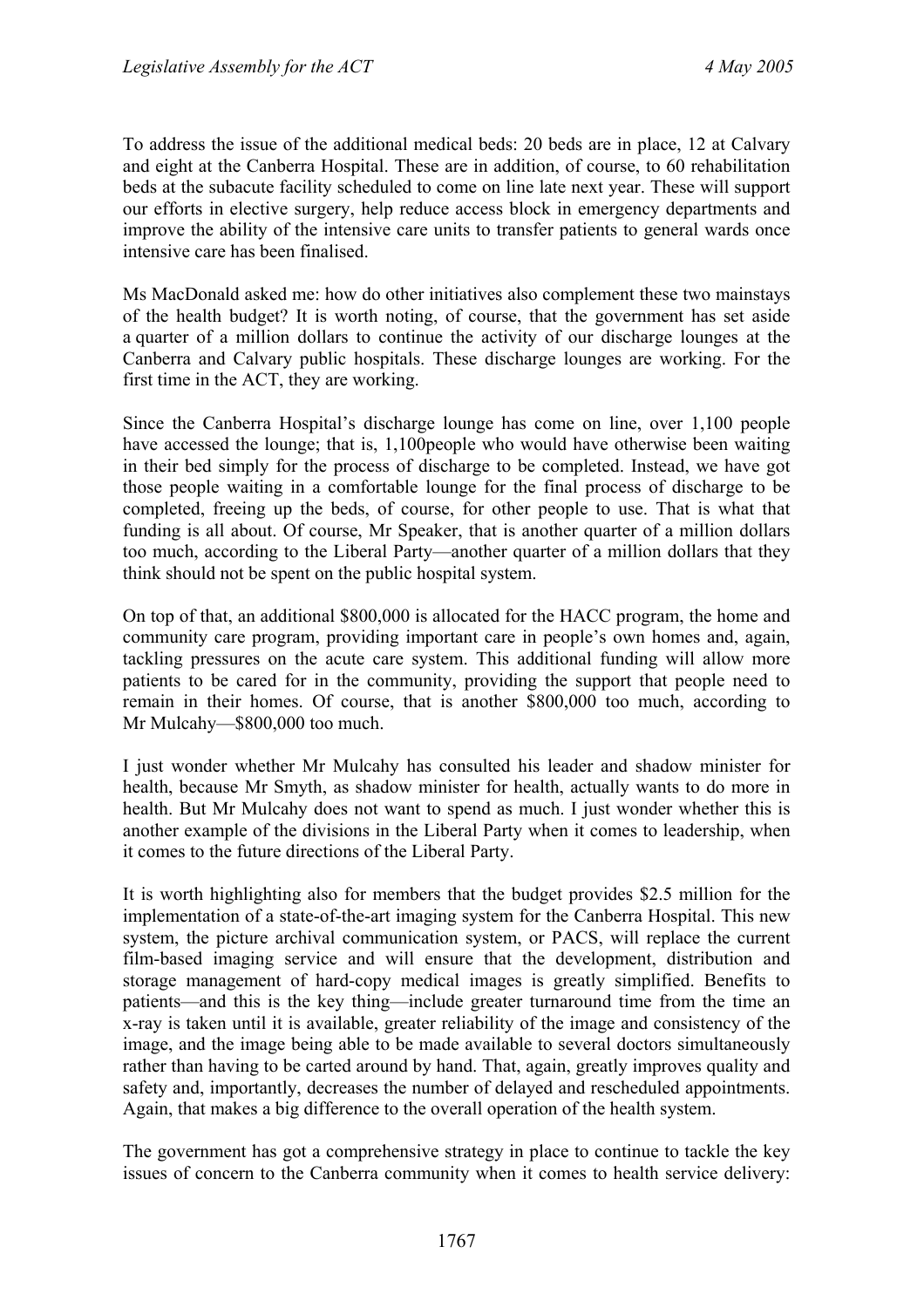To address the issue of the additional medical beds: 20 beds are in place, 12 at Calvary and eight at the Canberra Hospital. These are in addition, of course, to 60 rehabilitation beds at the subacute facility scheduled to come on line late next year. These will support our efforts in elective surgery, help reduce access block in emergency departments and improve the ability of the intensive care units to transfer patients to general wards once intensive care has been finalised.

Ms MacDonald asked me: how do other initiatives also complement these two mainstays of the health budget? It is worth noting, of course, that the government has set aside a quarter of a million dollars to continue the activity of our discharge lounges at the Canberra and Calvary public hospitals. These discharge lounges are working. For the first time in the ACT, they are working.

Since the Canberra Hospital's discharge lounge has come on line, over 1,100 people have accessed the lounge; that is, 1,100people who would have otherwise been waiting in their bed simply for the process of discharge to be completed. Instead, we have got those people waiting in a comfortable lounge for the final process of discharge to be completed, freeing up the beds, of course, for other people to use. That is what that funding is all about. Of course, Mr Speaker, that is another quarter of a million dollars too much, according to the Liberal Party—another quarter of a million dollars that they think should not be spent on the public hospital system.

On top of that, an additional \$800,000 is allocated for the HACC program, the home and community care program, providing important care in people's own homes and, again, tackling pressures on the acute care system. This additional funding will allow more patients to be cared for in the community, providing the support that people need to remain in their homes. Of course, that is another \$800,000 too much, according to Mr Mulcahy—\$800,000 too much.

I just wonder whether Mr Mulcahy has consulted his leader and shadow minister for health, because Mr Smyth, as shadow minister for health, actually wants to do more in health. But Mr Mulcahy does not want to spend as much. I just wonder whether this is another example of the divisions in the Liberal Party when it comes to leadership, when it comes to the future directions of the Liberal Party.

It is worth highlighting also for members that the budget provides \$2.5 million for the implementation of a state-of-the-art imaging system for the Canberra Hospital. This new system, the picture archival communication system, or PACS, will replace the current film-based imaging service and will ensure that the development, distribution and storage management of hard-copy medical images is greatly simplified. Benefits to patients—and this is the key thing—include greater turnaround time from the time an x-ray is taken until it is available, greater reliability of the image and consistency of the image, and the image being able to be made available to several doctors simultaneously rather than having to be carted around by hand. That, again, greatly improves quality and safety and, importantly, decreases the number of delayed and rescheduled appointments. Again, that makes a big difference to the overall operation of the health system.

The government has got a comprehensive strategy in place to continue to tackle the key issues of concern to the Canberra community when it comes to health service delivery: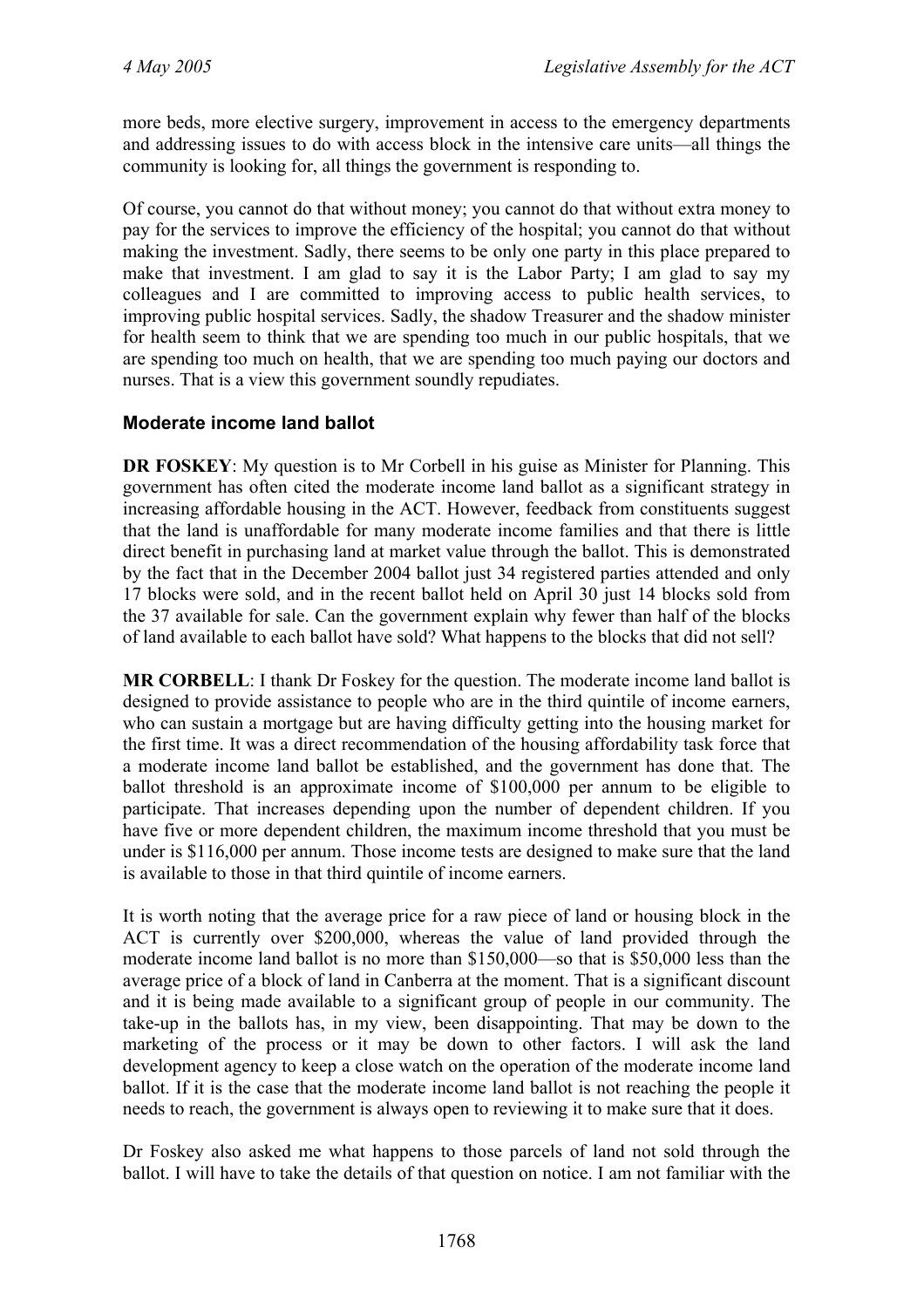more beds, more elective surgery, improvement in access to the emergency departments and addressing issues to do with access block in the intensive care units—all things the community is looking for, all things the government is responding to.

Of course, you cannot do that without money; you cannot do that without extra money to pay for the services to improve the efficiency of the hospital; you cannot do that without making the investment. Sadly, there seems to be only one party in this place prepared to make that investment. I am glad to say it is the Labor Party; I am glad to say my colleagues and I are committed to improving access to public health services, to improving public hospital services. Sadly, the shadow Treasurer and the shadow minister for health seem to think that we are spending too much in our public hospitals, that we are spending too much on health, that we are spending too much paying our doctors and nurses. That is a view this government soundly repudiates.

#### **Moderate income land ballot**

**DR FOSKEY**: My question is to Mr Corbell in his guise as Minister for Planning. This government has often cited the moderate income land ballot as a significant strategy in increasing affordable housing in the ACT. However, feedback from constituents suggest that the land is unaffordable for many moderate income families and that there is little direct benefit in purchasing land at market value through the ballot. This is demonstrated by the fact that in the December 2004 ballot just 34 registered parties attended and only 17 blocks were sold, and in the recent ballot held on April 30 just 14 blocks sold from the 37 available for sale. Can the government explain why fewer than half of the blocks of land available to each ballot have sold? What happens to the blocks that did not sell?

**MR CORBELL**: I thank Dr Foskey for the question. The moderate income land ballot is designed to provide assistance to people who are in the third quintile of income earners, who can sustain a mortgage but are having difficulty getting into the housing market for the first time. It was a direct recommendation of the housing affordability task force that a moderate income land ballot be established, and the government has done that. The ballot threshold is an approximate income of \$100,000 per annum to be eligible to participate. That increases depending upon the number of dependent children. If you have five or more dependent children, the maximum income threshold that you must be under is \$116,000 per annum. Those income tests are designed to make sure that the land is available to those in that third quintile of income earners.

It is worth noting that the average price for a raw piece of land or housing block in the ACT is currently over \$200,000, whereas the value of land provided through the moderate income land ballot is no more than \$150,000—so that is \$50,000 less than the average price of a block of land in Canberra at the moment. That is a significant discount and it is being made available to a significant group of people in our community. The take-up in the ballots has, in my view, been disappointing. That may be down to the marketing of the process or it may be down to other factors. I will ask the land development agency to keep a close watch on the operation of the moderate income land ballot. If it is the case that the moderate income land ballot is not reaching the people it needs to reach, the government is always open to reviewing it to make sure that it does.

Dr Foskey also asked me what happens to those parcels of land not sold through the ballot. I will have to take the details of that question on notice. I am not familiar with the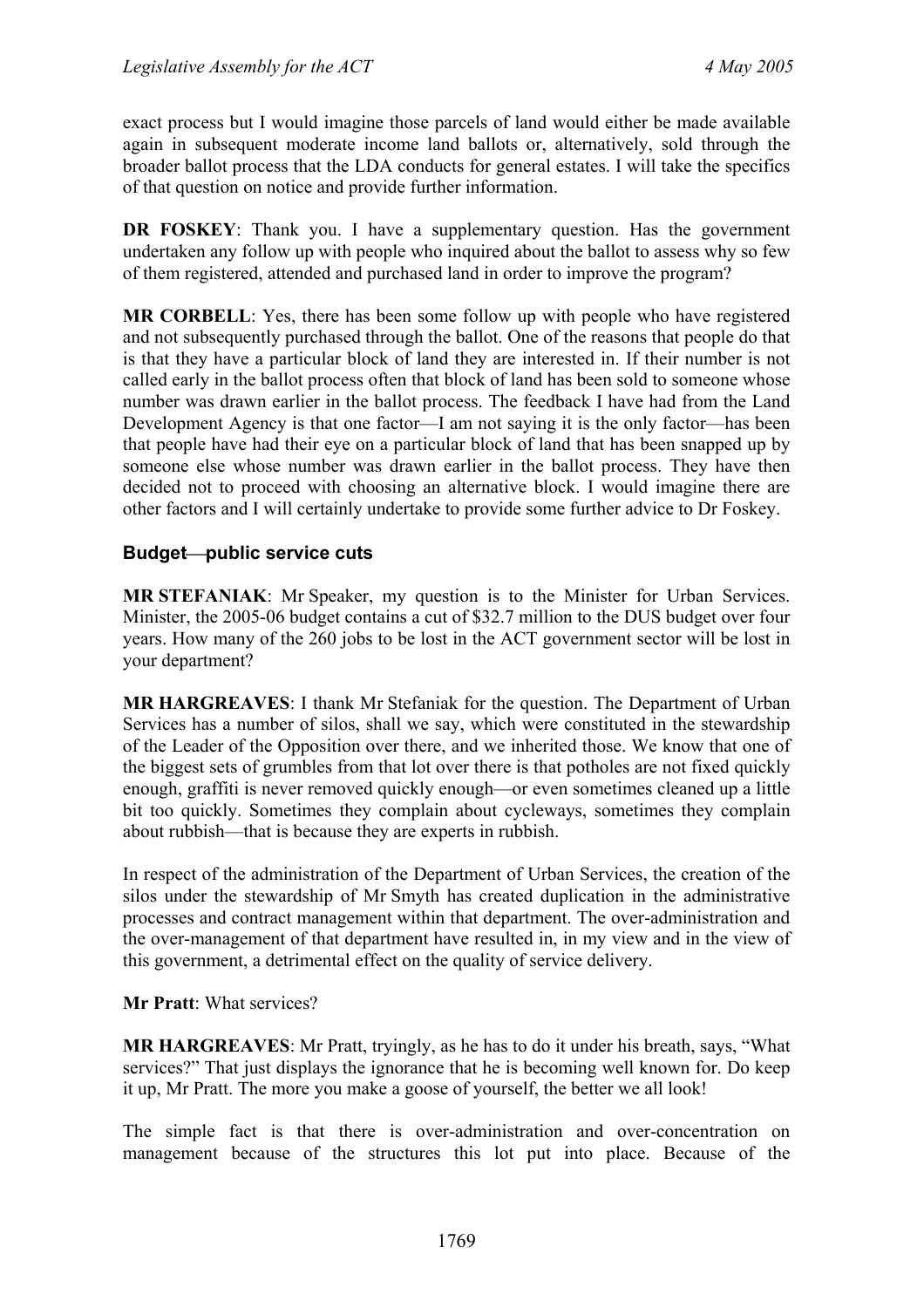exact process but I would imagine those parcels of land would either be made available again in subsequent moderate income land ballots or, alternatively, sold through the broader ballot process that the LDA conducts for general estates. I will take the specifics of that question on notice and provide further information.

**DR FOSKEY:** Thank you. I have a supplementary question. Has the government undertaken any follow up with people who inquired about the ballot to assess why so few of them registered, attended and purchased land in order to improve the program?

**MR CORBELL**: Yes, there has been some follow up with people who have registered and not subsequently purchased through the ballot. One of the reasons that people do that is that they have a particular block of land they are interested in. If their number is not called early in the ballot process often that block of land has been sold to someone whose number was drawn earlier in the ballot process. The feedback I have had from the Land Development Agency is that one factor—I am not saying it is the only factor—has been that people have had their eye on a particular block of land that has been snapped up by someone else whose number was drawn earlier in the ballot process. They have then decided not to proceed with choosing an alternative block. I would imagine there are other factors and I will certainly undertake to provide some further advice to Dr Foskey.

#### **Budget**⎯**public service cuts**

**MR STEFANIAK**: Mr Speaker, my question is to the Minister for Urban Services. Minister, the 2005-06 budget contains a cut of \$32.7 million to the DUS budget over four years. How many of the 260 jobs to be lost in the ACT government sector will be lost in your department?

**MR HARGREAVES**: I thank Mr Stefaniak for the question. The Department of Urban Services has a number of silos, shall we say, which were constituted in the stewardship of the Leader of the Opposition over there, and we inherited those. We know that one of the biggest sets of grumbles from that lot over there is that potholes are not fixed quickly enough, graffiti is never removed quickly enough—or even sometimes cleaned up a little bit too quickly. Sometimes they complain about cycleways, sometimes they complain about rubbish—that is because they are experts in rubbish.

In respect of the administration of the Department of Urban Services, the creation of the silos under the stewardship of Mr Smyth has created duplication in the administrative processes and contract management within that department. The over-administration and the over-management of that department have resulted in, in my view and in the view of this government, a detrimental effect on the quality of service delivery.

#### **Mr Pratt**: What services?

**MR HARGREAVES**: Mr Pratt, tryingly, as he has to do it under his breath, says, "What services?" That just displays the ignorance that he is becoming well known for. Do keep it up, Mr Pratt. The more you make a goose of yourself, the better we all look!

The simple fact is that there is over-administration and over-concentration on management because of the structures this lot put into place. Because of the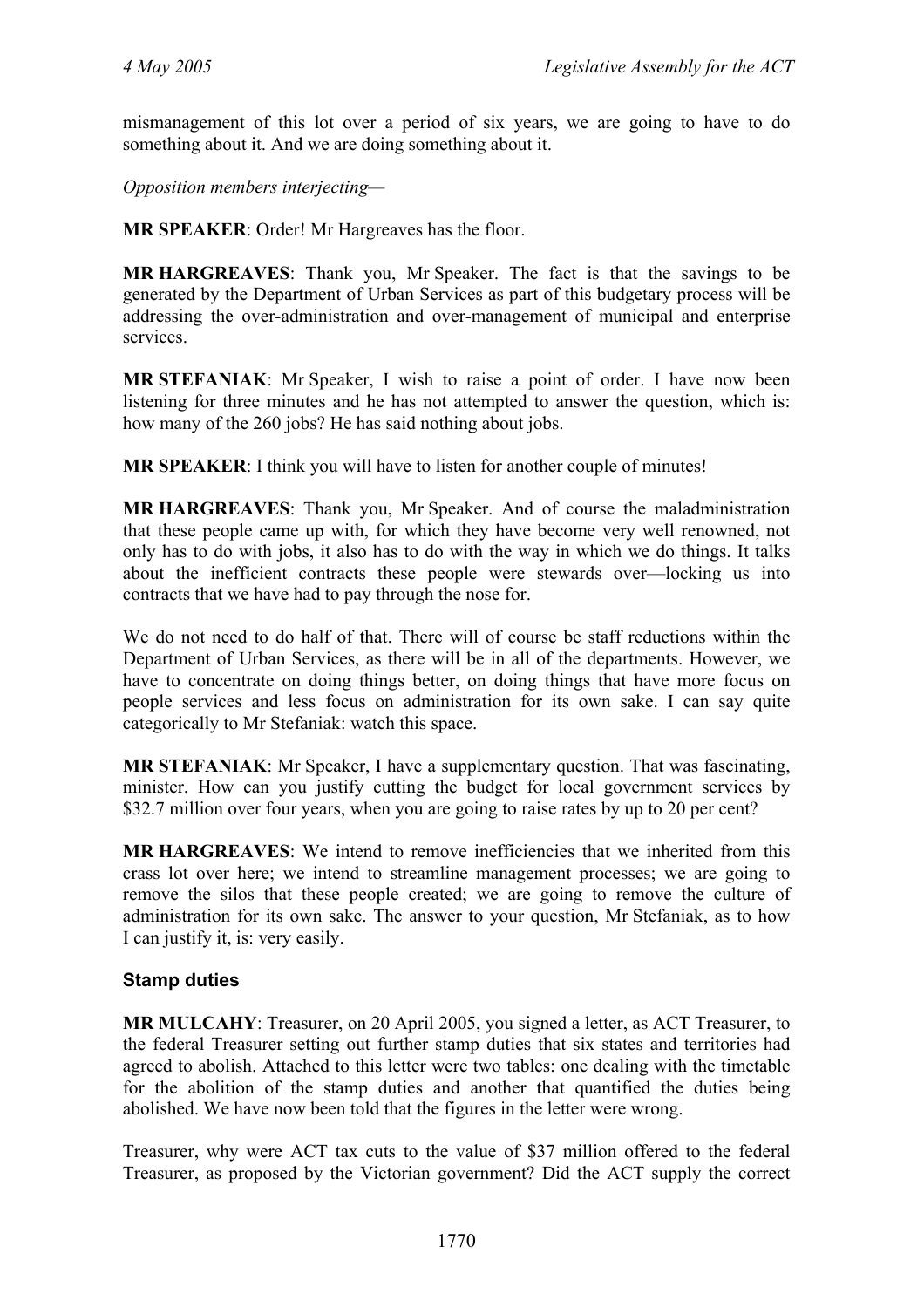mismanagement of this lot over a period of six years, we are going to have to do something about it. And we are doing something about it.

*Opposition members interjecting—* 

**MR SPEAKER**: Order! Mr Hargreaves has the floor.

**MR HARGREAVES**: Thank you, Mr Speaker. The fact is that the savings to be generated by the Department of Urban Services as part of this budgetary process will be addressing the over-administration and over-management of municipal and enterprise services.

**MR STEFANIAK**: Mr Speaker, I wish to raise a point of order. I have now been listening for three minutes and he has not attempted to answer the question, which is: how many of the 260 jobs? He has said nothing about jobs.

**MR SPEAKER**: I think you will have to listen for another couple of minutes!

**MR HARGREAVES**: Thank you, Mr Speaker. And of course the maladministration that these people came up with, for which they have become very well renowned, not only has to do with jobs, it also has to do with the way in which we do things. It talks about the inefficient contracts these people were stewards over—locking us into contracts that we have had to pay through the nose for.

We do not need to do half of that. There will of course be staff reductions within the Department of Urban Services, as there will be in all of the departments. However, we have to concentrate on doing things better, on doing things that have more focus on people services and less focus on administration for its own sake. I can say quite categorically to Mr Stefaniak: watch this space.

**MR STEFANIAK**: Mr Speaker, I have a supplementary question. That was fascinating, minister. How can you justify cutting the budget for local government services by \$32.7 million over four years, when you are going to raise rates by up to 20 per cent?

**MR HARGREAVES**: We intend to remove inefficiencies that we inherited from this crass lot over here; we intend to streamline management processes; we are going to remove the silos that these people created; we are going to remove the culture of administration for its own sake. The answer to your question, Mr Stefaniak, as to how I can justify it, is: very easily.

#### **Stamp duties**

**MR MULCAHY**: Treasurer, on 20 April 2005, you signed a letter, as ACT Treasurer, to the federal Treasurer setting out further stamp duties that six states and territories had agreed to abolish. Attached to this letter were two tables: one dealing with the timetable for the abolition of the stamp duties and another that quantified the duties being abolished. We have now been told that the figures in the letter were wrong.

Treasurer, why were ACT tax cuts to the value of \$37 million offered to the federal Treasurer, as proposed by the Victorian government? Did the ACT supply the correct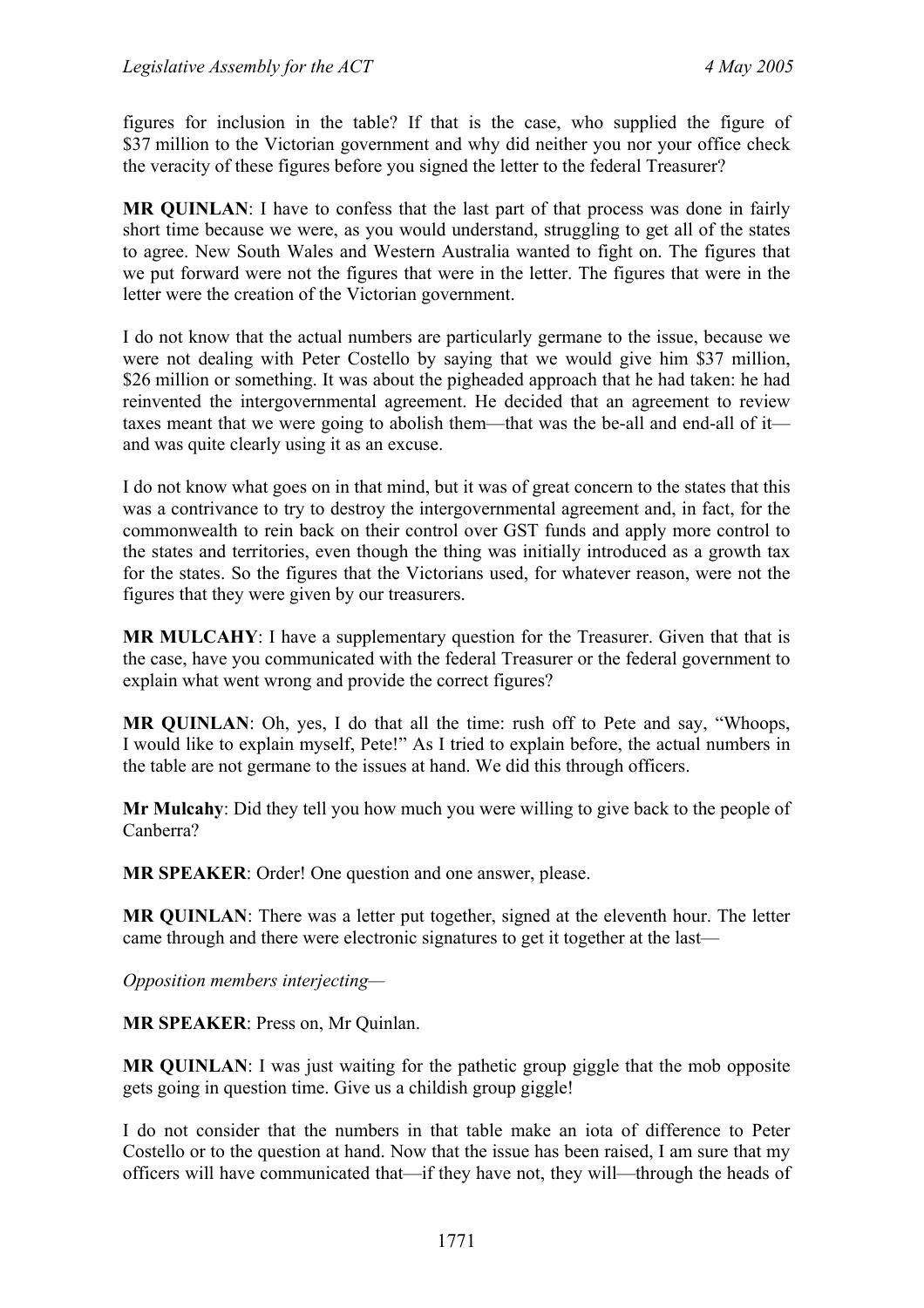figures for inclusion in the table? If that is the case, who supplied the figure of \$37 million to the Victorian government and why did neither you nor your office check the veracity of these figures before you signed the letter to the federal Treasurer?

**MR QUINLAN**: I have to confess that the last part of that process was done in fairly short time because we were, as you would understand, struggling to get all of the states to agree. New South Wales and Western Australia wanted to fight on. The figures that we put forward were not the figures that were in the letter. The figures that were in the letter were the creation of the Victorian government.

I do not know that the actual numbers are particularly germane to the issue, because we were not dealing with Peter Costello by saying that we would give him \$37 million, \$26 million or something. It was about the pigheaded approach that he had taken: he had reinvented the intergovernmental agreement. He decided that an agreement to review taxes meant that we were going to abolish them—that was the be-all and end-all of it and was quite clearly using it as an excuse.

I do not know what goes on in that mind, but it was of great concern to the states that this was a contrivance to try to destroy the intergovernmental agreement and, in fact, for the commonwealth to rein back on their control over GST funds and apply more control to the states and territories, even though the thing was initially introduced as a growth tax for the states. So the figures that the Victorians used, for whatever reason, were not the figures that they were given by our treasurers.

**MR MULCAHY**: I have a supplementary question for the Treasurer. Given that that is the case, have you communicated with the federal Treasurer or the federal government to explain what went wrong and provide the correct figures?

**MR QUINLAN**: Oh, yes, I do that all the time: rush off to Pete and say, "Whoops, I would like to explain myself, Pete!" As I tried to explain before, the actual numbers in the table are not germane to the issues at hand. We did this through officers.

**Mr Mulcahy**: Did they tell you how much you were willing to give back to the people of Canberra?

**MR SPEAKER**: Order! One question and one answer, please.

**MR QUINLAN**: There was a letter put together, signed at the eleventh hour. The letter came through and there were electronic signatures to get it together at the last—

*Opposition members interjecting—* 

**MR SPEAKER**: Press on, Mr Quinlan.

**MR QUINLAN**: I was just waiting for the pathetic group giggle that the mob opposite gets going in question time. Give us a childish group giggle!

I do not consider that the numbers in that table make an iota of difference to Peter Costello or to the question at hand. Now that the issue has been raised, I am sure that my officers will have communicated that—if they have not, they will—through the heads of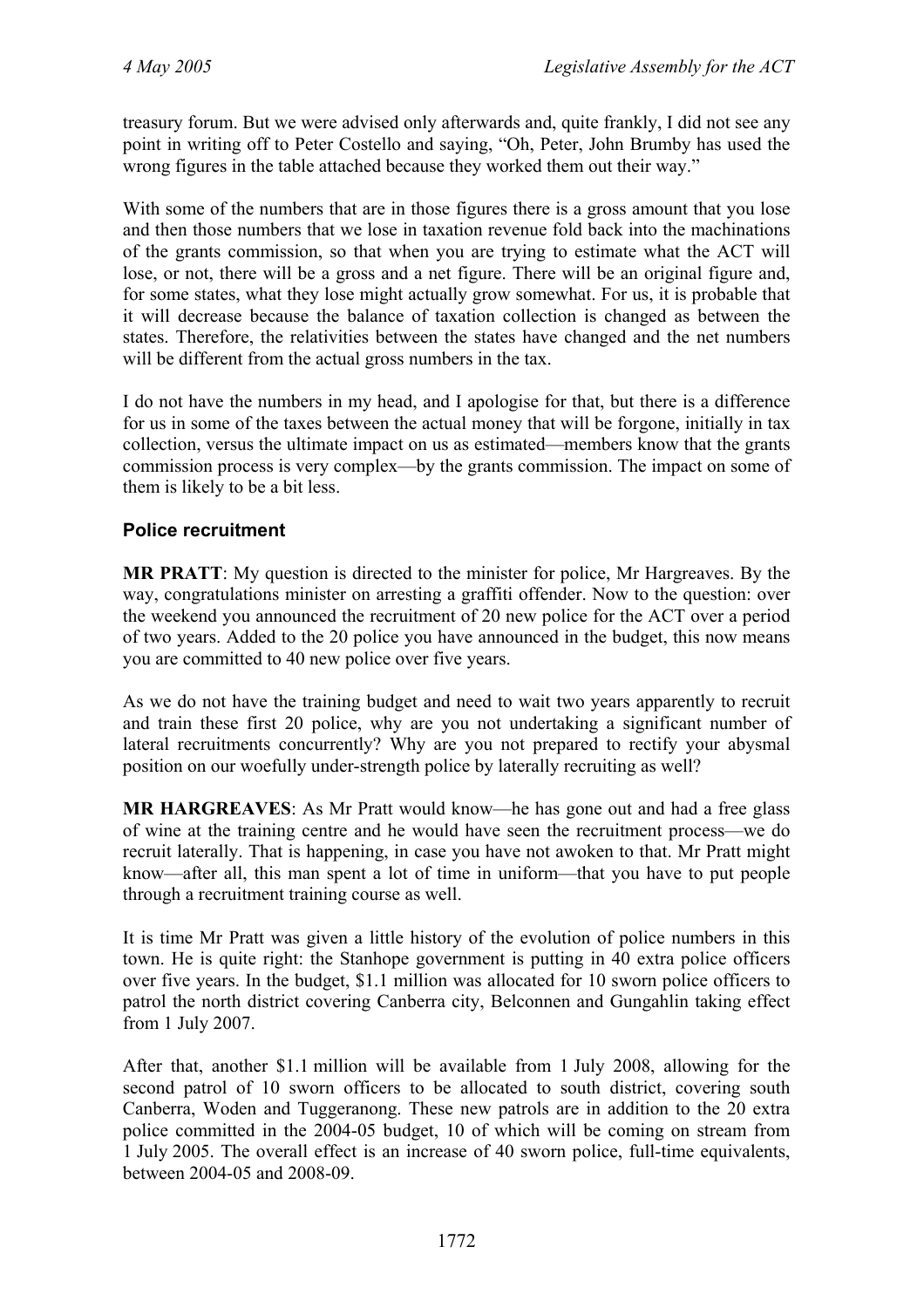treasury forum. But we were advised only afterwards and, quite frankly, I did not see any point in writing off to Peter Costello and saying, "Oh, Peter, John Brumby has used the wrong figures in the table attached because they worked them out their way."

With some of the numbers that are in those figures there is a gross amount that you lose and then those numbers that we lose in taxation revenue fold back into the machinations of the grants commission, so that when you are trying to estimate what the ACT will lose, or not, there will be a gross and a net figure. There will be an original figure and, for some states, what they lose might actually grow somewhat. For us, it is probable that it will decrease because the balance of taxation collection is changed as between the states. Therefore, the relativities between the states have changed and the net numbers will be different from the actual gross numbers in the tax.

I do not have the numbers in my head, and I apologise for that, but there is a difference for us in some of the taxes between the actual money that will be forgone, initially in tax collection, versus the ultimate impact on us as estimated—members know that the grants commission process is very complex—by the grants commission. The impact on some of them is likely to be a bit less.

#### **Police recruitment**

**MR PRATT**: My question is directed to the minister for police, Mr Hargreaves. By the way, congratulations minister on arresting a graffiti offender. Now to the question: over the weekend you announced the recruitment of 20 new police for the ACT over a period of two years. Added to the 20 police you have announced in the budget, this now means you are committed to 40 new police over five years.

As we do not have the training budget and need to wait two years apparently to recruit and train these first 20 police, why are you not undertaking a significant number of lateral recruitments concurrently? Why are you not prepared to rectify your abysmal position on our woefully under-strength police by laterally recruiting as well?

**MR HARGREAVES**: As Mr Pratt would know—he has gone out and had a free glass of wine at the training centre and he would have seen the recruitment process—we do recruit laterally. That is happening, in case you have not awoken to that. Mr Pratt might know—after all, this man spent a lot of time in uniform—that you have to put people through a recruitment training course as well.

It is time Mr Pratt was given a little history of the evolution of police numbers in this town. He is quite right: the Stanhope government is putting in 40 extra police officers over five years. In the budget, \$1.1 million was allocated for 10 sworn police officers to patrol the north district covering Canberra city, Belconnen and Gungahlin taking effect from 1 July 2007.

After that, another \$1.1 million will be available from 1 July 2008, allowing for the second patrol of 10 sworn officers to be allocated to south district, covering south Canberra, Woden and Tuggeranong. These new patrols are in addition to the 20 extra police committed in the 2004-05 budget, 10 of which will be coming on stream from 1 July 2005. The overall effect is an increase of 40 sworn police, full-time equivalents, between 2004-05 and 2008-09.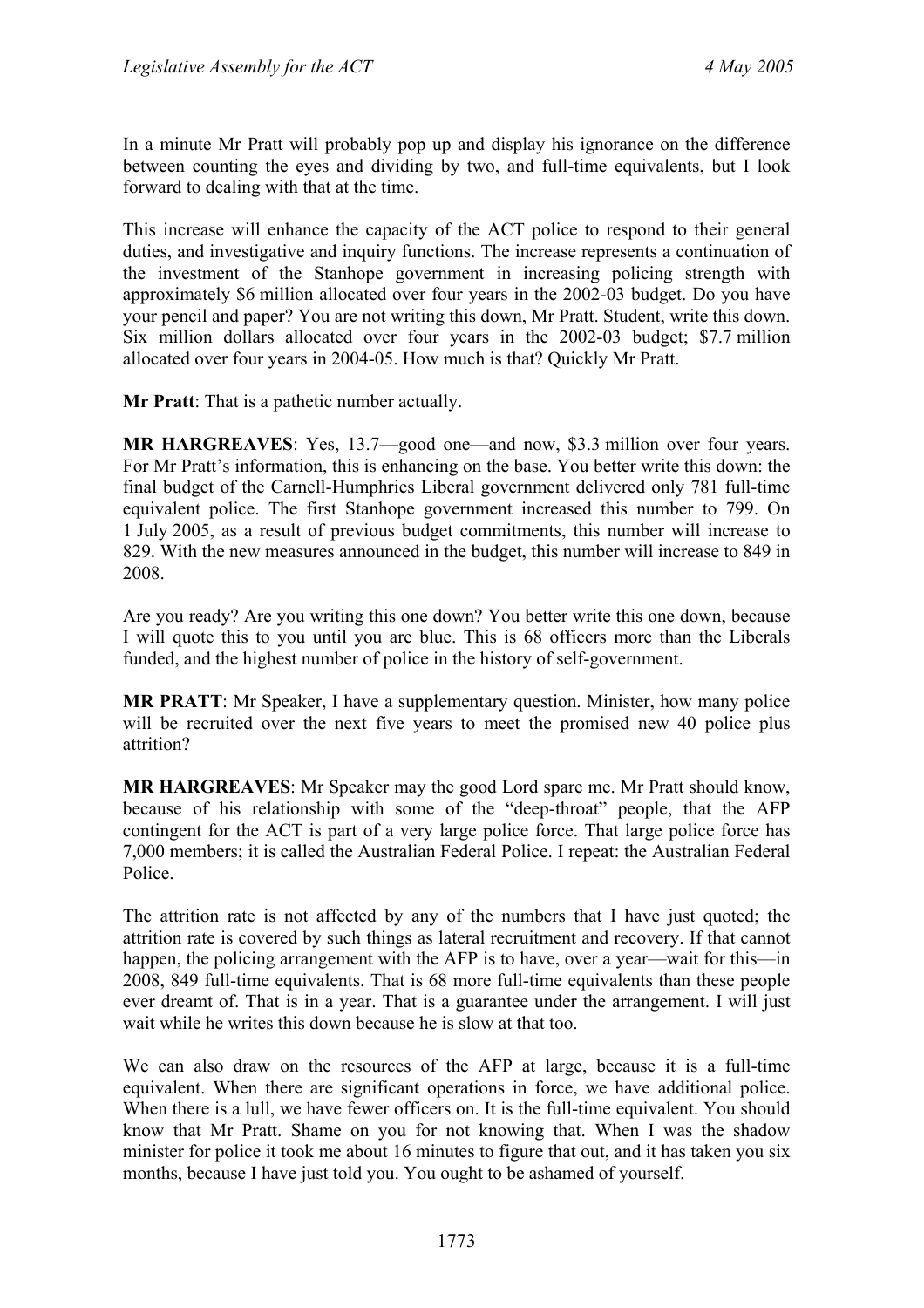In a minute Mr Pratt will probably pop up and display his ignorance on the difference between counting the eyes and dividing by two, and full-time equivalents, but I look forward to dealing with that at the time.

This increase will enhance the capacity of the ACT police to respond to their general duties, and investigative and inquiry functions. The increase represents a continuation of the investment of the Stanhope government in increasing policing strength with approximately \$6 million allocated over four years in the 2002-03 budget. Do you have your pencil and paper? You are not writing this down, Mr Pratt. Student, write this down. Six million dollars allocated over four years in the 2002-03 budget; \$7.7 million allocated over four years in 2004-05. How much is that? Quickly Mr Pratt.

**Mr Pratt**: That is a pathetic number actually.

**MR HARGREAVES**: Yes, 13.7—good one—and now, \$3.3 million over four years. For Mr Pratt's information, this is enhancing on the base. You better write this down: the final budget of the Carnell-Humphries Liberal government delivered only 781 full-time equivalent police. The first Stanhope government increased this number to 799. On 1 July 2005, as a result of previous budget commitments, this number will increase to 829. With the new measures announced in the budget, this number will increase to 849 in 2008.

Are you ready? Are you writing this one down? You better write this one down, because I will quote this to you until you are blue. This is 68 officers more than the Liberals funded, and the highest number of police in the history of self-government.

**MR PRATT**: Mr Speaker, I have a supplementary question. Minister, how many police will be recruited over the next five years to meet the promised new 40 police plus attrition?

**MR HARGREAVES**: Mr Speaker may the good Lord spare me. Mr Pratt should know, because of his relationship with some of the "deep-throat" people, that the AFP contingent for the ACT is part of a very large police force. That large police force has 7,000 members; it is called the Australian Federal Police. I repeat: the Australian Federal Police.

The attrition rate is not affected by any of the numbers that I have just quoted; the attrition rate is covered by such things as lateral recruitment and recovery. If that cannot happen, the policing arrangement with the AFP is to have, over a year—wait for this—in 2008, 849 full-time equivalents. That is 68 more full-time equivalents than these people ever dreamt of. That is in a year. That is a guarantee under the arrangement. I will just wait while he writes this down because he is slow at that too.

We can also draw on the resources of the AFP at large, because it is a full-time equivalent. When there are significant operations in force, we have additional police. When there is a lull, we have fewer officers on. It is the full-time equivalent. You should know that Mr Pratt. Shame on you for not knowing that. When I was the shadow minister for police it took me about 16 minutes to figure that out, and it has taken you six months, because I have just told you. You ought to be ashamed of yourself.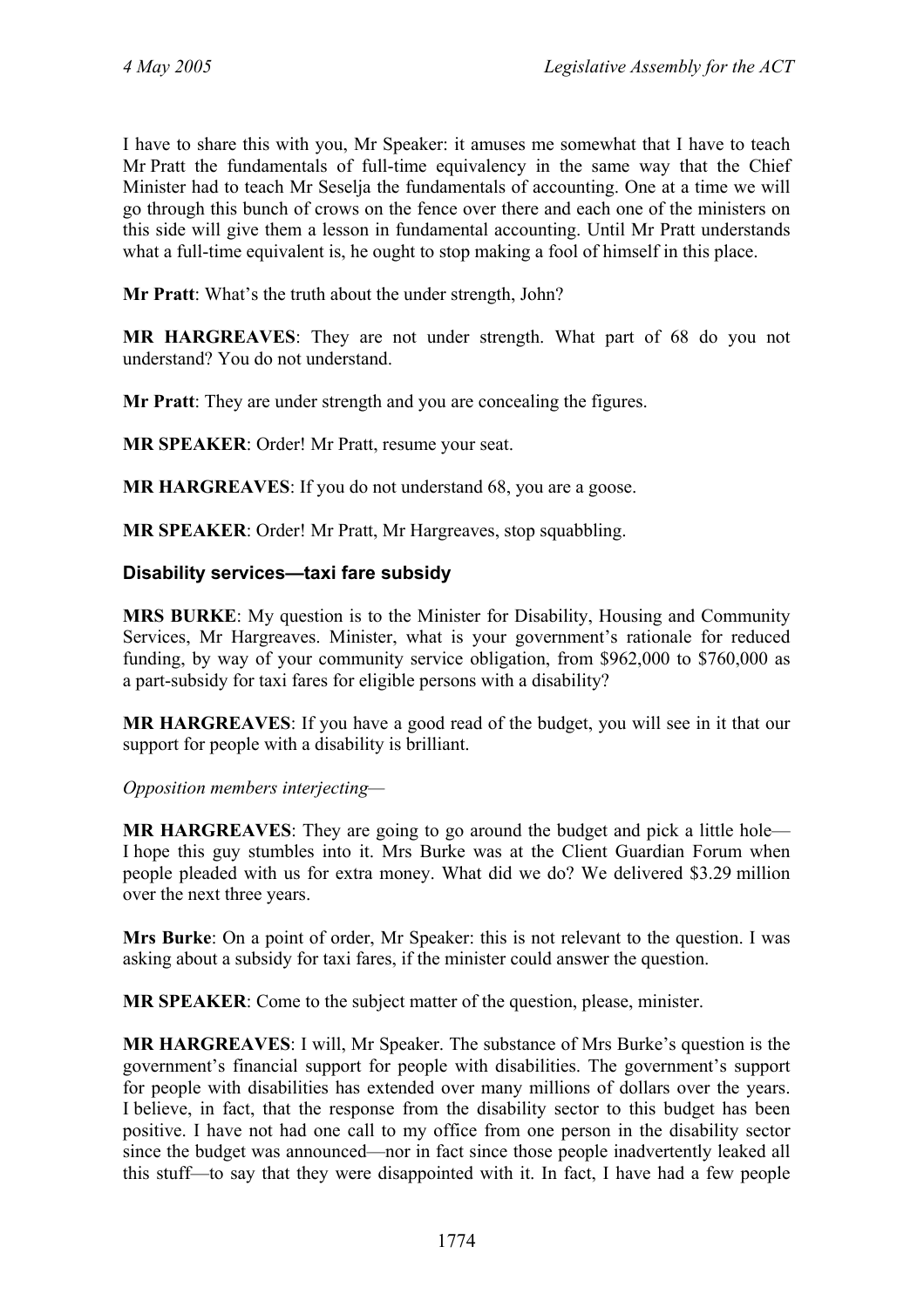I have to share this with you, Mr Speaker: it amuses me somewhat that I have to teach Mr Pratt the fundamentals of full-time equivalency in the same way that the Chief Minister had to teach Mr Seselja the fundamentals of accounting. One at a time we will go through this bunch of crows on the fence over there and each one of the ministers on this side will give them a lesson in fundamental accounting. Until Mr Pratt understands what a full-time equivalent is, he ought to stop making a fool of himself in this place.

**Mr Pratt**: What's the truth about the under strength, John?

**MR HARGREAVES**: They are not under strength. What part of 68 do you not understand? You do not understand.

**Mr Pratt**: They are under strength and you are concealing the figures.

**MR SPEAKER**: Order! Mr Pratt, resume your seat.

**MR HARGREAVES**: If you do not understand 68, you are a goose.

**MR SPEAKER**: Order! Mr Pratt, Mr Hargreaves, stop squabbling.

#### **Disability services—taxi fare subsidy**

**MRS BURKE**: My question is to the Minister for Disability, Housing and Community Services, Mr Hargreaves. Minister, what is your government's rationale for reduced funding, by way of your community service obligation, from \$962,000 to \$760,000 as a part-subsidy for taxi fares for eligible persons with a disability?

**MR HARGREAVES**: If you have a good read of the budget, you will see in it that our support for people with a disability is brilliant.

*Opposition members interjecting—* 

**MR HARGREAVES**: They are going to go around the budget and pick a little hole— I hope this guy stumbles into it. Mrs Burke was at the Client Guardian Forum when people pleaded with us for extra money. What did we do? We delivered \$3.29 million over the next three years.

**Mrs Burke**: On a point of order, Mr Speaker: this is not relevant to the question. I was asking about a subsidy for taxi fares, if the minister could answer the question.

**MR SPEAKER**: Come to the subject matter of the question, please, minister.

**MR HARGREAVES**: I will, Mr Speaker. The substance of Mrs Burke's question is the government's financial support for people with disabilities. The government's support for people with disabilities has extended over many millions of dollars over the years. I believe, in fact, that the response from the disability sector to this budget has been positive. I have not had one call to my office from one person in the disability sector since the budget was announced—nor in fact since those people inadvertently leaked all this stuff—to say that they were disappointed with it. In fact, I have had a few people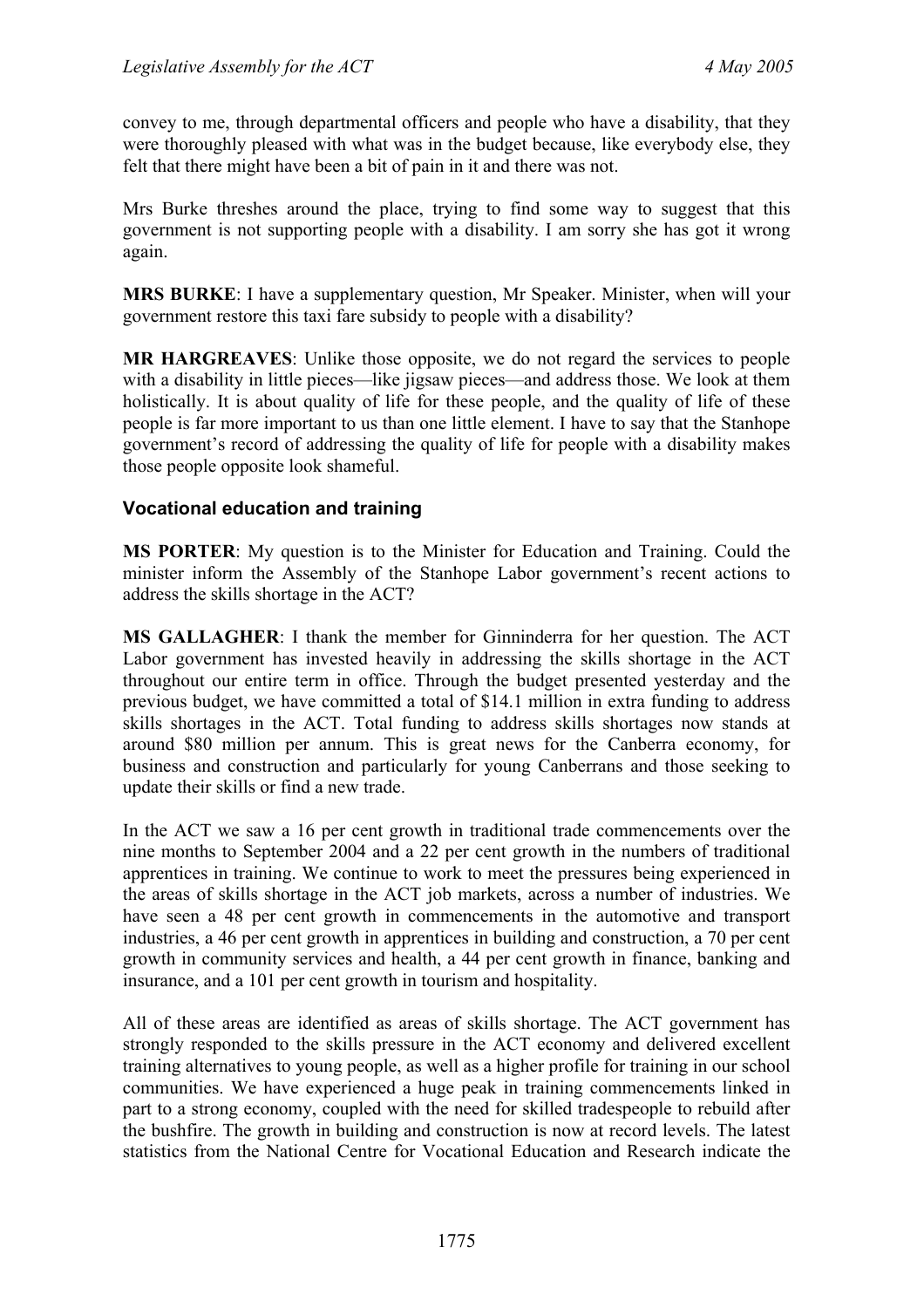convey to me, through departmental officers and people who have a disability, that they were thoroughly pleased with what was in the budget because, like everybody else, they felt that there might have been a bit of pain in it and there was not.

Mrs Burke threshes around the place, trying to find some way to suggest that this government is not supporting people with a disability. I am sorry she has got it wrong again.

**MRS BURKE**: I have a supplementary question, Mr Speaker. Minister, when will your government restore this taxi fare subsidy to people with a disability?

**MR HARGREAVES**: Unlike those opposite, we do not regard the services to people with a disability in little pieces—like jigsaw pieces—and address those. We look at them holistically. It is about quality of life for these people, and the quality of life of these people is far more important to us than one little element. I have to say that the Stanhope government's record of addressing the quality of life for people with a disability makes those people opposite look shameful.

## **Vocational education and training**

**MS PORTER**: My question is to the Minister for Education and Training. Could the minister inform the Assembly of the Stanhope Labor government's recent actions to address the skills shortage in the ACT?

**MS GALLAGHER**: I thank the member for Ginninderra for her question. The ACT Labor government has invested heavily in addressing the skills shortage in the ACT throughout our entire term in office. Through the budget presented yesterday and the previous budget, we have committed a total of \$14.1 million in extra funding to address skills shortages in the ACT. Total funding to address skills shortages now stands at around \$80 million per annum. This is great news for the Canberra economy, for business and construction and particularly for young Canberrans and those seeking to update their skills or find a new trade.

In the ACT we saw a 16 per cent growth in traditional trade commencements over the nine months to September 2004 and a 22 per cent growth in the numbers of traditional apprentices in training. We continue to work to meet the pressures being experienced in the areas of skills shortage in the ACT job markets, across a number of industries. We have seen a 48 per cent growth in commencements in the automotive and transport industries, a 46 per cent growth in apprentices in building and construction, a 70 per cent growth in community services and health, a 44 per cent growth in finance, banking and insurance, and a 101 per cent growth in tourism and hospitality.

All of these areas are identified as areas of skills shortage. The ACT government has strongly responded to the skills pressure in the ACT economy and delivered excellent training alternatives to young people, as well as a higher profile for training in our school communities. We have experienced a huge peak in training commencements linked in part to a strong economy, coupled with the need for skilled tradespeople to rebuild after the bushfire. The growth in building and construction is now at record levels. The latest statistics from the National Centre for Vocational Education and Research indicate the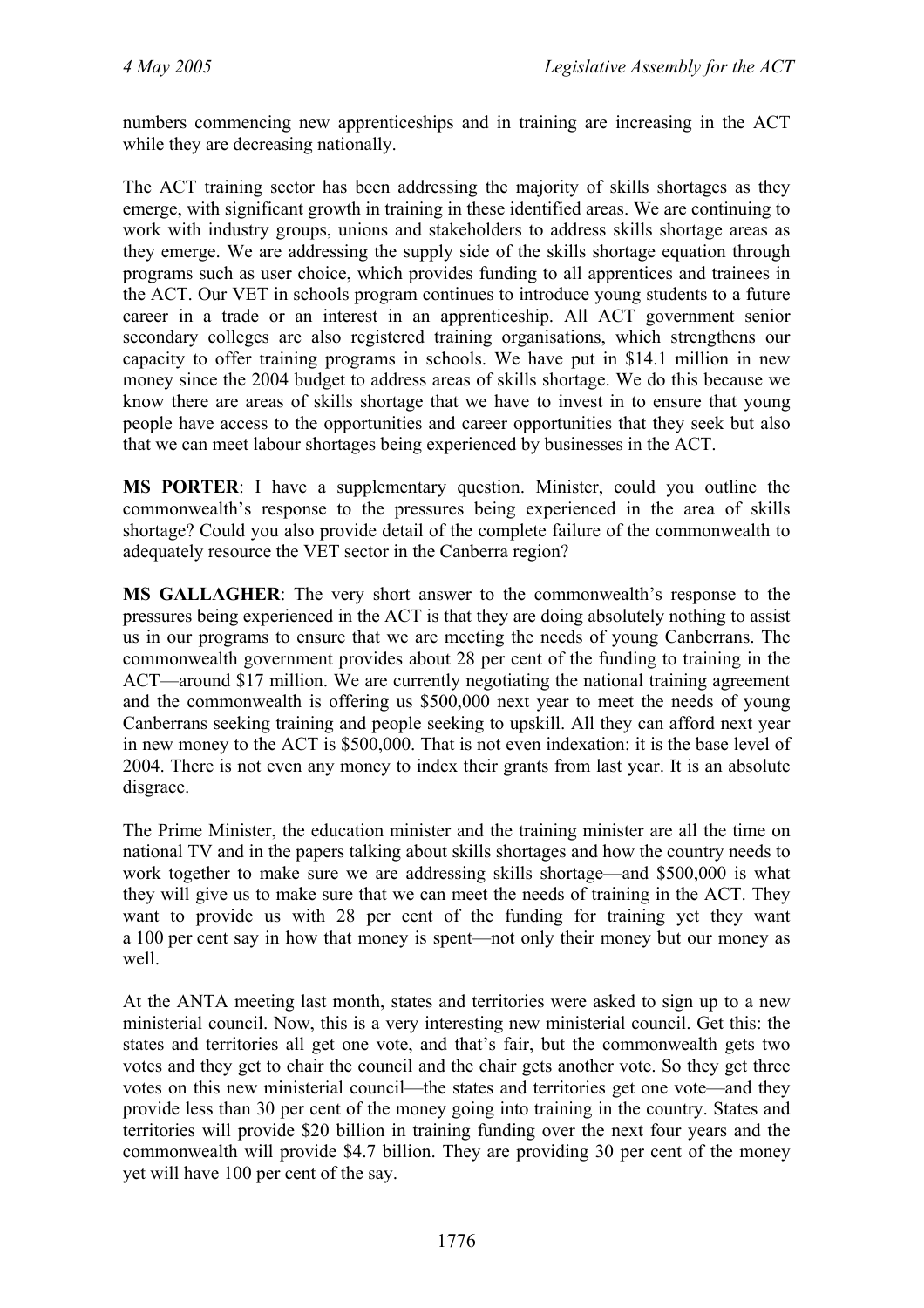numbers commencing new apprenticeships and in training are increasing in the ACT while they are decreasing nationally.

The ACT training sector has been addressing the majority of skills shortages as they emerge, with significant growth in training in these identified areas. We are continuing to work with industry groups, unions and stakeholders to address skills shortage areas as they emerge. We are addressing the supply side of the skills shortage equation through programs such as user choice, which provides funding to all apprentices and trainees in the ACT. Our VET in schools program continues to introduce young students to a future career in a trade or an interest in an apprenticeship. All ACT government senior secondary colleges are also registered training organisations, which strengthens our capacity to offer training programs in schools. We have put in \$14.1 million in new money since the 2004 budget to address areas of skills shortage. We do this because we know there are areas of skills shortage that we have to invest in to ensure that young people have access to the opportunities and career opportunities that they seek but also that we can meet labour shortages being experienced by businesses in the ACT.

**MS PORTER**: I have a supplementary question. Minister, could you outline the commonwealth's response to the pressures being experienced in the area of skills shortage? Could you also provide detail of the complete failure of the commonwealth to adequately resource the VET sector in the Canberra region?

**MS GALLAGHER**: The very short answer to the commonwealth's response to the pressures being experienced in the ACT is that they are doing absolutely nothing to assist us in our programs to ensure that we are meeting the needs of young Canberrans. The commonwealth government provides about 28 per cent of the funding to training in the ACT—around \$17 million. We are currently negotiating the national training agreement and the commonwealth is offering us \$500,000 next year to meet the needs of young Canberrans seeking training and people seeking to upskill. All they can afford next year in new money to the ACT is \$500,000. That is not even indexation: it is the base level of 2004. There is not even any money to index their grants from last year. It is an absolute disgrace.

The Prime Minister, the education minister and the training minister are all the time on national TV and in the papers talking about skills shortages and how the country needs to work together to make sure we are addressing skills shortage—and \$500,000 is what they will give us to make sure that we can meet the needs of training in the ACT. They want to provide us with 28 per cent of the funding for training yet they want a 100 per cent say in how that money is spent—not only their money but our money as well.

At the ANTA meeting last month, states and territories were asked to sign up to a new ministerial council. Now, this is a very interesting new ministerial council. Get this: the states and territories all get one vote, and that's fair, but the commonwealth gets two votes and they get to chair the council and the chair gets another vote. So they get three votes on this new ministerial council—the states and territories get one vote—and they provide less than 30 per cent of the money going into training in the country. States and territories will provide \$20 billion in training funding over the next four years and the commonwealth will provide \$4.7 billion. They are providing 30 per cent of the money yet will have 100 per cent of the say.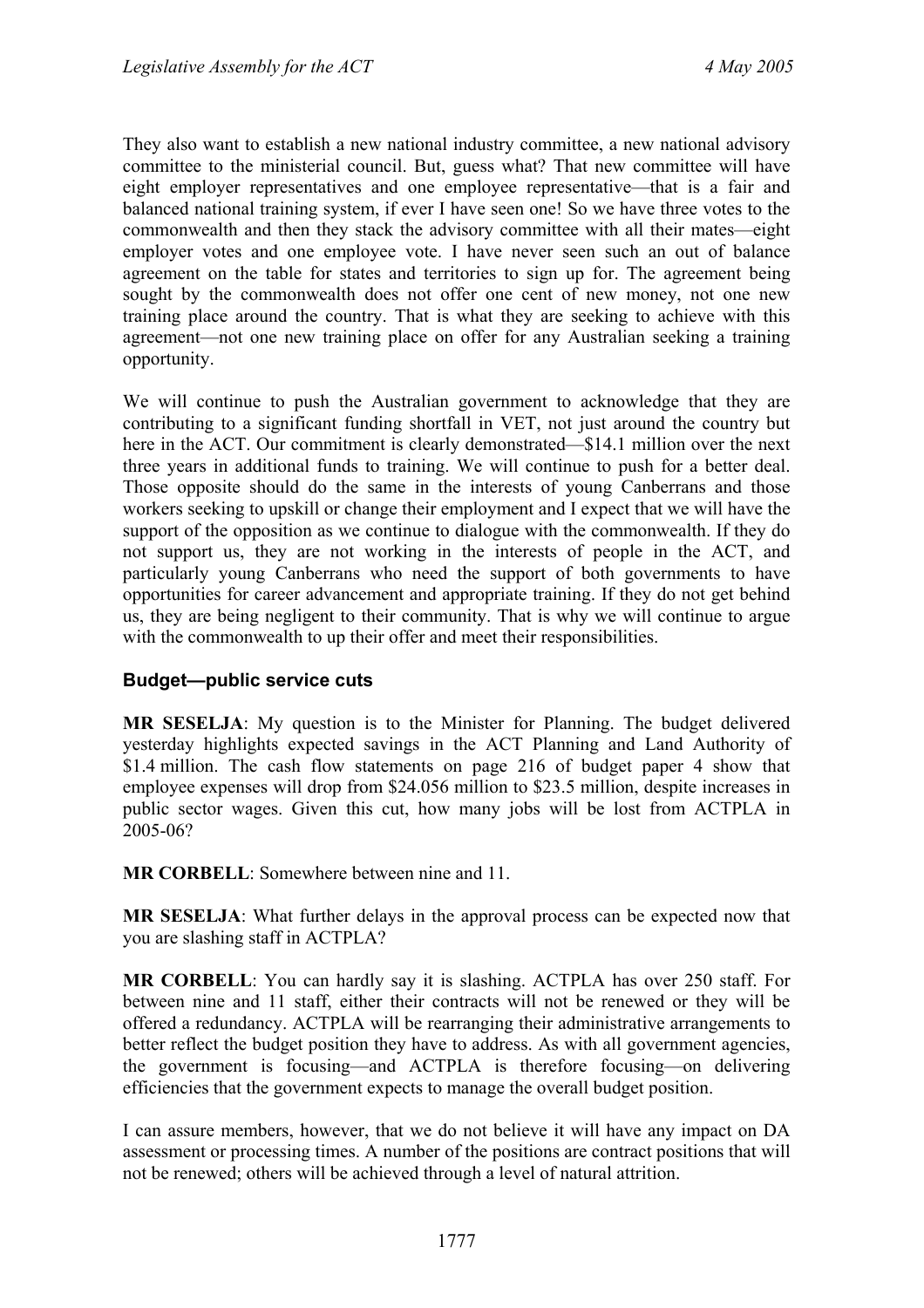They also want to establish a new national industry committee, a new national advisory committee to the ministerial council. But, guess what? That new committee will have eight employer representatives and one employee representative—that is a fair and balanced national training system, if ever I have seen one! So we have three votes to the commonwealth and then they stack the advisory committee with all their mates—eight employer votes and one employee vote. I have never seen such an out of balance agreement on the table for states and territories to sign up for. The agreement being sought by the commonwealth does not offer one cent of new money, not one new training place around the country. That is what they are seeking to achieve with this agreement—not one new training place on offer for any Australian seeking a training opportunity.

We will continue to push the Australian government to acknowledge that they are contributing to a significant funding shortfall in VET, not just around the country but here in the ACT. Our commitment is clearly demonstrated—\$14.1 million over the next three years in additional funds to training. We will continue to push for a better deal. Those opposite should do the same in the interests of young Canberrans and those workers seeking to upskill or change their employment and I expect that we will have the support of the opposition as we continue to dialogue with the commonwealth. If they do not support us, they are not working in the interests of people in the ACT, and particularly young Canberrans who need the support of both governments to have opportunities for career advancement and appropriate training. If they do not get behind us, they are being negligent to their community. That is why we will continue to argue with the commonwealth to up their offer and meet their responsibilities.

#### **Budget—public service cuts**

**MR SESELJA**: My question is to the Minister for Planning. The budget delivered yesterday highlights expected savings in the ACT Planning and Land Authority of \$1.4 million. The cash flow statements on page 216 of budget paper 4 show that employee expenses will drop from \$24.056 million to \$23.5 million, despite increases in public sector wages. Given this cut, how many jobs will be lost from ACTPLA in 2005-06?

**MR CORBELL**: Somewhere between nine and 11.

**MR SESELJA**: What further delays in the approval process can be expected now that you are slashing staff in ACTPLA?

**MR CORBELL**: You can hardly say it is slashing. ACTPLA has over 250 staff. For between nine and 11 staff, either their contracts will not be renewed or they will be offered a redundancy. ACTPLA will be rearranging their administrative arrangements to better reflect the budget position they have to address. As with all government agencies, the government is focusing—and ACTPLA is therefore focusing—on delivering efficiencies that the government expects to manage the overall budget position.

I can assure members, however, that we do not believe it will have any impact on DA assessment or processing times. A number of the positions are contract positions that will not be renewed; others will be achieved through a level of natural attrition.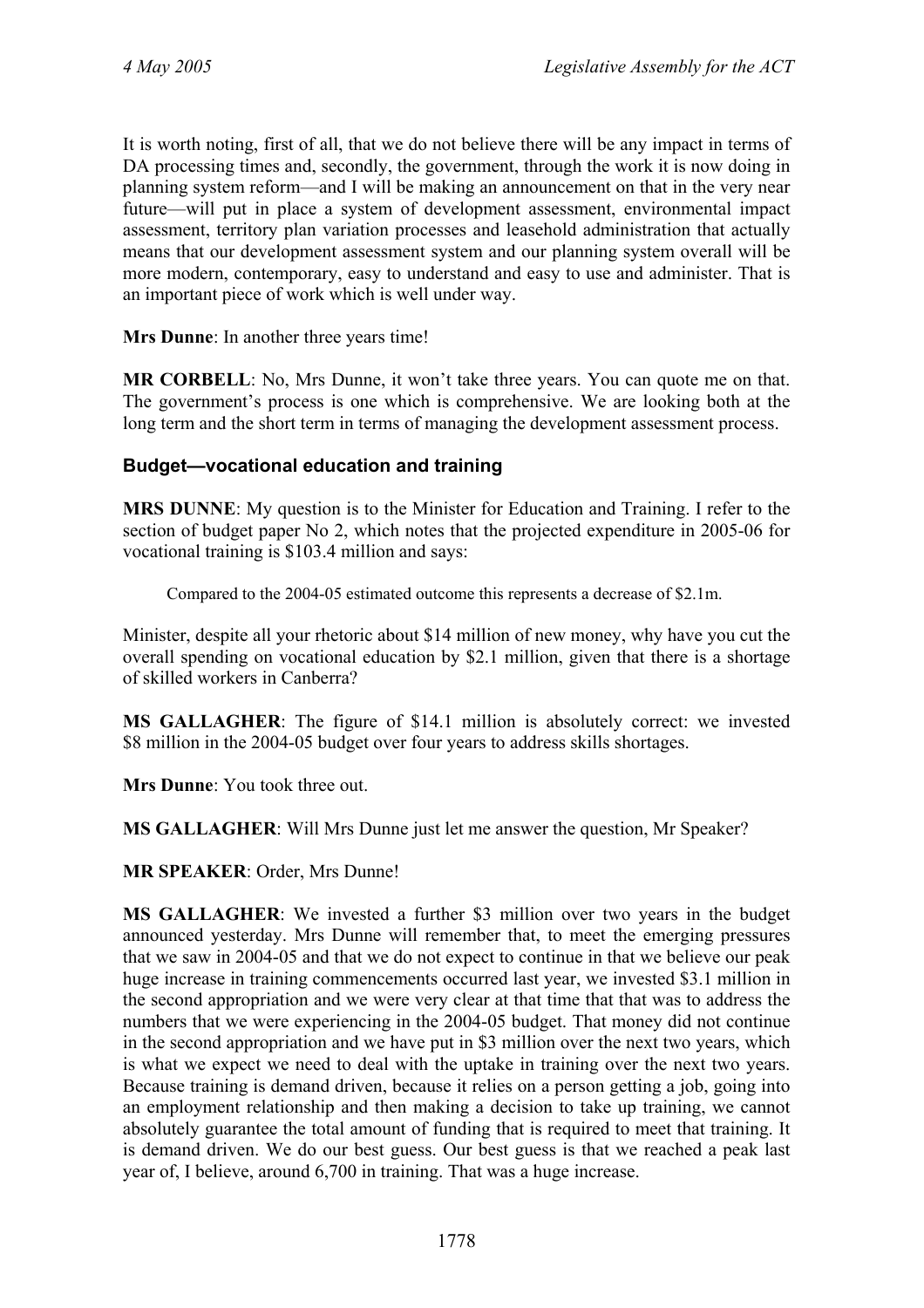It is worth noting, first of all, that we do not believe there will be any impact in terms of DA processing times and, secondly, the government, through the work it is now doing in planning system reform—and I will be making an announcement on that in the very near future—will put in place a system of development assessment, environmental impact assessment, territory plan variation processes and leasehold administration that actually means that our development assessment system and our planning system overall will be more modern, contemporary, easy to understand and easy to use and administer. That is an important piece of work which is well under way.

**Mrs Dunne**: In another three years time!

**MR CORBELL**: No, Mrs Dunne, it won't take three years. You can quote me on that. The government's process is one which is comprehensive. We are looking both at the long term and the short term in terms of managing the development assessment process.

## **Budget—vocational education and training**

**MRS DUNNE**: My question is to the Minister for Education and Training. I refer to the section of budget paper No 2, which notes that the projected expenditure in 2005-06 for vocational training is \$103.4 million and says:

Compared to the 2004-05 estimated outcome this represents a decrease of \$2.1m.

Minister, despite all your rhetoric about \$14 million of new money, why have you cut the overall spending on vocational education by \$2.1 million, given that there is a shortage of skilled workers in Canberra?

**MS GALLAGHER**: The figure of \$14.1 million is absolutely correct: we invested \$8 million in the 2004-05 budget over four years to address skills shortages.

**Mrs Dunne**: You took three out.

**MS GALLAGHER**: Will Mrs Dunne just let me answer the question, Mr Speaker?

**MR SPEAKER**: Order, Mrs Dunne!

**MS GALLAGHER**: We invested a further \$3 million over two years in the budget announced yesterday. Mrs Dunne will remember that, to meet the emerging pressures that we saw in 2004-05 and that we do not expect to continue in that we believe our peak huge increase in training commencements occurred last year, we invested \$3.1 million in the second appropriation and we were very clear at that time that that was to address the numbers that we were experiencing in the 2004-05 budget. That money did not continue in the second appropriation and we have put in \$3 million over the next two years, which is what we expect we need to deal with the uptake in training over the next two years. Because training is demand driven, because it relies on a person getting a job, going into an employment relationship and then making a decision to take up training, we cannot absolutely guarantee the total amount of funding that is required to meet that training. It is demand driven. We do our best guess. Our best guess is that we reached a peak last year of, I believe, around 6,700 in training. That was a huge increase.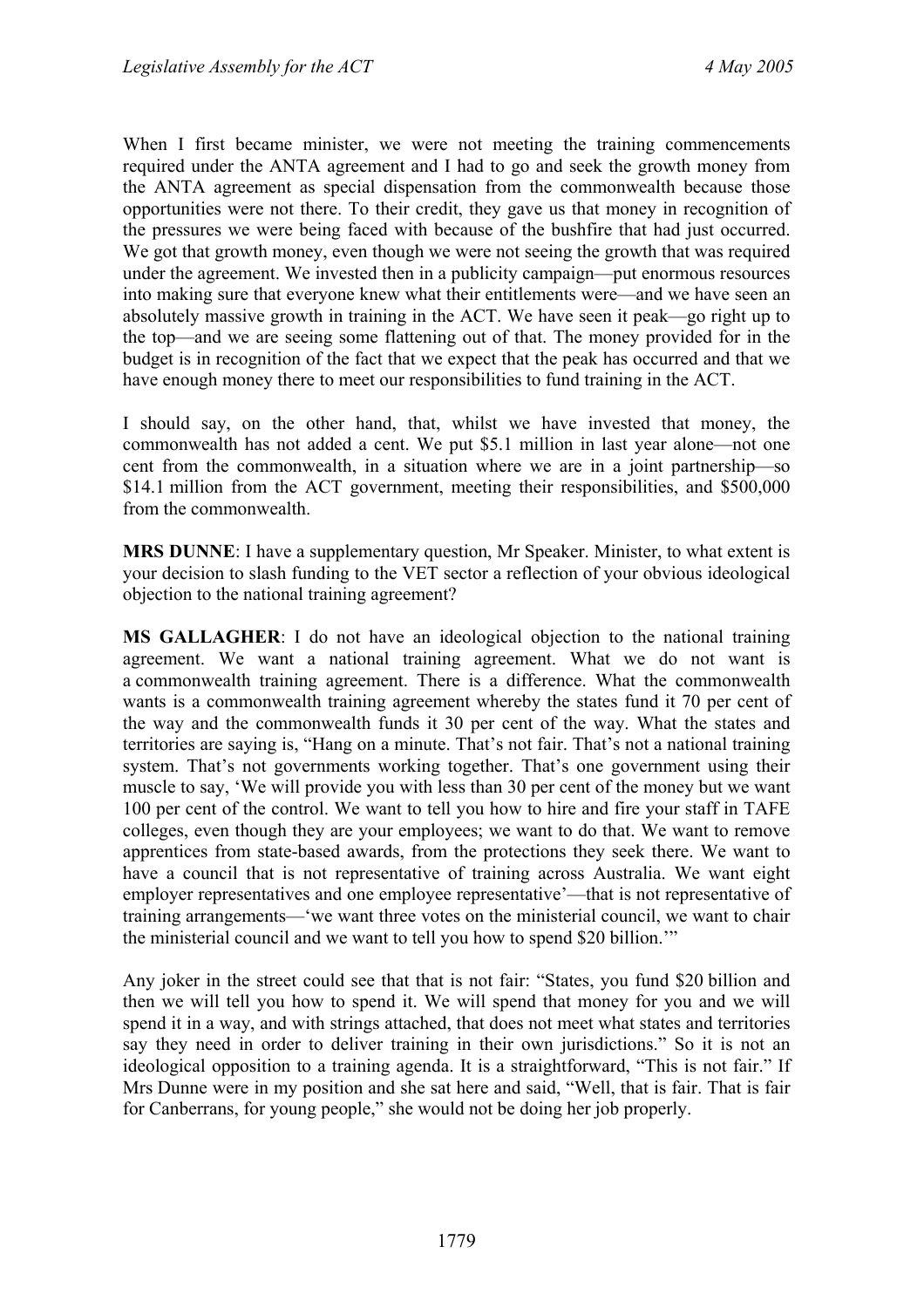When I first became minister, we were not meeting the training commencements required under the ANTA agreement and I had to go and seek the growth money from the ANTA agreement as special dispensation from the commonwealth because those opportunities were not there. To their credit, they gave us that money in recognition of the pressures we were being faced with because of the bushfire that had just occurred. We got that growth money, even though we were not seeing the growth that was required under the agreement. We invested then in a publicity campaign—put enormous resources into making sure that everyone knew what their entitlements were—and we have seen an absolutely massive growth in training in the ACT. We have seen it peak—go right up to the top—and we are seeing some flattening out of that. The money provided for in the budget is in recognition of the fact that we expect that the peak has occurred and that we have enough money there to meet our responsibilities to fund training in the ACT.

I should say, on the other hand, that, whilst we have invested that money, the commonwealth has not added a cent. We put \$5.1 million in last year alone—not one cent from the commonwealth, in a situation where we are in a joint partnership—so \$14.1 million from the ACT government, meeting their responsibilities, and \$500,000 from the commonwealth.

**MRS DUNNE**: I have a supplementary question, Mr Speaker. Minister, to what extent is your decision to slash funding to the VET sector a reflection of your obvious ideological objection to the national training agreement?

**MS GALLAGHER**: I do not have an ideological objection to the national training agreement. We want a national training agreement. What we do not want is a commonwealth training agreement. There is a difference. What the commonwealth wants is a commonwealth training agreement whereby the states fund it 70 per cent of the way and the commonwealth funds it 30 per cent of the way. What the states and territories are saying is, "Hang on a minute. That's not fair. That's not a national training system. That's not governments working together. That's one government using their muscle to say, 'We will provide you with less than 30 per cent of the money but we want 100 per cent of the control. We want to tell you how to hire and fire your staff in TAFE colleges, even though they are your employees; we want to do that. We want to remove apprentices from state-based awards, from the protections they seek there. We want to have a council that is not representative of training across Australia. We want eight employer representatives and one employee representative'—that is not representative of training arrangements—'we want three votes on the ministerial council, we want to chair the ministerial council and we want to tell you how to spend \$20 billion.'"

Any joker in the street could see that that is not fair: "States, you fund \$20 billion and then we will tell you how to spend it. We will spend that money for you and we will spend it in a way, and with strings attached, that does not meet what states and territories say they need in order to deliver training in their own jurisdictions." So it is not an ideological opposition to a training agenda. It is a straightforward, "This is not fair." If Mrs Dunne were in my position and she sat here and said, "Well, that is fair. That is fair for Canberrans, for young people," she would not be doing her job properly.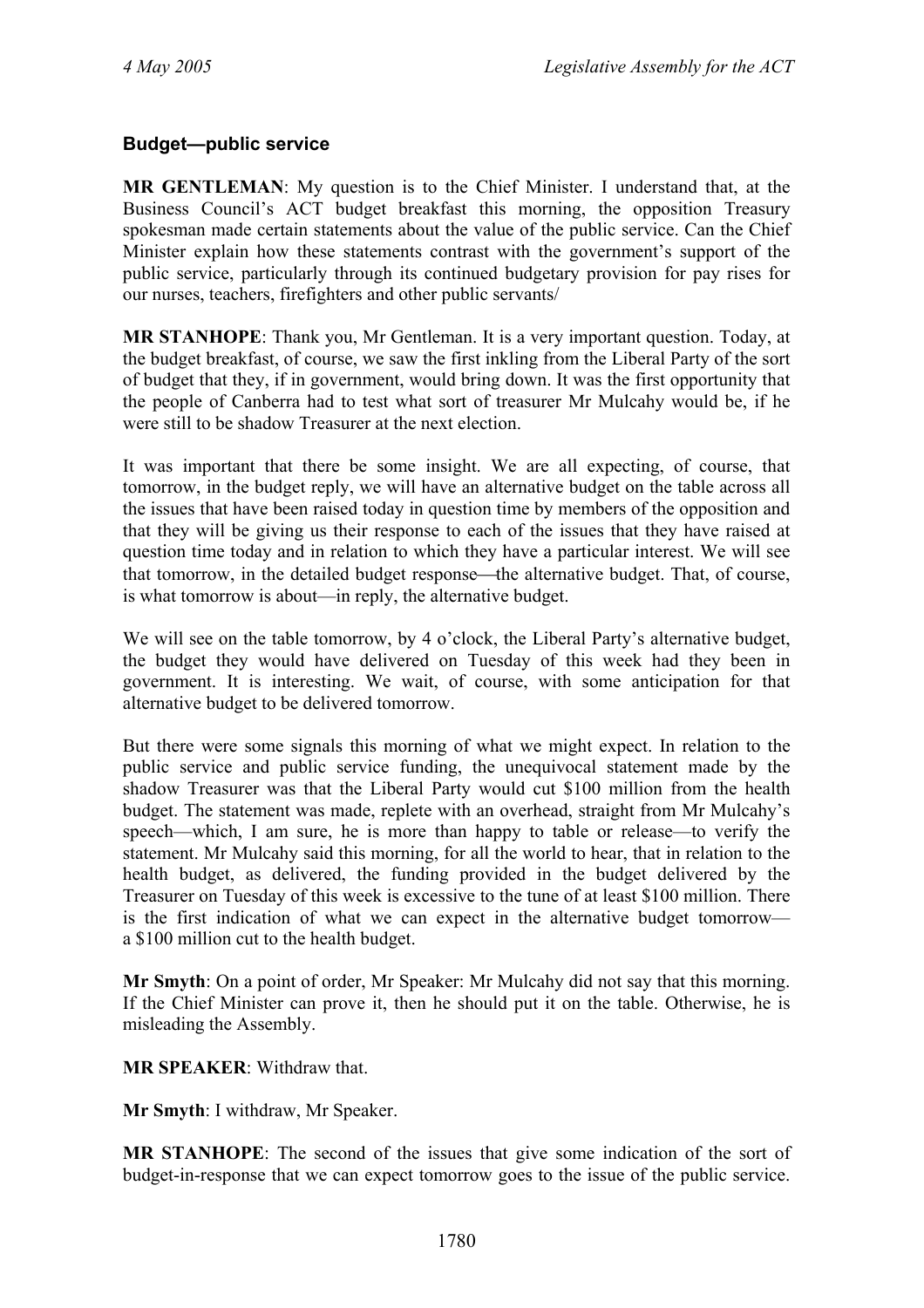#### **Budget—public service**

**MR GENTLEMAN**: My question is to the Chief Minister. I understand that, at the Business Council's ACT budget breakfast this morning, the opposition Treasury spokesman made certain statements about the value of the public service. Can the Chief Minister explain how these statements contrast with the government's support of the public service, particularly through its continued budgetary provision for pay rises for our nurses, teachers, firefighters and other public servants/

**MR STANHOPE**: Thank you, Mr Gentleman. It is a very important question. Today, at the budget breakfast, of course, we saw the first inkling from the Liberal Party of the sort of budget that they, if in government, would bring down. It was the first opportunity that the people of Canberra had to test what sort of treasurer Mr Mulcahy would be, if he were still to be shadow Treasurer at the next election.

It was important that there be some insight. We are all expecting, of course, that tomorrow, in the budget reply, we will have an alternative budget on the table across all the issues that have been raised today in question time by members of the opposition and that they will be giving us their response to each of the issues that they have raised at question time today and in relation to which they have a particular interest. We will see that tomorrow, in the detailed budget response—the alternative budget. That, of course, is what tomorrow is about—in reply, the alternative budget.

We will see on the table tomorrow, by 4 o'clock, the Liberal Party's alternative budget, the budget they would have delivered on Tuesday of this week had they been in government. It is interesting. We wait, of course, with some anticipation for that alternative budget to be delivered tomorrow.

But there were some signals this morning of what we might expect. In relation to the public service and public service funding, the unequivocal statement made by the shadow Treasurer was that the Liberal Party would cut \$100 million from the health budget. The statement was made, replete with an overhead, straight from Mr Mulcahy's speech—which, I am sure, he is more than happy to table or release—to verify the statement. Mr Mulcahy said this morning, for all the world to hear, that in relation to the health budget, as delivered, the funding provided in the budget delivered by the Treasurer on Tuesday of this week is excessive to the tune of at least \$100 million. There is the first indication of what we can expect in the alternative budget tomorrow a \$100 million cut to the health budget.

**Mr Smyth**: On a point of order, Mr Speaker: Mr Mulcahy did not say that this morning. If the Chief Minister can prove it, then he should put it on the table. Otherwise, he is misleading the Assembly.

**MR SPEAKER**: Withdraw that.

**Mr Smyth**: I withdraw, Mr Speaker.

**MR STANHOPE**: The second of the issues that give some indication of the sort of budget-in-response that we can expect tomorrow goes to the issue of the public service.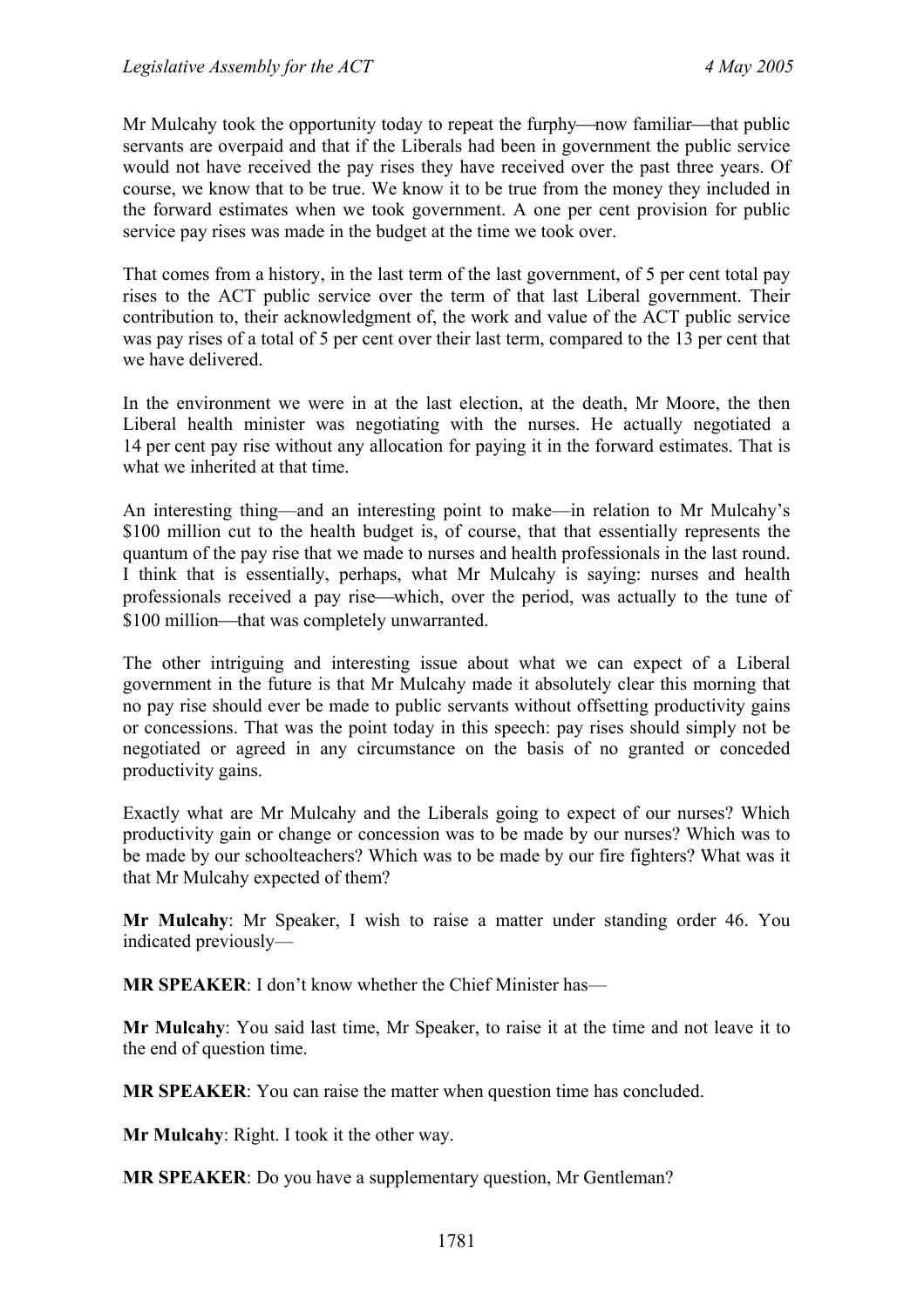Mr Mulcahy took the opportunity today to repeat the furphy—now familiar—that public servants are overpaid and that if the Liberals had been in government the public service would not have received the pay rises they have received over the past three years. Of course, we know that to be true. We know it to be true from the money they included in the forward estimates when we took government. A one per cent provision for public service pay rises was made in the budget at the time we took over.

That comes from a history, in the last term of the last government, of 5 per cent total pay rises to the ACT public service over the term of that last Liberal government. Their contribution to, their acknowledgment of, the work and value of the ACT public service was pay rises of a total of 5 per cent over their last term, compared to the 13 per cent that we have delivered.

In the environment we were in at the last election, at the death, Mr Moore, the then Liberal health minister was negotiating with the nurses. He actually negotiated a 14 per cent pay rise without any allocation for paying it in the forward estimates. That is what we inherited at that time.

An interesting thing—and an interesting point to make—in relation to Mr Mulcahy's \$100 million cut to the health budget is, of course, that that essentially represents the quantum of the pay rise that we made to nurses and health professionals in the last round. I think that is essentially, perhaps, what Mr Mulcahy is saying: nurses and health professionals received a pay rise—which, over the period, was actually to the tune of \$100 million—that was completely unwarranted.

The other intriguing and interesting issue about what we can expect of a Liberal government in the future is that Mr Mulcahy made it absolutely clear this morning that no pay rise should ever be made to public servants without offsetting productivity gains or concessions. That was the point today in this speech: pay rises should simply not be negotiated or agreed in any circumstance on the basis of no granted or conceded productivity gains.

Exactly what are Mr Mulcahy and the Liberals going to expect of our nurses? Which productivity gain or change or concession was to be made by our nurses? Which was to be made by our schoolteachers? Which was to be made by our fire fighters? What was it that Mr Mulcahy expected of them?

**Mr Mulcahy**: Mr Speaker, I wish to raise a matter under standing order 46. You indicated previously—

**MR SPEAKER**: I don't know whether the Chief Minister has—

**Mr Mulcahy**: You said last time, Mr Speaker, to raise it at the time and not leave it to the end of question time.

**MR SPEAKER**: You can raise the matter when question time has concluded.

**Mr Mulcahy**: Right. I took it the other way.

**MR SPEAKER**: Do you have a supplementary question, Mr Gentleman?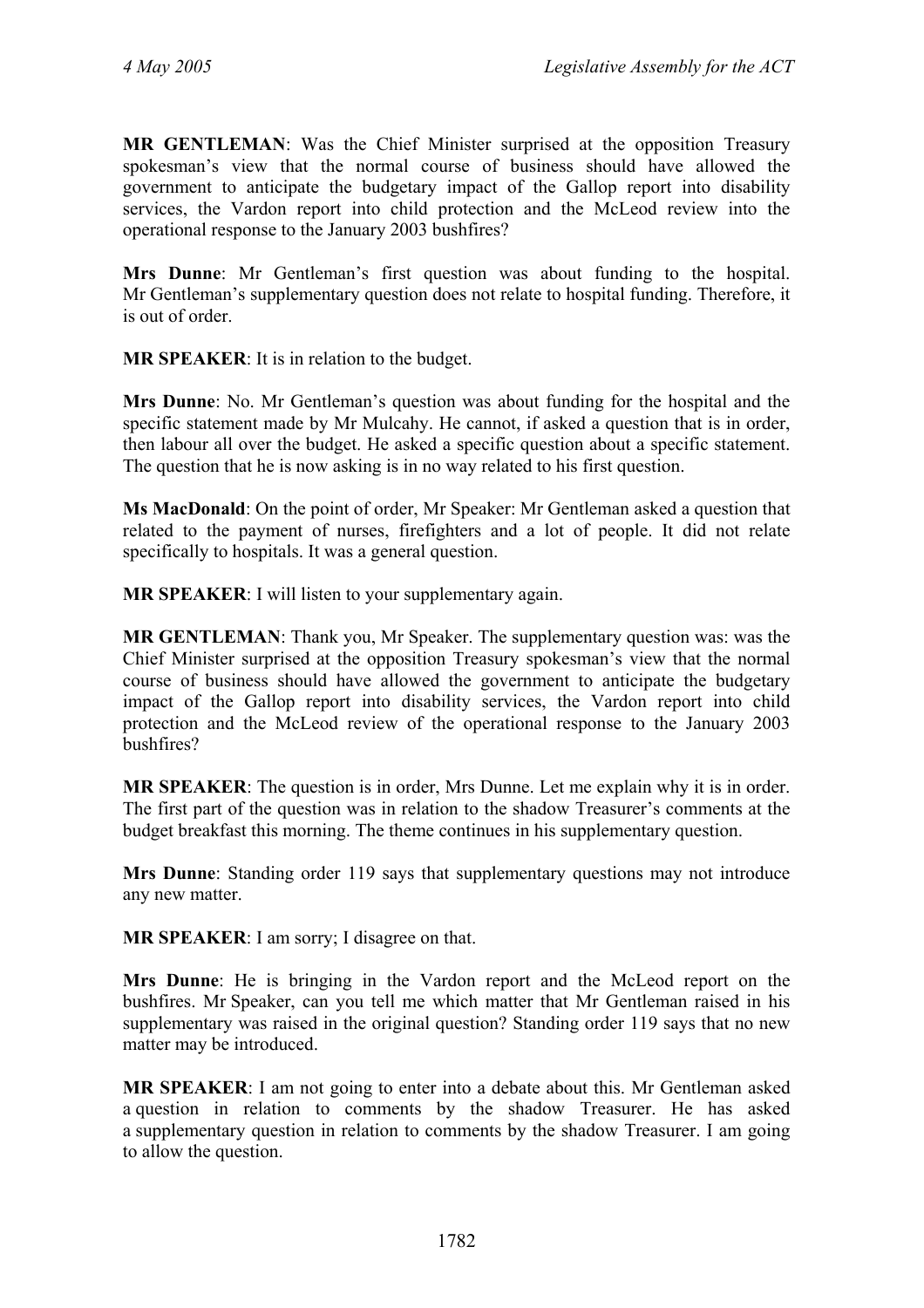**MR GENTLEMAN**: Was the Chief Minister surprised at the opposition Treasury spokesman's view that the normal course of business should have allowed the government to anticipate the budgetary impact of the Gallop report into disability services, the Vardon report into child protection and the McLeod review into the operational response to the January 2003 bushfires?

**Mrs Dunne**: Mr Gentleman's first question was about funding to the hospital. Mr Gentleman's supplementary question does not relate to hospital funding. Therefore, it is out of order.

**MR SPEAKER**: It is in relation to the budget.

**Mrs Dunne**: No. Mr Gentleman's question was about funding for the hospital and the specific statement made by Mr Mulcahy. He cannot, if asked a question that is in order, then labour all over the budget. He asked a specific question about a specific statement. The question that he is now asking is in no way related to his first question.

**Ms MacDonald**: On the point of order, Mr Speaker: Mr Gentleman asked a question that related to the payment of nurses, firefighters and a lot of people. It did not relate specifically to hospitals. It was a general question.

**MR SPEAKER**: I will listen to your supplementary again.

**MR GENTLEMAN**: Thank you, Mr Speaker. The supplementary question was: was the Chief Minister surprised at the opposition Treasury spokesman's view that the normal course of business should have allowed the government to anticipate the budgetary impact of the Gallop report into disability services, the Vardon report into child protection and the McLeod review of the operational response to the January 2003 bushfires?

**MR SPEAKER**: The question is in order, Mrs Dunne. Let me explain why it is in order. The first part of the question was in relation to the shadow Treasurer's comments at the budget breakfast this morning. The theme continues in his supplementary question.

**Mrs Dunne**: Standing order 119 says that supplementary questions may not introduce any new matter.

**MR SPEAKER**: I am sorry; I disagree on that.

**Mrs Dunne**: He is bringing in the Vardon report and the McLeod report on the bushfires. Mr Speaker, can you tell me which matter that Mr Gentleman raised in his supplementary was raised in the original question? Standing order 119 says that no new matter may be introduced.

**MR SPEAKER**: I am not going to enter into a debate about this. Mr Gentleman asked a question in relation to comments by the shadow Treasurer. He has asked a supplementary question in relation to comments by the shadow Treasurer. I am going to allow the question.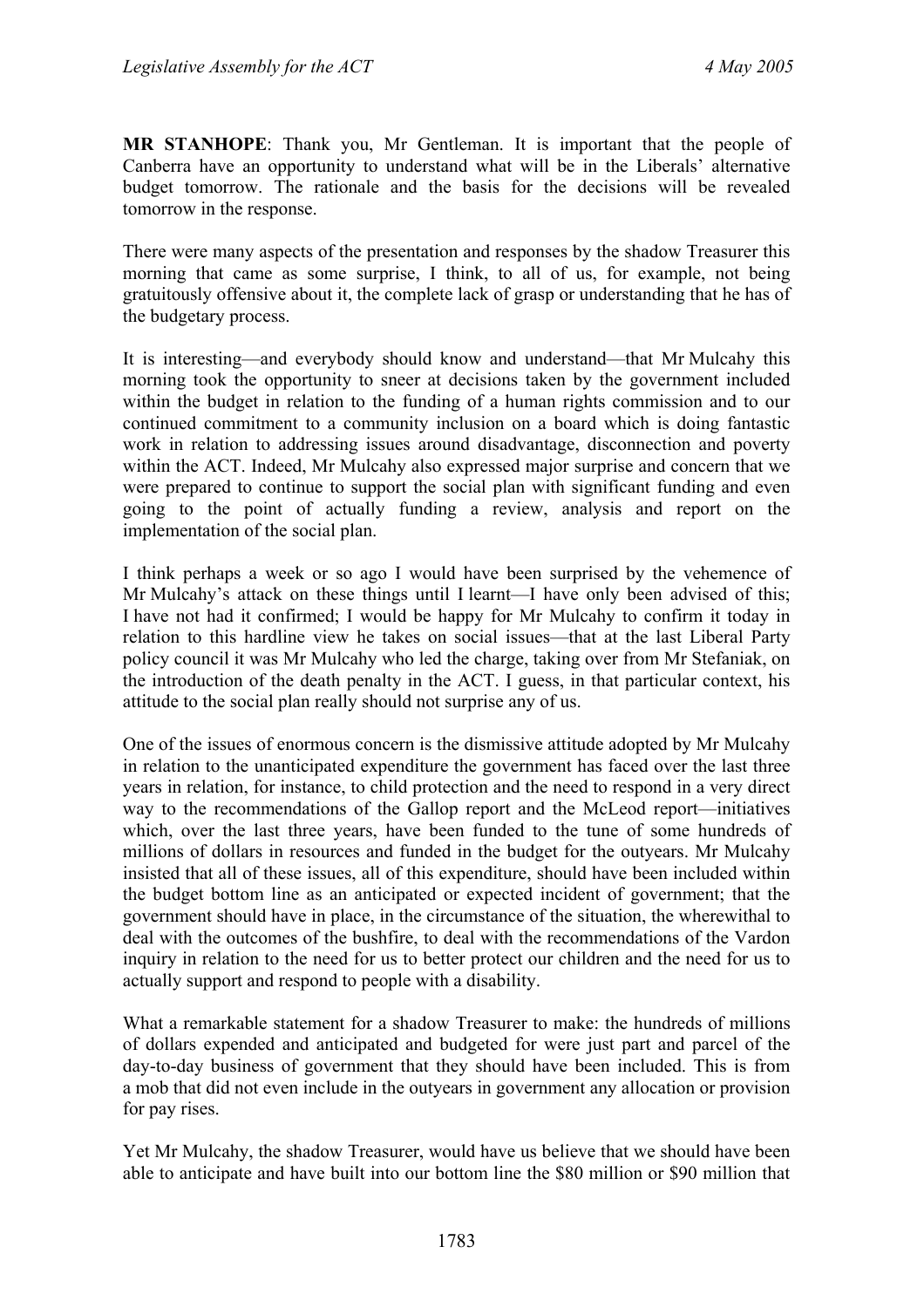**MR STANHOPE**: Thank you, Mr Gentleman. It is important that the people of Canberra have an opportunity to understand what will be in the Liberals' alternative budget tomorrow. The rationale and the basis for the decisions will be revealed tomorrow in the response.

There were many aspects of the presentation and responses by the shadow Treasurer this morning that came as some surprise, I think, to all of us, for example, not being gratuitously offensive about it, the complete lack of grasp or understanding that he has of the budgetary process.

It is interesting—and everybody should know and understand—that Mr Mulcahy this morning took the opportunity to sneer at decisions taken by the government included within the budget in relation to the funding of a human rights commission and to our continued commitment to a community inclusion on a board which is doing fantastic work in relation to addressing issues around disadvantage, disconnection and poverty within the ACT. Indeed, Mr Mulcahy also expressed major surprise and concern that we were prepared to continue to support the social plan with significant funding and even going to the point of actually funding a review, analysis and report on the implementation of the social plan.

I think perhaps a week or so ago I would have been surprised by the vehemence of Mr Mulcahy's attack on these things until I learnt—I have only been advised of this; I have not had it confirmed; I would be happy for Mr Mulcahy to confirm it today in relation to this hardline view he takes on social issues—that at the last Liberal Party policy council it was Mr Mulcahy who led the charge, taking over from Mr Stefaniak, on the introduction of the death penalty in the ACT. I guess, in that particular context, his attitude to the social plan really should not surprise any of us.

One of the issues of enormous concern is the dismissive attitude adopted by Mr Mulcahy in relation to the unanticipated expenditure the government has faced over the last three years in relation, for instance, to child protection and the need to respond in a very direct way to the recommendations of the Gallop report and the McLeod report—initiatives which, over the last three years, have been funded to the tune of some hundreds of millions of dollars in resources and funded in the budget for the outyears. Mr Mulcahy insisted that all of these issues, all of this expenditure, should have been included within the budget bottom line as an anticipated or expected incident of government; that the government should have in place, in the circumstance of the situation, the wherewithal to deal with the outcomes of the bushfire, to deal with the recommendations of the Vardon inquiry in relation to the need for us to better protect our children and the need for us to actually support and respond to people with a disability.

What a remarkable statement for a shadow Treasurer to make: the hundreds of millions of dollars expended and anticipated and budgeted for were just part and parcel of the day-to-day business of government that they should have been included. This is from a mob that did not even include in the outyears in government any allocation or provision for pay rises.

Yet Mr Mulcahy, the shadow Treasurer, would have us believe that we should have been able to anticipate and have built into our bottom line the \$80 million or \$90 million that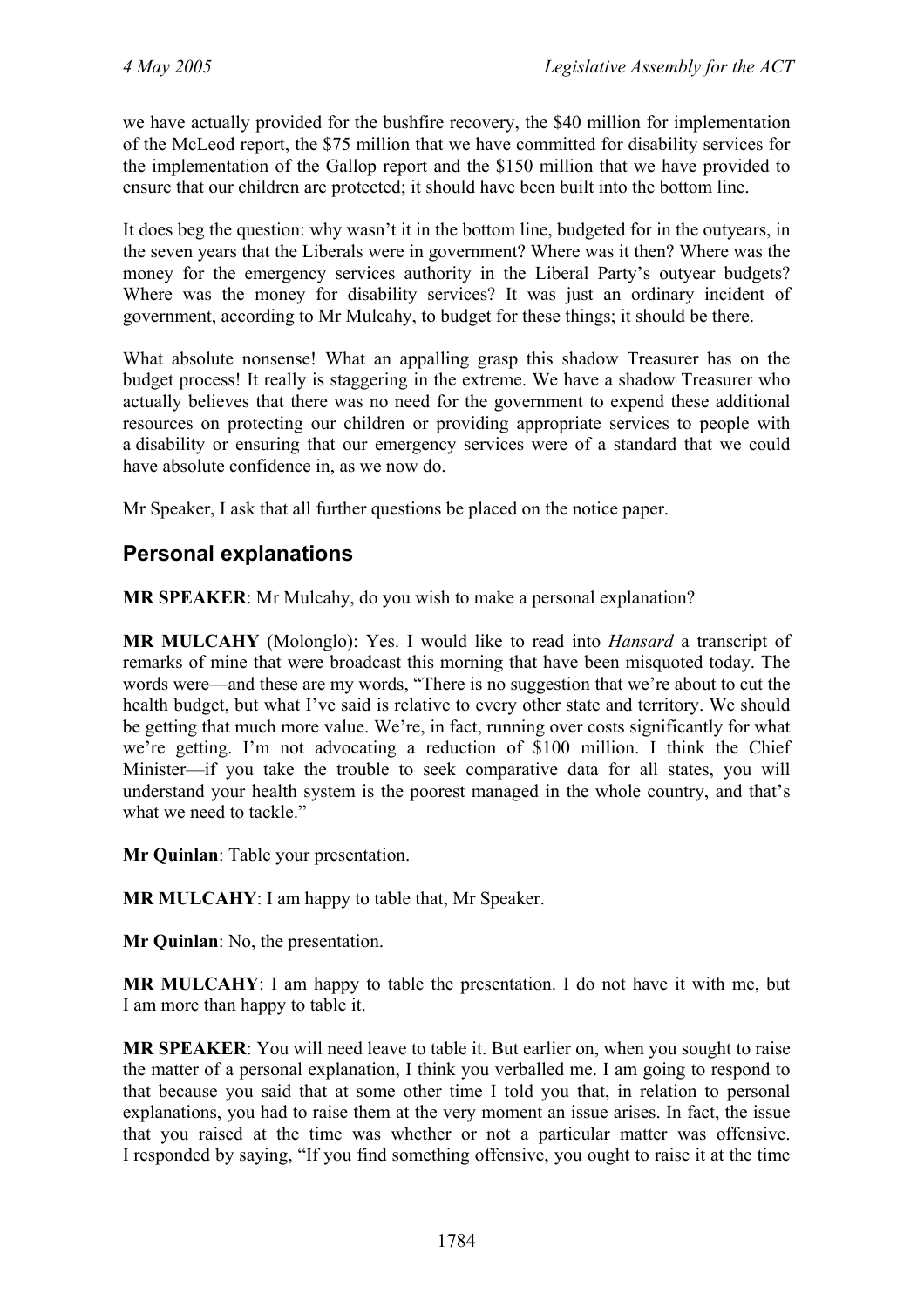we have actually provided for the bushfire recovery, the \$40 million for implementation of the McLeod report, the \$75 million that we have committed for disability services for the implementation of the Gallop report and the \$150 million that we have provided to ensure that our children are protected; it should have been built into the bottom line.

It does beg the question: why wasn't it in the bottom line, budgeted for in the outyears, in the seven years that the Liberals were in government? Where was it then? Where was the money for the emergency services authority in the Liberal Party's outyear budgets? Where was the money for disability services? It was just an ordinary incident of government, according to Mr Mulcahy, to budget for these things; it should be there.

What absolute nonsense! What an appalling grasp this shadow Treasurer has on the budget process! It really is staggering in the extreme. We have a shadow Treasurer who actually believes that there was no need for the government to expend these additional resources on protecting our children or providing appropriate services to people with a disability or ensuring that our emergency services were of a standard that we could have absolute confidence in, as we now do.

Mr Speaker, I ask that all further questions be placed on the notice paper.

# **Personal explanations**

**MR SPEAKER**: Mr Mulcahy, do you wish to make a personal explanation?

**MR MULCAHY** (Molonglo): Yes. I would like to read into *Hansard* a transcript of remarks of mine that were broadcast this morning that have been misquoted today. The words were—and these are my words, "There is no suggestion that we're about to cut the health budget, but what I've said is relative to every other state and territory. We should be getting that much more value. We're, in fact, running over costs significantly for what we're getting. I'm not advocating a reduction of \$100 million. I think the Chief Minister—if you take the trouble to seek comparative data for all states, you will understand your health system is the poorest managed in the whole country, and that's what we need to tackle."

**Mr Quinlan**: Table your presentation.

**MR MULCAHY**: I am happy to table that, Mr Speaker.

**Mr Quinlan**: No, the presentation.

**MR MULCAHY**: I am happy to table the presentation. I do not have it with me, but I am more than happy to table it.

**MR SPEAKER**: You will need leave to table it. But earlier on, when you sought to raise the matter of a personal explanation, I think you verballed me. I am going to respond to that because you said that at some other time I told you that, in relation to personal explanations, you had to raise them at the very moment an issue arises. In fact, the issue that you raised at the time was whether or not a particular matter was offensive. I responded by saying, "If you find something offensive, you ought to raise it at the time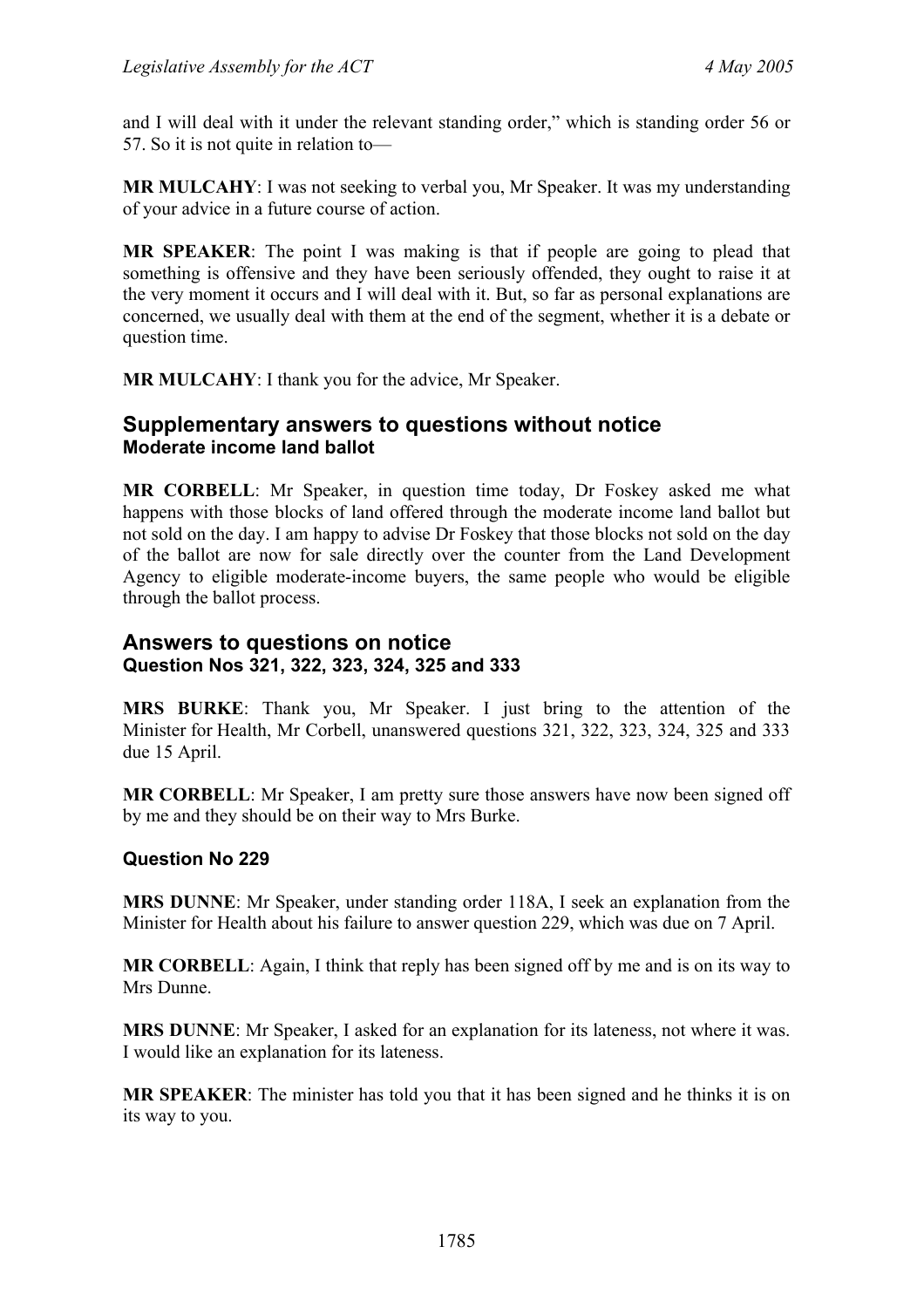and I will deal with it under the relevant standing order," which is standing order 56 or 57. So it is not quite in relation to—

**MR MULCAHY**: I was not seeking to verbal you, Mr Speaker. It was my understanding of your advice in a future course of action.

**MR SPEAKER**: The point I was making is that if people are going to plead that something is offensive and they have been seriously offended, they ought to raise it at the very moment it occurs and I will deal with it. But, so far as personal explanations are concerned, we usually deal with them at the end of the segment, whether it is a debate or question time.

**MR MULCAHY**: I thank you for the advice, Mr Speaker.

# **Supplementary answers to questions without notice Moderate income land ballot**

**MR CORBELL**: Mr Speaker, in question time today, Dr Foskey asked me what happens with those blocks of land offered through the moderate income land ballot but not sold on the day. I am happy to advise Dr Foskey that those blocks not sold on the day of the ballot are now for sale directly over the counter from the Land Development Agency to eligible moderate-income buyers, the same people who would be eligible through the ballot process.

## **Answers to questions on notice Question Nos 321, 322, 323, 324, 325 and 333**

**MRS BURKE**: Thank you, Mr Speaker. I just bring to the attention of the Minister for Health, Mr Corbell, unanswered questions 321, 322, 323, 324, 325 and 333 due 15 April.

**MR CORBELL:** Mr Speaker, I am pretty sure those answers have now been signed off by me and they should be on their way to Mrs Burke.

## **Question No 229**

**MRS DUNNE**: Mr Speaker, under standing order 118A, I seek an explanation from the Minister for Health about his failure to answer question 229, which was due on 7 April.

**MR CORBELL**: Again, I think that reply has been signed off by me and is on its way to Mrs Dunne.

**MRS DUNNE**: Mr Speaker, I asked for an explanation for its lateness, not where it was. I would like an explanation for its lateness.

**MR SPEAKER**: The minister has told you that it has been signed and he thinks it is on its way to you.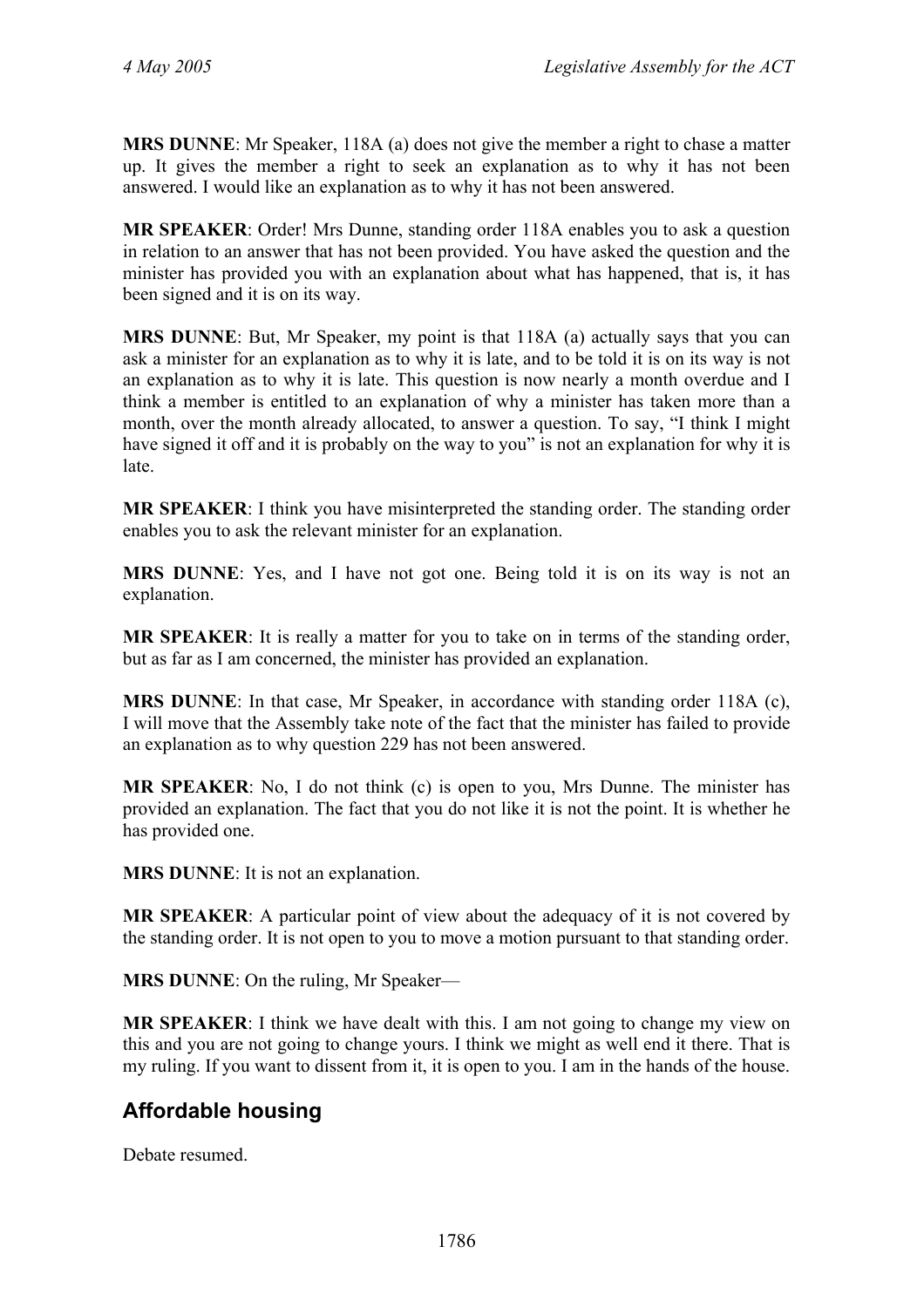**MRS DUNNE**: Mr Speaker, 118A (a) does not give the member a right to chase a matter up. It gives the member a right to seek an explanation as to why it has not been answered. I would like an explanation as to why it has not been answered.

**MR SPEAKER**: Order! Mrs Dunne, standing order 118A enables you to ask a question in relation to an answer that has not been provided. You have asked the question and the minister has provided you with an explanation about what has happened, that is, it has been signed and it is on its way.

**MRS DUNNE**: But, Mr Speaker, my point is that 118A (a) actually says that you can ask a minister for an explanation as to why it is late, and to be told it is on its way is not an explanation as to why it is late. This question is now nearly a month overdue and I think a member is entitled to an explanation of why a minister has taken more than a month, over the month already allocated, to answer a question. To say, "I think I might have signed it off and it is probably on the way to you" is not an explanation for why it is late.

**MR SPEAKER**: I think you have misinterpreted the standing order. The standing order enables you to ask the relevant minister for an explanation.

**MRS DUNNE**: Yes, and I have not got one. Being told it is on its way is not an explanation.

**MR SPEAKER**: It is really a matter for you to take on in terms of the standing order, but as far as I am concerned, the minister has provided an explanation.

**MRS DUNNE**: In that case, Mr Speaker, in accordance with standing order 118A (c), I will move that the Assembly take note of the fact that the minister has failed to provide an explanation as to why question 229 has not been answered.

**MR SPEAKER**: No, I do not think (c) is open to you, Mrs Dunne. The minister has provided an explanation. The fact that you do not like it is not the point. It is whether he has provided one.

**MRS DUNNE**: It is not an explanation.

**MR SPEAKER**: A particular point of view about the adequacy of it is not covered by the standing order. It is not open to you to move a motion pursuant to that standing order.

**MRS DUNNE**: On the ruling, Mr Speaker—

**MR SPEAKER**: I think we have dealt with this. I am not going to change my view on this and you are not going to change yours. I think we might as well end it there. That is my ruling. If you want to dissent from it, it is open to you. I am in the hands of the house.

# **Affordable housing**

Debate resumed.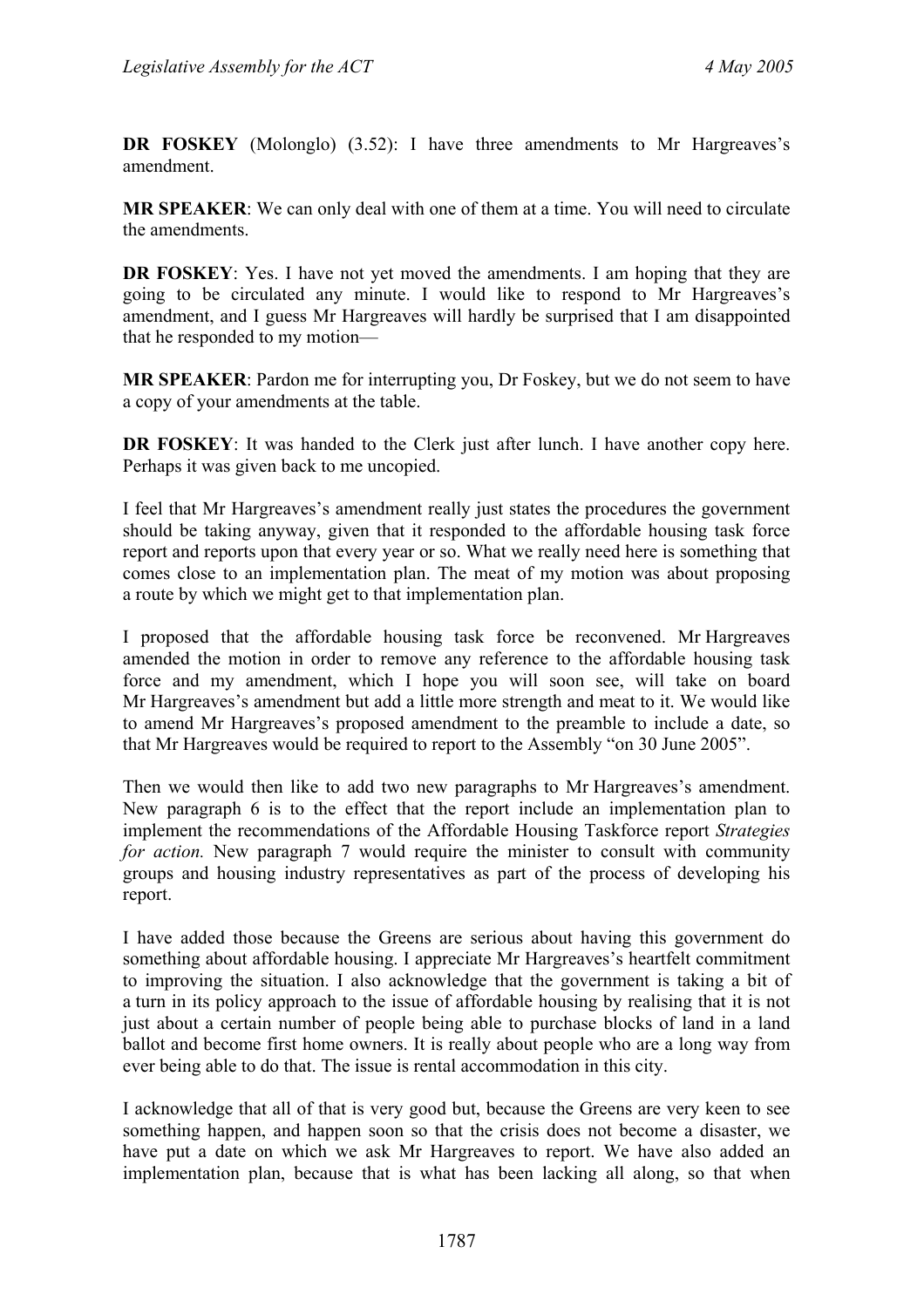**DR FOSKEY** (Molonglo) (3.52): I have three amendments to Mr Hargreaves's amendment.

**MR SPEAKER**: We can only deal with one of them at a time. You will need to circulate the amendments.

**DR FOSKEY**: Yes. I have not yet moved the amendments. I am hoping that they are going to be circulated any minute. I would like to respond to Mr Hargreaves's amendment, and I guess Mr Hargreaves will hardly be surprised that I am disappointed that he responded to my motion—

**MR SPEAKER**: Pardon me for interrupting you, Dr Foskey, but we do not seem to have a copy of your amendments at the table.

**DR FOSKEY**: It was handed to the Clerk just after lunch. I have another copy here. Perhaps it was given back to me uncopied.

I feel that Mr Hargreaves's amendment really just states the procedures the government should be taking anyway, given that it responded to the affordable housing task force report and reports upon that every year or so. What we really need here is something that comes close to an implementation plan. The meat of my motion was about proposing a route by which we might get to that implementation plan.

I proposed that the affordable housing task force be reconvened. Mr Hargreaves amended the motion in order to remove any reference to the affordable housing task force and my amendment, which I hope you will soon see, will take on board Mr Hargreaves's amendment but add a little more strength and meat to it. We would like to amend Mr Hargreaves's proposed amendment to the preamble to include a date, so that Mr Hargreaves would be required to report to the Assembly "on 30 June 2005".

Then we would then like to add two new paragraphs to Mr Hargreaves's amendment. New paragraph 6 is to the effect that the report include an implementation plan to implement the recommendations of the Affordable Housing Taskforce report *Strategies for action.* New paragraph 7 would require the minister to consult with community groups and housing industry representatives as part of the process of developing his report.

I have added those because the Greens are serious about having this government do something about affordable housing. I appreciate Mr Hargreaves's heartfelt commitment to improving the situation. I also acknowledge that the government is taking a bit of a turn in its policy approach to the issue of affordable housing by realising that it is not just about a certain number of people being able to purchase blocks of land in a land ballot and become first home owners. It is really about people who are a long way from ever being able to do that. The issue is rental accommodation in this city.

I acknowledge that all of that is very good but, because the Greens are very keen to see something happen, and happen soon so that the crisis does not become a disaster, we have put a date on which we ask Mr Hargreaves to report. We have also added an implementation plan, because that is what has been lacking all along, so that when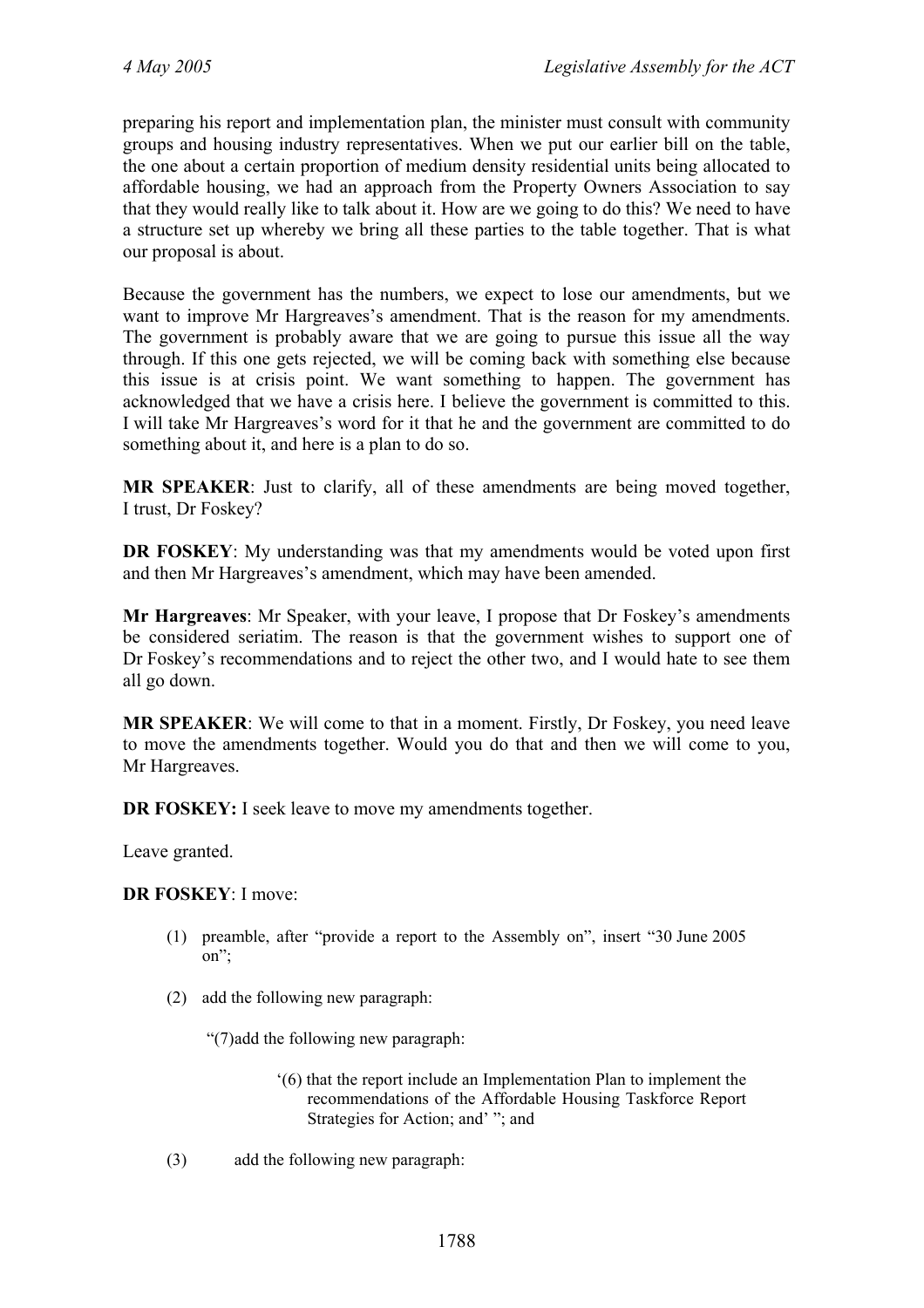preparing his report and implementation plan, the minister must consult with community groups and housing industry representatives. When we put our earlier bill on the table, the one about a certain proportion of medium density residential units being allocated to affordable housing, we had an approach from the Property Owners Association to say that they would really like to talk about it. How are we going to do this? We need to have a structure set up whereby we bring all these parties to the table together. That is what our proposal is about.

Because the government has the numbers, we expect to lose our amendments, but we want to improve Mr Hargreaves's amendment. That is the reason for my amendments. The government is probably aware that we are going to pursue this issue all the way through. If this one gets rejected, we will be coming back with something else because this issue is at crisis point. We want something to happen. The government has acknowledged that we have a crisis here. I believe the government is committed to this. I will take Mr Hargreaves's word for it that he and the government are committed to do something about it, and here is a plan to do so.

**MR SPEAKER**: Just to clarify, all of these amendments are being moved together, I trust, Dr Foskey?

**DR FOSKEY**: My understanding was that my amendments would be voted upon first and then Mr Hargreaves's amendment, which may have been amended.

**Mr Hargreaves**: Mr Speaker, with your leave, I propose that Dr Foskey's amendments be considered seriatim. The reason is that the government wishes to support one of Dr Foskey's recommendations and to reject the other two, and I would hate to see them all go down.

**MR SPEAKER**: We will come to that in a moment. Firstly, Dr Foskey, you need leave to move the amendments together. Would you do that and then we will come to you, Mr Hargreaves.

**DR FOSKEY:** I seek leave to move my amendments together.

Leave granted.

**DR FOSKEY**: I move:

- (1) preamble, after "provide a report to the Assembly on", insert "30 June 2005 on";
- (2) add the following new paragraph:

"(7) add the following new paragraph:

- '(6) that the report include an Implementation Plan to implement the recommendations of the Affordable Housing Taskforce Report Strategies for Action; and' "; and
- (3) add the following new paragraph: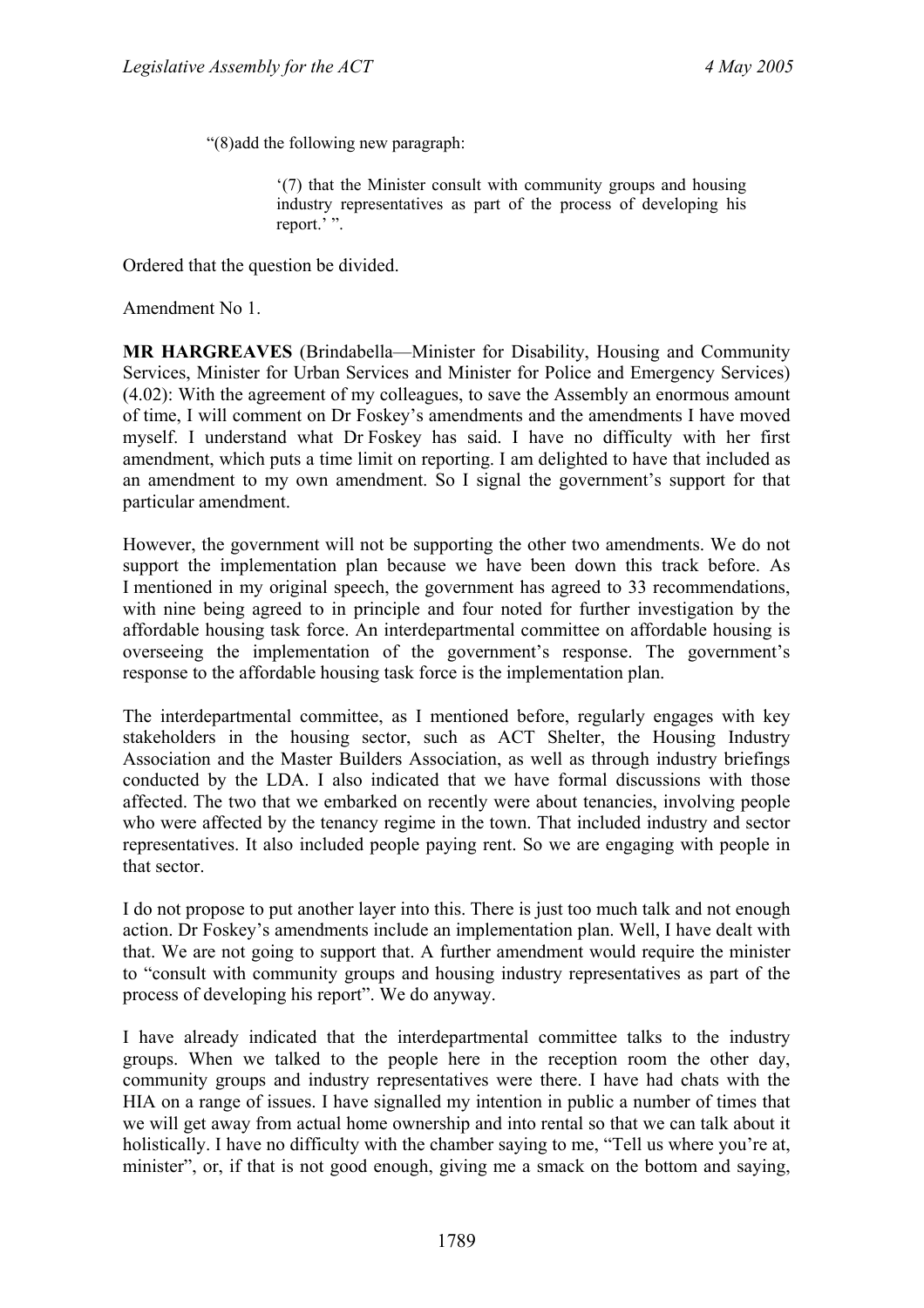"(8) add the following new paragraph:

'(7) that the Minister consult with community groups and housing industry representatives as part of the process of developing his report.' ".

Ordered that the question be divided.

Amendment No 1.

**MR HARGREAVES** (Brindabella—Minister for Disability, Housing and Community Services, Minister for Urban Services and Minister for Police and Emergency Services) (4.02): With the agreement of my colleagues, to save the Assembly an enormous amount of time, I will comment on Dr Foskey's amendments and the amendments I have moved myself. I understand what Dr Foskey has said. I have no difficulty with her first amendment, which puts a time limit on reporting. I am delighted to have that included as an amendment to my own amendment. So I signal the government's support for that particular amendment.

However, the government will not be supporting the other two amendments. We do not support the implementation plan because we have been down this track before. As I mentioned in my original speech, the government has agreed to 33 recommendations, with nine being agreed to in principle and four noted for further investigation by the affordable housing task force. An interdepartmental committee on affordable housing is overseeing the implementation of the government's response. The government's response to the affordable housing task force is the implementation plan.

The interdepartmental committee, as I mentioned before, regularly engages with key stakeholders in the housing sector, such as ACT Shelter, the Housing Industry Association and the Master Builders Association, as well as through industry briefings conducted by the LDA. I also indicated that we have formal discussions with those affected. The two that we embarked on recently were about tenancies, involving people who were affected by the tenancy regime in the town. That included industry and sector representatives. It also included people paying rent. So we are engaging with people in that sector.

I do not propose to put another layer into this. There is just too much talk and not enough action. Dr Foskey's amendments include an implementation plan. Well, I have dealt with that. We are not going to support that. A further amendment would require the minister to "consult with community groups and housing industry representatives as part of the process of developing his report". We do anyway.

I have already indicated that the interdepartmental committee talks to the industry groups. When we talked to the people here in the reception room the other day, community groups and industry representatives were there. I have had chats with the HIA on a range of issues. I have signalled my intention in public a number of times that we will get away from actual home ownership and into rental so that we can talk about it holistically. I have no difficulty with the chamber saying to me, "Tell us where you're at, minister", or, if that is not good enough, giving me a smack on the bottom and saying,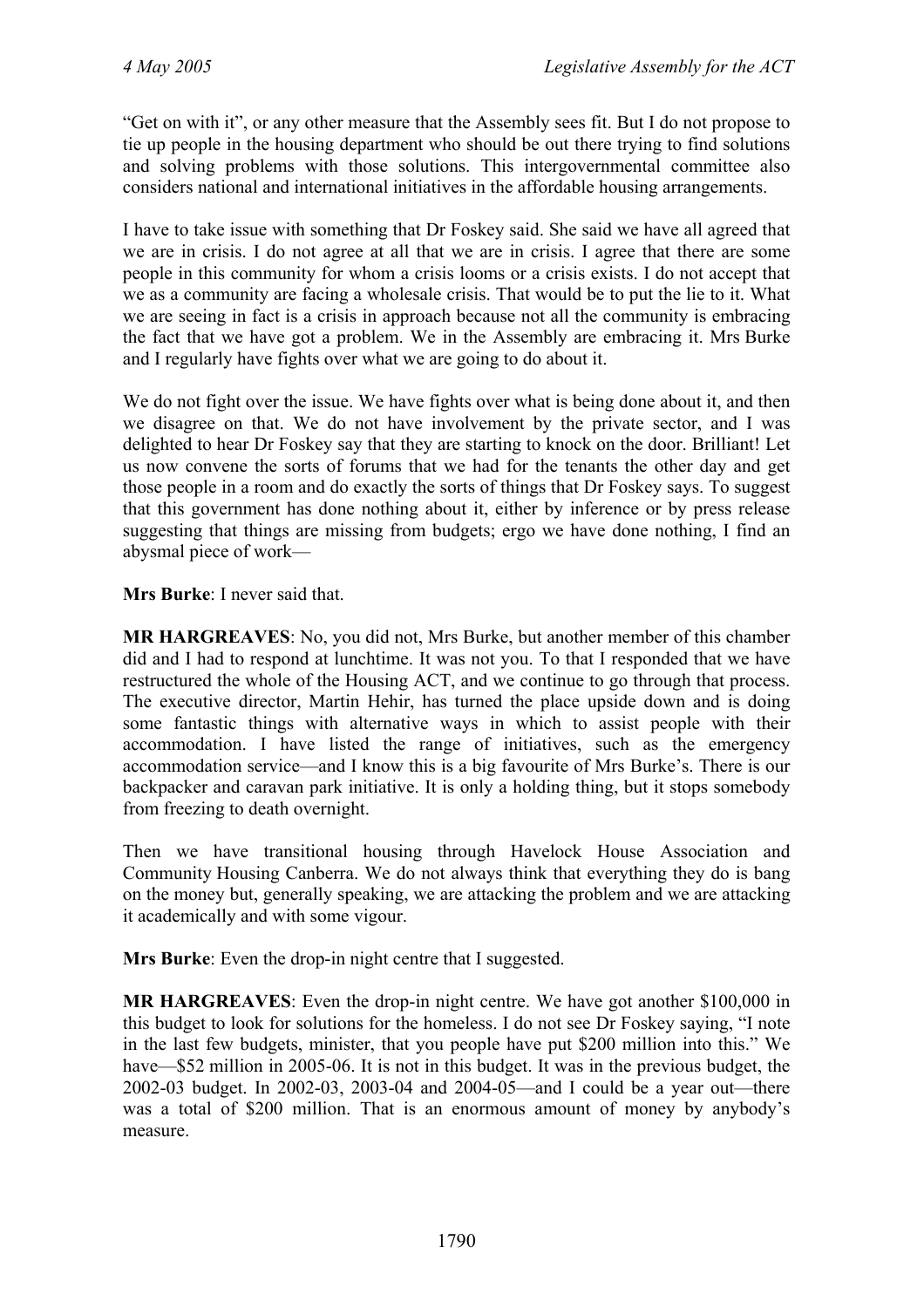"Get on with it", or any other measure that the Assembly sees fit. But I do not propose to tie up people in the housing department who should be out there trying to find solutions and solving problems with those solutions. This intergovernmental committee also considers national and international initiatives in the affordable housing arrangements.

I have to take issue with something that Dr Foskey said. She said we have all agreed that we are in crisis. I do not agree at all that we are in crisis. I agree that there are some people in this community for whom a crisis looms or a crisis exists. I do not accept that we as a community are facing a wholesale crisis. That would be to put the lie to it. What we are seeing in fact is a crisis in approach because not all the community is embracing the fact that we have got a problem. We in the Assembly are embracing it. Mrs Burke and I regularly have fights over what we are going to do about it.

We do not fight over the issue. We have fights over what is being done about it, and then we disagree on that. We do not have involvement by the private sector, and I was delighted to hear Dr Foskey say that they are starting to knock on the door. Brilliant! Let us now convene the sorts of forums that we had for the tenants the other day and get those people in a room and do exactly the sorts of things that Dr Foskey says. To suggest that this government has done nothing about it, either by inference or by press release suggesting that things are missing from budgets; ergo we have done nothing, I find an abysmal piece of work—

**Mrs Burke**: I never said that.

**MR HARGREAVES**: No, you did not, Mrs Burke, but another member of this chamber did and I had to respond at lunchtime. It was not you. To that I responded that we have restructured the whole of the Housing ACT, and we continue to go through that process. The executive director, Martin Hehir, has turned the place upside down and is doing some fantastic things with alternative ways in which to assist people with their accommodation. I have listed the range of initiatives, such as the emergency accommodation service—and I know this is a big favourite of Mrs Burke's. There is our backpacker and caravan park initiative. It is only a holding thing, but it stops somebody from freezing to death overnight.

Then we have transitional housing through Havelock House Association and Community Housing Canberra. We do not always think that everything they do is bang on the money but, generally speaking, we are attacking the problem and we are attacking it academically and with some vigour.

**Mrs Burke**: Even the drop-in night centre that I suggested.

**MR HARGREAVES**: Even the drop-in night centre. We have got another \$100,000 in this budget to look for solutions for the homeless. I do not see Dr Foskey saying, "I note in the last few budgets, minister, that you people have put \$200 million into this." We have—\$52 million in 2005-06. It is not in this budget. It was in the previous budget, the 2002-03 budget. In 2002-03, 2003-04 and 2004-05—and I could be a year out—there was a total of \$200 million. That is an enormous amount of money by anybody's measure.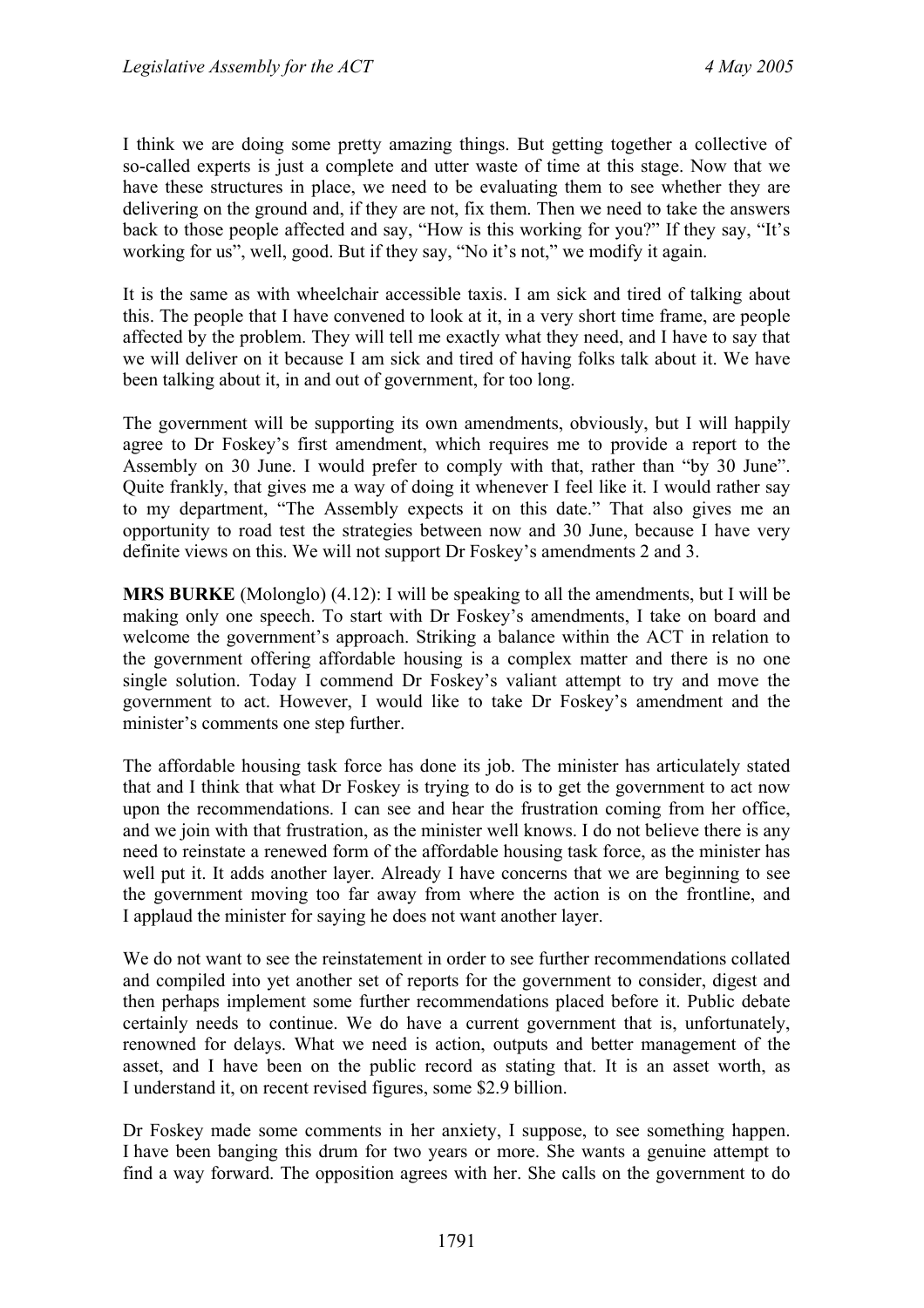I think we are doing some pretty amazing things. But getting together a collective of so-called experts is just a complete and utter waste of time at this stage. Now that we have these structures in place, we need to be evaluating them to see whether they are delivering on the ground and, if they are not, fix them. Then we need to take the answers back to those people affected and say, "How is this working for you?" If they say, "It's working for us", well, good. But if they say, "No it's not," we modify it again.

It is the same as with wheelchair accessible taxis. I am sick and tired of talking about this. The people that I have convened to look at it, in a very short time frame, are people affected by the problem. They will tell me exactly what they need, and I have to say that we will deliver on it because I am sick and tired of having folks talk about it. We have been talking about it, in and out of government, for too long.

The government will be supporting its own amendments, obviously, but I will happily agree to Dr Foskey's first amendment, which requires me to provide a report to the Assembly on 30 June. I would prefer to comply with that, rather than "by 30 June". Quite frankly, that gives me a way of doing it whenever I feel like it. I would rather say to my department, "The Assembly expects it on this date." That also gives me an opportunity to road test the strategies between now and 30 June, because I have very definite views on this. We will not support Dr Foskey's amendments 2 and 3.

**MRS BURKE** (Molonglo) (4.12): I will be speaking to all the amendments, but I will be making only one speech. To start with Dr Foskey's amendments, I take on board and welcome the government's approach. Striking a balance within the ACT in relation to the government offering affordable housing is a complex matter and there is no one single solution. Today I commend Dr Foskey's valiant attempt to try and move the government to act. However, I would like to take Dr Foskey's amendment and the minister's comments one step further.

The affordable housing task force has done its job. The minister has articulately stated that and I think that what Dr Foskey is trying to do is to get the government to act now upon the recommendations. I can see and hear the frustration coming from her office, and we join with that frustration, as the minister well knows. I do not believe there is any need to reinstate a renewed form of the affordable housing task force, as the minister has well put it. It adds another layer. Already I have concerns that we are beginning to see the government moving too far away from where the action is on the frontline, and I applaud the minister for saying he does not want another layer.

We do not want to see the reinstatement in order to see further recommendations collated and compiled into yet another set of reports for the government to consider, digest and then perhaps implement some further recommendations placed before it. Public debate certainly needs to continue. We do have a current government that is, unfortunately, renowned for delays. What we need is action, outputs and better management of the asset, and I have been on the public record as stating that. It is an asset worth, as I understand it, on recent revised figures, some \$2.9 billion.

Dr Foskey made some comments in her anxiety, I suppose, to see something happen. I have been banging this drum for two years or more. She wants a genuine attempt to find a way forward. The opposition agrees with her. She calls on the government to do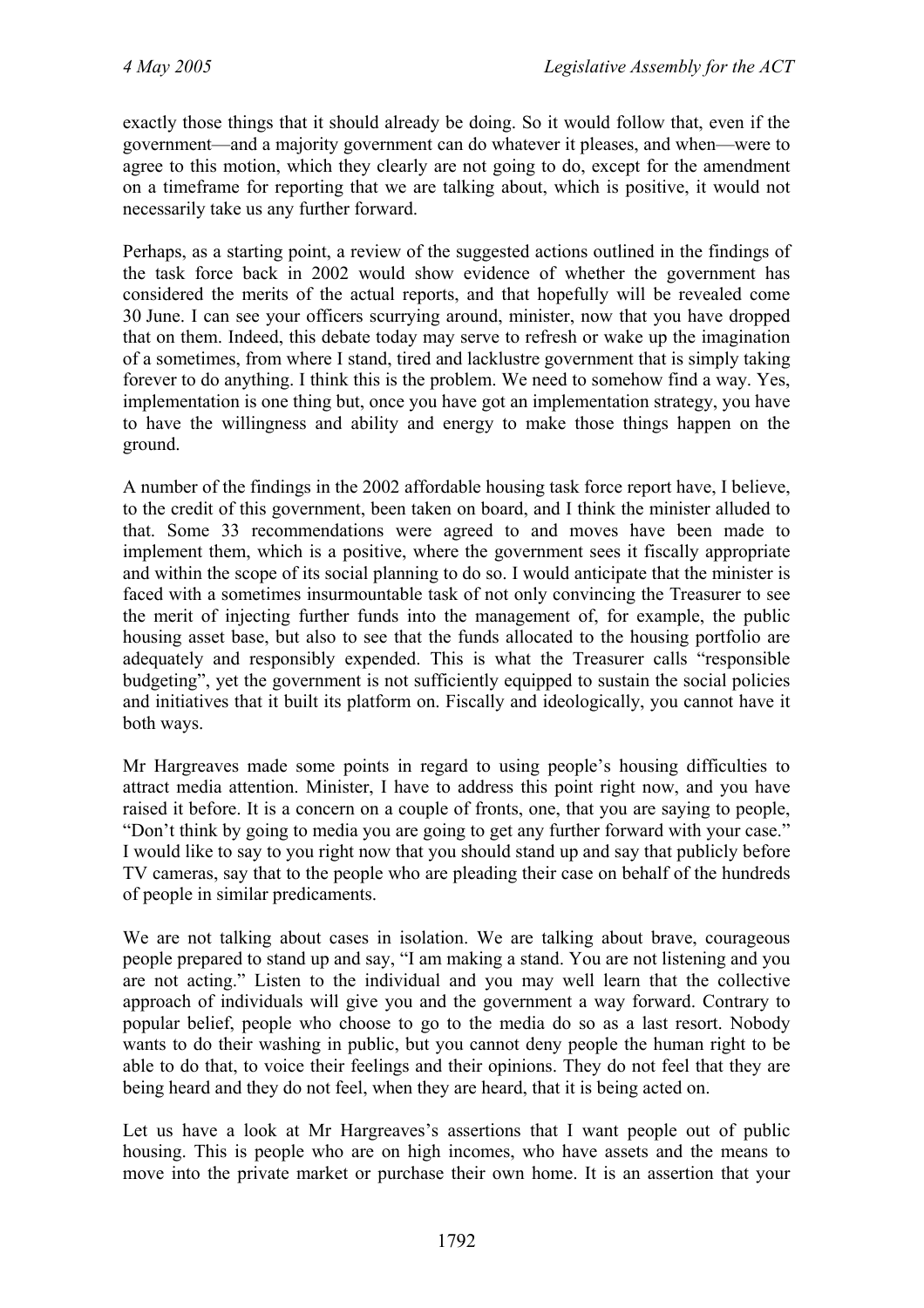exactly those things that it should already be doing. So it would follow that, even if the government—and a majority government can do whatever it pleases, and when—were to agree to this motion, which they clearly are not going to do, except for the amendment on a timeframe for reporting that we are talking about, which is positive, it would not necessarily take us any further forward.

Perhaps, as a starting point, a review of the suggested actions outlined in the findings of the task force back in 2002 would show evidence of whether the government has considered the merits of the actual reports, and that hopefully will be revealed come 30 June. I can see your officers scurrying around, minister, now that you have dropped that on them. Indeed, this debate today may serve to refresh or wake up the imagination of a sometimes, from where I stand, tired and lacklustre government that is simply taking forever to do anything. I think this is the problem. We need to somehow find a way. Yes, implementation is one thing but, once you have got an implementation strategy, you have to have the willingness and ability and energy to make those things happen on the ground.

A number of the findings in the 2002 affordable housing task force report have, I believe, to the credit of this government, been taken on board, and I think the minister alluded to that. Some 33 recommendations were agreed to and moves have been made to implement them, which is a positive, where the government sees it fiscally appropriate and within the scope of its social planning to do so. I would anticipate that the minister is faced with a sometimes insurmountable task of not only convincing the Treasurer to see the merit of injecting further funds into the management of, for example, the public housing asset base, but also to see that the funds allocated to the housing portfolio are adequately and responsibly expended. This is what the Treasurer calls "responsible budgeting", yet the government is not sufficiently equipped to sustain the social policies and initiatives that it built its platform on. Fiscally and ideologically, you cannot have it both ways.

Mr Hargreaves made some points in regard to using people's housing difficulties to attract media attention. Minister, I have to address this point right now, and you have raised it before. It is a concern on a couple of fronts, one, that you are saying to people, "Don't think by going to media you are going to get any further forward with your case." I would like to say to you right now that you should stand up and say that publicly before TV cameras, say that to the people who are pleading their case on behalf of the hundreds of people in similar predicaments.

We are not talking about cases in isolation. We are talking about brave, courageous people prepared to stand up and say, "I am making a stand. You are not listening and you are not acting." Listen to the individual and you may well learn that the collective approach of individuals will give you and the government a way forward. Contrary to popular belief, people who choose to go to the media do so as a last resort. Nobody wants to do their washing in public, but you cannot deny people the human right to be able to do that, to voice their feelings and their opinions. They do not feel that they are being heard and they do not feel, when they are heard, that it is being acted on.

Let us have a look at Mr Hargreaves's assertions that I want people out of public housing. This is people who are on high incomes, who have assets and the means to move into the private market or purchase their own home. It is an assertion that your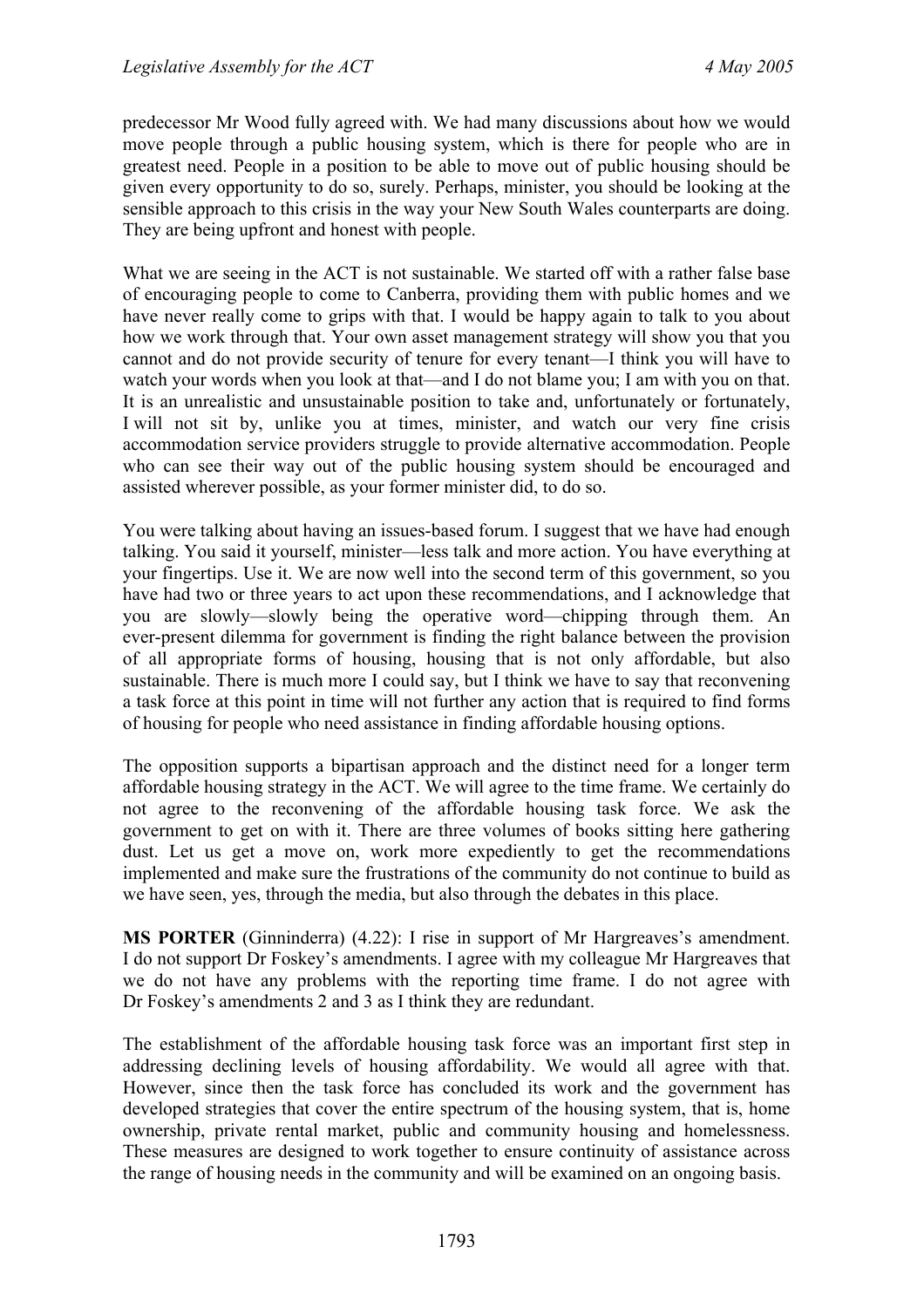predecessor Mr Wood fully agreed with. We had many discussions about how we would move people through a public housing system, which is there for people who are in greatest need. People in a position to be able to move out of public housing should be given every opportunity to do so, surely. Perhaps, minister, you should be looking at the sensible approach to this crisis in the way your New South Wales counterparts are doing. They are being upfront and honest with people.

What we are seeing in the ACT is not sustainable. We started off with a rather false base of encouraging people to come to Canberra, providing them with public homes and we have never really come to grips with that. I would be happy again to talk to you about how we work through that. Your own asset management strategy will show you that you cannot and do not provide security of tenure for every tenant—I think you will have to watch your words when you look at that—and I do not blame you; I am with you on that. It is an unrealistic and unsustainable position to take and, unfortunately or fortunately, I will not sit by, unlike you at times, minister, and watch our very fine crisis accommodation service providers struggle to provide alternative accommodation. People who can see their way out of the public housing system should be encouraged and assisted wherever possible, as your former minister did, to do so.

You were talking about having an issues-based forum. I suggest that we have had enough talking. You said it yourself, minister—less talk and more action. You have everything at your fingertips. Use it. We are now well into the second term of this government, so you have had two or three years to act upon these recommendations, and I acknowledge that you are slowly—slowly being the operative word—chipping through them. An ever-present dilemma for government is finding the right balance between the provision of all appropriate forms of housing, housing that is not only affordable, but also sustainable. There is much more I could say, but I think we have to say that reconvening a task force at this point in time will not further any action that is required to find forms of housing for people who need assistance in finding affordable housing options.

The opposition supports a bipartisan approach and the distinct need for a longer term affordable housing strategy in the ACT. We will agree to the time frame. We certainly do not agree to the reconvening of the affordable housing task force. We ask the government to get on with it. There are three volumes of books sitting here gathering dust. Let us get a move on, work more expediently to get the recommendations implemented and make sure the frustrations of the community do not continue to build as we have seen, yes, through the media, but also through the debates in this place.

**MS PORTER** (Ginninderra) (4.22): I rise in support of Mr Hargreaves's amendment. I do not support Dr Foskey's amendments. I agree with my colleague Mr Hargreaves that we do not have any problems with the reporting time frame. I do not agree with Dr Foskey's amendments 2 and 3 as I think they are redundant.

The establishment of the affordable housing task force was an important first step in addressing declining levels of housing affordability. We would all agree with that. However, since then the task force has concluded its work and the government has developed strategies that cover the entire spectrum of the housing system, that is, home ownership, private rental market, public and community housing and homelessness. These measures are designed to work together to ensure continuity of assistance across the range of housing needs in the community and will be examined on an ongoing basis.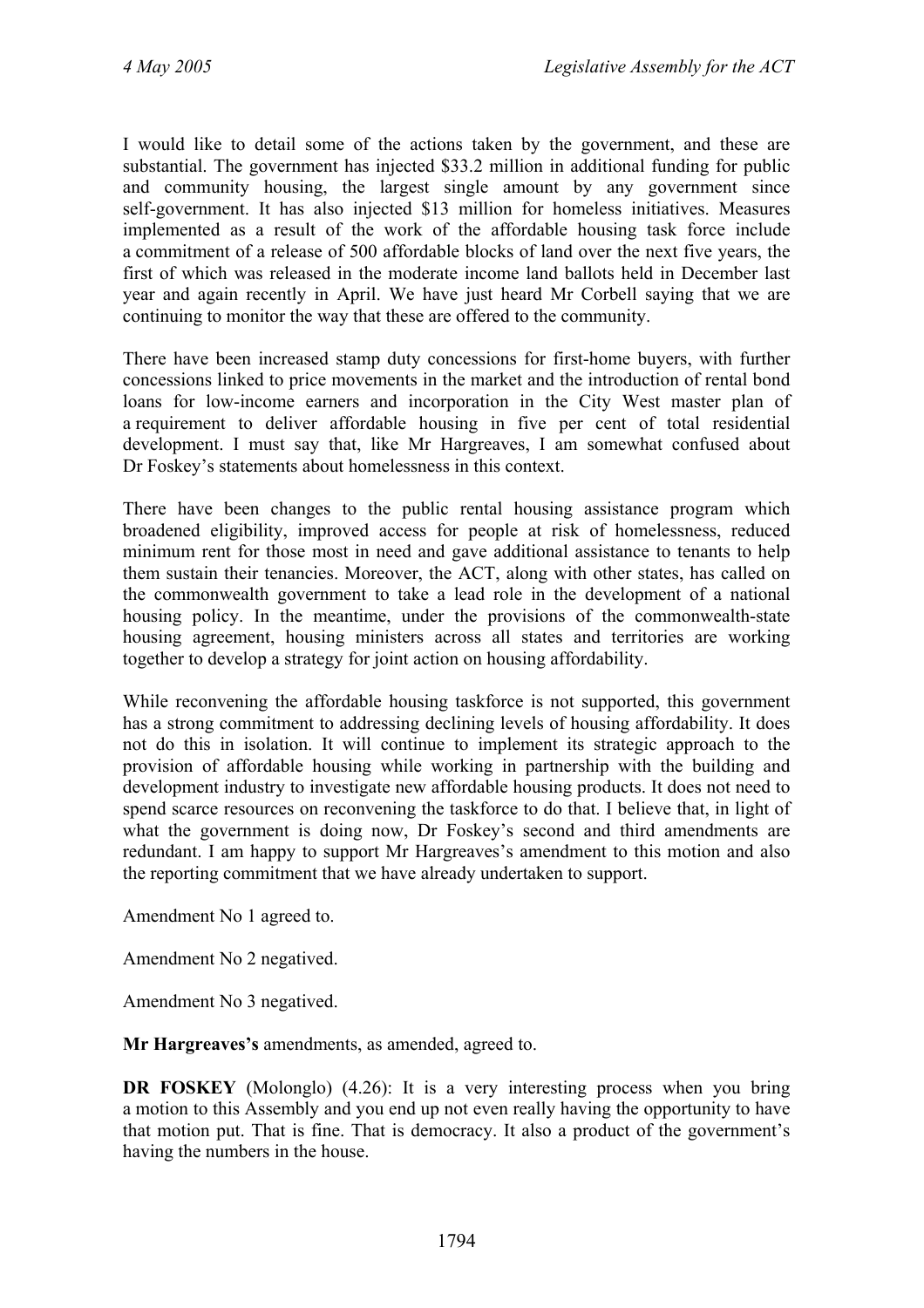I would like to detail some of the actions taken by the government, and these are substantial. The government has injected \$33.2 million in additional funding for public and community housing, the largest single amount by any government since self-government. It has also injected \$13 million for homeless initiatives. Measures implemented as a result of the work of the affordable housing task force include a commitment of a release of 500 affordable blocks of land over the next five years, the first of which was released in the moderate income land ballots held in December last year and again recently in April. We have just heard Mr Corbell saying that we are continuing to monitor the way that these are offered to the community.

There have been increased stamp duty concessions for first-home buyers, with further concessions linked to price movements in the market and the introduction of rental bond loans for low-income earners and incorporation in the City West master plan of a requirement to deliver affordable housing in five per cent of total residential development. I must say that, like Mr Hargreaves, I am somewhat confused about Dr Foskey's statements about homelessness in this context.

There have been changes to the public rental housing assistance program which broadened eligibility, improved access for people at risk of homelessness, reduced minimum rent for those most in need and gave additional assistance to tenants to help them sustain their tenancies. Moreover, the ACT, along with other states, has called on the commonwealth government to take a lead role in the development of a national housing policy. In the meantime, under the provisions of the commonwealth-state housing agreement, housing ministers across all states and territories are working together to develop a strategy for joint action on housing affordability.

While reconvening the affordable housing taskforce is not supported, this government has a strong commitment to addressing declining levels of housing affordability. It does not do this in isolation. It will continue to implement its strategic approach to the provision of affordable housing while working in partnership with the building and development industry to investigate new affordable housing products. It does not need to spend scarce resources on reconvening the taskforce to do that. I believe that, in light of what the government is doing now, Dr Foskey's second and third amendments are redundant. I am happy to support Mr Hargreaves's amendment to this motion and also the reporting commitment that we have already undertaken to support.

Amendment No 1 agreed to.

Amendment No 2 negatived.

Amendment No 3 negatived.

**Mr Hargreaves's** amendments, as amended, agreed to.

**DR FOSKEY** (Molonglo) (4.26): It is a very interesting process when you bring a motion to this Assembly and you end up not even really having the opportunity to have that motion put. That is fine. That is democracy. It also a product of the government's having the numbers in the house.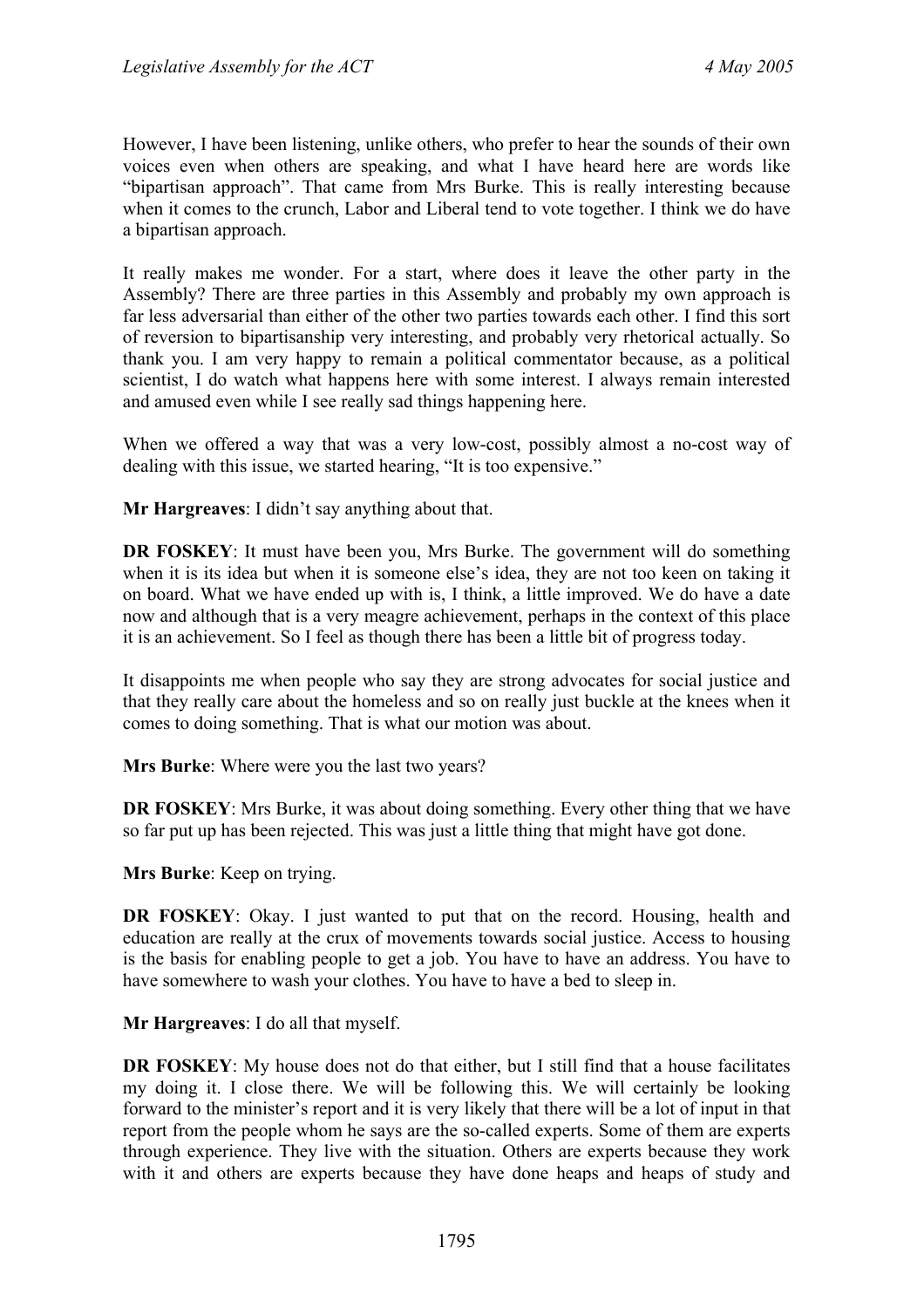However, I have been listening, unlike others, who prefer to hear the sounds of their own voices even when others are speaking, and what I have heard here are words like "bipartisan approach". That came from Mrs Burke. This is really interesting because when it comes to the crunch, Labor and Liberal tend to vote together. I think we do have a bipartisan approach.

It really makes me wonder. For a start, where does it leave the other party in the Assembly? There are three parties in this Assembly and probably my own approach is far less adversarial than either of the other two parties towards each other. I find this sort of reversion to bipartisanship very interesting, and probably very rhetorical actually. So thank you. I am very happy to remain a political commentator because, as a political scientist, I do watch what happens here with some interest. I always remain interested and amused even while I see really sad things happening here.

When we offered a way that was a very low-cost, possibly almost a no-cost way of dealing with this issue, we started hearing, "It is too expensive."

**Mr Hargreaves**: I didn't say anything about that.

**DR FOSKEY**: It must have been you, Mrs Burke. The government will do something when it is its idea but when it is someone else's idea, they are not too keen on taking it on board. What we have ended up with is, I think, a little improved. We do have a date now and although that is a very meagre achievement, perhaps in the context of this place it is an achievement. So I feel as though there has been a little bit of progress today.

It disappoints me when people who say they are strong advocates for social justice and that they really care about the homeless and so on really just buckle at the knees when it comes to doing something. That is what our motion was about.

**Mrs Burke**: Where were you the last two years?

**DR FOSKEY**: Mrs Burke, it was about doing something. Every other thing that we have so far put up has been rejected. This was just a little thing that might have got done.

**Mrs Burke**: Keep on trying.

**DR FOSKEY**: Okay. I just wanted to put that on the record. Housing, health and education are really at the crux of movements towards social justice. Access to housing is the basis for enabling people to get a job. You have to have an address. You have to have somewhere to wash your clothes. You have to have a bed to sleep in.

**Mr Hargreaves**: I do all that myself.

**DR FOSKEY**: My house does not do that either, but I still find that a house facilitates my doing it. I close there. We will be following this. We will certainly be looking forward to the minister's report and it is very likely that there will be a lot of input in that report from the people whom he says are the so-called experts. Some of them are experts through experience. They live with the situation. Others are experts because they work with it and others are experts because they have done heaps and heaps of study and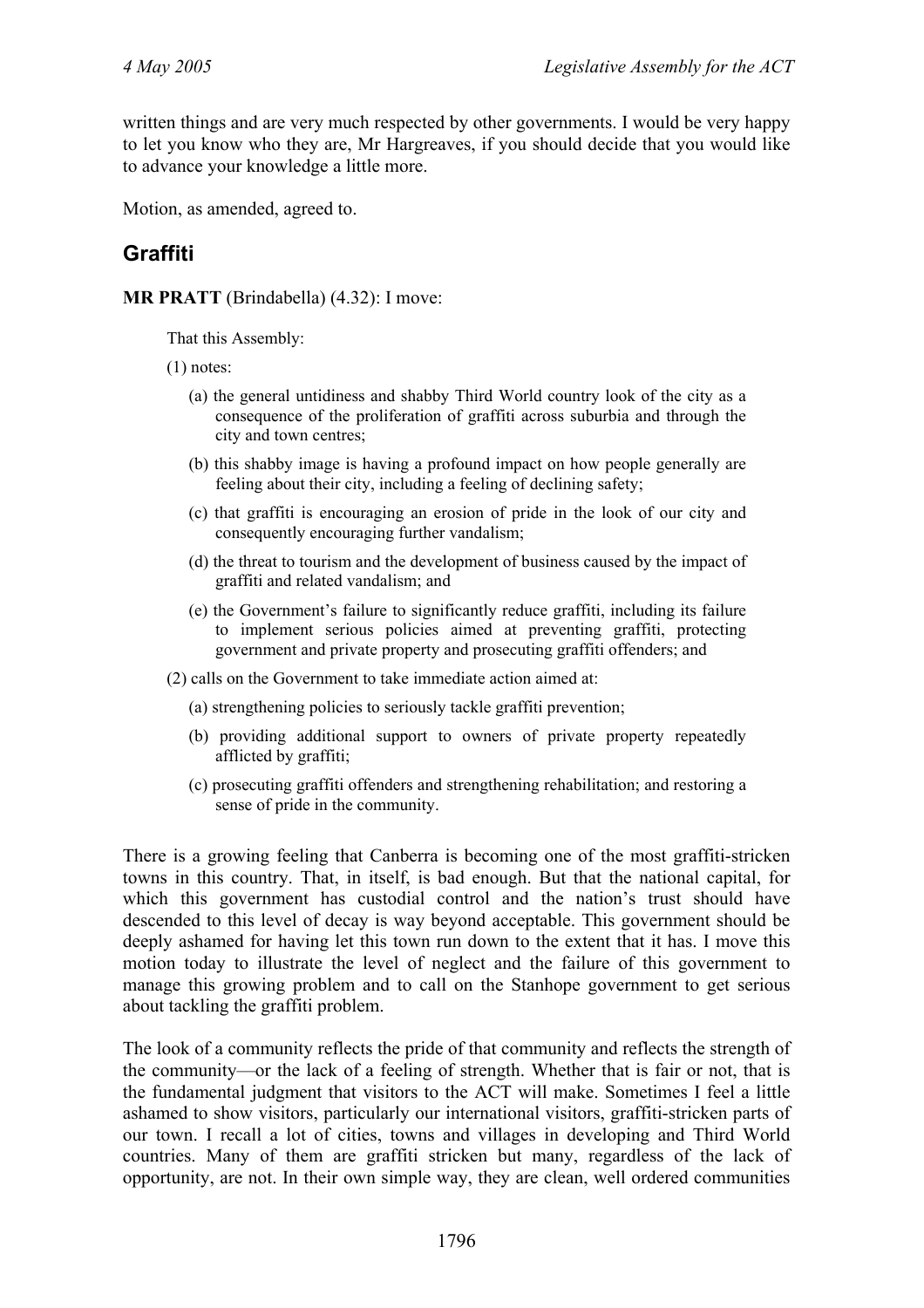written things and are very much respected by other governments. I would be very happy to let you know who they are, Mr Hargreaves, if you should decide that you would like to advance your knowledge a little more.

Motion, as amended, agreed to.

# **Graffiti**

**MR PRATT** (Brindabella) (4.32): I move:

That this Assembly:

(1) notes:

- (a) the general untidiness and shabby Third World country look of the city as a consequence of the proliferation of graffiti across suburbia and through the city and town centres;
- (b) this shabby image is having a profound impact on how people generally are feeling about their city, including a feeling of declining safety;
- (c) that graffiti is encouraging an erosion of pride in the look of our city and consequently encouraging further vandalism;
- (d) the threat to tourism and the development of business caused by the impact of graffiti and related vandalism; and
- (e) the Government's failure to significantly reduce graffiti, including its failure to implement serious policies aimed at preventing graffiti, protecting government and private property and prosecuting graffiti offenders; and
- (2) calls on the Government to take immediate action aimed at:
	- (a) strengthening policies to seriously tackle graffiti prevention;
	- (b) providing additional support to owners of private property repeatedly afflicted by graffiti;
	- (c) prosecuting graffiti offenders and strengthening rehabilitation; and restoring a sense of pride in the community.

There is a growing feeling that Canberra is becoming one of the most graffiti-stricken towns in this country. That, in itself, is bad enough. But that the national capital, for which this government has custodial control and the nation's trust should have descended to this level of decay is way beyond acceptable. This government should be deeply ashamed for having let this town run down to the extent that it has. I move this motion today to illustrate the level of neglect and the failure of this government to manage this growing problem and to call on the Stanhope government to get serious about tackling the graffiti problem.

The look of a community reflects the pride of that community and reflects the strength of the community—or the lack of a feeling of strength. Whether that is fair or not, that is the fundamental judgment that visitors to the ACT will make. Sometimes I feel a little ashamed to show visitors, particularly our international visitors, graffiti-stricken parts of our town. I recall a lot of cities, towns and villages in developing and Third World countries. Many of them are graffiti stricken but many, regardless of the lack of opportunity, are not. In their own simple way, they are clean, well ordered communities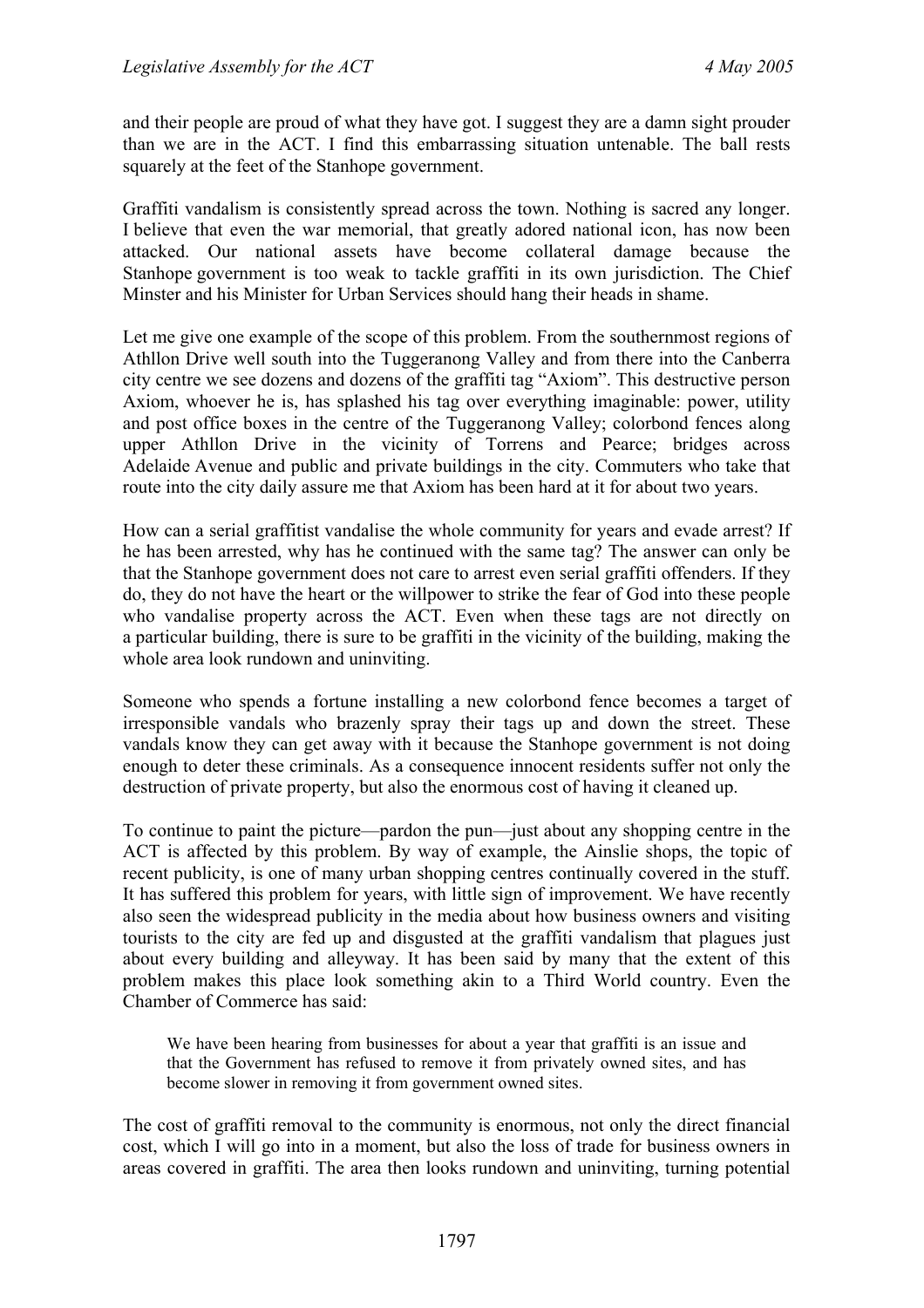and their people are proud of what they have got. I suggest they are a damn sight prouder than we are in the ACT. I find this embarrassing situation untenable. The ball rests squarely at the feet of the Stanhope government.

Graffiti vandalism is consistently spread across the town. Nothing is sacred any longer. I believe that even the war memorial, that greatly adored national icon, has now been attacked. Our national assets have become collateral damage because the Stanhope government is too weak to tackle graffiti in its own jurisdiction. The Chief Minster and his Minister for Urban Services should hang their heads in shame.

Let me give one example of the scope of this problem. From the southernmost regions of Athllon Drive well south into the Tuggeranong Valley and from there into the Canberra city centre we see dozens and dozens of the graffiti tag "Axiom". This destructive person Axiom, whoever he is, has splashed his tag over everything imaginable: power, utility and post office boxes in the centre of the Tuggeranong Valley; colorbond fences along upper Athllon Drive in the vicinity of Torrens and Pearce; bridges across Adelaide Avenue and public and private buildings in the city. Commuters who take that route into the city daily assure me that Axiom has been hard at it for about two years.

How can a serial graffitist vandalise the whole community for years and evade arrest? If he has been arrested, why has he continued with the same tag? The answer can only be that the Stanhope government does not care to arrest even serial graffiti offenders. If they do, they do not have the heart or the willpower to strike the fear of God into these people who vandalise property across the ACT. Even when these tags are not directly on a particular building, there is sure to be graffiti in the vicinity of the building, making the whole area look rundown and uninviting.

Someone who spends a fortune installing a new colorbond fence becomes a target of irresponsible vandals who brazenly spray their tags up and down the street. These vandals know they can get away with it because the Stanhope government is not doing enough to deter these criminals. As a consequence innocent residents suffer not only the destruction of private property, but also the enormous cost of having it cleaned up.

To continue to paint the picture—pardon the pun—just about any shopping centre in the ACT is affected by this problem. By way of example, the Ainslie shops, the topic of recent publicity, is one of many urban shopping centres continually covered in the stuff. It has suffered this problem for years, with little sign of improvement. We have recently also seen the widespread publicity in the media about how business owners and visiting tourists to the city are fed up and disgusted at the graffiti vandalism that plagues just about every building and alleyway. It has been said by many that the extent of this problem makes this place look something akin to a Third World country. Even the Chamber of Commerce has said:

We have been hearing from businesses for about a year that graffiti is an issue and that the Government has refused to remove it from privately owned sites, and has become slower in removing it from government owned sites.

The cost of graffiti removal to the community is enormous, not only the direct financial cost, which I will go into in a moment, but also the loss of trade for business owners in areas covered in graffiti. The area then looks rundown and uninviting, turning potential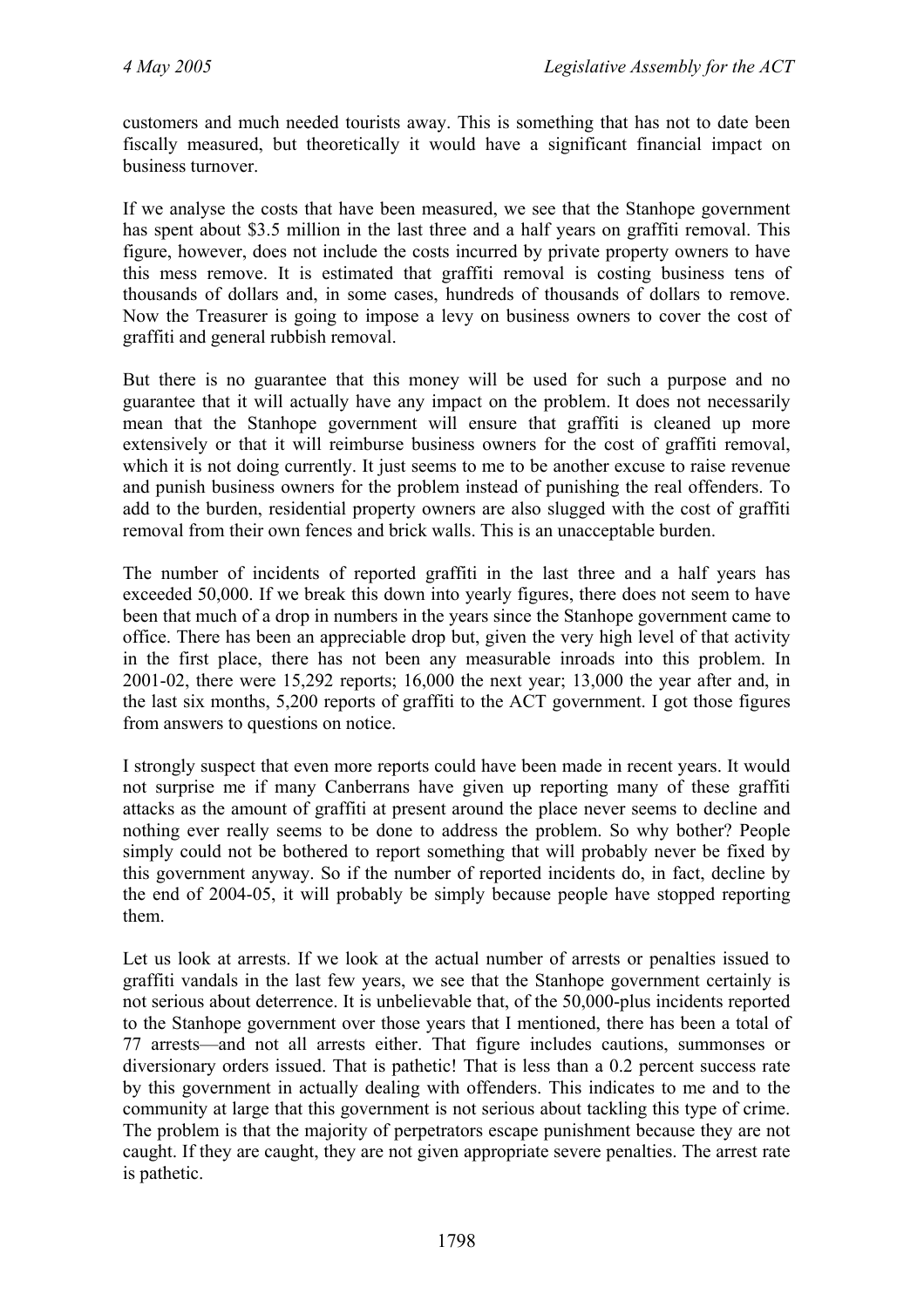customers and much needed tourists away. This is something that has not to date been fiscally measured, but theoretically it would have a significant financial impact on business turnover.

If we analyse the costs that have been measured, we see that the Stanhope government has spent about \$3.5 million in the last three and a half years on graffiti removal. This figure, however, does not include the costs incurred by private property owners to have this mess remove. It is estimated that graffiti removal is costing business tens of thousands of dollars and, in some cases, hundreds of thousands of dollars to remove. Now the Treasurer is going to impose a levy on business owners to cover the cost of graffiti and general rubbish removal.

But there is no guarantee that this money will be used for such a purpose and no guarantee that it will actually have any impact on the problem. It does not necessarily mean that the Stanhope government will ensure that graffiti is cleaned up more extensively or that it will reimburse business owners for the cost of graffiti removal, which it is not doing currently. It just seems to me to be another excuse to raise revenue and punish business owners for the problem instead of punishing the real offenders. To add to the burden, residential property owners are also slugged with the cost of graffiti removal from their own fences and brick walls. This is an unacceptable burden.

The number of incidents of reported graffiti in the last three and a half years has exceeded 50,000. If we break this down into yearly figures, there does not seem to have been that much of a drop in numbers in the years since the Stanhope government came to office. There has been an appreciable drop but, given the very high level of that activity in the first place, there has not been any measurable inroads into this problem. In 2001-02, there were 15,292 reports; 16,000 the next year; 13,000 the year after and, in the last six months, 5,200 reports of graffiti to the ACT government. I got those figures from answers to questions on notice.

I strongly suspect that even more reports could have been made in recent years. It would not surprise me if many Canberrans have given up reporting many of these graffiti attacks as the amount of graffiti at present around the place never seems to decline and nothing ever really seems to be done to address the problem. So why bother? People simply could not be bothered to report something that will probably never be fixed by this government anyway. So if the number of reported incidents do, in fact, decline by the end of 2004-05, it will probably be simply because people have stopped reporting them.

Let us look at arrests. If we look at the actual number of arrests or penalties issued to graffiti vandals in the last few years, we see that the Stanhope government certainly is not serious about deterrence. It is unbelievable that, of the 50,000-plus incidents reported to the Stanhope government over those years that I mentioned, there has been a total of 77 arrests—and not all arrests either. That figure includes cautions, summonses or diversionary orders issued. That is pathetic! That is less than a 0.2 percent success rate by this government in actually dealing with offenders. This indicates to me and to the community at large that this government is not serious about tackling this type of crime. The problem is that the majority of perpetrators escape punishment because they are not caught. If they are caught, they are not given appropriate severe penalties. The arrest rate is pathetic.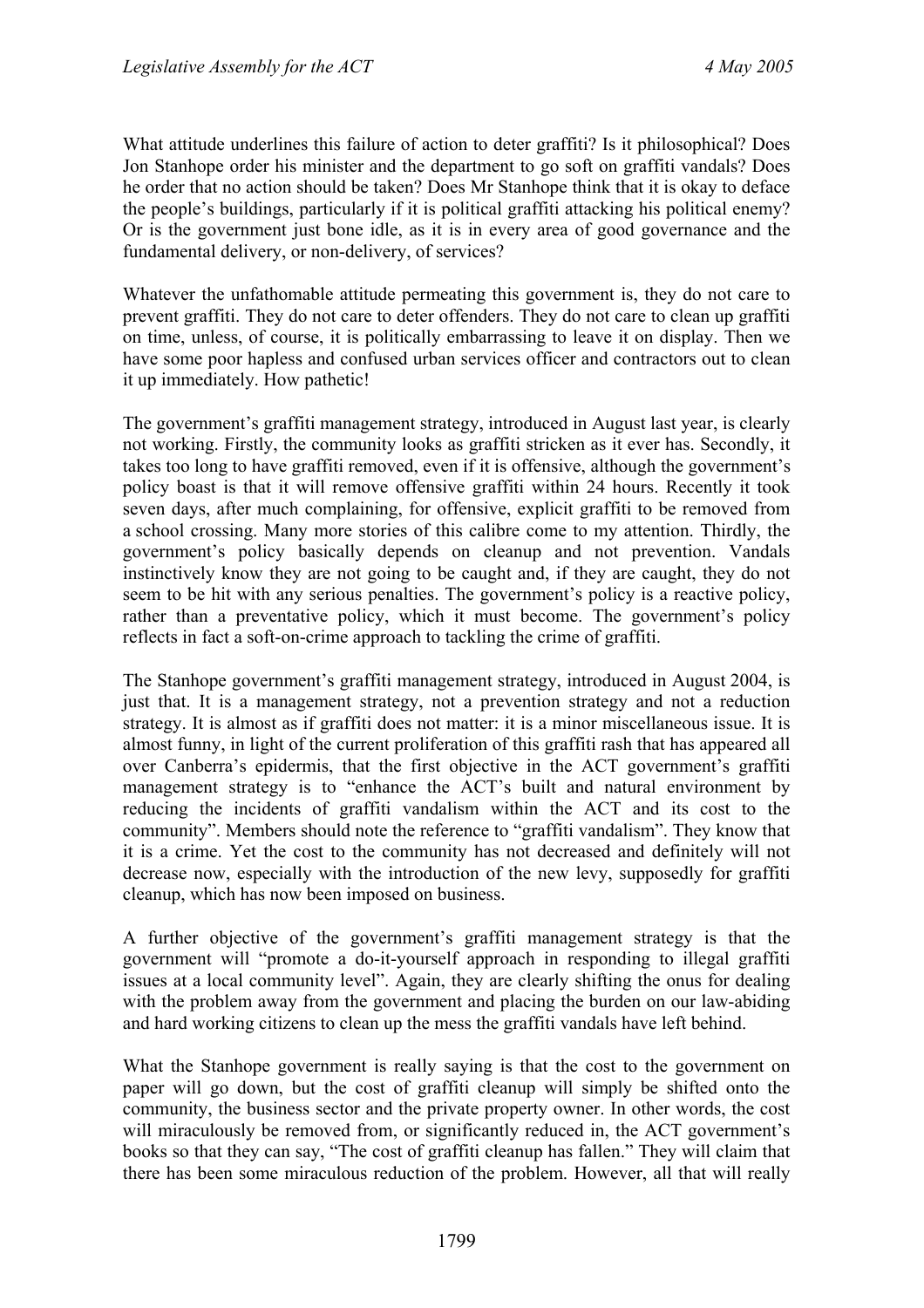What attitude underlines this failure of action to deter graffiti? Is it philosophical? Does Jon Stanhope order his minister and the department to go soft on graffiti vandals? Does he order that no action should be taken? Does Mr Stanhope think that it is okay to deface the people's buildings, particularly if it is political graffiti attacking his political enemy? Or is the government just bone idle, as it is in every area of good governance and the fundamental delivery, or non-delivery, of services?

Whatever the unfathomable attitude permeating this government is, they do not care to prevent graffiti. They do not care to deter offenders. They do not care to clean up graffiti on time, unless, of course, it is politically embarrassing to leave it on display. Then we have some poor hapless and confused urban services officer and contractors out to clean it up immediately. How pathetic!

The government's graffiti management strategy, introduced in August last year, is clearly not working. Firstly, the community looks as graffiti stricken as it ever has. Secondly, it takes too long to have graffiti removed, even if it is offensive, although the government's policy boast is that it will remove offensive graffiti within 24 hours. Recently it took seven days, after much complaining, for offensive, explicit graffiti to be removed from a school crossing. Many more stories of this calibre come to my attention. Thirdly, the government's policy basically depends on cleanup and not prevention. Vandals instinctively know they are not going to be caught and, if they are caught, they do not seem to be hit with any serious penalties. The government's policy is a reactive policy, rather than a preventative policy, which it must become. The government's policy reflects in fact a soft-on-crime approach to tackling the crime of graffiti.

The Stanhope government's graffiti management strategy, introduced in August 2004, is just that. It is a management strategy, not a prevention strategy and not a reduction strategy. It is almost as if graffiti does not matter: it is a minor miscellaneous issue. It is almost funny, in light of the current proliferation of this graffiti rash that has appeared all over Canberra's epidermis, that the first objective in the ACT government's graffiti management strategy is to "enhance the ACT's built and natural environment by reducing the incidents of graffiti vandalism within the ACT and its cost to the community". Members should note the reference to "graffiti vandalism". They know that it is a crime. Yet the cost to the community has not decreased and definitely will not decrease now, especially with the introduction of the new levy, supposedly for graffiti cleanup, which has now been imposed on business.

A further objective of the government's graffiti management strategy is that the government will "promote a do-it-yourself approach in responding to illegal graffiti issues at a local community level". Again, they are clearly shifting the onus for dealing with the problem away from the government and placing the burden on our law-abiding and hard working citizens to clean up the mess the graffiti vandals have left behind.

What the Stanhope government is really saying is that the cost to the government on paper will go down, but the cost of graffiti cleanup will simply be shifted onto the community, the business sector and the private property owner. In other words, the cost will miraculously be removed from, or significantly reduced in, the ACT government's books so that they can say, "The cost of graffiti cleanup has fallen." They will claim that there has been some miraculous reduction of the problem. However, all that will really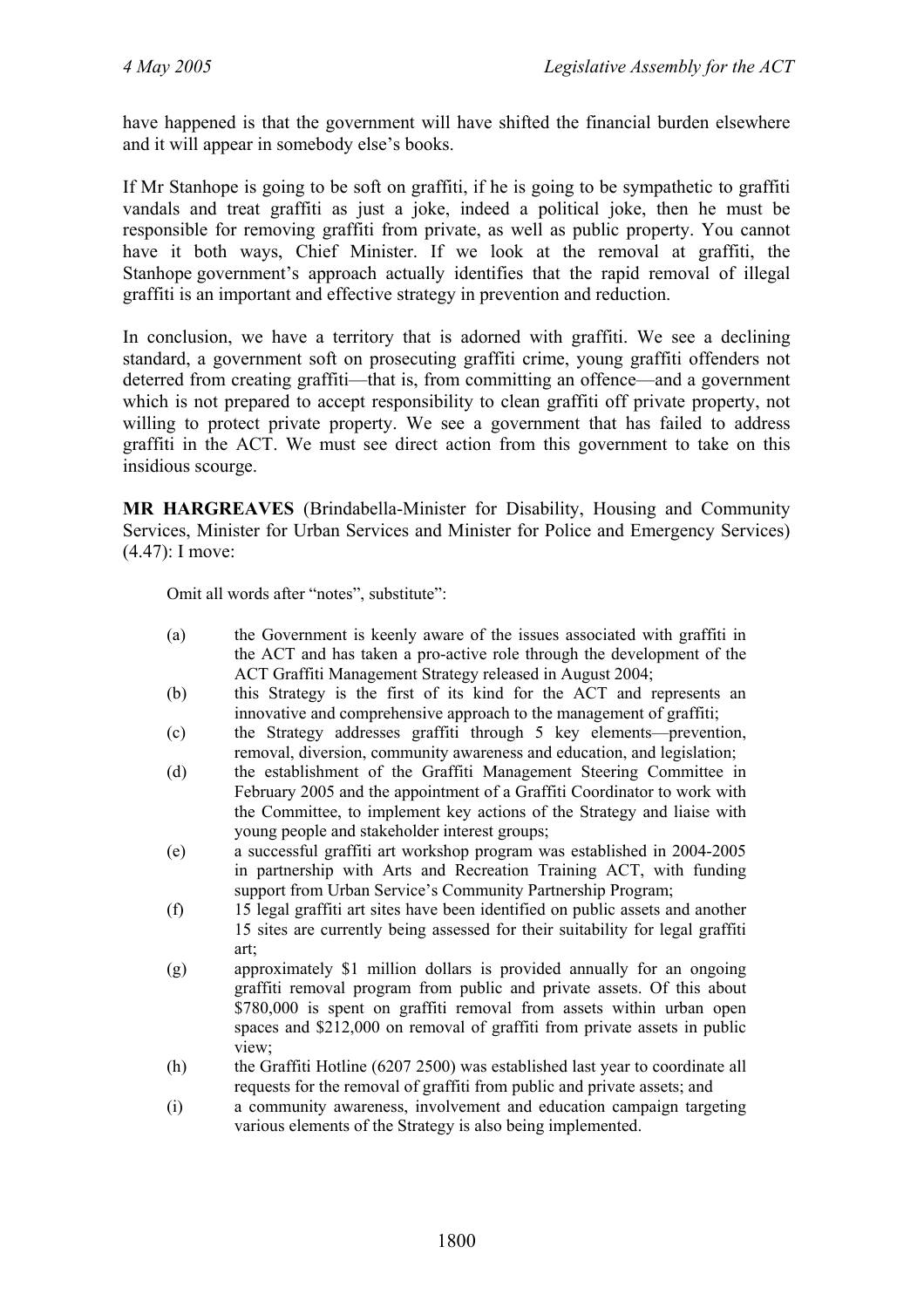have happened is that the government will have shifted the financial burden elsewhere and it will appear in somebody else's books.

If Mr Stanhope is going to be soft on graffiti, if he is going to be sympathetic to graffiti vandals and treat graffiti as just a joke, indeed a political joke, then he must be responsible for removing graffiti from private, as well as public property. You cannot have it both ways, Chief Minister. If we look at the removal at graffiti, the Stanhope government's approach actually identifies that the rapid removal of illegal graffiti is an important and effective strategy in prevention and reduction.

In conclusion, we have a territory that is adorned with graffiti. We see a declining standard, a government soft on prosecuting graffiti crime, young graffiti offenders not deterred from creating graffiti—that is, from committing an offence—and a government which is not prepared to accept responsibility to clean graffiti off private property, not willing to protect private property. We see a government that has failed to address graffiti in the ACT. We must see direct action from this government to take on this insidious scourge.

**MR HARGREAVES** (Brindabella-Minister for Disability, Housing and Community Services, Minister for Urban Services and Minister for Police and Emergency Services) (4.47): I move:

Omit all words after "notes", substitute":

- (a) the Government is keenly aware of the issues associated with graffiti in the ACT and has taken a pro-active role through the development of the ACT Graffiti Management Strategy released in August 2004;
- (b) this Strategy is the first of its kind for the ACT and represents an innovative and comprehensive approach to the management of graffiti;
- (c) the Strategy addresses graffiti through 5 key elements—prevention, removal, diversion, community awareness and education, and legislation;
- (d) the establishment of the Graffiti Management Steering Committee in February 2005 and the appointment of a Graffiti Coordinator to work with the Committee, to implement key actions of the Strategy and liaise with young people and stakeholder interest groups;
- (e) a successful graffiti art workshop program was established in 2004-2005 in partnership with Arts and Recreation Training ACT, with funding support from Urban Service's Community Partnership Program;
- (f) 15 legal graffiti art sites have been identified on public assets and another 15 sites are currently being assessed for their suitability for legal graffiti art;
- (g) approximately \$1 million dollars is provided annually for an ongoing graffiti removal program from public and private assets. Of this about \$780,000 is spent on graffiti removal from assets within urban open spaces and \$212,000 on removal of graffiti from private assets in public view;
- (h) the Graffiti Hotline (6207 2500) was established last year to coordinate all requests for the removal of graffiti from public and private assets; and
- (i) a community awareness, involvement and education campaign targeting various elements of the Strategy is also being implemented.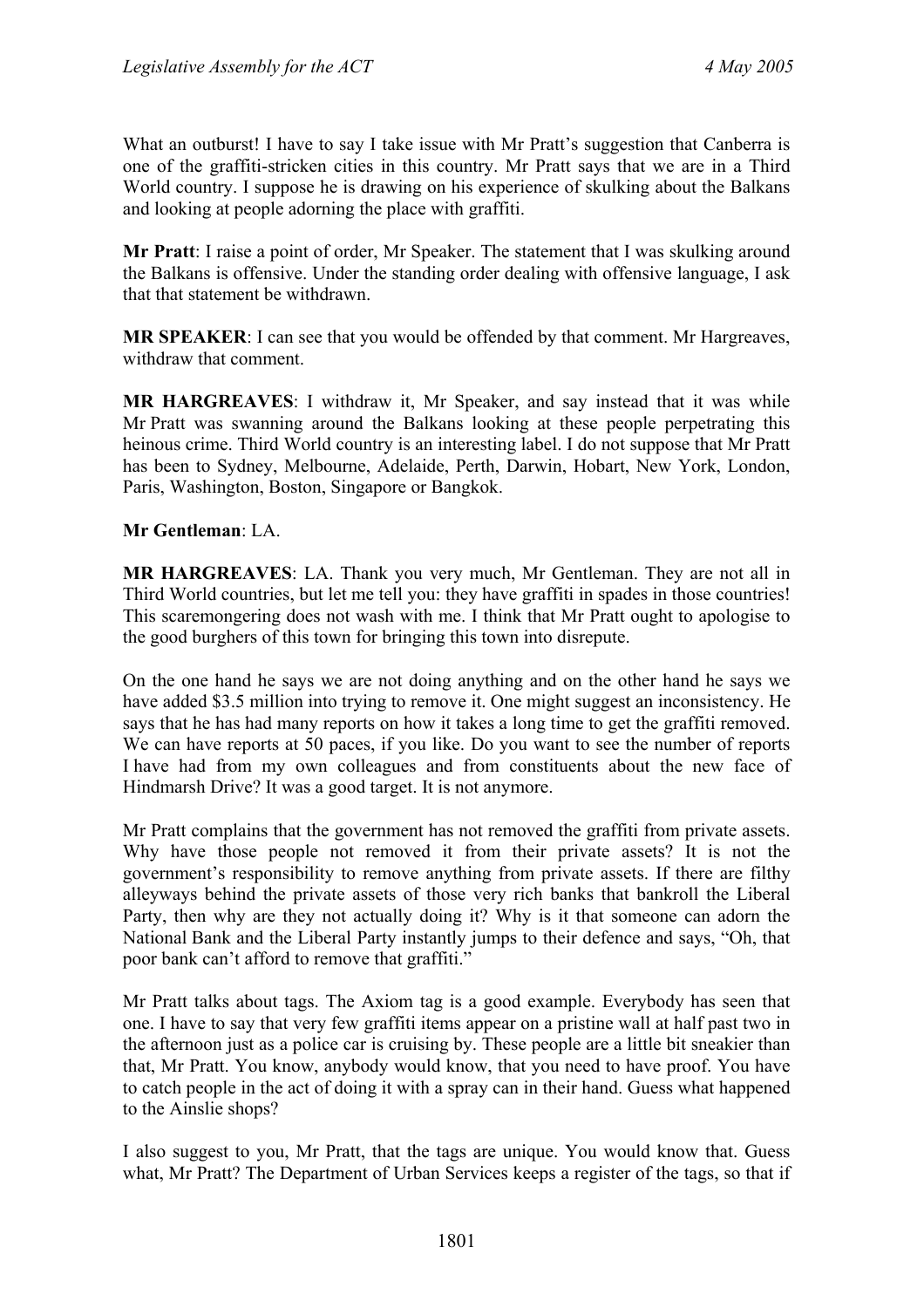What an outburst! I have to say I take issue with Mr Pratt's suggestion that Canberra is one of the graffiti-stricken cities in this country. Mr Pratt says that we are in a Third World country. I suppose he is drawing on his experience of skulking about the Balkans and looking at people adorning the place with graffiti.

**Mr Pratt**: I raise a point of order, Mr Speaker. The statement that I was skulking around the Balkans is offensive. Under the standing order dealing with offensive language, I ask that that statement be withdrawn.

**MR SPEAKER**: I can see that you would be offended by that comment. Mr Hargreaves, withdraw that comment.

**MR HARGREAVES**: I withdraw it, Mr Speaker, and say instead that it was while Mr Pratt was swanning around the Balkans looking at these people perpetrating this heinous crime. Third World country is an interesting label. I do not suppose that Mr Pratt has been to Sydney, Melbourne, Adelaide, Perth, Darwin, Hobart, New York, London, Paris, Washington, Boston, Singapore or Bangkok.

#### **Mr Gentleman**: LA.

**MR HARGREAVES**: LA. Thank you very much, Mr Gentleman. They are not all in Third World countries, but let me tell you: they have graffiti in spades in those countries! This scaremongering does not wash with me. I think that Mr Pratt ought to apologise to the good burghers of this town for bringing this town into disrepute.

On the one hand he says we are not doing anything and on the other hand he says we have added \$3.5 million into trying to remove it. One might suggest an inconsistency. He says that he has had many reports on how it takes a long time to get the graffiti removed. We can have reports at 50 paces, if you like. Do you want to see the number of reports I have had from my own colleagues and from constituents about the new face of Hindmarsh Drive? It was a good target. It is not anymore.

Mr Pratt complains that the government has not removed the graffiti from private assets. Why have those people not removed it from their private assets? It is not the government's responsibility to remove anything from private assets. If there are filthy alleyways behind the private assets of those very rich banks that bankroll the Liberal Party, then why are they not actually doing it? Why is it that someone can adorn the National Bank and the Liberal Party instantly jumps to their defence and says, "Oh, that poor bank can't afford to remove that graffiti."

Mr Pratt talks about tags. The Axiom tag is a good example. Everybody has seen that one. I have to say that very few graffiti items appear on a pristine wall at half past two in the afternoon just as a police car is cruising by. These people are a little bit sneakier than that, Mr Pratt. You know, anybody would know, that you need to have proof. You have to catch people in the act of doing it with a spray can in their hand. Guess what happened to the Ainslie shops?

I also suggest to you, Mr Pratt, that the tags are unique. You would know that. Guess what, Mr Pratt? The Department of Urban Services keeps a register of the tags, so that if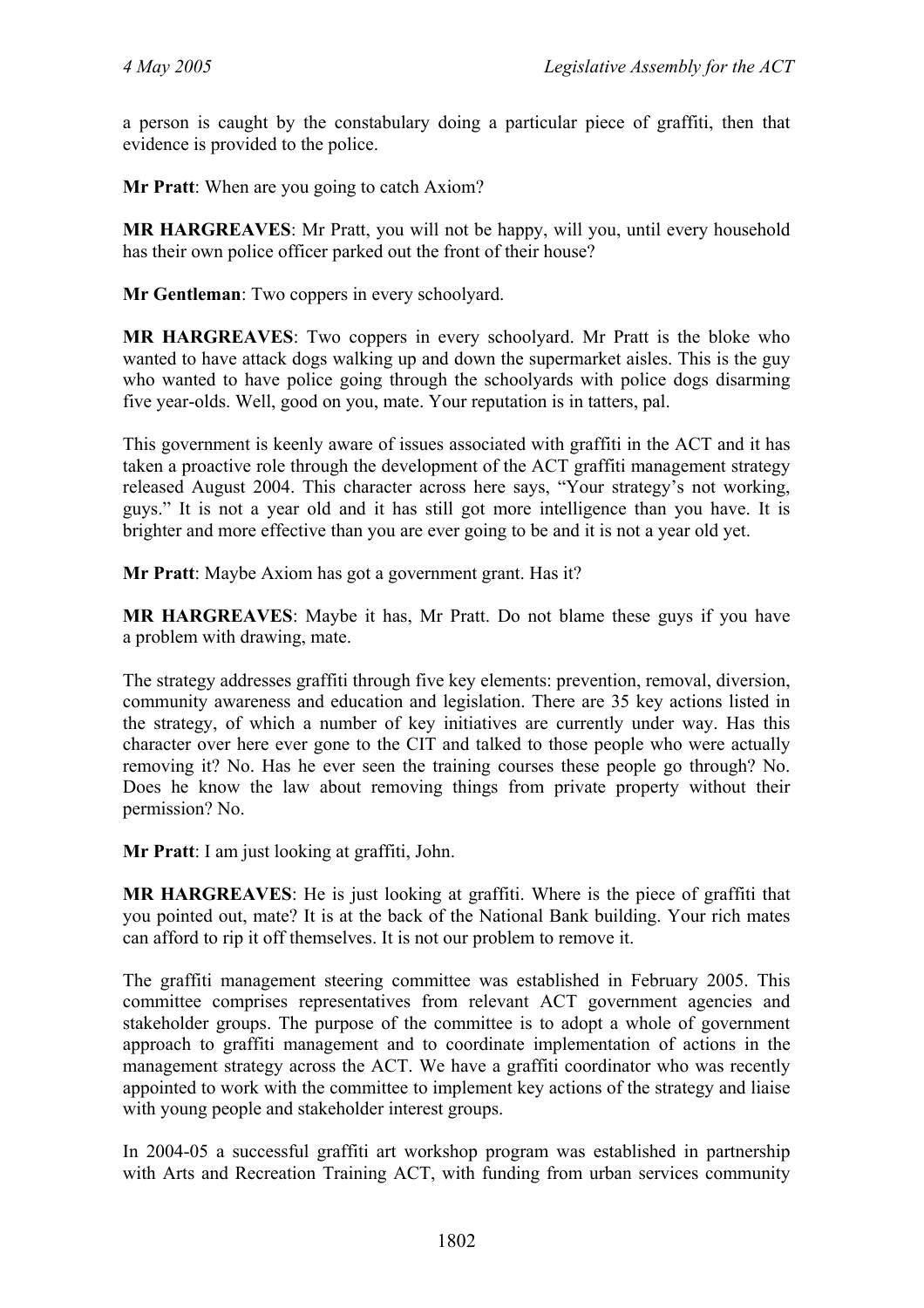a person is caught by the constabulary doing a particular piece of graffiti, then that evidence is provided to the police.

**Mr Pratt**: When are you going to catch Axiom?

**MR HARGREAVES**: Mr Pratt, you will not be happy, will you, until every household has their own police officer parked out the front of their house?

**Mr Gentleman**: Two coppers in every schoolyard.

**MR HARGREAVES**: Two coppers in every schoolyard. Mr Pratt is the bloke who wanted to have attack dogs walking up and down the supermarket aisles. This is the guy who wanted to have police going through the schoolyards with police dogs disarming five year-olds. Well, good on you, mate. Your reputation is in tatters, pal.

This government is keenly aware of issues associated with graffiti in the ACT and it has taken a proactive role through the development of the ACT graffiti management strategy released August 2004. This character across here says, "Your strategy's not working, guys." It is not a year old and it has still got more intelligence than you have. It is brighter and more effective than you are ever going to be and it is not a year old yet.

**Mr Pratt**: Maybe Axiom has got a government grant. Has it?

**MR HARGREAVES**: Maybe it has, Mr Pratt. Do not blame these guys if you have a problem with drawing, mate.

The strategy addresses graffiti through five key elements: prevention, removal, diversion, community awareness and education and legislation. There are 35 key actions listed in the strategy, of which a number of key initiatives are currently under way. Has this character over here ever gone to the CIT and talked to those people who were actually removing it? No. Has he ever seen the training courses these people go through? No. Does he know the law about removing things from private property without their permission? No.

**Mr Pratt**: I am just looking at graffiti, John.

**MR HARGREAVES**: He is just looking at graffiti. Where is the piece of graffiti that you pointed out, mate? It is at the back of the National Bank building. Your rich mates can afford to rip it off themselves. It is not our problem to remove it.

The graffiti management steering committee was established in February 2005. This committee comprises representatives from relevant ACT government agencies and stakeholder groups. The purpose of the committee is to adopt a whole of government approach to graffiti management and to coordinate implementation of actions in the management strategy across the ACT. We have a graffiti coordinator who was recently appointed to work with the committee to implement key actions of the strategy and liaise with young people and stakeholder interest groups.

In 2004-05 a successful graffiti art workshop program was established in partnership with Arts and Recreation Training ACT, with funding from urban services community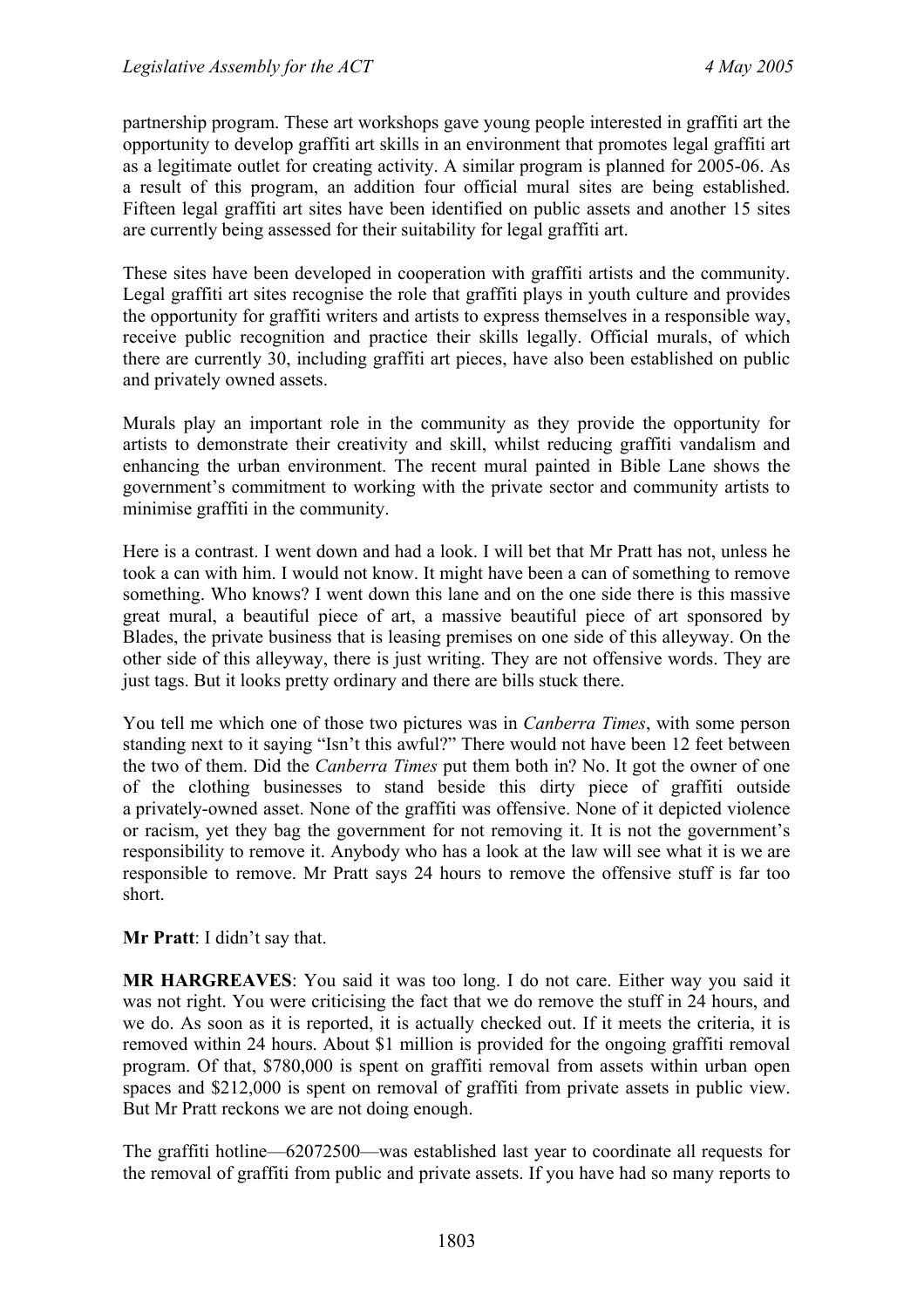partnership program. These art workshops gave young people interested in graffiti art the opportunity to develop graffiti art skills in an environment that promotes legal graffiti art as a legitimate outlet for creating activity. A similar program is planned for 2005-06. As a result of this program, an addition four official mural sites are being established. Fifteen legal graffiti art sites have been identified on public assets and another 15 sites are currently being assessed for their suitability for legal graffiti art.

These sites have been developed in cooperation with graffiti artists and the community. Legal graffiti art sites recognise the role that graffiti plays in youth culture and provides the opportunity for graffiti writers and artists to express themselves in a responsible way, receive public recognition and practice their skills legally. Official murals, of which there are currently 30, including graffiti art pieces, have also been established on public and privately owned assets.

Murals play an important role in the community as they provide the opportunity for artists to demonstrate their creativity and skill, whilst reducing graffiti vandalism and enhancing the urban environment. The recent mural painted in Bible Lane shows the government's commitment to working with the private sector and community artists to minimise graffiti in the community.

Here is a contrast. I went down and had a look. I will bet that Mr Pratt has not, unless he took a can with him. I would not know. It might have been a can of something to remove something. Who knows? I went down this lane and on the one side there is this massive great mural, a beautiful piece of art, a massive beautiful piece of art sponsored by Blades, the private business that is leasing premises on one side of this alleyway. On the other side of this alleyway, there is just writing. They are not offensive words. They are just tags. But it looks pretty ordinary and there are bills stuck there.

You tell me which one of those two pictures was in *Canberra Times*, with some person standing next to it saying "Isn't this awful?" There would not have been 12 feet between the two of them. Did the *Canberra Times* put them both in? No. It got the owner of one of the clothing businesses to stand beside this dirty piece of graffiti outside a privately-owned asset. None of the graffiti was offensive. None of it depicted violence or racism, yet they bag the government for not removing it. It is not the government's responsibility to remove it. Anybody who has a look at the law will see what it is we are responsible to remove. Mr Pratt says 24 hours to remove the offensive stuff is far too short.

#### **Mr Pratt**: I didn't say that.

**MR HARGREAVES**: You said it was too long. I do not care. Either way you said it was not right. You were criticising the fact that we do remove the stuff in 24 hours, and we do. As soon as it is reported, it is actually checked out. If it meets the criteria, it is removed within 24 hours. About \$1 million is provided for the ongoing graffiti removal program. Of that, \$780,000 is spent on graffiti removal from assets within urban open spaces and \$212,000 is spent on removal of graffiti from private assets in public view. But Mr Pratt reckons we are not doing enough.

The graffiti hotline—62072500—was established last year to coordinate all requests for the removal of graffiti from public and private assets. If you have had so many reports to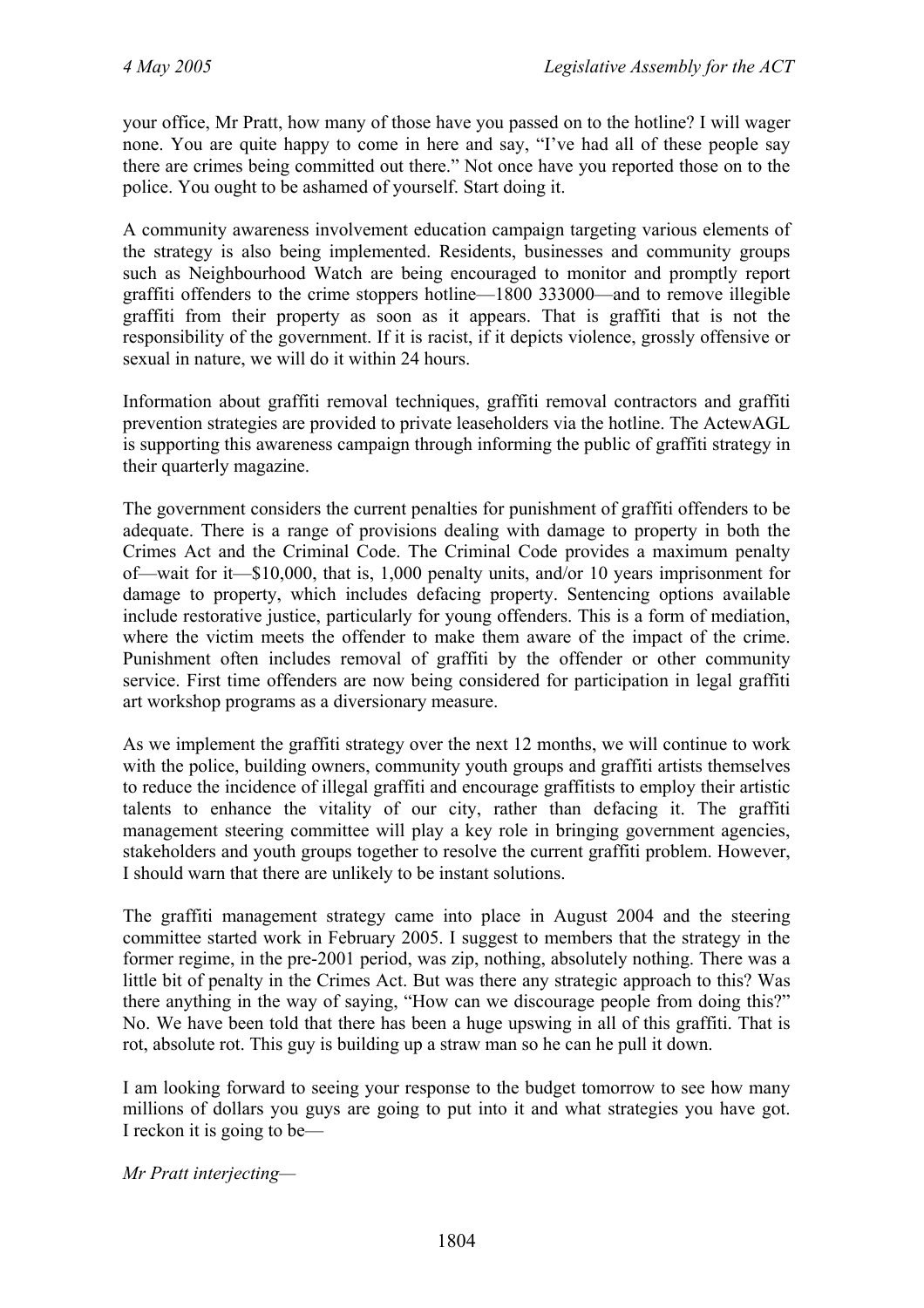your office, Mr Pratt, how many of those have you passed on to the hotline? I will wager none. You are quite happy to come in here and say, "I've had all of these people say there are crimes being committed out there." Not once have you reported those on to the police. You ought to be ashamed of yourself. Start doing it.

A community awareness involvement education campaign targeting various elements of the strategy is also being implemented. Residents, businesses and community groups such as Neighbourhood Watch are being encouraged to monitor and promptly report graffiti offenders to the crime stoppers hotline—1800 333000—and to remove illegible graffiti from their property as soon as it appears. That is graffiti that is not the responsibility of the government. If it is racist, if it depicts violence, grossly offensive or sexual in nature, we will do it within 24 hours.

Information about graffiti removal techniques, graffiti removal contractors and graffiti prevention strategies are provided to private leaseholders via the hotline. The ActewAGL is supporting this awareness campaign through informing the public of graffiti strategy in their quarterly magazine.

The government considers the current penalties for punishment of graffiti offenders to be adequate. There is a range of provisions dealing with damage to property in both the Crimes Act and the Criminal Code. The Criminal Code provides a maximum penalty of—wait for it—\$10,000, that is, 1,000 penalty units, and/or 10 years imprisonment for damage to property, which includes defacing property. Sentencing options available include restorative justice, particularly for young offenders. This is a form of mediation, where the victim meets the offender to make them aware of the impact of the crime. Punishment often includes removal of graffiti by the offender or other community service. First time offenders are now being considered for participation in legal graffiti art workshop programs as a diversionary measure.

As we implement the graffiti strategy over the next 12 months, we will continue to work with the police, building owners, community youth groups and graffiti artists themselves to reduce the incidence of illegal graffiti and encourage graffitists to employ their artistic talents to enhance the vitality of our city, rather than defacing it. The graffiti management steering committee will play a key role in bringing government agencies, stakeholders and youth groups together to resolve the current graffiti problem. However, I should warn that there are unlikely to be instant solutions.

The graffiti management strategy came into place in August 2004 and the steering committee started work in February 2005. I suggest to members that the strategy in the former regime, in the pre-2001 period, was zip, nothing, absolutely nothing. There was a little bit of penalty in the Crimes Act. But was there any strategic approach to this? Was there anything in the way of saying, "How can we discourage people from doing this?" No. We have been told that there has been a huge upswing in all of this graffiti. That is rot, absolute rot. This guy is building up a straw man so he can he pull it down.

I am looking forward to seeing your response to the budget tomorrow to see how many millions of dollars you guys are going to put into it and what strategies you have got. I reckon it is going to be—

*Mr Pratt interjecting—*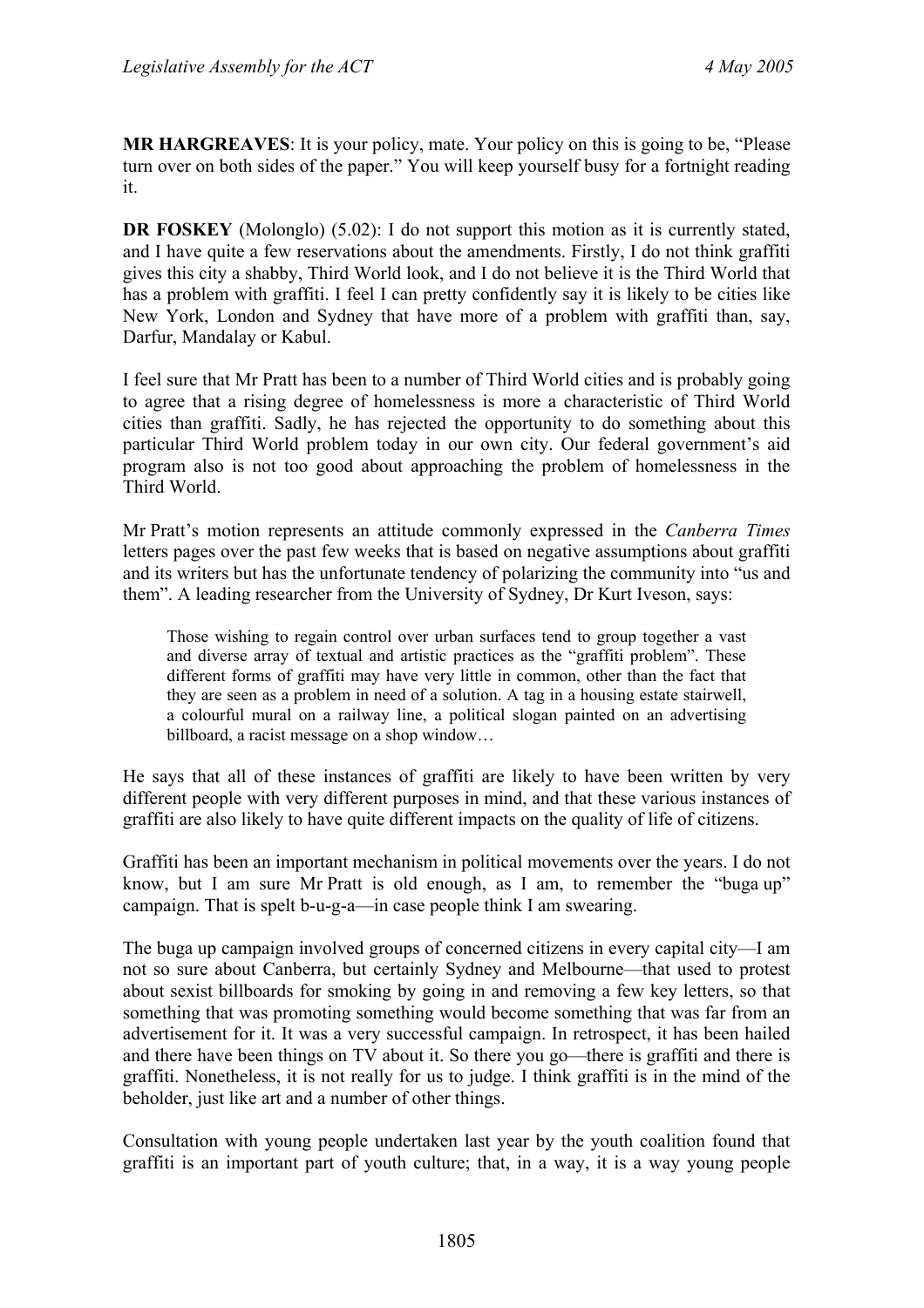**MR HARGREAVES**: It is your policy, mate. Your policy on this is going to be, "Please turn over on both sides of the paper." You will keep yourself busy for a fortnight reading it.

**DR FOSKEY** (Molonglo) (5.02): I do not support this motion as it is currently stated, and I have quite a few reservations about the amendments. Firstly, I do not think graffiti gives this city a shabby, Third World look, and I do not believe it is the Third World that has a problem with graffiti. I feel I can pretty confidently say it is likely to be cities like New York, London and Sydney that have more of a problem with graffiti than, say, Darfur, Mandalay or Kabul.

I feel sure that Mr Pratt has been to a number of Third World cities and is probably going to agree that a rising degree of homelessness is more a characteristic of Third World cities than graffiti. Sadly, he has rejected the opportunity to do something about this particular Third World problem today in our own city. Our federal government's aid program also is not too good about approaching the problem of homelessness in the Third World.

Mr Pratt's motion represents an attitude commonly expressed in the *Canberra Times* letters pages over the past few weeks that is based on negative assumptions about graffiti and its writers but has the unfortunate tendency of polarizing the community into "us and them". A leading researcher from the University of Sydney, Dr Kurt Iveson, says:

Those wishing to regain control over urban surfaces tend to group together a vast and diverse array of textual and artistic practices as the "graffiti problem". These different forms of graffiti may have very little in common, other than the fact that they are seen as a problem in need of a solution. A tag in a housing estate stairwell, a colourful mural on a railway line, a political slogan painted on an advertising billboard, a racist message on a shop window…

He says that all of these instances of graffiti are likely to have been written by very different people with very different purposes in mind, and that these various instances of graffiti are also likely to have quite different impacts on the quality of life of citizens.

Graffiti has been an important mechanism in political movements over the years. I do not know, but I am sure Mr Pratt is old enough, as I am, to remember the "buga up" campaign. That is spelt b-u-g-a—in case people think I am swearing.

The buga up campaign involved groups of concerned citizens in every capital city—I am not so sure about Canberra, but certainly Sydney and Melbourne—that used to protest about sexist billboards for smoking by going in and removing a few key letters, so that something that was promoting something would become something that was far from an advertisement for it. It was a very successful campaign. In retrospect, it has been hailed and there have been things on TV about it. So there you go—there is graffiti and there is graffiti. Nonetheless, it is not really for us to judge. I think graffiti is in the mind of the beholder, just like art and a number of other things.

Consultation with young people undertaken last year by the youth coalition found that graffiti is an important part of youth culture; that, in a way, it is a way young people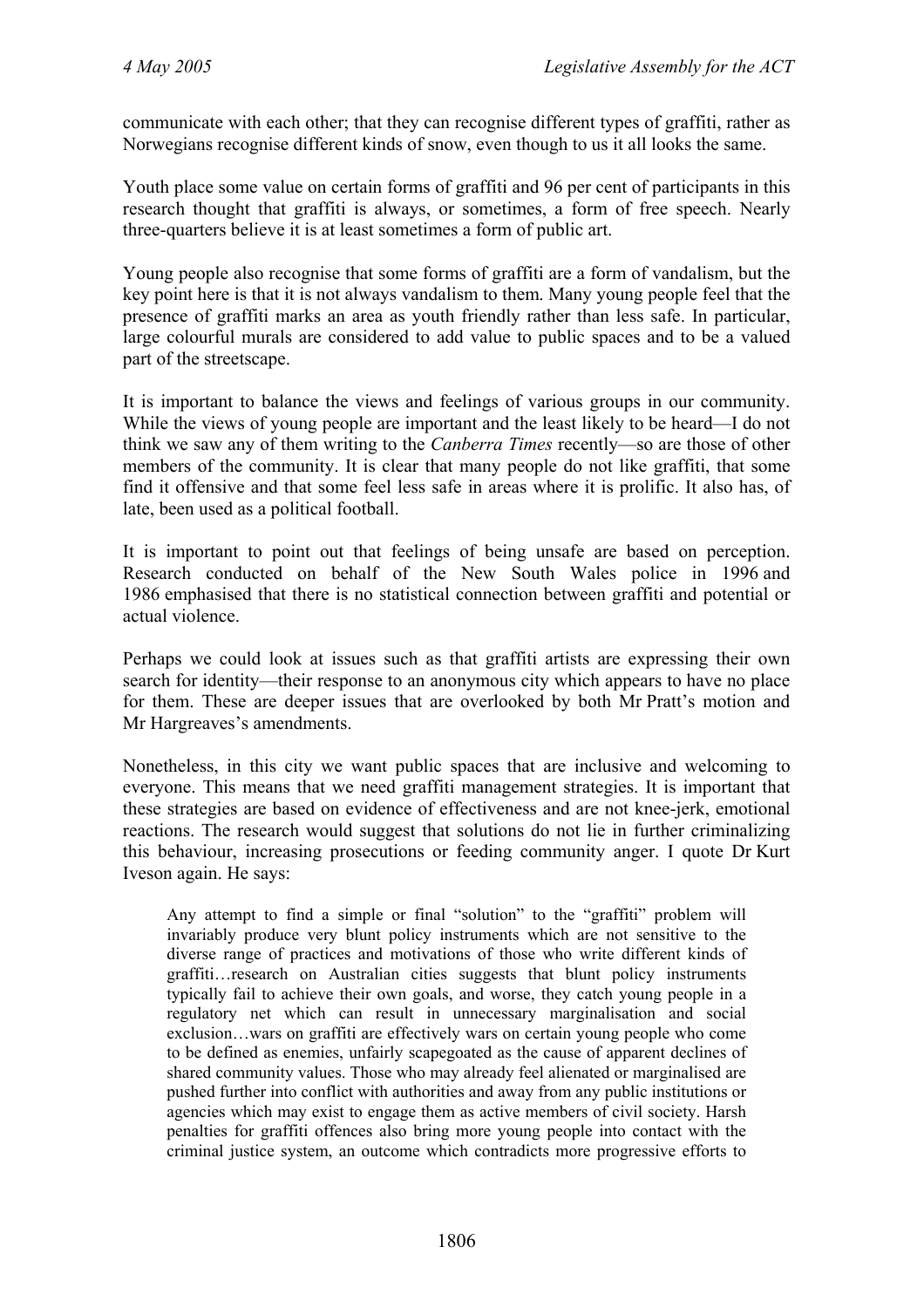communicate with each other; that they can recognise different types of graffiti, rather as Norwegians recognise different kinds of snow, even though to us it all looks the same.

Youth place some value on certain forms of graffiti and 96 per cent of participants in this research thought that graffiti is always, or sometimes, a form of free speech. Nearly three-quarters believe it is at least sometimes a form of public art.

Young people also recognise that some forms of graffiti are a form of vandalism, but the key point here is that it is not always vandalism to them. Many young people feel that the presence of graffiti marks an area as youth friendly rather than less safe. In particular, large colourful murals are considered to add value to public spaces and to be a valued part of the streetscape.

It is important to balance the views and feelings of various groups in our community. While the views of young people are important and the least likely to be heard—I do not think we saw any of them writing to the *Canberra Times* recently—so are those of other members of the community. It is clear that many people do not like graffiti, that some find it offensive and that some feel less safe in areas where it is prolific. It also has, of late, been used as a political football.

It is important to point out that feelings of being unsafe are based on perception. Research conducted on behalf of the New South Wales police in 1996 and 1986 emphasised that there is no statistical connection between graffiti and potential or actual violence.

Perhaps we could look at issues such as that graffiti artists are expressing their own search for identity—their response to an anonymous city which appears to have no place for them. These are deeper issues that are overlooked by both Mr Pratt's motion and Mr Hargreaves's amendments.

Nonetheless, in this city we want public spaces that are inclusive and welcoming to everyone. This means that we need graffiti management strategies. It is important that these strategies are based on evidence of effectiveness and are not knee-jerk, emotional reactions. The research would suggest that solutions do not lie in further criminalizing this behaviour, increasing prosecutions or feeding community anger. I quote Dr Kurt Iveson again. He says:

Any attempt to find a simple or final "solution" to the "graffiti" problem will invariably produce very blunt policy instruments which are not sensitive to the diverse range of practices and motivations of those who write different kinds of graffiti…research on Australian cities suggests that blunt policy instruments typically fail to achieve their own goals, and worse, they catch young people in a regulatory net which can result in unnecessary marginalisation and social exclusion…wars on graffiti are effectively wars on certain young people who come to be defined as enemies, unfairly scapegoated as the cause of apparent declines of shared community values. Those who may already feel alienated or marginalised are pushed further into conflict with authorities and away from any public institutions or agencies which may exist to engage them as active members of civil society. Harsh penalties for graffiti offences also bring more young people into contact with the criminal justice system, an outcome which contradicts more progressive efforts to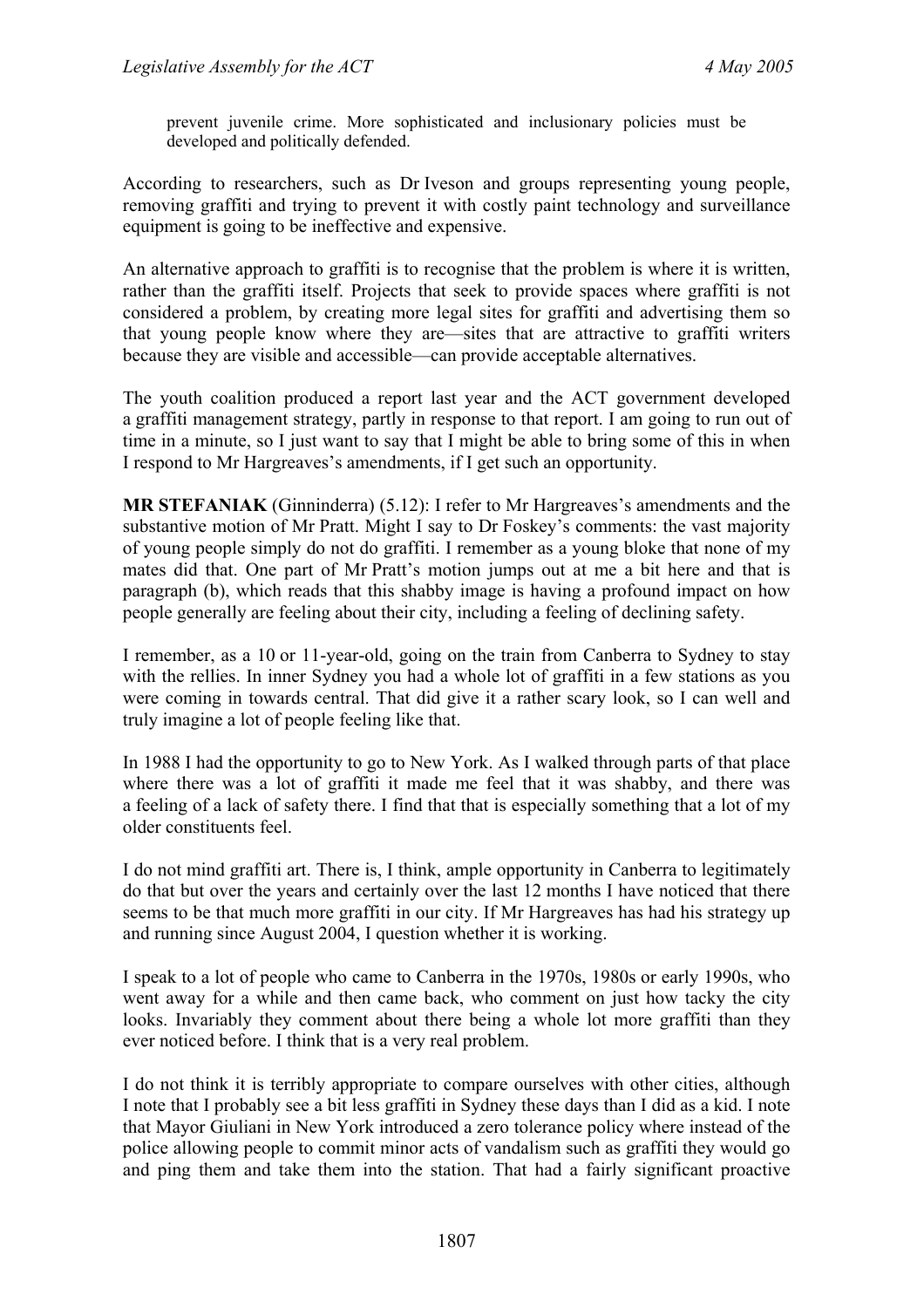prevent juvenile crime. More sophisticated and inclusionary policies must be developed and politically defended.

According to researchers, such as Dr Iveson and groups representing young people, removing graffiti and trying to prevent it with costly paint technology and surveillance equipment is going to be ineffective and expensive.

An alternative approach to graffiti is to recognise that the problem is where it is written, rather than the graffiti itself. Projects that seek to provide spaces where graffiti is not considered a problem, by creating more legal sites for graffiti and advertising them so that young people know where they are—sites that are attractive to graffiti writers because they are visible and accessible—can provide acceptable alternatives.

The youth coalition produced a report last year and the ACT government developed a graffiti management strategy, partly in response to that report. I am going to run out of time in a minute, so I just want to say that I might be able to bring some of this in when I respond to Mr Hargreaves's amendments, if I get such an opportunity.

**MR STEFANIAK** (Ginninderra) (5.12): I refer to Mr Hargreaves's amendments and the substantive motion of Mr Pratt. Might I say to Dr Foskey's comments: the vast majority of young people simply do not do graffiti. I remember as a young bloke that none of my mates did that. One part of Mr Pratt's motion jumps out at me a bit here and that is paragraph (b), which reads that this shabby image is having a profound impact on how people generally are feeling about their city, including a feeling of declining safety.

I remember, as a 10 or 11-year-old, going on the train from Canberra to Sydney to stay with the rellies. In inner Sydney you had a whole lot of graffiti in a few stations as you were coming in towards central. That did give it a rather scary look, so I can well and truly imagine a lot of people feeling like that.

In 1988 I had the opportunity to go to New York. As I walked through parts of that place where there was a lot of graffiti it made me feel that it was shabby, and there was a feeling of a lack of safety there. I find that that is especially something that a lot of my older constituents feel.

I do not mind graffiti art. There is, I think, ample opportunity in Canberra to legitimately do that but over the years and certainly over the last 12 months I have noticed that there seems to be that much more graffiti in our city. If Mr Hargreaves has had his strategy up and running since August 2004, I question whether it is working.

I speak to a lot of people who came to Canberra in the 1970s, 1980s or early 1990s, who went away for a while and then came back, who comment on just how tacky the city looks. Invariably they comment about there being a whole lot more graffiti than they ever noticed before. I think that is a very real problem.

I do not think it is terribly appropriate to compare ourselves with other cities, although I note that I probably see a bit less graffiti in Sydney these days than I did as a kid. I note that Mayor Giuliani in New York introduced a zero tolerance policy where instead of the police allowing people to commit minor acts of vandalism such as graffiti they would go and ping them and take them into the station. That had a fairly significant proactive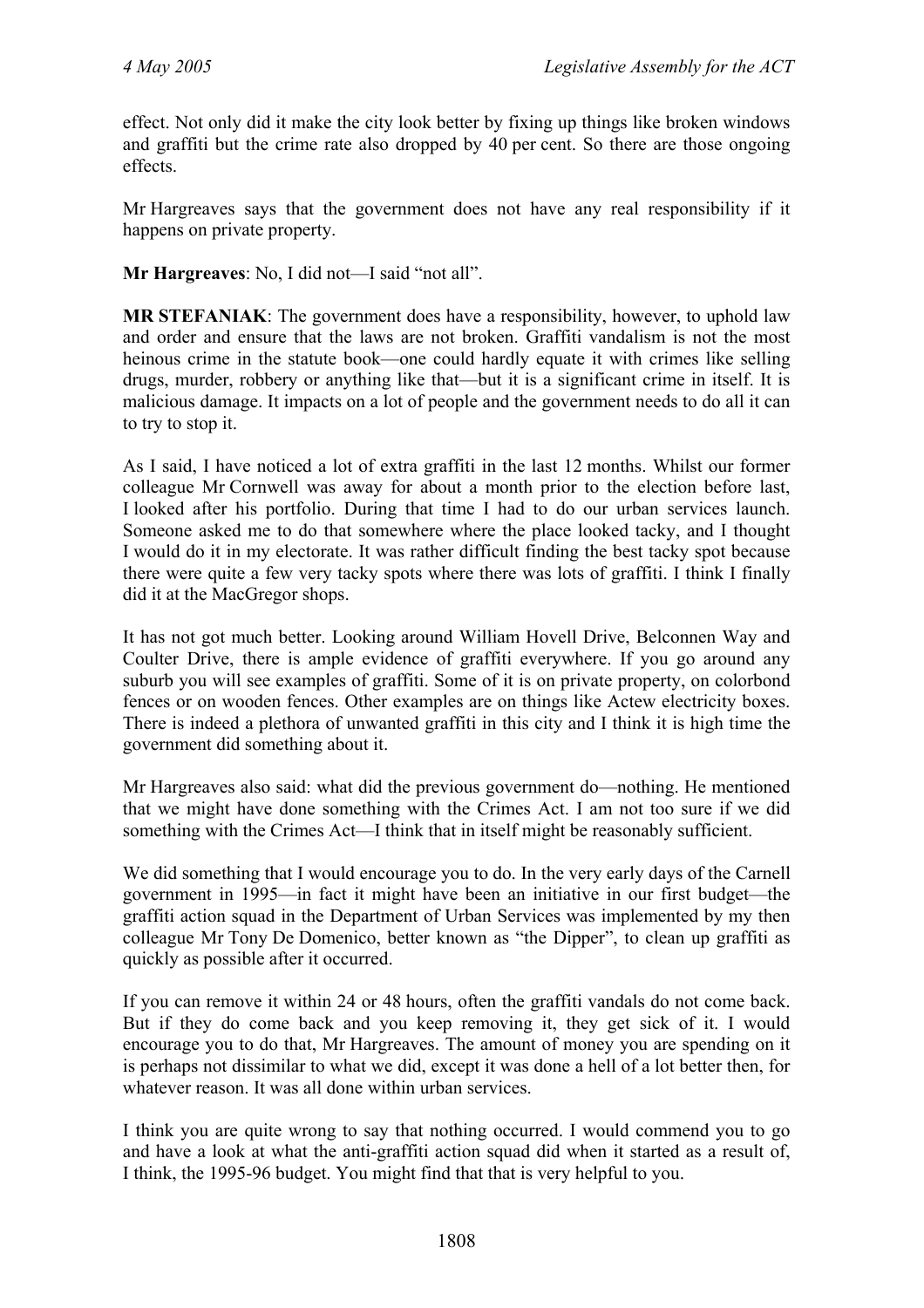effect. Not only did it make the city look better by fixing up things like broken windows and graffiti but the crime rate also dropped by 40 per cent. So there are those ongoing effects.

Mr Hargreaves says that the government does not have any real responsibility if it happens on private property.

**Mr Hargreaves**: No, I did not—I said "not all".

**MR STEFANIAK**: The government does have a responsibility, however, to uphold law and order and ensure that the laws are not broken. Graffiti vandalism is not the most heinous crime in the statute book—one could hardly equate it with crimes like selling drugs, murder, robbery or anything like that—but it is a significant crime in itself. It is malicious damage. It impacts on a lot of people and the government needs to do all it can to try to stop it.

As I said, I have noticed a lot of extra graffiti in the last 12 months. Whilst our former colleague Mr Cornwell was away for about a month prior to the election before last, I looked after his portfolio. During that time I had to do our urban services launch. Someone asked me to do that somewhere where the place looked tacky, and I thought I would do it in my electorate. It was rather difficult finding the best tacky spot because there were quite a few very tacky spots where there was lots of graffiti. I think I finally did it at the MacGregor shops.

It has not got much better. Looking around William Hovell Drive, Belconnen Way and Coulter Drive, there is ample evidence of graffiti everywhere. If you go around any suburb you will see examples of graffiti. Some of it is on private property, on colorbond fences or on wooden fences. Other examples are on things like Actew electricity boxes. There is indeed a plethora of unwanted graffiti in this city and I think it is high time the government did something about it.

Mr Hargreaves also said: what did the previous government do—nothing. He mentioned that we might have done something with the Crimes Act. I am not too sure if we did something with the Crimes Act—I think that in itself might be reasonably sufficient.

We did something that I would encourage you to do. In the very early days of the Carnell government in 1995—in fact it might have been an initiative in our first budget—the graffiti action squad in the Department of Urban Services was implemented by my then colleague Mr Tony De Domenico, better known as "the Dipper", to clean up graffiti as quickly as possible after it occurred.

If you can remove it within 24 or 48 hours, often the graffiti vandals do not come back. But if they do come back and you keep removing it, they get sick of it. I would encourage you to do that, Mr Hargreaves. The amount of money you are spending on it is perhaps not dissimilar to what we did, except it was done a hell of a lot better then, for whatever reason. It was all done within urban services.

I think you are quite wrong to say that nothing occurred. I would commend you to go and have a look at what the anti-graffiti action squad did when it started as a result of, I think, the 1995-96 budget. You might find that that is very helpful to you.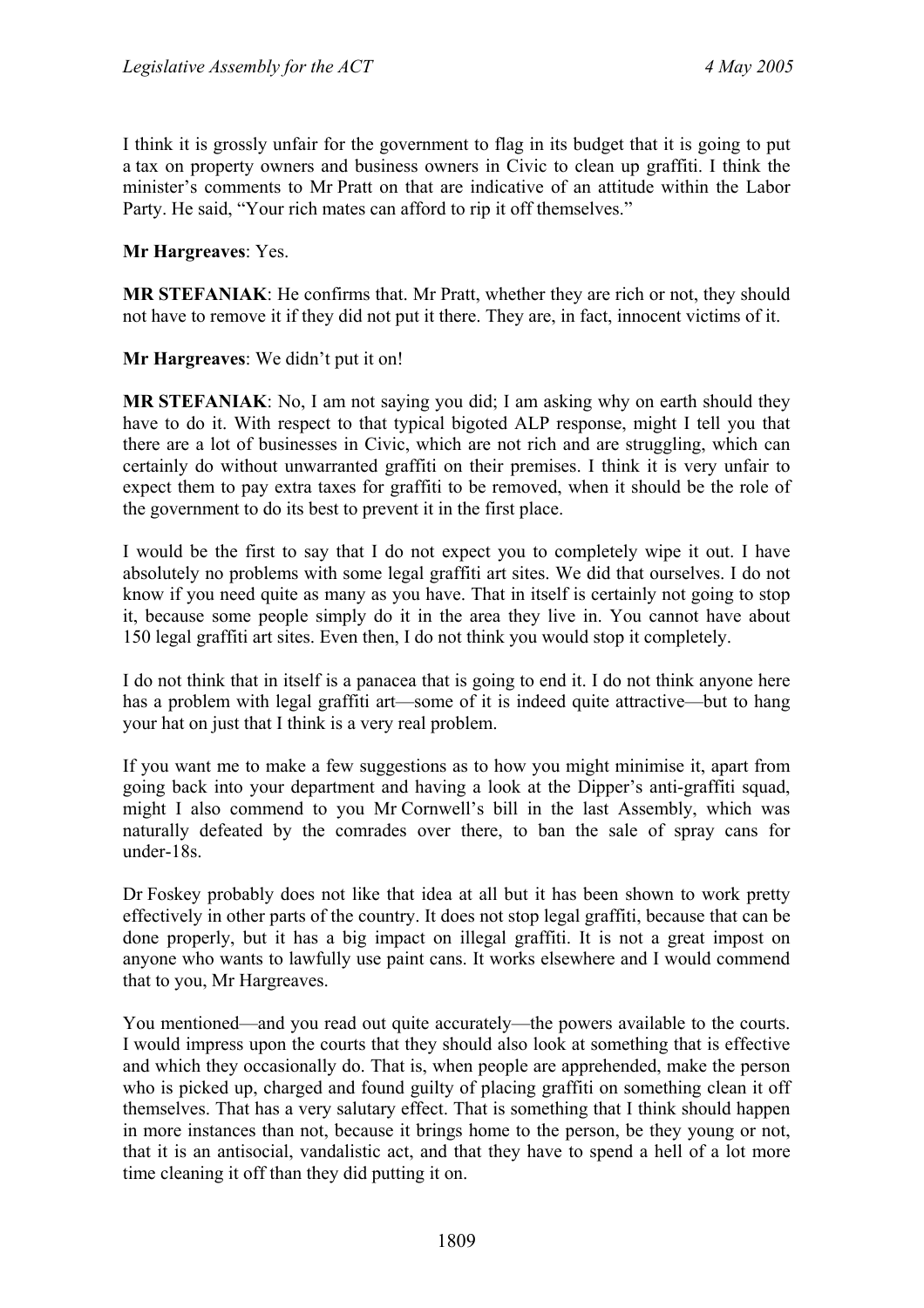I think it is grossly unfair for the government to flag in its budget that it is going to put a tax on property owners and business owners in Civic to clean up graffiti. I think the minister's comments to Mr Pratt on that are indicative of an attitude within the Labor Party. He said, "Your rich mates can afford to rip it off themselves."

**Mr Hargreaves**: Yes.

**MR STEFANIAK**: He confirms that. Mr Pratt, whether they are rich or not, they should not have to remove it if they did not put it there. They are, in fact, innocent victims of it.

**Mr Hargreaves**: We didn't put it on!

**MR STEFANIAK**: No, I am not saying you did; I am asking why on earth should they have to do it. With respect to that typical bigoted ALP response, might I tell you that there are a lot of businesses in Civic, which are not rich and are struggling, which can certainly do without unwarranted graffiti on their premises. I think it is very unfair to expect them to pay extra taxes for graffiti to be removed, when it should be the role of the government to do its best to prevent it in the first place.

I would be the first to say that I do not expect you to completely wipe it out. I have absolutely no problems with some legal graffiti art sites. We did that ourselves. I do not know if you need quite as many as you have. That in itself is certainly not going to stop it, because some people simply do it in the area they live in. You cannot have about 150 legal graffiti art sites. Even then, I do not think you would stop it completely.

I do not think that in itself is a panacea that is going to end it. I do not think anyone here has a problem with legal graffiti art—some of it is indeed quite attractive—but to hang your hat on just that I think is a very real problem.

If you want me to make a few suggestions as to how you might minimise it, apart from going back into your department and having a look at the Dipper's anti-graffiti squad, might I also commend to you Mr Cornwell's bill in the last Assembly, which was naturally defeated by the comrades over there, to ban the sale of spray cans for under-18s.

Dr Foskey probably does not like that idea at all but it has been shown to work pretty effectively in other parts of the country. It does not stop legal graffiti, because that can be done properly, but it has a big impact on illegal graffiti. It is not a great impost on anyone who wants to lawfully use paint cans. It works elsewhere and I would commend that to you, Mr Hargreaves.

You mentioned—and you read out quite accurately—the powers available to the courts. I would impress upon the courts that they should also look at something that is effective and which they occasionally do. That is, when people are apprehended, make the person who is picked up, charged and found guilty of placing graffiti on something clean it off themselves. That has a very salutary effect. That is something that I think should happen in more instances than not, because it brings home to the person, be they young or not, that it is an antisocial, vandalistic act, and that they have to spend a hell of a lot more time cleaning it off than they did putting it on.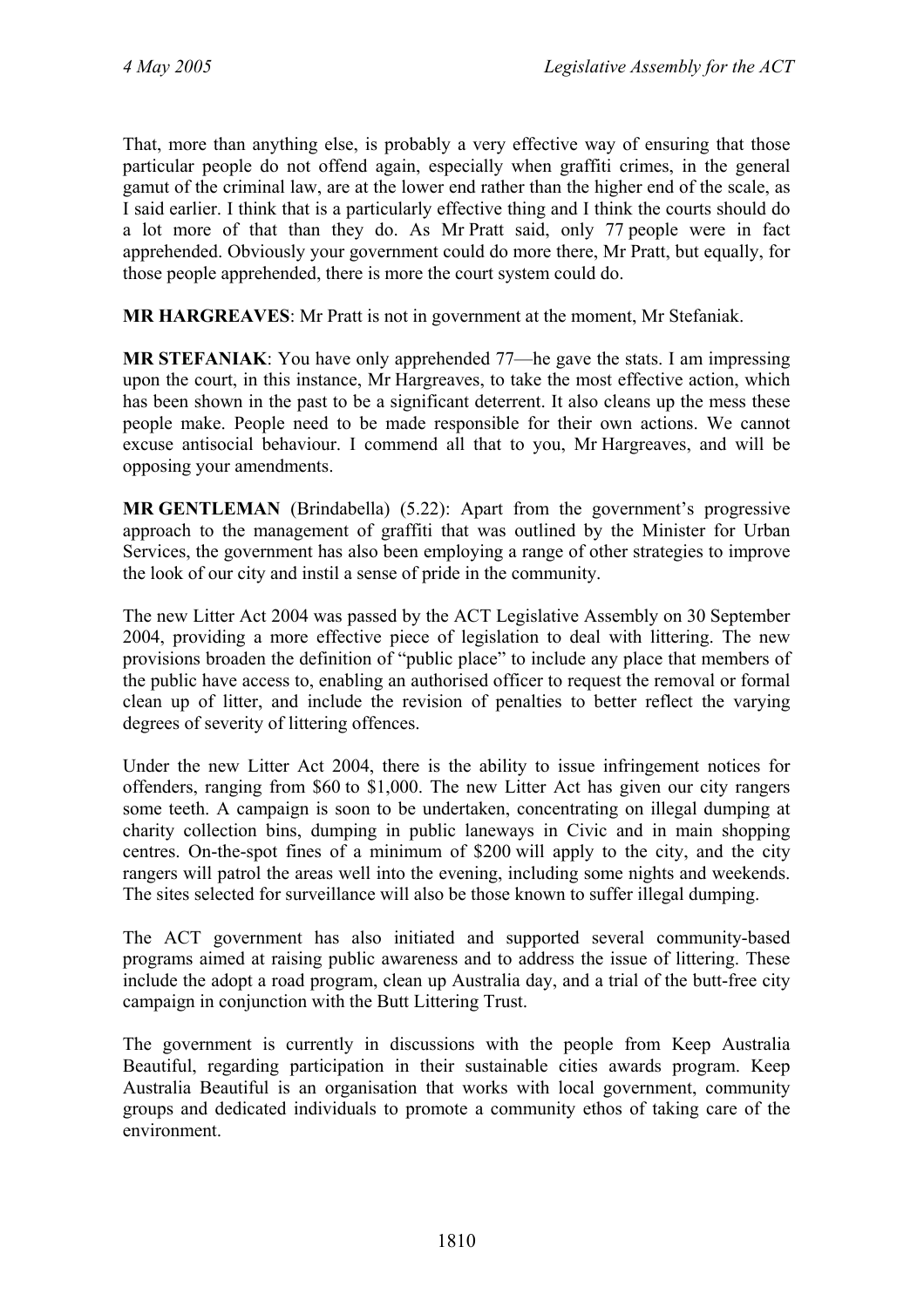That, more than anything else, is probably a very effective way of ensuring that those particular people do not offend again, especially when graffiti crimes, in the general gamut of the criminal law, are at the lower end rather than the higher end of the scale, as I said earlier. I think that is a particularly effective thing and I think the courts should do a lot more of that than they do. As Mr Pratt said, only 77 people were in fact apprehended. Obviously your government could do more there, Mr Pratt, but equally, for those people apprehended, there is more the court system could do.

**MR HARGREAVES**: Mr Pratt is not in government at the moment, Mr Stefaniak.

**MR STEFANIAK**: You have only apprehended 77—he gave the stats. I am impressing upon the court, in this instance, Mr Hargreaves, to take the most effective action, which has been shown in the past to be a significant deterrent. It also cleans up the mess these people make. People need to be made responsible for their own actions. We cannot excuse antisocial behaviour. I commend all that to you, Mr Hargreaves, and will be opposing your amendments.

**MR GENTLEMAN** (Brindabella) (5.22): Apart from the government's progressive approach to the management of graffiti that was outlined by the Minister for Urban Services, the government has also been employing a range of other strategies to improve the look of our city and instil a sense of pride in the community.

The new Litter Act 2004 was passed by the ACT Legislative Assembly on 30 September 2004, providing a more effective piece of legislation to deal with littering. The new provisions broaden the definition of "public place" to include any place that members of the public have access to, enabling an authorised officer to request the removal or formal clean up of litter, and include the revision of penalties to better reflect the varying degrees of severity of littering offences.

Under the new Litter Act 2004, there is the ability to issue infringement notices for offenders, ranging from \$60 to \$1,000. The new Litter Act has given our city rangers some teeth. A campaign is soon to be undertaken, concentrating on illegal dumping at charity collection bins, dumping in public laneways in Civic and in main shopping centres. On-the-spot fines of a minimum of \$200 will apply to the city, and the city rangers will patrol the areas well into the evening, including some nights and weekends. The sites selected for surveillance will also be those known to suffer illegal dumping.

The ACT government has also initiated and supported several community-based programs aimed at raising public awareness and to address the issue of littering. These include the adopt a road program, clean up Australia day, and a trial of the butt-free city campaign in conjunction with the Butt Littering Trust.

The government is currently in discussions with the people from Keep Australia Beautiful, regarding participation in their sustainable cities awards program. Keep Australia Beautiful is an organisation that works with local government, community groups and dedicated individuals to promote a community ethos of taking care of the environment.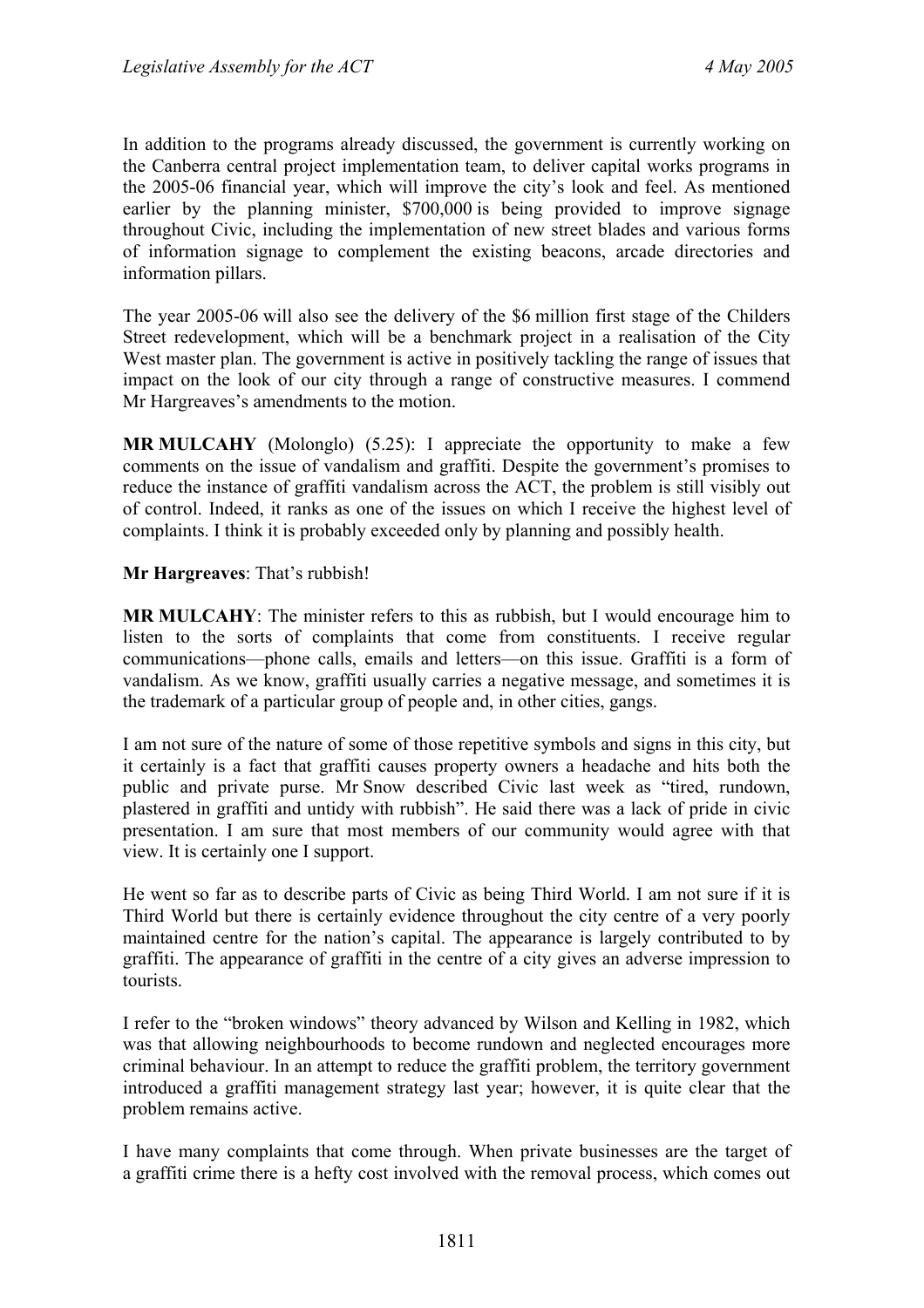In addition to the programs already discussed, the government is currently working on the Canberra central project implementation team, to deliver capital works programs in the 2005-06 financial year, which will improve the city's look and feel. As mentioned earlier by the planning minister, \$700,000 is being provided to improve signage throughout Civic, including the implementation of new street blades and various forms of information signage to complement the existing beacons, arcade directories and information pillars.

The year 2005-06 will also see the delivery of the \$6 million first stage of the Childers Street redevelopment, which will be a benchmark project in a realisation of the City West master plan. The government is active in positively tackling the range of issues that impact on the look of our city through a range of constructive measures. I commend Mr Hargreaves's amendments to the motion.

**MR MULCAHY** (Molonglo) (5.25): I appreciate the opportunity to make a few comments on the issue of vandalism and graffiti. Despite the government's promises to reduce the instance of graffiti vandalism across the ACT, the problem is still visibly out of control. Indeed, it ranks as one of the issues on which I receive the highest level of complaints. I think it is probably exceeded only by planning and possibly health.

**Mr Hargreaves**: That's rubbish!

**MR MULCAHY**: The minister refers to this as rubbish, but I would encourage him to listen to the sorts of complaints that come from constituents. I receive regular communications—phone calls, emails and letters—on this issue. Graffiti is a form of vandalism. As we know, graffiti usually carries a negative message, and sometimes it is the trademark of a particular group of people and, in other cities, gangs.

I am not sure of the nature of some of those repetitive symbols and signs in this city, but it certainly is a fact that graffiti causes property owners a headache and hits both the public and private purse. Mr Snow described Civic last week as "tired, rundown, plastered in graffiti and untidy with rubbish". He said there was a lack of pride in civic presentation. I am sure that most members of our community would agree with that view. It is certainly one I support.

He went so far as to describe parts of Civic as being Third World. I am not sure if it is Third World but there is certainly evidence throughout the city centre of a very poorly maintained centre for the nation's capital. The appearance is largely contributed to by graffiti. The appearance of graffiti in the centre of a city gives an adverse impression to tourists.

I refer to the "broken windows" theory advanced by Wilson and Kelling in 1982, which was that allowing neighbourhoods to become rundown and neglected encourages more criminal behaviour. In an attempt to reduce the graffiti problem, the territory government introduced a graffiti management strategy last year; however, it is quite clear that the problem remains active.

I have many complaints that come through. When private businesses are the target of a graffiti crime there is a hefty cost involved with the removal process, which comes out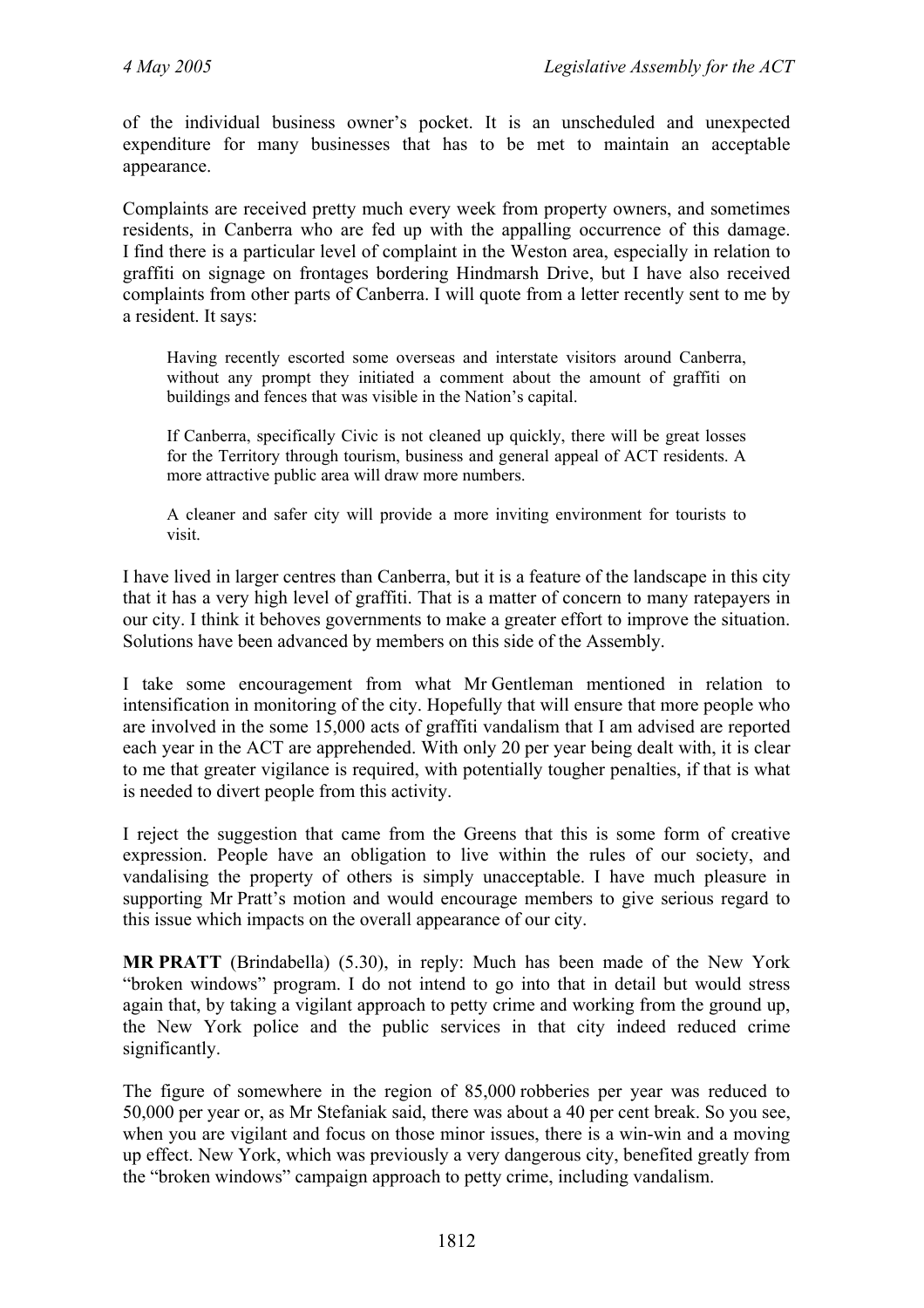of the individual business owner's pocket. It is an unscheduled and unexpected expenditure for many businesses that has to be met to maintain an acceptable appearance.

Complaints are received pretty much every week from property owners, and sometimes residents, in Canberra who are fed up with the appalling occurrence of this damage. I find there is a particular level of complaint in the Weston area, especially in relation to graffiti on signage on frontages bordering Hindmarsh Drive, but I have also received complaints from other parts of Canberra. I will quote from a letter recently sent to me by a resident. It says:

Having recently escorted some overseas and interstate visitors around Canberra, without any prompt they initiated a comment about the amount of graffiti on buildings and fences that was visible in the Nation's capital.

If Canberra, specifically Civic is not cleaned up quickly, there will be great losses for the Territory through tourism, business and general appeal of ACT residents. A more attractive public area will draw more numbers.

A cleaner and safer city will provide a more inviting environment for tourists to visit.

I have lived in larger centres than Canberra, but it is a feature of the landscape in this city that it has a very high level of graffiti. That is a matter of concern to many ratepayers in our city. I think it behoves governments to make a greater effort to improve the situation. Solutions have been advanced by members on this side of the Assembly.

I take some encouragement from what Mr Gentleman mentioned in relation to intensification in monitoring of the city. Hopefully that will ensure that more people who are involved in the some 15,000 acts of graffiti vandalism that I am advised are reported each year in the ACT are apprehended. With only 20 per year being dealt with, it is clear to me that greater vigilance is required, with potentially tougher penalties, if that is what is needed to divert people from this activity.

I reject the suggestion that came from the Greens that this is some form of creative expression. People have an obligation to live within the rules of our society, and vandalising the property of others is simply unacceptable. I have much pleasure in supporting Mr Pratt's motion and would encourage members to give serious regard to this issue which impacts on the overall appearance of our city.

**MR PRATT** (Brindabella) (5.30), in reply: Much has been made of the New York "broken windows" program. I do not intend to go into that in detail but would stress again that, by taking a vigilant approach to petty crime and working from the ground up, the New York police and the public services in that city indeed reduced crime significantly.

The figure of somewhere in the region of 85,000 robberies per year was reduced to 50,000 per year or, as Mr Stefaniak said, there was about a 40 per cent break. So you see, when you are vigilant and focus on those minor issues, there is a win-win and a moving up effect. New York, which was previously a very dangerous city, benefited greatly from the "broken windows" campaign approach to petty crime, including vandalism.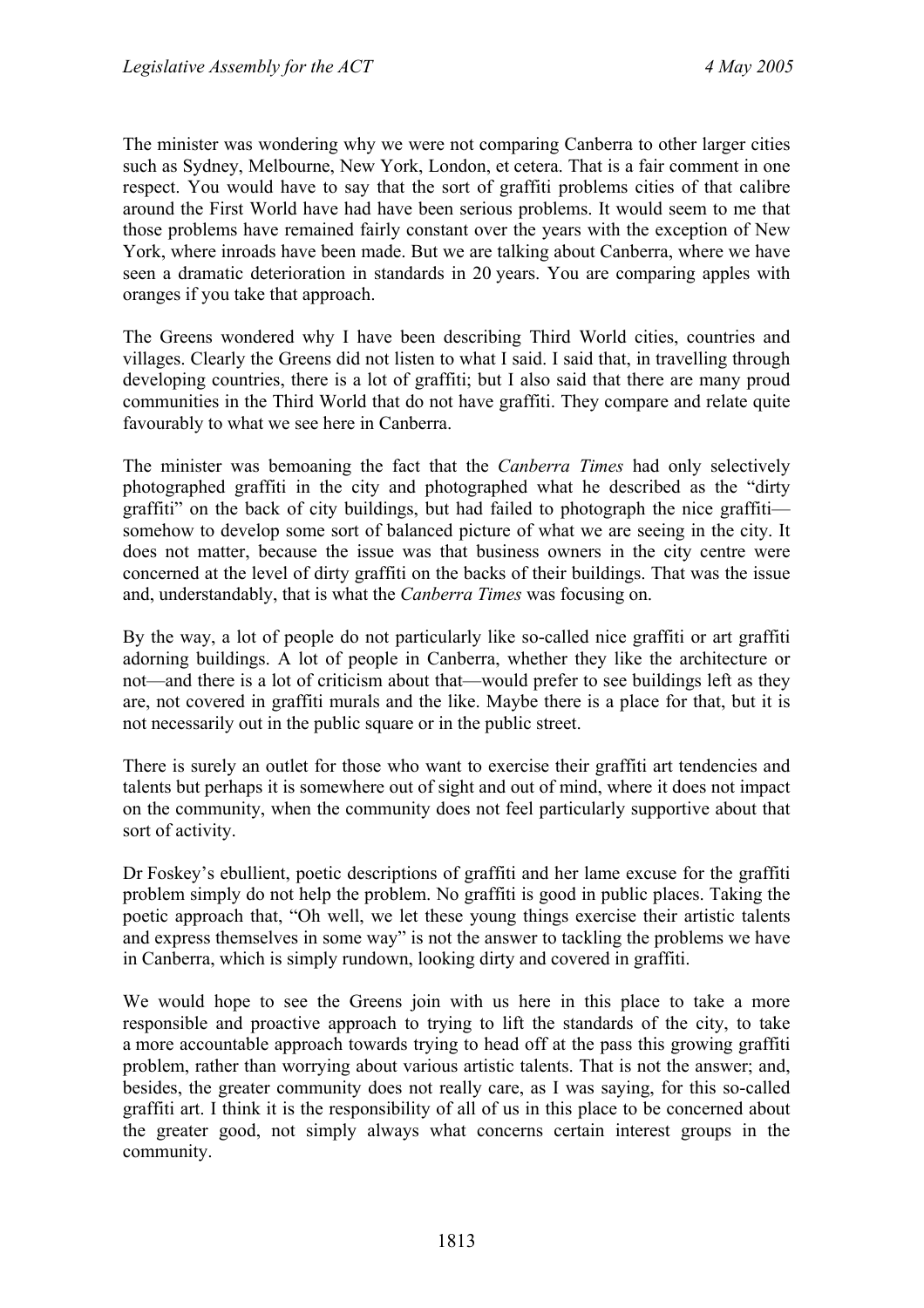The minister was wondering why we were not comparing Canberra to other larger cities such as Sydney, Melbourne, New York, London, et cetera. That is a fair comment in one respect. You would have to say that the sort of graffiti problems cities of that calibre around the First World have had have been serious problems. It would seem to me that those problems have remained fairly constant over the years with the exception of New York, where inroads have been made. But we are talking about Canberra, where we have seen a dramatic deterioration in standards in 20 years. You are comparing apples with oranges if you take that approach.

The Greens wondered why I have been describing Third World cities, countries and villages. Clearly the Greens did not listen to what I said. I said that, in travelling through developing countries, there is a lot of graffiti; but I also said that there are many proud communities in the Third World that do not have graffiti. They compare and relate quite favourably to what we see here in Canberra.

The minister was bemoaning the fact that the *Canberra Times* had only selectively photographed graffiti in the city and photographed what he described as the "dirty graffiti" on the back of city buildings, but had failed to photograph the nice graffiti somehow to develop some sort of balanced picture of what we are seeing in the city. It does not matter, because the issue was that business owners in the city centre were concerned at the level of dirty graffiti on the backs of their buildings. That was the issue and, understandably, that is what the *Canberra Times* was focusing on.

By the way, a lot of people do not particularly like so-called nice graffiti or art graffiti adorning buildings. A lot of people in Canberra, whether they like the architecture or not—and there is a lot of criticism about that—would prefer to see buildings left as they are, not covered in graffiti murals and the like. Maybe there is a place for that, but it is not necessarily out in the public square or in the public street.

There is surely an outlet for those who want to exercise their graffiti art tendencies and talents but perhaps it is somewhere out of sight and out of mind, where it does not impact on the community, when the community does not feel particularly supportive about that sort of activity.

Dr Foskey's ebullient, poetic descriptions of graffiti and her lame excuse for the graffiti problem simply do not help the problem. No graffiti is good in public places. Taking the poetic approach that, "Oh well, we let these young things exercise their artistic talents and express themselves in some way" is not the answer to tackling the problems we have in Canberra, which is simply rundown, looking dirty and covered in graffiti.

We would hope to see the Greens join with us here in this place to take a more responsible and proactive approach to trying to lift the standards of the city, to take a more accountable approach towards trying to head off at the pass this growing graffiti problem, rather than worrying about various artistic talents. That is not the answer; and, besides, the greater community does not really care, as I was saying, for this so-called graffiti art. I think it is the responsibility of all of us in this place to be concerned about the greater good, not simply always what concerns certain interest groups in the community.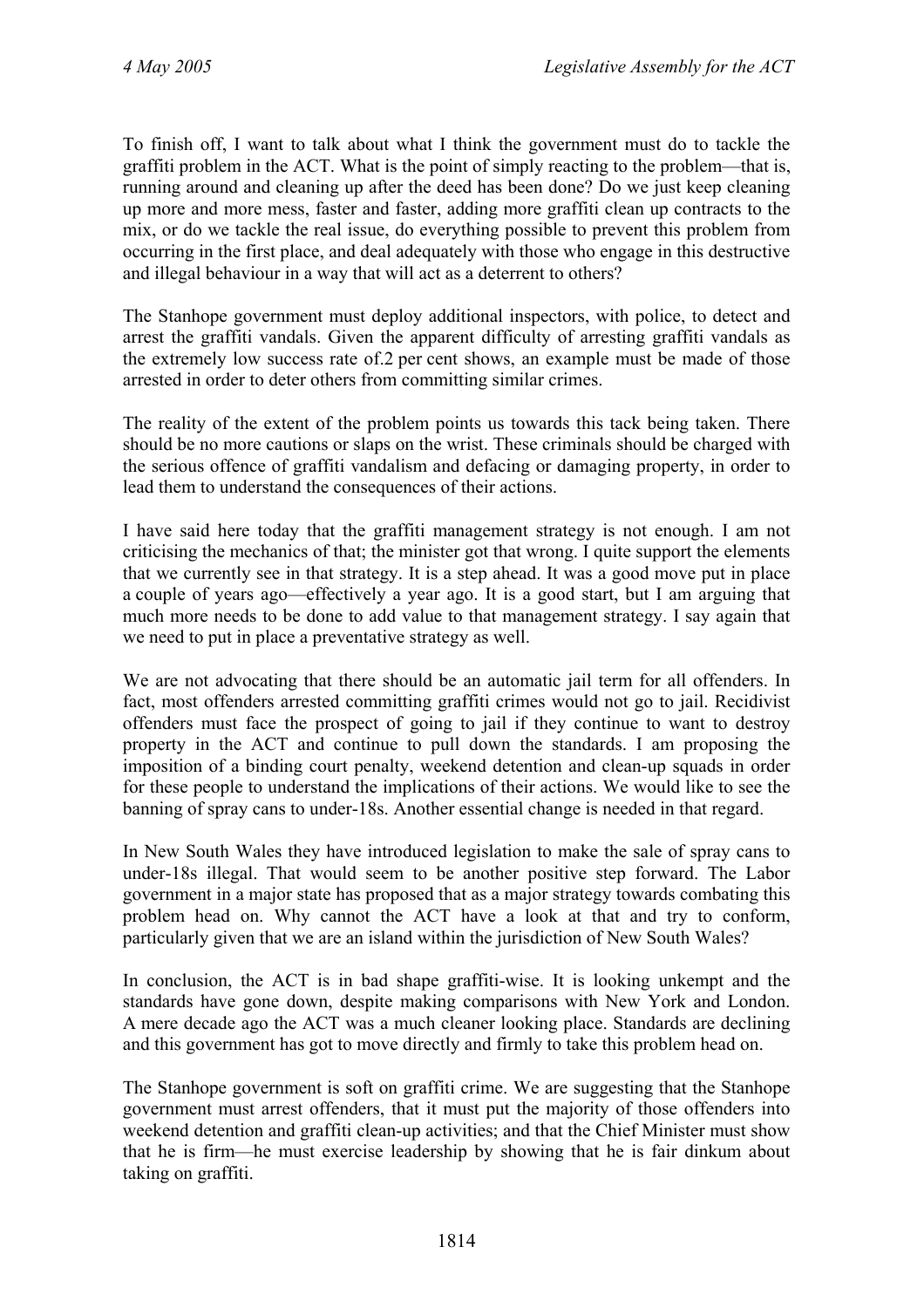To finish off, I want to talk about what I think the government must do to tackle the graffiti problem in the ACT. What is the point of simply reacting to the problem—that is, running around and cleaning up after the deed has been done? Do we just keep cleaning up more and more mess, faster and faster, adding more graffiti clean up contracts to the mix, or do we tackle the real issue, do everything possible to prevent this problem from occurring in the first place, and deal adequately with those who engage in this destructive and illegal behaviour in a way that will act as a deterrent to others?

The Stanhope government must deploy additional inspectors, with police, to detect and arrest the graffiti vandals. Given the apparent difficulty of arresting graffiti vandals as the extremely low success rate of.2 per cent shows, an example must be made of those arrested in order to deter others from committing similar crimes.

The reality of the extent of the problem points us towards this tack being taken. There should be no more cautions or slaps on the wrist. These criminals should be charged with the serious offence of graffiti vandalism and defacing or damaging property, in order to lead them to understand the consequences of their actions.

I have said here today that the graffiti management strategy is not enough. I am not criticising the mechanics of that; the minister got that wrong. I quite support the elements that we currently see in that strategy. It is a step ahead. It was a good move put in place a couple of years ago—effectively a year ago. It is a good start, but I am arguing that much more needs to be done to add value to that management strategy. I say again that we need to put in place a preventative strategy as well.

We are not advocating that there should be an automatic jail term for all offenders. In fact, most offenders arrested committing graffiti crimes would not go to jail. Recidivist offenders must face the prospect of going to jail if they continue to want to destroy property in the ACT and continue to pull down the standards. I am proposing the imposition of a binding court penalty, weekend detention and clean-up squads in order for these people to understand the implications of their actions. We would like to see the banning of spray cans to under-18s. Another essential change is needed in that regard.

In New South Wales they have introduced legislation to make the sale of spray cans to under-18s illegal. That would seem to be another positive step forward. The Labor government in a major state has proposed that as a major strategy towards combating this problem head on. Why cannot the ACT have a look at that and try to conform, particularly given that we are an island within the jurisdiction of New South Wales?

In conclusion, the ACT is in bad shape graffiti-wise. It is looking unkempt and the standards have gone down, despite making comparisons with New York and London. A mere decade ago the ACT was a much cleaner looking place. Standards are declining and this government has got to move directly and firmly to take this problem head on.

The Stanhope government is soft on graffiti crime. We are suggesting that the Stanhope government must arrest offenders, that it must put the majority of those offenders into weekend detention and graffiti clean-up activities; and that the Chief Minister must show that he is firm—he must exercise leadership by showing that he is fair dinkum about taking on graffiti.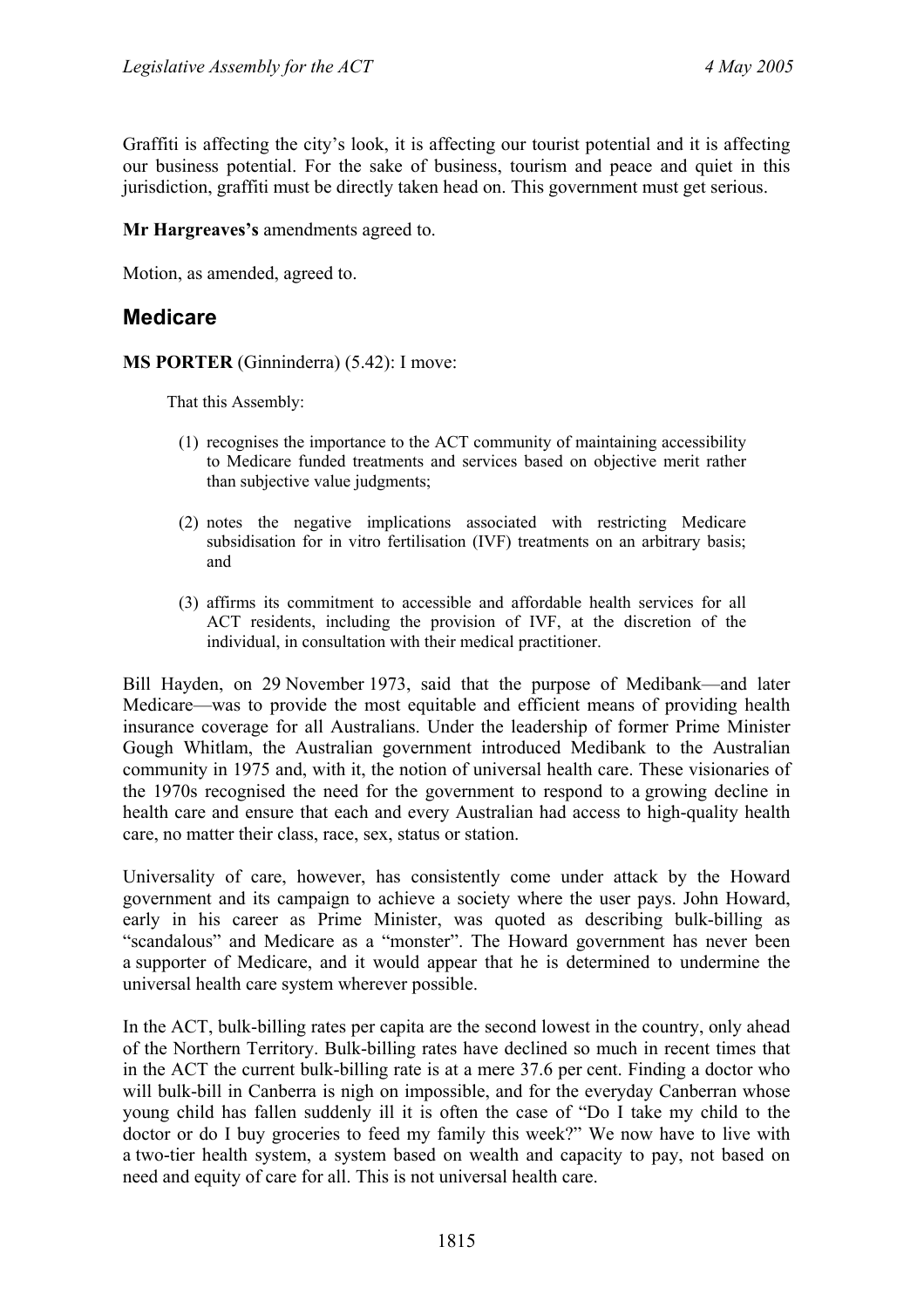Graffiti is affecting the city's look, it is affecting our tourist potential and it is affecting our business potential. For the sake of business, tourism and peace and quiet in this jurisdiction, graffiti must be directly taken head on. This government must get serious.

**Mr Hargreaves's** amendments agreed to.

Motion, as amended, agreed to.

# **Medicare**

**MS PORTER** (Ginninderra) (5.42): I move:

That this Assembly:

- (1) recognises the importance to the ACT community of maintaining accessibility to Medicare funded treatments and services based on objective merit rather than subjective value judgments;
- (2) notes the negative implications associated with restricting Medicare subsidisation for in vitro fertilisation (IVF) treatments on an arbitrary basis; and
- (3) affirms its commitment to accessible and affordable health services for all ACT residents, including the provision of IVF, at the discretion of the individual, in consultation with their medical practitioner.

Bill Hayden, on 29 November 1973, said that the purpose of Medibank—and later Medicare—was to provide the most equitable and efficient means of providing health insurance coverage for all Australians. Under the leadership of former Prime Minister Gough Whitlam, the Australian government introduced Medibank to the Australian community in 1975 and, with it, the notion of universal health care. These visionaries of the 1970s recognised the need for the government to respond to a growing decline in health care and ensure that each and every Australian had access to high-quality health care, no matter their class, race, sex, status or station.

Universality of care, however, has consistently come under attack by the Howard government and its campaign to achieve a society where the user pays. John Howard, early in his career as Prime Minister, was quoted as describing bulk-billing as "scandalous" and Medicare as a "monster". The Howard government has never been a supporter of Medicare, and it would appear that he is determined to undermine the universal health care system wherever possible.

In the ACT, bulk-billing rates per capita are the second lowest in the country, only ahead of the Northern Territory. Bulk-billing rates have declined so much in recent times that in the ACT the current bulk-billing rate is at a mere 37.6 per cent. Finding a doctor who will bulk-bill in Canberra is nigh on impossible, and for the everyday Canberran whose young child has fallen suddenly ill it is often the case of "Do I take my child to the doctor or do I buy groceries to feed my family this week?" We now have to live with a two-tier health system, a system based on wealth and capacity to pay, not based on need and equity of care for all. This is not universal health care.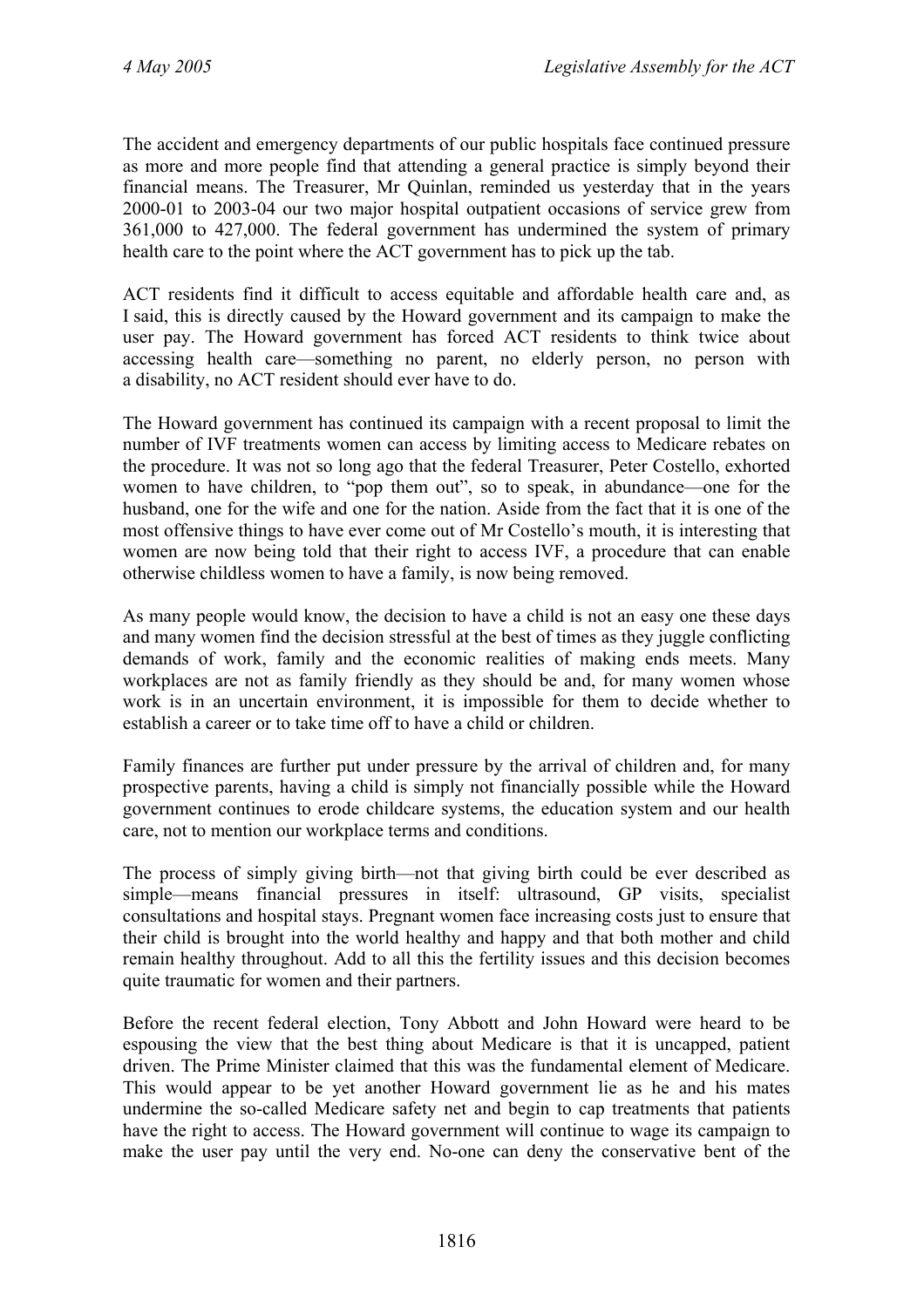The accident and emergency departments of our public hospitals face continued pressure as more and more people find that attending a general practice is simply beyond their financial means. The Treasurer, Mr Quinlan, reminded us yesterday that in the years 2000-01 to 2003-04 our two major hospital outpatient occasions of service grew from 361,000 to 427,000. The federal government has undermined the system of primary health care to the point where the ACT government has to pick up the tab.

ACT residents find it difficult to access equitable and affordable health care and, as I said, this is directly caused by the Howard government and its campaign to make the user pay. The Howard government has forced ACT residents to think twice about accessing health care—something no parent, no elderly person, no person with a disability, no ACT resident should ever have to do.

The Howard government has continued its campaign with a recent proposal to limit the number of IVF treatments women can access by limiting access to Medicare rebates on the procedure. It was not so long ago that the federal Treasurer, Peter Costello, exhorted women to have children, to "pop them out", so to speak, in abundance—one for the husband, one for the wife and one for the nation. Aside from the fact that it is one of the most offensive things to have ever come out of Mr Costello's mouth, it is interesting that women are now being told that their right to access IVF, a procedure that can enable otherwise childless women to have a family, is now being removed.

As many people would know, the decision to have a child is not an easy one these days and many women find the decision stressful at the best of times as they juggle conflicting demands of work, family and the economic realities of making ends meets. Many workplaces are not as family friendly as they should be and, for many women whose work is in an uncertain environment, it is impossible for them to decide whether to establish a career or to take time off to have a child or children.

Family finances are further put under pressure by the arrival of children and, for many prospective parents, having a child is simply not financially possible while the Howard government continues to erode childcare systems, the education system and our health care, not to mention our workplace terms and conditions.

The process of simply giving birth—not that giving birth could be ever described as simple—means financial pressures in itself: ultrasound, GP visits, specialist consultations and hospital stays. Pregnant women face increasing costs just to ensure that their child is brought into the world healthy and happy and that both mother and child remain healthy throughout. Add to all this the fertility issues and this decision becomes quite traumatic for women and their partners.

Before the recent federal election, Tony Abbott and John Howard were heard to be espousing the view that the best thing about Medicare is that it is uncapped, patient driven. The Prime Minister claimed that this was the fundamental element of Medicare. This would appear to be yet another Howard government lie as he and his mates undermine the so-called Medicare safety net and begin to cap treatments that patients have the right to access. The Howard government will continue to wage its campaign to make the user pay until the very end. No-one can deny the conservative bent of the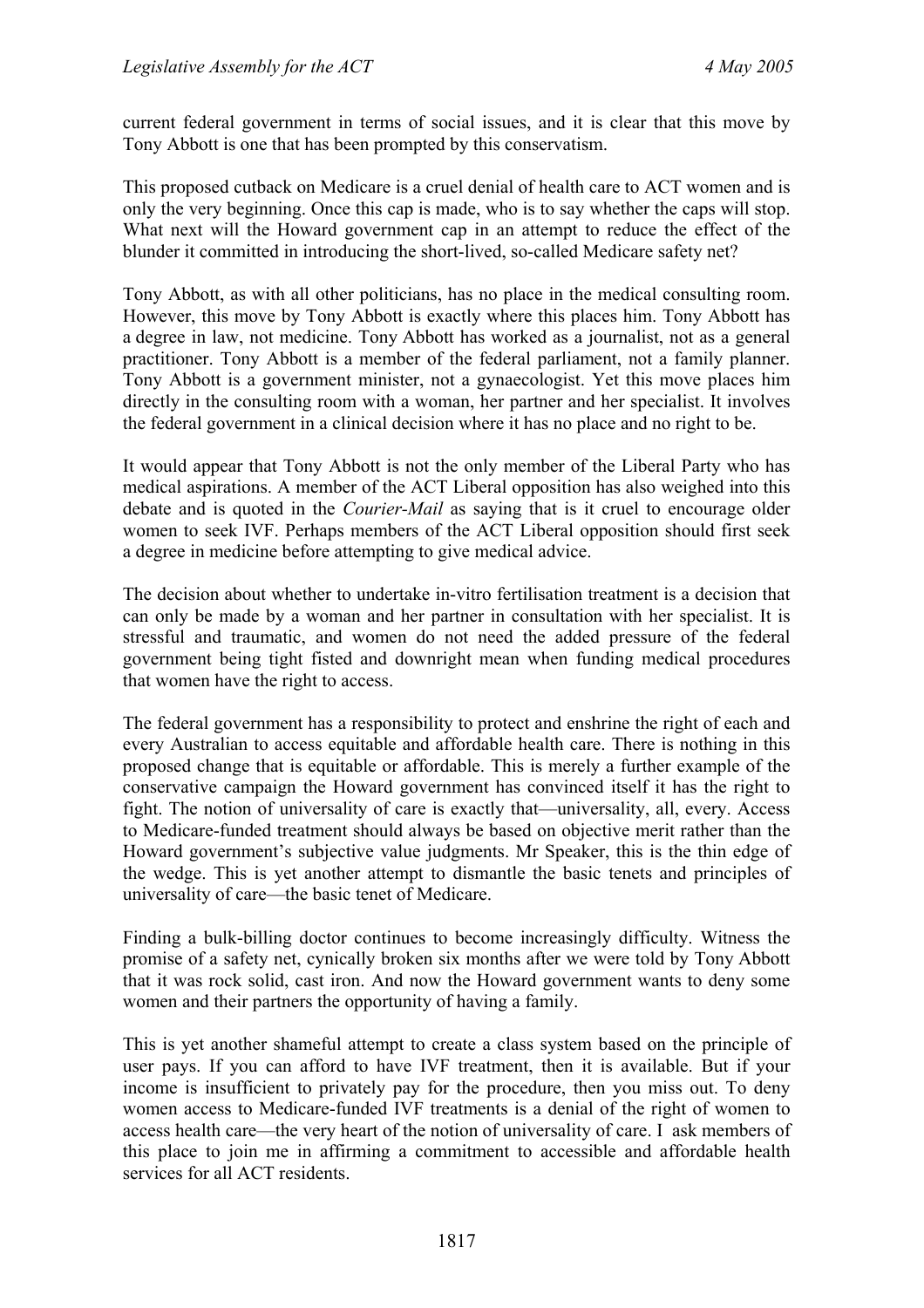current federal government in terms of social issues, and it is clear that this move by Tony Abbott is one that has been prompted by this conservatism.

This proposed cutback on Medicare is a cruel denial of health care to ACT women and is only the very beginning. Once this cap is made, who is to say whether the caps will stop. What next will the Howard government cap in an attempt to reduce the effect of the blunder it committed in introducing the short-lived, so-called Medicare safety net?

Tony Abbott, as with all other politicians, has no place in the medical consulting room. However, this move by Tony Abbott is exactly where this places him. Tony Abbott has a degree in law, not medicine. Tony Abbott has worked as a journalist, not as a general practitioner. Tony Abbott is a member of the federal parliament, not a family planner. Tony Abbott is a government minister, not a gynaecologist. Yet this move places him directly in the consulting room with a woman, her partner and her specialist. It involves the federal government in a clinical decision where it has no place and no right to be.

It would appear that Tony Abbott is not the only member of the Liberal Party who has medical aspirations. A member of the ACT Liberal opposition has also weighed into this debate and is quoted in the *Courier-Mail* as saying that is it cruel to encourage older women to seek IVF. Perhaps members of the ACT Liberal opposition should first seek a degree in medicine before attempting to give medical advice.

The decision about whether to undertake in-vitro fertilisation treatment is a decision that can only be made by a woman and her partner in consultation with her specialist. It is stressful and traumatic, and women do not need the added pressure of the federal government being tight fisted and downright mean when funding medical procedures that women have the right to access.

The federal government has a responsibility to protect and enshrine the right of each and every Australian to access equitable and affordable health care. There is nothing in this proposed change that is equitable or affordable. This is merely a further example of the conservative campaign the Howard government has convinced itself it has the right to fight. The notion of universality of care is exactly that—universality, all, every. Access to Medicare-funded treatment should always be based on objective merit rather than the Howard government's subjective value judgments. Mr Speaker, this is the thin edge of the wedge. This is yet another attempt to dismantle the basic tenets and principles of universality of care—the basic tenet of Medicare.

Finding a bulk-billing doctor continues to become increasingly difficulty. Witness the promise of a safety net, cynically broken six months after we were told by Tony Abbott that it was rock solid, cast iron. And now the Howard government wants to deny some women and their partners the opportunity of having a family.

This is yet another shameful attempt to create a class system based on the principle of user pays. If you can afford to have IVF treatment, then it is available. But if your income is insufficient to privately pay for the procedure, then you miss out. To deny women access to Medicare-funded IVF treatments is a denial of the right of women to access health care—the very heart of the notion of universality of care. I ask members of this place to join me in affirming a commitment to accessible and affordable health services for all ACT residents.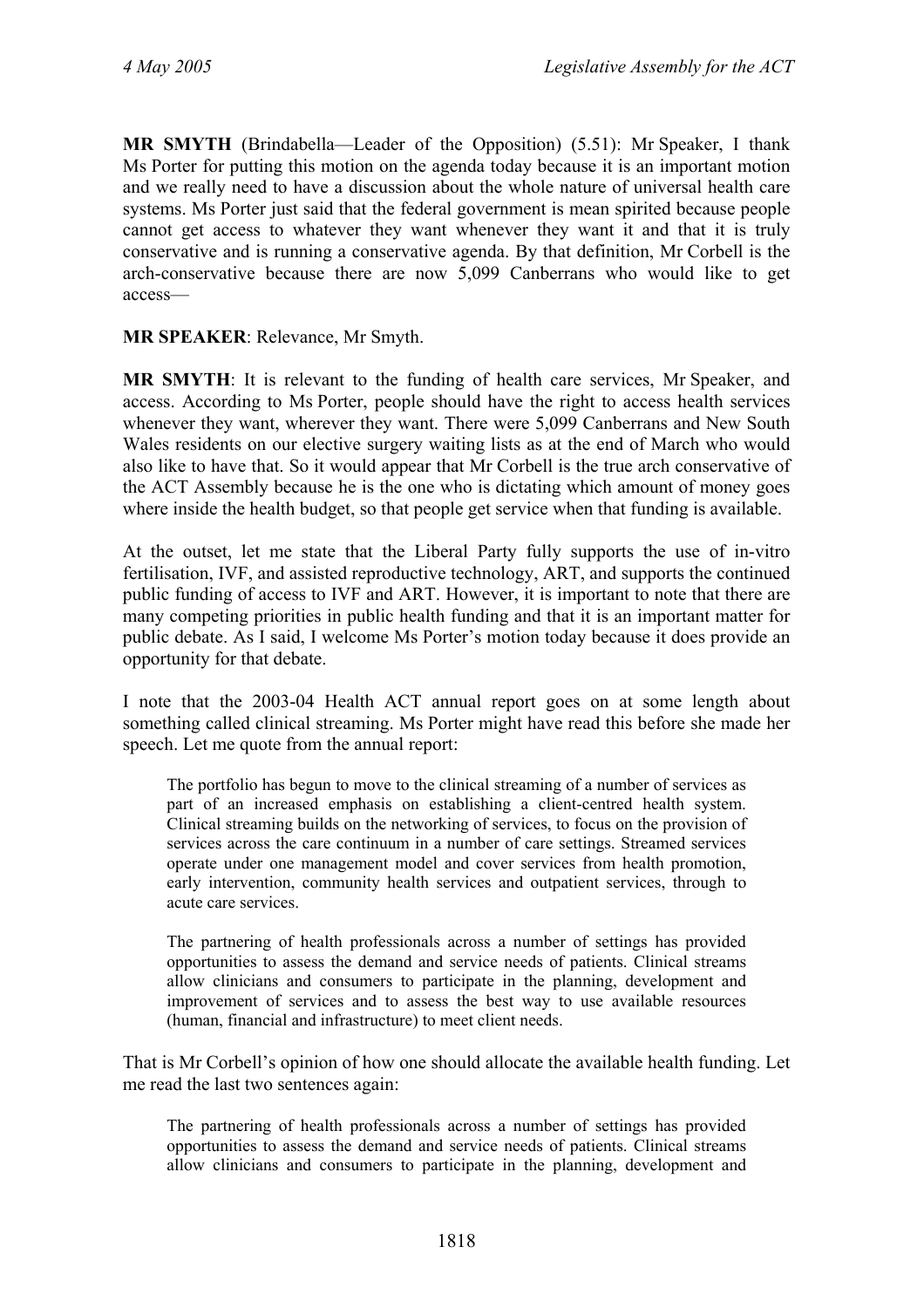**MR SMYTH** (Brindabella—Leader of the Opposition) (5.51): Mr Speaker, I thank Ms Porter for putting this motion on the agenda today because it is an important motion and we really need to have a discussion about the whole nature of universal health care systems. Ms Porter just said that the federal government is mean spirited because people cannot get access to whatever they want whenever they want it and that it is truly conservative and is running a conservative agenda. By that definition, Mr Corbell is the arch-conservative because there are now 5,099 Canberrans who would like to get access—

#### **MR SPEAKER**: Relevance, Mr Smyth.

**MR SMYTH**: It is relevant to the funding of health care services, Mr Speaker, and access. According to Ms Porter, people should have the right to access health services whenever they want, wherever they want. There were 5,099 Canberrans and New South Wales residents on our elective surgery waiting lists as at the end of March who would also like to have that. So it would appear that Mr Corbell is the true arch conservative of the ACT Assembly because he is the one who is dictating which amount of money goes where inside the health budget, so that people get service when that funding is available.

At the outset, let me state that the Liberal Party fully supports the use of in-vitro fertilisation, IVF, and assisted reproductive technology, ART, and supports the continued public funding of access to IVF and ART. However, it is important to note that there are many competing priorities in public health funding and that it is an important matter for public debate. As I said, I welcome Ms Porter's motion today because it does provide an opportunity for that debate.

I note that the 2003-04 Health ACT annual report goes on at some length about something called clinical streaming. Ms Porter might have read this before she made her speech. Let me quote from the annual report:

The portfolio has begun to move to the clinical streaming of a number of services as part of an increased emphasis on establishing a client-centred health system. Clinical streaming builds on the networking of services, to focus on the provision of services across the care continuum in a number of care settings. Streamed services operate under one management model and cover services from health promotion, early intervention, community health services and outpatient services, through to acute care services.

The partnering of health professionals across a number of settings has provided opportunities to assess the demand and service needs of patients. Clinical streams allow clinicians and consumers to participate in the planning, development and improvement of services and to assess the best way to use available resources (human, financial and infrastructure) to meet client needs.

That is Mr Corbell's opinion of how one should allocate the available health funding. Let me read the last two sentences again:

The partnering of health professionals across a number of settings has provided opportunities to assess the demand and service needs of patients. Clinical streams allow clinicians and consumers to participate in the planning, development and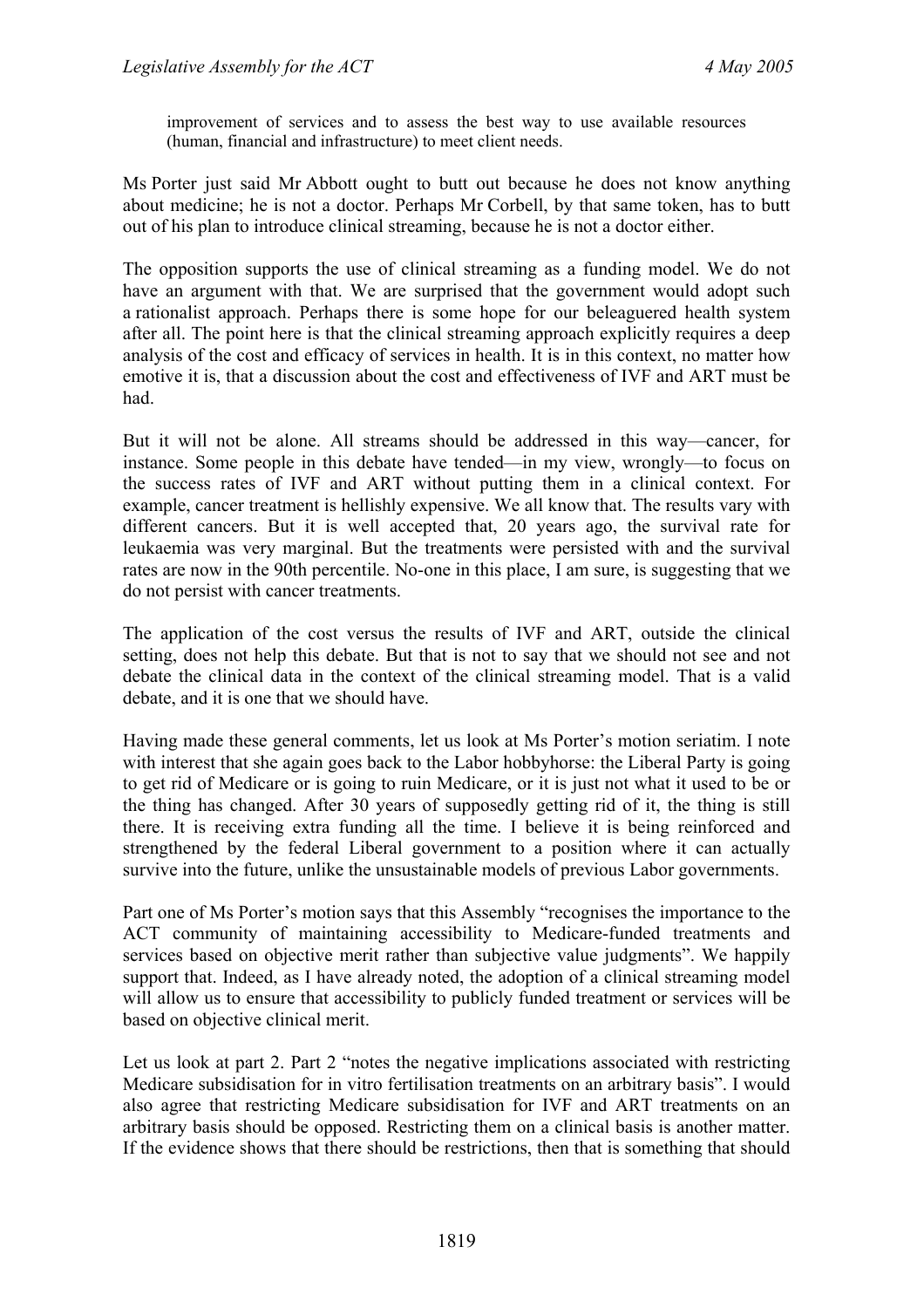improvement of services and to assess the best way to use available resources (human, financial and infrastructure) to meet client needs.

Ms Porter just said Mr Abbott ought to butt out because he does not know anything about medicine; he is not a doctor. Perhaps Mr Corbell, by that same token, has to butt out of his plan to introduce clinical streaming, because he is not a doctor either.

The opposition supports the use of clinical streaming as a funding model. We do not have an argument with that. We are surprised that the government would adopt such a rationalist approach. Perhaps there is some hope for our beleaguered health system after all. The point here is that the clinical streaming approach explicitly requires a deep analysis of the cost and efficacy of services in health. It is in this context, no matter how emotive it is, that a discussion about the cost and effectiveness of IVF and ART must be had.

But it will not be alone. All streams should be addressed in this way—cancer, for instance. Some people in this debate have tended—in my view, wrongly—to focus on the success rates of IVF and ART without putting them in a clinical context. For example, cancer treatment is hellishly expensive. We all know that. The results vary with different cancers. But it is well accepted that, 20 years ago, the survival rate for leukaemia was very marginal. But the treatments were persisted with and the survival rates are now in the 90th percentile. No-one in this place, I am sure, is suggesting that we do not persist with cancer treatments.

The application of the cost versus the results of IVF and ART, outside the clinical setting, does not help this debate. But that is not to say that we should not see and not debate the clinical data in the context of the clinical streaming model. That is a valid debate, and it is one that we should have.

Having made these general comments, let us look at Ms Porter's motion seriatim. I note with interest that she again goes back to the Labor hobbyhorse: the Liberal Party is going to get rid of Medicare or is going to ruin Medicare, or it is just not what it used to be or the thing has changed. After 30 years of supposedly getting rid of it, the thing is still there. It is receiving extra funding all the time. I believe it is being reinforced and strengthened by the federal Liberal government to a position where it can actually survive into the future, unlike the unsustainable models of previous Labor governments.

Part one of Ms Porter's motion says that this Assembly "recognises the importance to the ACT community of maintaining accessibility to Medicare-funded treatments and services based on objective merit rather than subjective value judgments". We happily support that. Indeed, as I have already noted, the adoption of a clinical streaming model will allow us to ensure that accessibility to publicly funded treatment or services will be based on objective clinical merit.

Let us look at part 2. Part 2 "notes the negative implications associated with restricting Medicare subsidisation for in vitro fertilisation treatments on an arbitrary basis". I would also agree that restricting Medicare subsidisation for IVF and ART treatments on an arbitrary basis should be opposed. Restricting them on a clinical basis is another matter. If the evidence shows that there should be restrictions, then that is something that should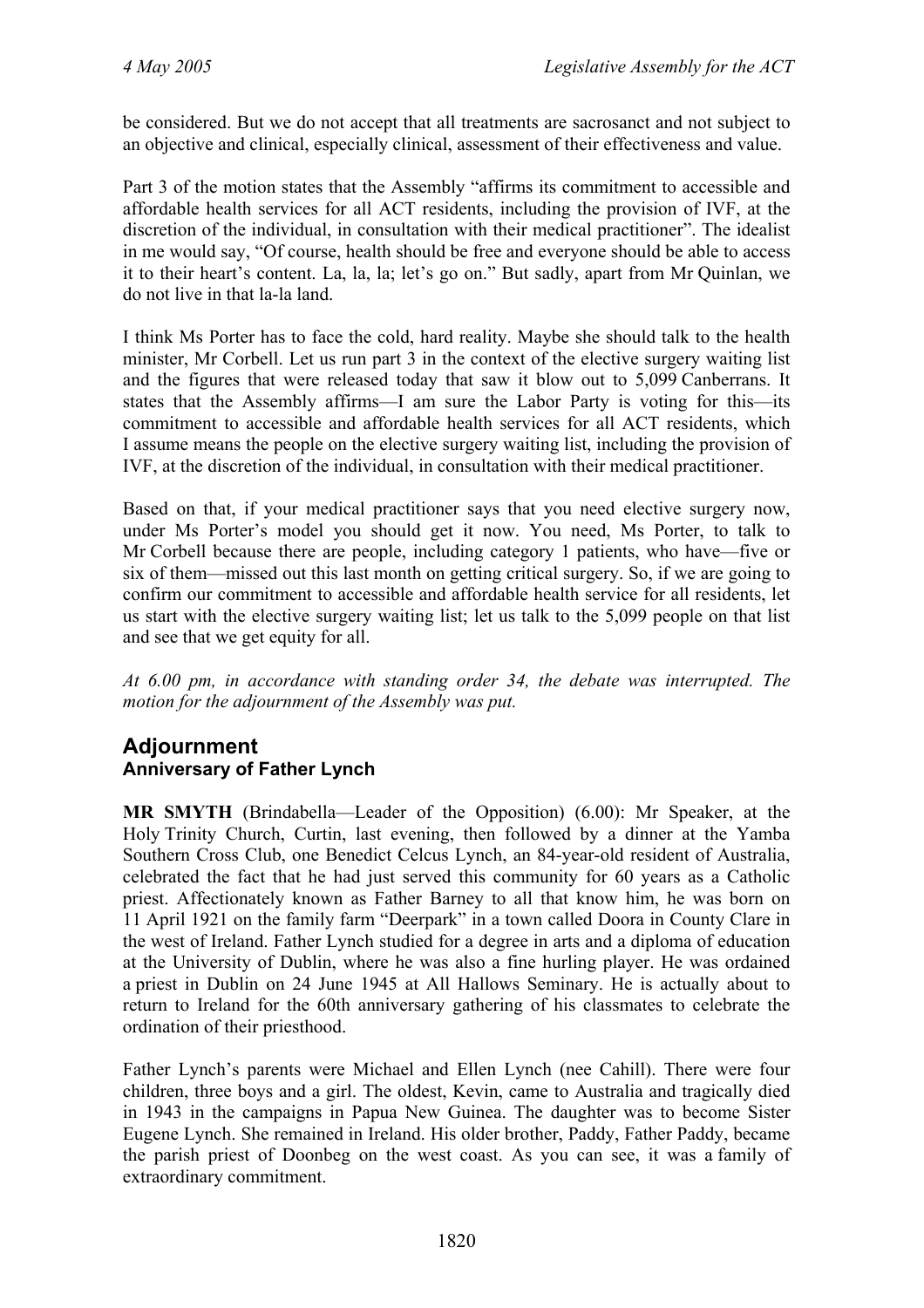be considered. But we do not accept that all treatments are sacrosanct and not subject to an objective and clinical, especially clinical, assessment of their effectiveness and value.

Part 3 of the motion states that the Assembly "affirms its commitment to accessible and affordable health services for all ACT residents, including the provision of IVF, at the discretion of the individual, in consultation with their medical practitioner". The idealist in me would say, "Of course, health should be free and everyone should be able to access it to their heart's content. La, la, la; let's go on." But sadly, apart from Mr Quinlan, we do not live in that la-la land.

I think Ms Porter has to face the cold, hard reality. Maybe she should talk to the health minister, Mr Corbell. Let us run part 3 in the context of the elective surgery waiting list and the figures that were released today that saw it blow out to 5,099 Canberrans. It states that the Assembly affirms—I am sure the Labor Party is voting for this—its commitment to accessible and affordable health services for all ACT residents, which I assume means the people on the elective surgery waiting list, including the provision of IVF, at the discretion of the individual, in consultation with their medical practitioner.

Based on that, if your medical practitioner says that you need elective surgery now, under Ms Porter's model you should get it now. You need, Ms Porter, to talk to Mr Corbell because there are people, including category 1 patients, who have—five or six of them—missed out this last month on getting critical surgery. So, if we are going to confirm our commitment to accessible and affordable health service for all residents, let us start with the elective surgery waiting list; let us talk to the 5,099 people on that list and see that we get equity for all.

*At 6.00 pm, in accordance with standing order 34, the debate was interrupted. The motion for the adjournment of the Assembly was put.* 

## **Adjournment Anniversary of Father Lynch**

**MR SMYTH** (Brindabella—Leader of the Opposition) (6.00): Mr Speaker, at the Holy Trinity Church, Curtin, last evening, then followed by a dinner at the Yamba Southern Cross Club, one Benedict Celcus Lynch, an 84-year-old resident of Australia, celebrated the fact that he had just served this community for 60 years as a Catholic priest. Affectionately known as Father Barney to all that know him, he was born on 11 April 1921 on the family farm "Deerpark" in a town called Doora in County Clare in the west of Ireland. Father Lynch studied for a degree in arts and a diploma of education at the University of Dublin, where he was also a fine hurling player. He was ordained a priest in Dublin on 24 June 1945 at All Hallows Seminary. He is actually about to return to Ireland for the 60th anniversary gathering of his classmates to celebrate the ordination of their priesthood.

Father Lynch's parents were Michael and Ellen Lynch (nee Cahill). There were four children, three boys and a girl. The oldest, Kevin, came to Australia and tragically died in 1943 in the campaigns in Papua New Guinea. The daughter was to become Sister Eugene Lynch. She remained in Ireland. His older brother, Paddy, Father Paddy, became the parish priest of Doonbeg on the west coast. As you can see, it was a family of extraordinary commitment.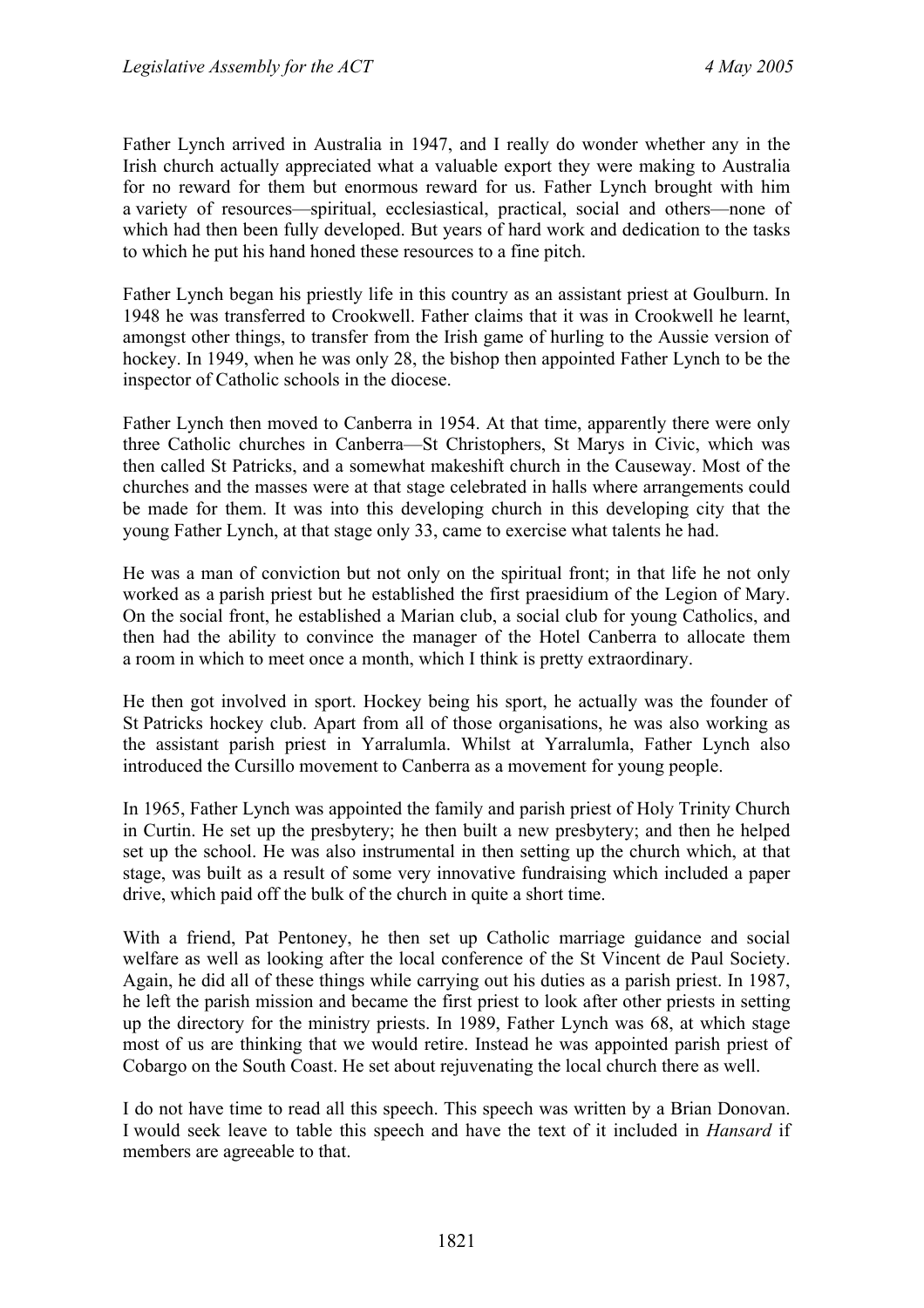Father Lynch arrived in Australia in 1947, and I really do wonder whether any in the Irish church actually appreciated what a valuable export they were making to Australia for no reward for them but enormous reward for us. Father Lynch brought with him a variety of resources—spiritual, ecclesiastical, practical, social and others—none of which had then been fully developed. But years of hard work and dedication to the tasks to which he put his hand honed these resources to a fine pitch.

Father Lynch began his priestly life in this country as an assistant priest at Goulburn. In 1948 he was transferred to Crookwell. Father claims that it was in Crookwell he learnt, amongst other things, to transfer from the Irish game of hurling to the Aussie version of hockey. In 1949, when he was only 28, the bishop then appointed Father Lynch to be the inspector of Catholic schools in the diocese.

Father Lynch then moved to Canberra in 1954. At that time, apparently there were only three Catholic churches in Canberra—St Christophers, St Marys in Civic, which was then called St Patricks, and a somewhat makeshift church in the Causeway. Most of the churches and the masses were at that stage celebrated in halls where arrangements could be made for them. It was into this developing church in this developing city that the young Father Lynch, at that stage only 33, came to exercise what talents he had.

He was a man of conviction but not only on the spiritual front; in that life he not only worked as a parish priest but he established the first praesidium of the Legion of Mary. On the social front, he established a Marian club, a social club for young Catholics, and then had the ability to convince the manager of the Hotel Canberra to allocate them a room in which to meet once a month, which I think is pretty extraordinary.

He then got involved in sport. Hockey being his sport, he actually was the founder of St Patricks hockey club. Apart from all of those organisations, he was also working as the assistant parish priest in Yarralumla. Whilst at Yarralumla, Father Lynch also introduced the Cursillo movement to Canberra as a movement for young people.

In 1965, Father Lynch was appointed the family and parish priest of Holy Trinity Church in Curtin. He set up the presbytery; he then built a new presbytery; and then he helped set up the school. He was also instrumental in then setting up the church which, at that stage, was built as a result of some very innovative fundraising which included a paper drive, which paid off the bulk of the church in quite a short time.

With a friend, Pat Pentoney, he then set up Catholic marriage guidance and social welfare as well as looking after the local conference of the St Vincent de Paul Society. Again, he did all of these things while carrying out his duties as a parish priest. In 1987, he left the parish mission and became the first priest to look after other priests in setting up the directory for the ministry priests. In 1989, Father Lynch was 68, at which stage most of us are thinking that we would retire. Instead he was appointed parish priest of Cobargo on the South Coast. He set about rejuvenating the local church there as well.

I do not have time to read all this speech. This speech was written by a Brian Donovan. I would seek leave to table this speech and have the text of it included in *Hansard* if members are agreeable to that.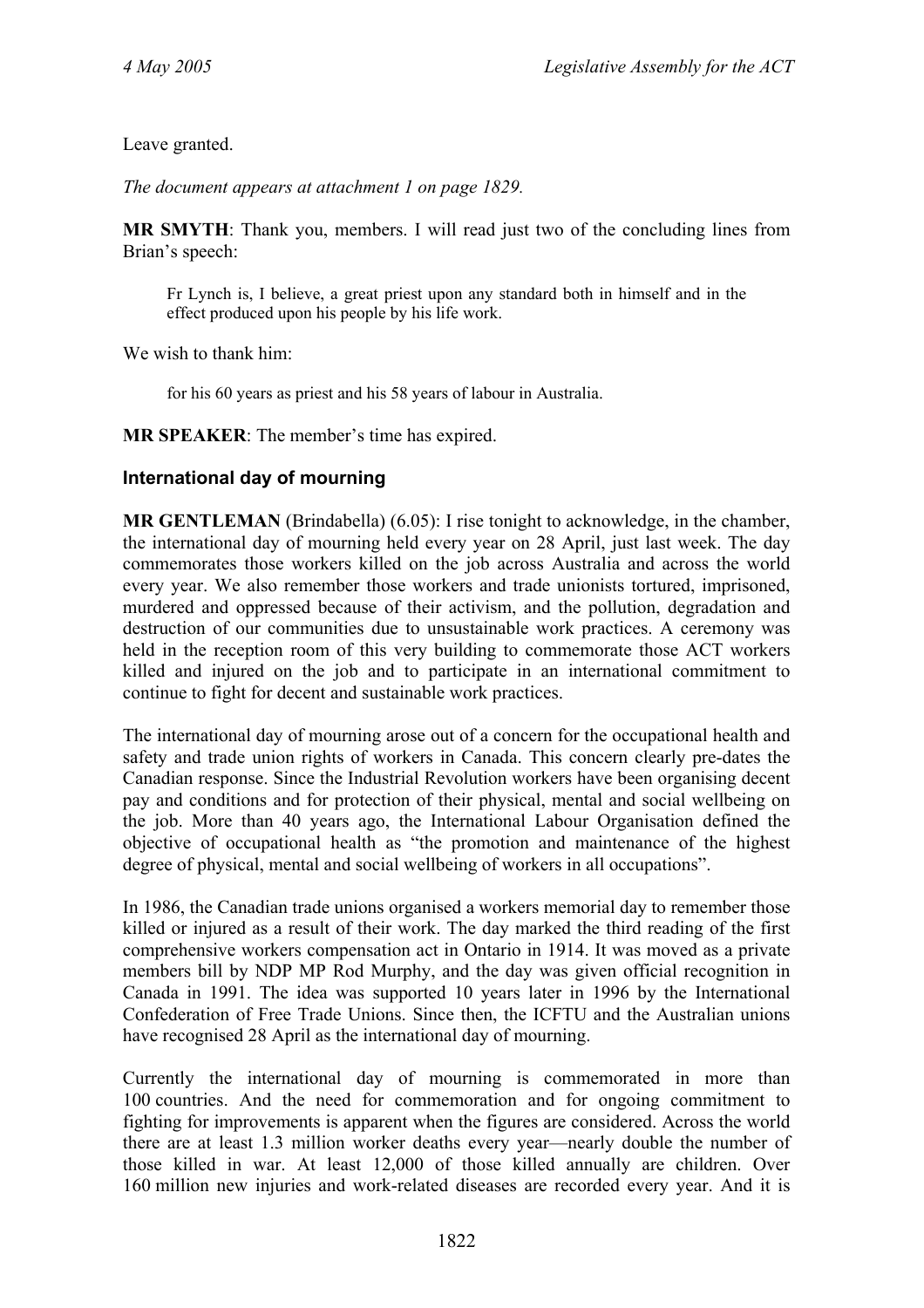Leave granted.

*The document appears at attachment 1 on page 1829.* 

**MR SMYTH**: Thank you, members. I will read just two of the concluding lines from Brian's speech:

Fr Lynch is, I believe, a great priest upon any standard both in himself and in the effect produced upon his people by his life work.

We wish to thank him:

for his 60 years as priest and his 58 years of labour in Australia.

**MR SPEAKER**: The member's time has expired.

### **International day of mourning**

**MR GENTLEMAN** (Brindabella) (6.05): I rise tonight to acknowledge, in the chamber, the international day of mourning held every year on 28 April, just last week. The day commemorates those workers killed on the job across Australia and across the world every year. We also remember those workers and trade unionists tortured, imprisoned, murdered and oppressed because of their activism, and the pollution, degradation and destruction of our communities due to unsustainable work practices. A ceremony was held in the reception room of this very building to commemorate those ACT workers killed and injured on the job and to participate in an international commitment to continue to fight for decent and sustainable work practices.

The international day of mourning arose out of a concern for the occupational health and safety and trade union rights of workers in Canada. This concern clearly pre-dates the Canadian response. Since the Industrial Revolution workers have been organising decent pay and conditions and for protection of their physical, mental and social wellbeing on the job. More than 40 years ago, the International Labour Organisation defined the objective of occupational health as "the promotion and maintenance of the highest degree of physical, mental and social wellbeing of workers in all occupations".

In 1986, the Canadian trade unions organised a workers memorial day to remember those killed or injured as a result of their work. The day marked the third reading of the first comprehensive workers compensation act in Ontario in 1914. It was moved as a private members bill by NDP MP Rod Murphy, and the day was given official recognition in Canada in 1991. The idea was supported 10 years later in 1996 by the International Confederation of Free Trade Unions. Since then, the ICFTU and the Australian unions have recognised 28 April as the international day of mourning.

Currently the international day of mourning is commemorated in more than 100 countries. And the need for commemoration and for ongoing commitment to fighting for improvements is apparent when the figures are considered. Across the world there are at least 1.3 million worker deaths every year—nearly double the number of those killed in war. At least 12,000 of those killed annually are children. Over 160 million new injuries and work-related diseases are recorded every year. And it is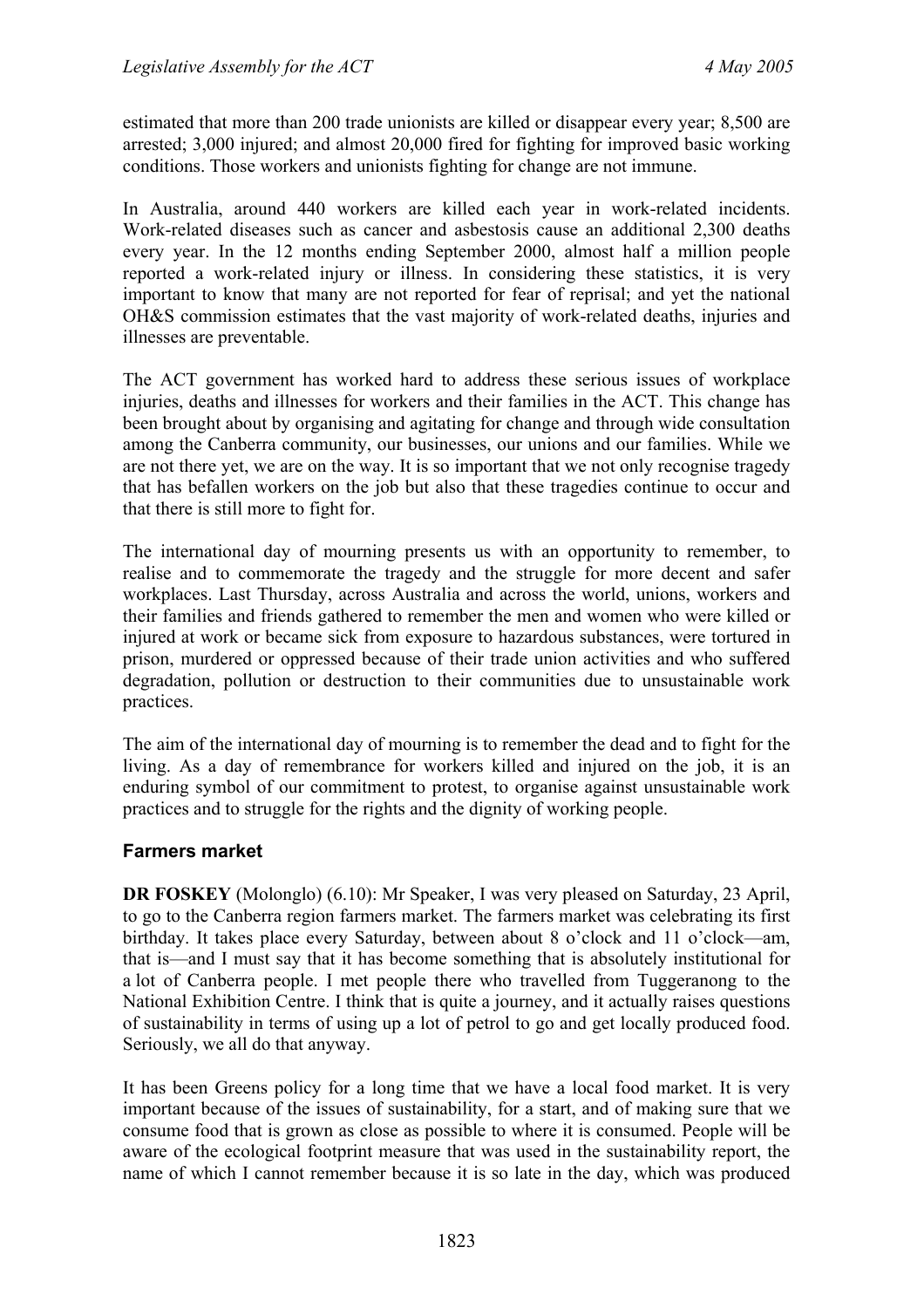estimated that more than 200 trade unionists are killed or disappear every year; 8,500 are arrested; 3,000 injured; and almost 20,000 fired for fighting for improved basic working conditions. Those workers and unionists fighting for change are not immune.

In Australia, around 440 workers are killed each year in work-related incidents. Work-related diseases such as cancer and asbestosis cause an additional 2,300 deaths every year. In the 12 months ending September 2000, almost half a million people reported a work-related injury or illness. In considering these statistics, it is very important to know that many are not reported for fear of reprisal; and yet the national OH&S commission estimates that the vast majority of work-related deaths, injuries and illnesses are preventable.

The ACT government has worked hard to address these serious issues of workplace injuries, deaths and illnesses for workers and their families in the ACT. This change has been brought about by organising and agitating for change and through wide consultation among the Canberra community, our businesses, our unions and our families. While we are not there yet, we are on the way. It is so important that we not only recognise tragedy that has befallen workers on the job but also that these tragedies continue to occur and that there is still more to fight for.

The international day of mourning presents us with an opportunity to remember, to realise and to commemorate the tragedy and the struggle for more decent and safer workplaces. Last Thursday, across Australia and across the world, unions, workers and their families and friends gathered to remember the men and women who were killed or injured at work or became sick from exposure to hazardous substances, were tortured in prison, murdered or oppressed because of their trade union activities and who suffered degradation, pollution or destruction to their communities due to unsustainable work practices.

The aim of the international day of mourning is to remember the dead and to fight for the living. As a day of remembrance for workers killed and injured on the job, it is an enduring symbol of our commitment to protest, to organise against unsustainable work practices and to struggle for the rights and the dignity of working people.

#### **Farmers market**

**DR FOSKEY** (Molonglo) (6.10): Mr Speaker, I was very pleased on Saturday, 23 April, to go to the Canberra region farmers market. The farmers market was celebrating its first birthday. It takes place every Saturday, between about 8 o'clock and 11 o'clock—am, that is—and I must say that it has become something that is absolutely institutional for a lot of Canberra people. I met people there who travelled from Tuggeranong to the National Exhibition Centre. I think that is quite a journey, and it actually raises questions of sustainability in terms of using up a lot of petrol to go and get locally produced food. Seriously, we all do that anyway.

It has been Greens policy for a long time that we have a local food market. It is very important because of the issues of sustainability, for a start, and of making sure that we consume food that is grown as close as possible to where it is consumed. People will be aware of the ecological footprint measure that was used in the sustainability report, the name of which I cannot remember because it is so late in the day, which was produced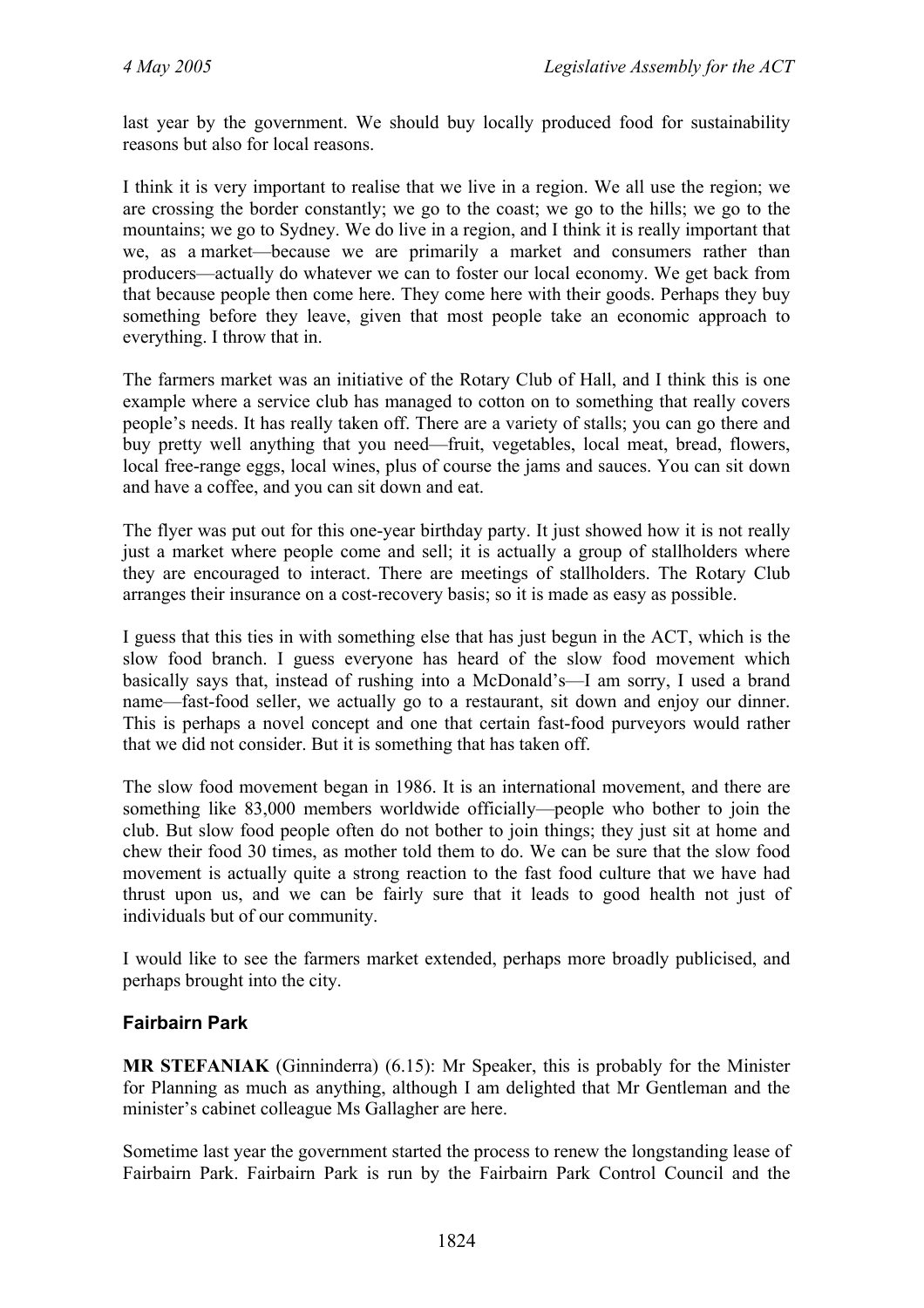last year by the government. We should buy locally produced food for sustainability reasons but also for local reasons.

I think it is very important to realise that we live in a region. We all use the region; we are crossing the border constantly; we go to the coast; we go to the hills; we go to the mountains; we go to Sydney. We do live in a region, and I think it is really important that we, as a market—because we are primarily a market and consumers rather than producers—actually do whatever we can to foster our local economy. We get back from that because people then come here. They come here with their goods. Perhaps they buy something before they leave, given that most people take an economic approach to everything. I throw that in.

The farmers market was an initiative of the Rotary Club of Hall, and I think this is one example where a service club has managed to cotton on to something that really covers people's needs. It has really taken off. There are a variety of stalls; you can go there and buy pretty well anything that you need—fruit, vegetables, local meat, bread, flowers, local free-range eggs, local wines, plus of course the jams and sauces. You can sit down and have a coffee, and you can sit down and eat.

The flyer was put out for this one-year birthday party. It just showed how it is not really just a market where people come and sell; it is actually a group of stallholders where they are encouraged to interact. There are meetings of stallholders. The Rotary Club arranges their insurance on a cost-recovery basis; so it is made as easy as possible.

I guess that this ties in with something else that has just begun in the ACT, which is the slow food branch. I guess everyone has heard of the slow food movement which basically says that, instead of rushing into a McDonald's—I am sorry, I used a brand name—fast-food seller, we actually go to a restaurant, sit down and enjoy our dinner. This is perhaps a novel concept and one that certain fast-food purveyors would rather that we did not consider. But it is something that has taken off.

The slow food movement began in 1986. It is an international movement, and there are something like 83,000 members worldwide officially—people who bother to join the club. But slow food people often do not bother to join things; they just sit at home and chew their food 30 times, as mother told them to do. We can be sure that the slow food movement is actually quite a strong reaction to the fast food culture that we have had thrust upon us, and we can be fairly sure that it leads to good health not just of individuals but of our community.

I would like to see the farmers market extended, perhaps more broadly publicised, and perhaps brought into the city.

### **Fairbairn Park**

**MR STEFANIAK** (Ginninderra) (6.15): Mr Speaker, this is probably for the Minister for Planning as much as anything, although I am delighted that Mr Gentleman and the minister's cabinet colleague Ms Gallagher are here.

Sometime last year the government started the process to renew the longstanding lease of Fairbairn Park. Fairbairn Park is run by the Fairbairn Park Control Council and the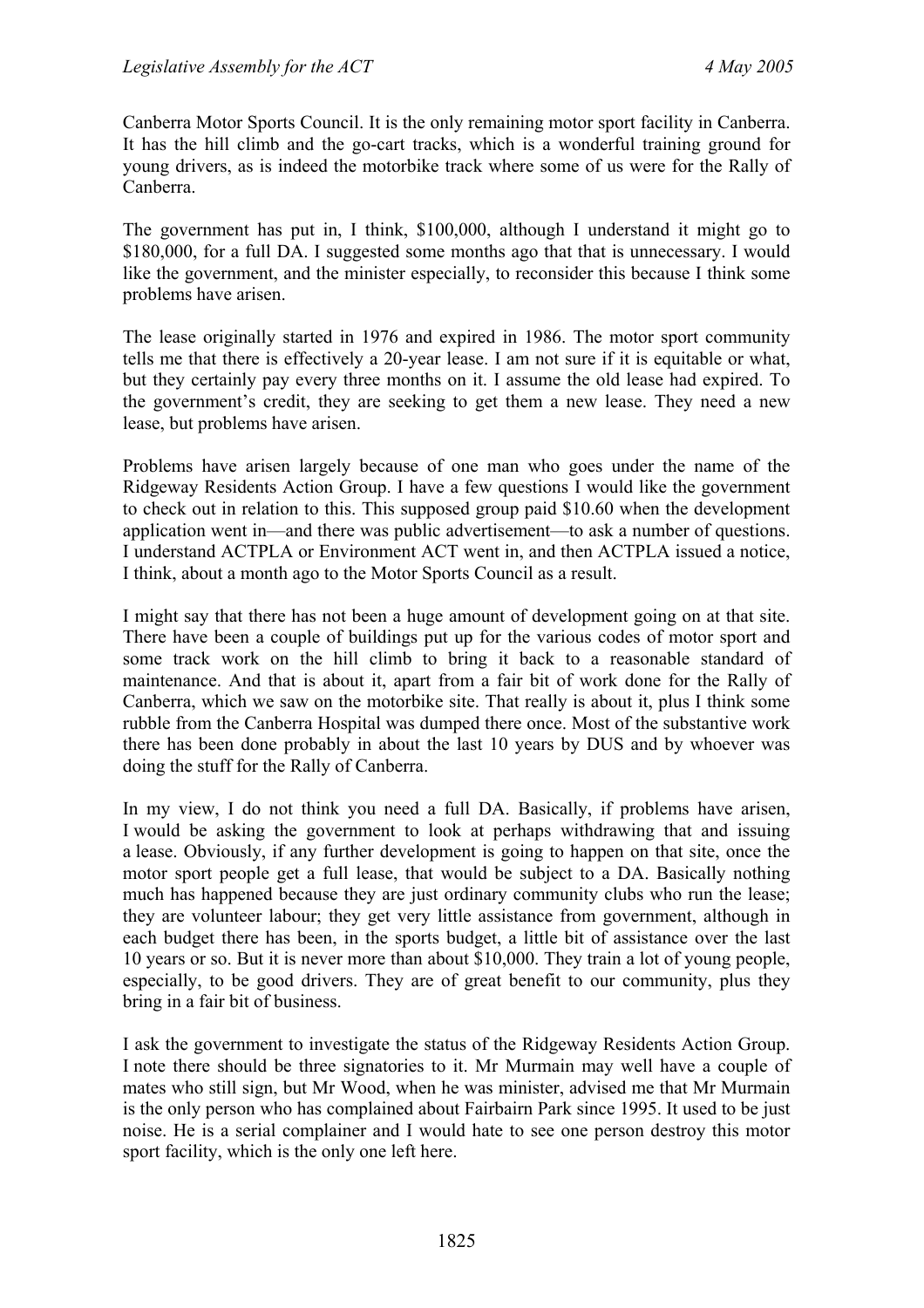Canberra Motor Sports Council. It is the only remaining motor sport facility in Canberra. It has the hill climb and the go-cart tracks, which is a wonderful training ground for young drivers, as is indeed the motorbike track where some of us were for the Rally of Canberra.

The government has put in, I think, \$100,000, although I understand it might go to \$180,000, for a full DA. I suggested some months ago that that is unnecessary. I would like the government, and the minister especially, to reconsider this because I think some problems have arisen.

The lease originally started in 1976 and expired in 1986. The motor sport community tells me that there is effectively a 20-year lease. I am not sure if it is equitable or what, but they certainly pay every three months on it. I assume the old lease had expired. To the government's credit, they are seeking to get them a new lease. They need a new lease, but problems have arisen.

Problems have arisen largely because of one man who goes under the name of the Ridgeway Residents Action Group. I have a few questions I would like the government to check out in relation to this. This supposed group paid \$10.60 when the development application went in—and there was public advertisement—to ask a number of questions. I understand ACTPLA or Environment ACT went in, and then ACTPLA issued a notice, I think, about a month ago to the Motor Sports Council as a result.

I might say that there has not been a huge amount of development going on at that site. There have been a couple of buildings put up for the various codes of motor sport and some track work on the hill climb to bring it back to a reasonable standard of maintenance. And that is about it, apart from a fair bit of work done for the Rally of Canberra, which we saw on the motorbike site. That really is about it, plus I think some rubble from the Canberra Hospital was dumped there once. Most of the substantive work there has been done probably in about the last 10 years by DUS and by whoever was doing the stuff for the Rally of Canberra.

In my view, I do not think you need a full DA. Basically, if problems have arisen, I would be asking the government to look at perhaps withdrawing that and issuing a lease. Obviously, if any further development is going to happen on that site, once the motor sport people get a full lease, that would be subject to a DA. Basically nothing much has happened because they are just ordinary community clubs who run the lease; they are volunteer labour; they get very little assistance from government, although in each budget there has been, in the sports budget, a little bit of assistance over the last 10 years or so. But it is never more than about \$10,000. They train a lot of young people, especially, to be good drivers. They are of great benefit to our community, plus they bring in a fair bit of business.

I ask the government to investigate the status of the Ridgeway Residents Action Group. I note there should be three signatories to it. Mr Murmain may well have a couple of mates who still sign, but Mr Wood, when he was minister, advised me that Mr Murmain is the only person who has complained about Fairbairn Park since 1995. It used to be just noise. He is a serial complainer and I would hate to see one person destroy this motor sport facility, which is the only one left here.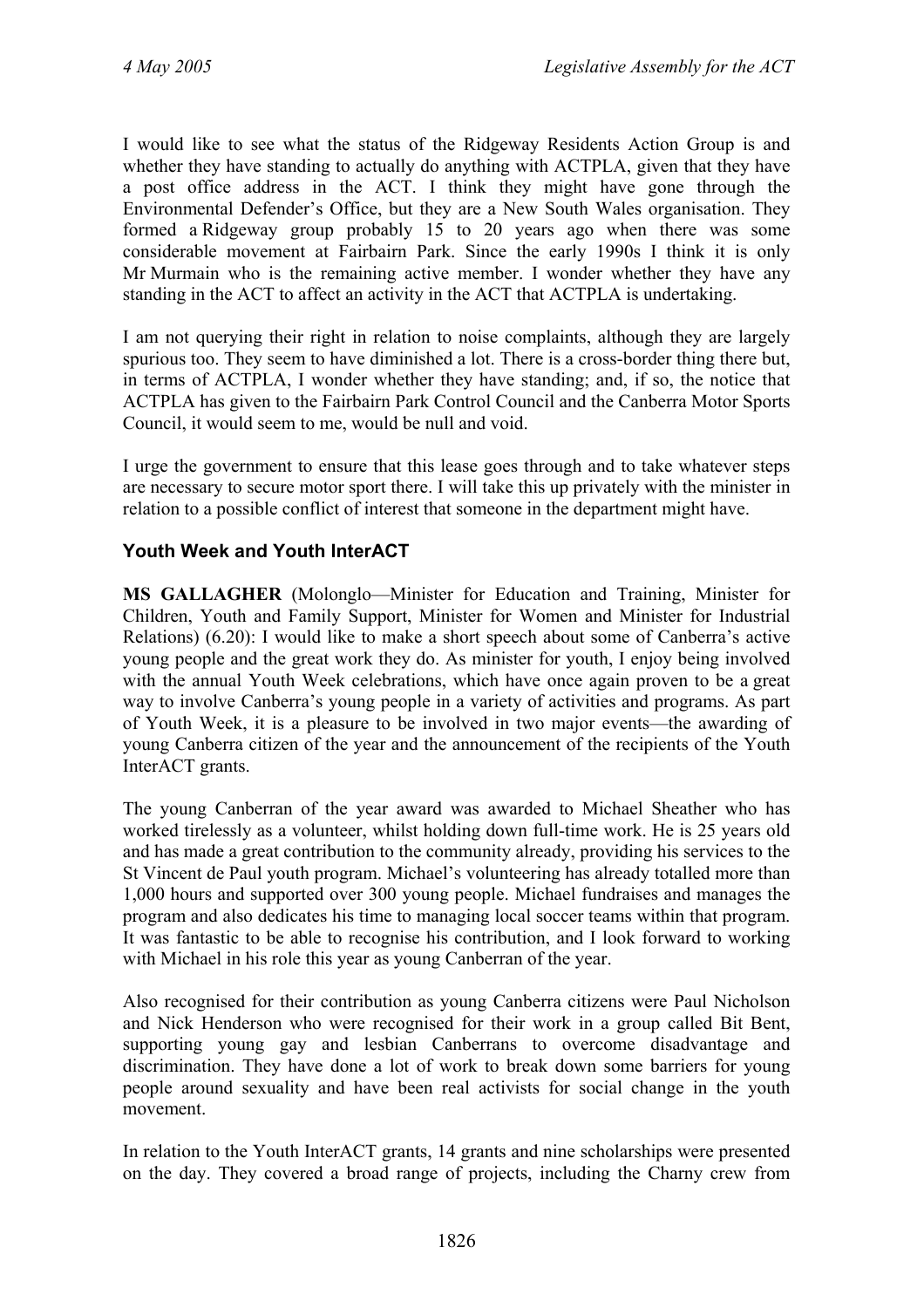I would like to see what the status of the Ridgeway Residents Action Group is and whether they have standing to actually do anything with ACTPLA, given that they have a post office address in the ACT. I think they might have gone through the Environmental Defender's Office, but they are a New South Wales organisation. They formed a Ridgeway group probably 15 to 20 years ago when there was some considerable movement at Fairbairn Park. Since the early 1990s I think it is only Mr Murmain who is the remaining active member. I wonder whether they have any standing in the ACT to affect an activity in the ACT that ACTPLA is undertaking.

I am not querying their right in relation to noise complaints, although they are largely spurious too. They seem to have diminished a lot. There is a cross-border thing there but, in terms of ACTPLA, I wonder whether they have standing; and, if so, the notice that ACTPLA has given to the Fairbairn Park Control Council and the Canberra Motor Sports Council, it would seem to me, would be null and void.

I urge the government to ensure that this lease goes through and to take whatever steps are necessary to secure motor sport there. I will take this up privately with the minister in relation to a possible conflict of interest that someone in the department might have.

## **Youth Week and Youth InterACT**

**MS GALLAGHER** (Molonglo—Minister for Education and Training, Minister for Children, Youth and Family Support, Minister for Women and Minister for Industrial Relations) (6.20): I would like to make a short speech about some of Canberra's active young people and the great work they do. As minister for youth, I enjoy being involved with the annual Youth Week celebrations, which have once again proven to be a great way to involve Canberra's young people in a variety of activities and programs. As part of Youth Week, it is a pleasure to be involved in two major events—the awarding of young Canberra citizen of the year and the announcement of the recipients of the Youth InterACT grants.

The young Canberran of the year award was awarded to Michael Sheather who has worked tirelessly as a volunteer, whilst holding down full-time work. He is 25 years old and has made a great contribution to the community already, providing his services to the St Vincent de Paul youth program. Michael's volunteering has already totalled more than 1,000 hours and supported over 300 young people. Michael fundraises and manages the program and also dedicates his time to managing local soccer teams within that program. It was fantastic to be able to recognise his contribution, and I look forward to working with Michael in his role this year as young Canberran of the year.

Also recognised for their contribution as young Canberra citizens were Paul Nicholson and Nick Henderson who were recognised for their work in a group called Bit Bent, supporting young gay and lesbian Canberrans to overcome disadvantage and discrimination. They have done a lot of work to break down some barriers for young people around sexuality and have been real activists for social change in the youth movement.

In relation to the Youth InterACT grants, 14 grants and nine scholarships were presented on the day. They covered a broad range of projects, including the Charny crew from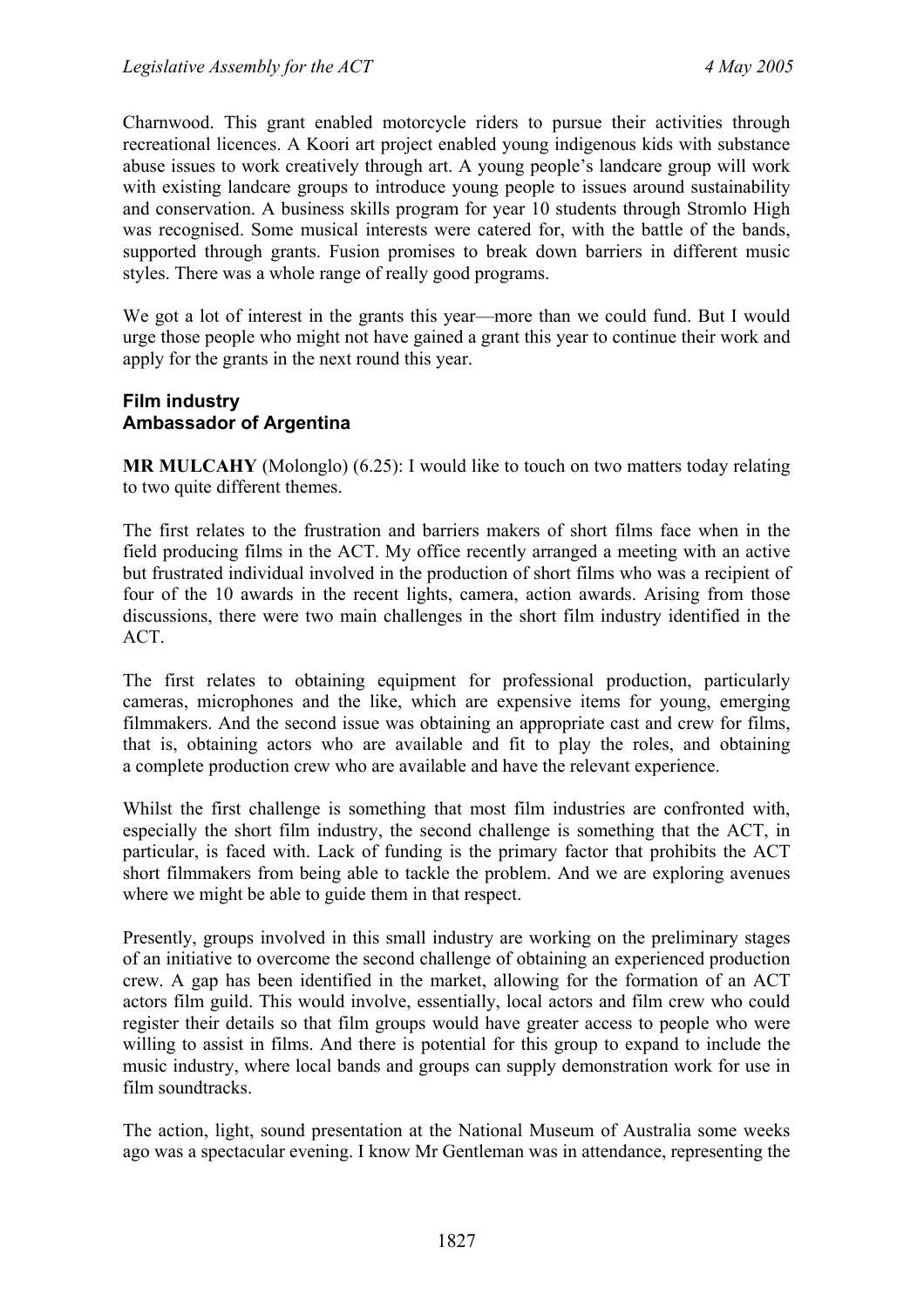Charnwood. This grant enabled motorcycle riders to pursue their activities through recreational licences. A Koori art project enabled young indigenous kids with substance abuse issues to work creatively through art. A young people's landcare group will work with existing landcare groups to introduce young people to issues around sustainability and conservation. A business skills program for year 10 students through Stromlo High was recognised. Some musical interests were catered for, with the battle of the bands, supported through grants. Fusion promises to break down barriers in different music styles. There was a whole range of really good programs.

We got a lot of interest in the grants this year—more than we could fund. But I would urge those people who might not have gained a grant this year to continue their work and apply for the grants in the next round this year.

#### **Film industry Ambassador of Argentina**

**MR MULCAHY** (Molonglo) (6.25): I would like to touch on two matters today relating to two quite different themes.

The first relates to the frustration and barriers makers of short films face when in the field producing films in the ACT. My office recently arranged a meeting with an active but frustrated individual involved in the production of short films who was a recipient of four of the 10 awards in the recent lights, camera, action awards. Arising from those discussions, there were two main challenges in the short film industry identified in the **ACT** 

The first relates to obtaining equipment for professional production, particularly cameras, microphones and the like, which are expensive items for young, emerging filmmakers. And the second issue was obtaining an appropriate cast and crew for films, that is, obtaining actors who are available and fit to play the roles, and obtaining a complete production crew who are available and have the relevant experience.

Whilst the first challenge is something that most film industries are confronted with, especially the short film industry, the second challenge is something that the ACT, in particular, is faced with. Lack of funding is the primary factor that prohibits the ACT short filmmakers from being able to tackle the problem. And we are exploring avenues where we might be able to guide them in that respect.

Presently, groups involved in this small industry are working on the preliminary stages of an initiative to overcome the second challenge of obtaining an experienced production crew. A gap has been identified in the market, allowing for the formation of an ACT actors film guild. This would involve, essentially, local actors and film crew who could register their details so that film groups would have greater access to people who were willing to assist in films. And there is potential for this group to expand to include the music industry, where local bands and groups can supply demonstration work for use in film soundtracks.

The action, light, sound presentation at the National Museum of Australia some weeks ago was a spectacular evening. I know Mr Gentleman was in attendance, representing the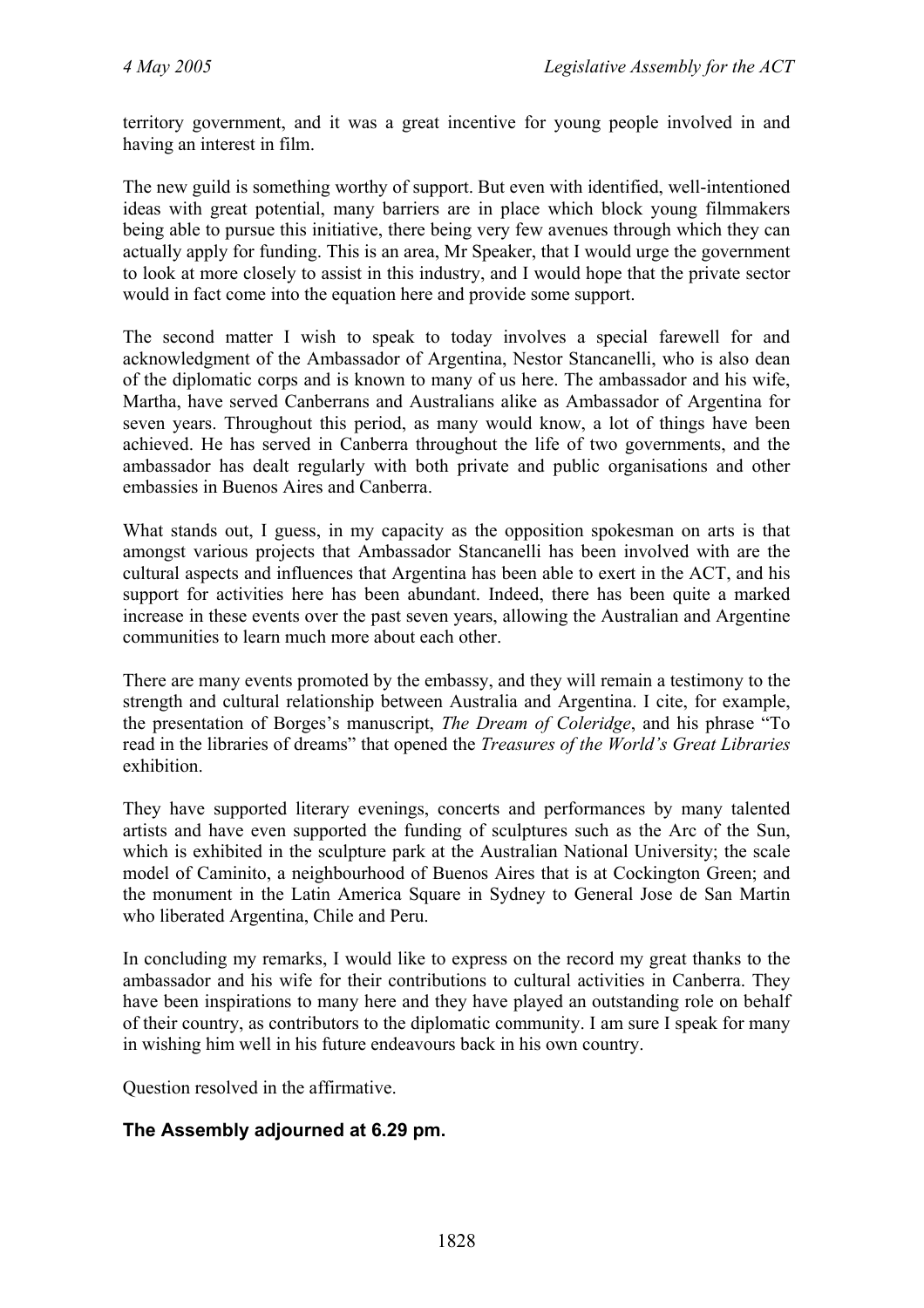territory government, and it was a great incentive for young people involved in and having an interest in film.

The new guild is something worthy of support. But even with identified, well-intentioned ideas with great potential, many barriers are in place which block young filmmakers being able to pursue this initiative, there being very few avenues through which they can actually apply for funding. This is an area, Mr Speaker, that I would urge the government to look at more closely to assist in this industry, and I would hope that the private sector would in fact come into the equation here and provide some support.

The second matter I wish to speak to today involves a special farewell for and acknowledgment of the Ambassador of Argentina, Nestor Stancanelli, who is also dean of the diplomatic corps and is known to many of us here. The ambassador and his wife, Martha, have served Canberrans and Australians alike as Ambassador of Argentina for seven years. Throughout this period, as many would know, a lot of things have been achieved. He has served in Canberra throughout the life of two governments, and the ambassador has dealt regularly with both private and public organisations and other embassies in Buenos Aires and Canberra.

What stands out, I guess, in my capacity as the opposition spokesman on arts is that amongst various projects that Ambassador Stancanelli has been involved with are the cultural aspects and influences that Argentina has been able to exert in the ACT, and his support for activities here has been abundant. Indeed, there has been quite a marked increase in these events over the past seven years, allowing the Australian and Argentine communities to learn much more about each other.

There are many events promoted by the embassy, and they will remain a testimony to the strength and cultural relationship between Australia and Argentina. I cite, for example, the presentation of Borges's manuscript, *The Dream of Coleridge*, and his phrase "To read in the libraries of dreams" that opened the *Treasures of the World's Great Libraries* exhibition.

They have supported literary evenings, concerts and performances by many talented artists and have even supported the funding of sculptures such as the Arc of the Sun, which is exhibited in the sculpture park at the Australian National University; the scale model of Caminito, a neighbourhood of Buenos Aires that is at Cockington Green; and the monument in the Latin America Square in Sydney to General Jose de San Martin who liberated Argentina, Chile and Peru.

In concluding my remarks, I would like to express on the record my great thanks to the ambassador and his wife for their contributions to cultural activities in Canberra. They have been inspirations to many here and they have played an outstanding role on behalf of their country, as contributors to the diplomatic community. I am sure I speak for many in wishing him well in his future endeavours back in his own country.

Question resolved in the affirmative.

### **The Assembly adjourned at 6.29 pm.**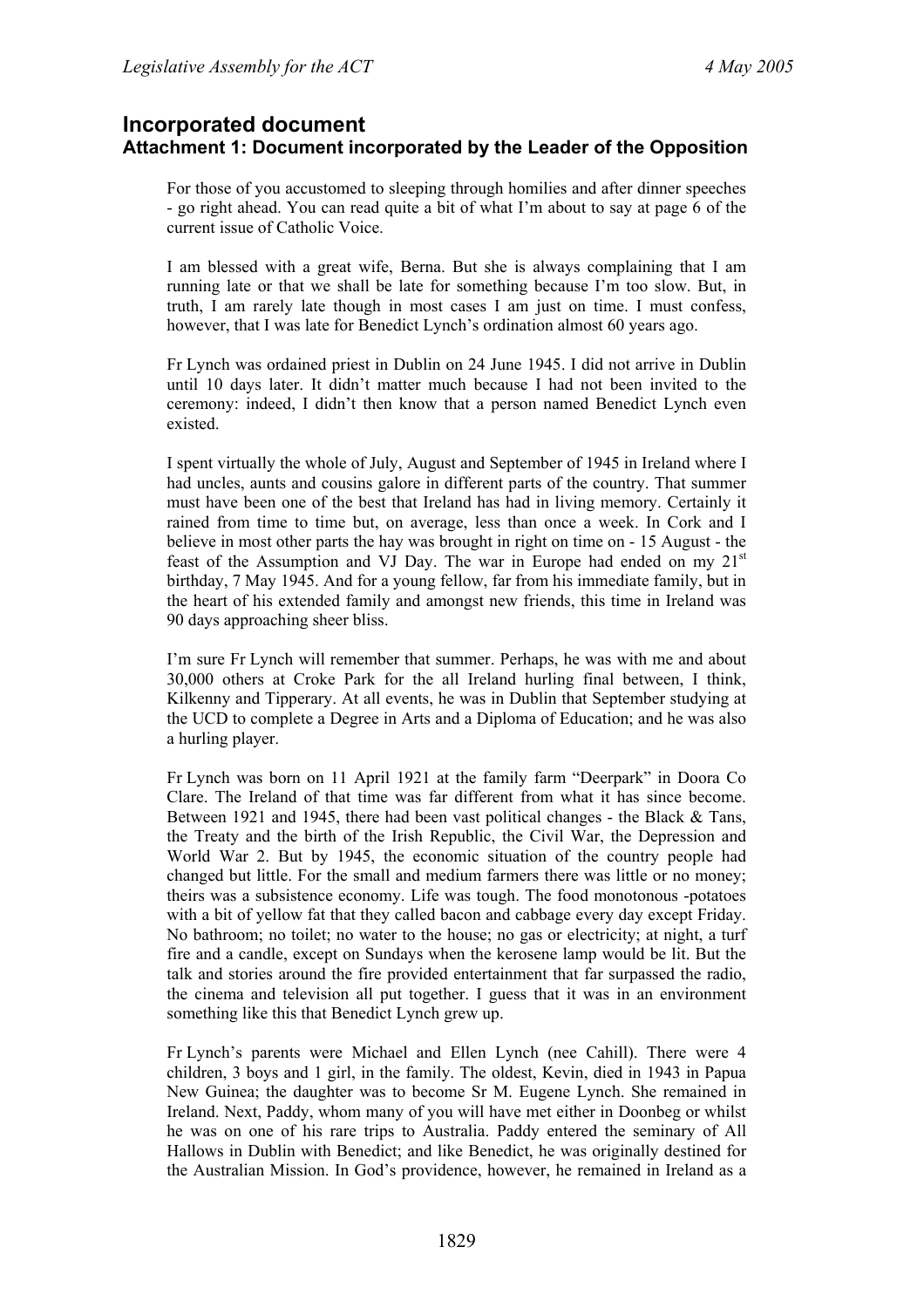### **Incorporated document Attachment 1: Document incorporated by the Leader of the Opposition**

For those of you accustomed to sleeping through homilies and after dinner speeches - go right ahead. You can read quite a bit of what I'm about to say at page 6 of the current issue of Catholic Voice.

I am blessed with a great wife, Berna. But she is always complaining that I am running late or that we shall be late for something because I'm too slow. But, in truth, I am rarely late though in most cases I am just on time. I must confess, however, that I was late for Benedict Lynch's ordination almost 60 years ago.

Fr Lynch was ordained priest in Dublin on 24 June 1945. I did not arrive in Dublin until 10 days later. It didn't matter much because I had not been invited to the ceremony: indeed, I didn't then know that a person named Benedict Lynch even existed.

I spent virtually the whole of July, August and September of 1945 in Ireland where I had uncles, aunts and cousins galore in different parts of the country. That summer must have been one of the best that Ireland has had in living memory. Certainly it rained from time to time but, on average, less than once a week. In Cork and I believe in most other parts the hay was brought in right on time on - 15 August - the feast of the Assumption and VJ Day. The war in Europe had ended on my  $21<sup>st</sup>$ birthday, 7 May 1945. And for a young fellow, far from his immediate family, but in the heart of his extended family and amongst new friends, this time in Ireland was 90 days approaching sheer bliss.

I'm sure Fr Lynch will remember that summer. Perhaps, he was with me and about 30,000 others at Croke Park for the all Ireland hurling final between, I think, Kilkenny and Tipperary. At all events, he was in Dublin that September studying at the UCD to complete a Degree in Arts and a Diploma of Education; and he was also a hurling player.

Fr Lynch was born on 11 April 1921 at the family farm "Deerpark" in Doora Co Clare. The Ireland of that time was far different from what it has since become. Between 1921 and 1945, there had been vast political changes - the Black & Tans, the Treaty and the birth of the Irish Republic, the Civil War, the Depression and World War 2. But by 1945, the economic situation of the country people had changed but little. For the small and medium farmers there was little or no money; theirs was a subsistence economy. Life was tough. The food monotonous -potatoes with a bit of yellow fat that they called bacon and cabbage every day except Friday. No bathroom; no toilet; no water to the house; no gas or electricity; at night, a turf fire and a candle, except on Sundays when the kerosene lamp would be lit. But the talk and stories around the fire provided entertainment that far surpassed the radio, the cinema and television all put together. I guess that it was in an environment something like this that Benedict Lynch grew up.

Fr Lynch's parents were Michael and Ellen Lynch (nee Cahill). There were 4 children, 3 boys and 1 girl, in the family. The oldest, Kevin, died in 1943 in Papua New Guinea; the daughter was to become Sr M. Eugene Lynch. She remained in Ireland. Next, Paddy, whom many of you will have met either in Doonbeg or whilst he was on one of his rare trips to Australia. Paddy entered the seminary of All Hallows in Dublin with Benedict; and like Benedict, he was originally destined for the Australian Mission. In God's providence, however, he remained in Ireland as a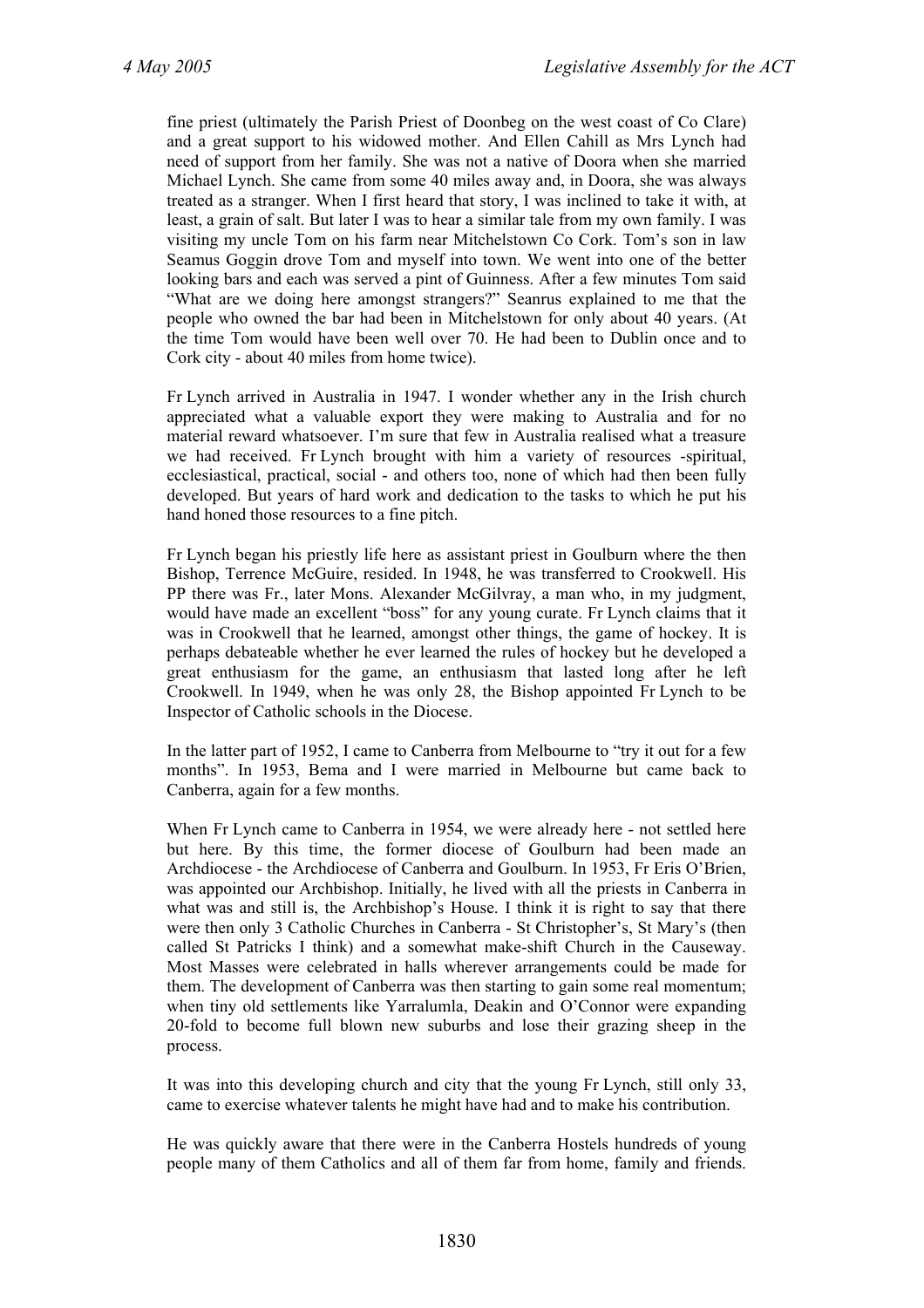fine priest (ultimately the Parish Priest of Doonbeg on the west coast of Co Clare) and a great support to his widowed mother. And Ellen Cahill as Mrs Lynch had need of support from her family. She was not a native of Doora when she married Michael Lynch. She came from some 40 miles away and, in Doora, she was always treated as a stranger. When I first heard that story, I was inclined to take it with, at least, a grain of salt. But later I was to hear a similar tale from my own family. I was visiting my uncle Tom on his farm near Mitchelstown Co Cork. Tom's son in law Seamus Goggin drove Tom and myself into town. We went into one of the better looking bars and each was served a pint of Guinness. After a few minutes Tom said "What are we doing here amongst strangers?" Seanrus explained to me that the people who owned the bar had been in Mitchelstown for only about 40 years. (At the time Tom would have been well over 70. He had been to Dublin once and to Cork city - about 40 miles from home twice).

Fr Lynch arrived in Australia in 1947. I wonder whether any in the Irish church appreciated what a valuable export they were making to Australia and for no material reward whatsoever. I'm sure that few in Australia realised what a treasure we had received. Fr Lynch brought with him a variety of resources -spiritual, ecclesiastical, practical, social - and others too, none of which had then been fully developed. But years of hard work and dedication to the tasks to which he put his hand honed those resources to a fine pitch.

Fr Lynch began his priestly life here as assistant priest in Goulburn where the then Bishop, Terrence McGuire, resided. In 1948, he was transferred to Crookwell. His PP there was Fr., later Mons. Alexander McGilvray, a man who, in my judgment, would have made an excellent "boss" for any young curate. Fr Lynch claims that it was in Crookwell that he learned, amongst other things, the game of hockey. It is perhaps debateable whether he ever learned the rules of hockey but he developed a great enthusiasm for the game, an enthusiasm that lasted long after he left Crookwell. In 1949, when he was only 28, the Bishop appointed Fr Lynch to be Inspector of Catholic schools in the Diocese.

In the latter part of 1952, I came to Canberra from Melbourne to "try it out for a few months". In 1953, Bema and I were married in Melbourne but came back to Canberra, again for a few months.

When Fr Lynch came to Canberra in 1954, we were already here - not settled here but here. By this time, the former diocese of Goulburn had been made an Archdiocese - the Archdiocese of Canberra and Goulburn. In 1953, Fr Eris O'Brien, was appointed our Archbishop. Initially, he lived with all the priests in Canberra in what was and still is, the Archbishop's House. I think it is right to say that there were then only 3 Catholic Churches in Canberra - St Christopher's, St Mary's (then called St Patricks I think) and a somewhat make-shift Church in the Causeway. Most Masses were celebrated in halls wherever arrangements could be made for them. The development of Canberra was then starting to gain some real momentum; when tiny old settlements like Yarralumla, Deakin and O'Connor were expanding 20-fold to become full blown new suburbs and lose their grazing sheep in the process.

It was into this developing church and city that the young Fr Lynch, still only 33, came to exercise whatever talents he might have had and to make his contribution.

He was quickly aware that there were in the Canberra Hostels hundreds of young people many of them Catholics and all of them far from home, family and friends.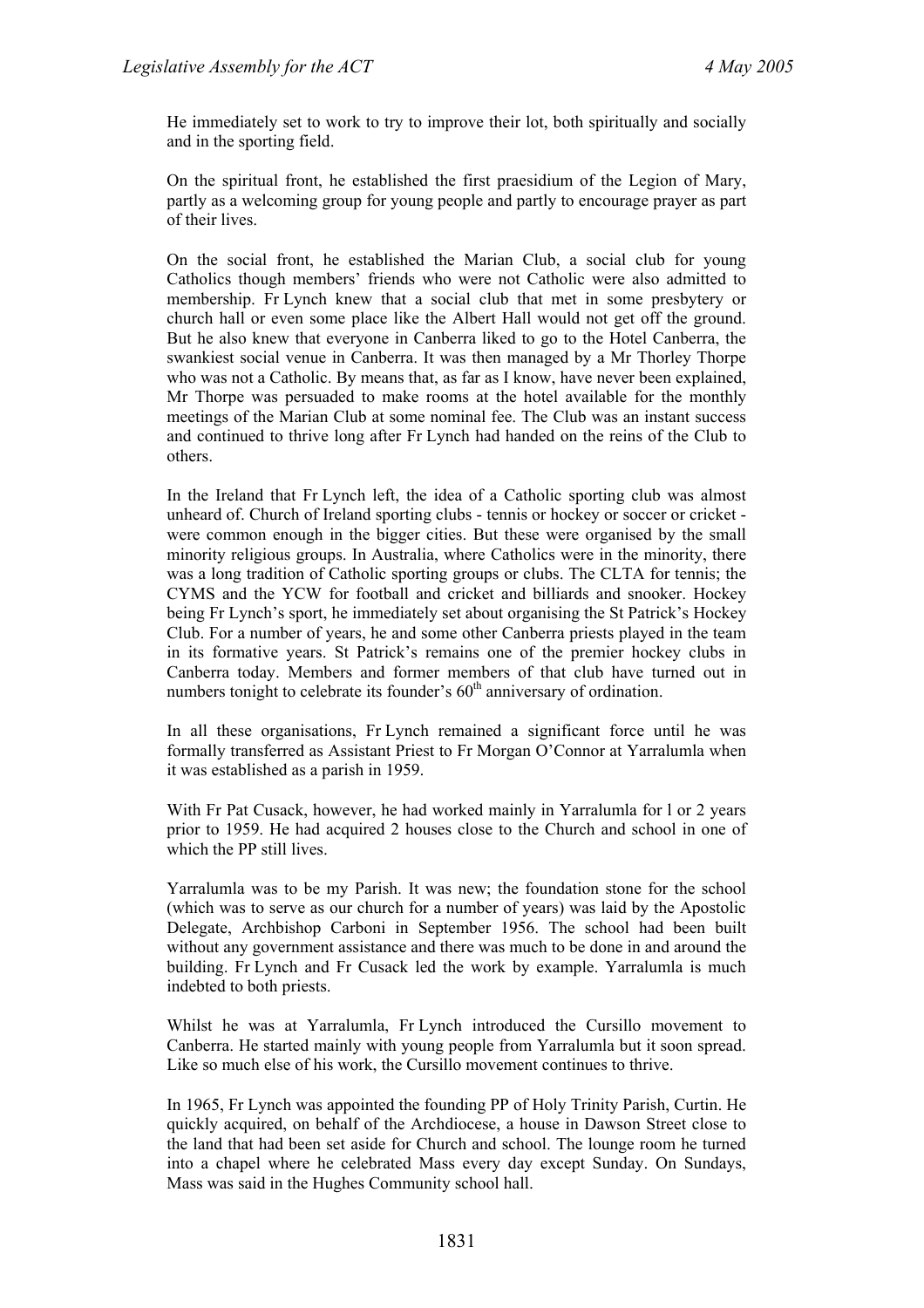He immediately set to work to try to improve their lot, both spiritually and socially and in the sporting field.

On the spiritual front, he established the first praesidium of the Legion of Mary, partly as a welcoming group for young people and partly to encourage prayer as part of their lives.

On the social front, he established the Marian Club, a social club for young Catholics though members' friends who were not Catholic were also admitted to membership. Fr Lynch knew that a social club that met in some presbytery or church hall or even some place like the Albert Hall would not get off the ground. But he also knew that everyone in Canberra liked to go to the Hotel Canberra, the swankiest social venue in Canberra. It was then managed by a Mr Thorley Thorpe who was not a Catholic. By means that, as far as I know, have never been explained, Mr Thorpe was persuaded to make rooms at the hotel available for the monthly meetings of the Marian Club at some nominal fee. The Club was an instant success and continued to thrive long after Fr Lynch had handed on the reins of the Club to others.

In the Ireland that Fr Lynch left, the idea of a Catholic sporting club was almost unheard of. Church of Ireland sporting clubs - tennis or hockey or soccer or cricket were common enough in the bigger cities. But these were organised by the small minority religious groups. In Australia, where Catholics were in the minority, there was a long tradition of Catholic sporting groups or clubs. The CLTA for tennis; the CYMS and the YCW for football and cricket and billiards and snooker. Hockey being Fr Lynch's sport, he immediately set about organising the St Patrick's Hockey Club. For a number of years, he and some other Canberra priests played in the team in its formative years. St Patrick's remains one of the premier hockey clubs in Canberra today. Members and former members of that club have turned out in numbers tonight to celebrate its founder's  $60<sup>th</sup>$  anniversary of ordination.

In all these organisations, Fr Lynch remained a significant force until he was formally transferred as Assistant Priest to Fr Morgan O'Connor at Yarralumla when it was established as a parish in 1959.

With Fr Pat Cusack, however, he had worked mainly in Yarralumla for 1 or 2 years prior to 1959. He had acquired 2 houses close to the Church and school in one of which the PP still lives.

Yarralumla was to be my Parish. It was new; the foundation stone for the school (which was to serve as our church for a number of years) was laid by the Apostolic Delegate, Archbishop Carboni in September 1956. The school had been built without any government assistance and there was much to be done in and around the building. Fr Lynch and Fr Cusack led the work by example. Yarralumla is much indebted to both priests.

Whilst he was at Yarralumla, Fr Lynch introduced the Cursillo movement to Canberra. He started mainly with young people from Yarralumla but it soon spread. Like so much else of his work, the Cursillo movement continues to thrive.

In 1965, Fr Lynch was appointed the founding PP of Holy Trinity Parish, Curtin. He quickly acquired, on behalf of the Archdiocese, a house in Dawson Street close to the land that had been set aside for Church and school. The lounge room he turned into a chapel where he celebrated Mass every day except Sunday. On Sundays, Mass was said in the Hughes Community school hall.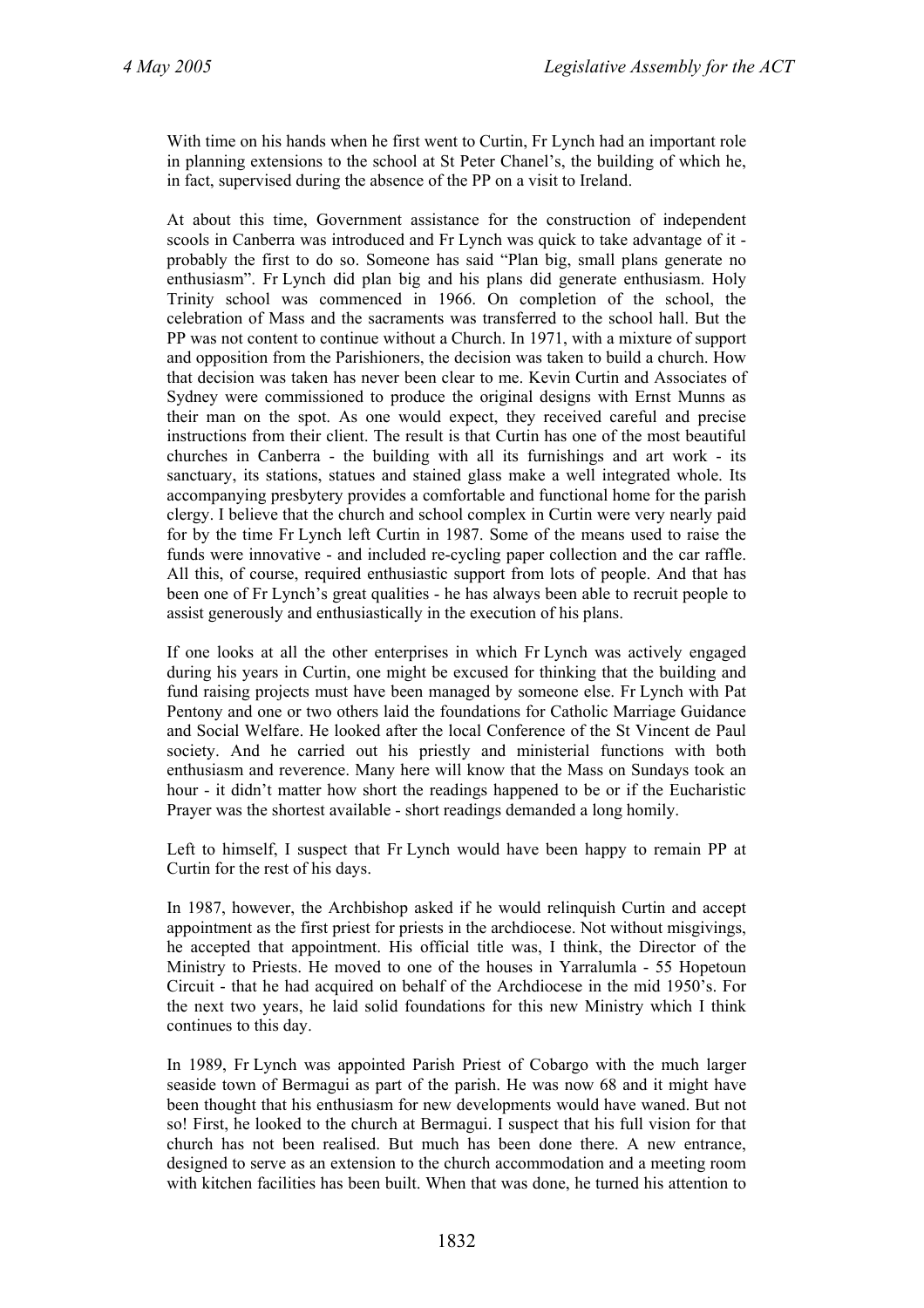With time on his hands when he first went to Curtin, Fr Lynch had an important role in planning extensions to the school at St Peter Chanel's, the building of which he, in fact, supervised during the absence of the PP on a visit to Ireland.

At about this time, Government assistance for the construction of independent scools in Canberra was introduced and Fr Lynch was quick to take advantage of it probably the first to do so. Someone has said "Plan big, small plans generate no enthusiasm". Fr Lynch did plan big and his plans did generate enthusiasm. Holy Trinity school was commenced in 1966. On completion of the school, the celebration of Mass and the sacraments was transferred to the school hall. But the PP was not content to continue without a Church. In 1971, with a mixture of support and opposition from the Parishioners, the decision was taken to build a church. How that decision was taken has never been clear to me. Kevin Curtin and Associates of Sydney were commissioned to produce the original designs with Ernst Munns as their man on the spot. As one would expect, they received careful and precise instructions from their client. The result is that Curtin has one of the most beautiful churches in Canberra - the building with all its furnishings and art work - its sanctuary, its stations, statues and stained glass make a well integrated whole. Its accompanying presbytery provides a comfortable and functional home for the parish clergy. I believe that the church and school complex in Curtin were very nearly paid for by the time Fr Lynch left Curtin in 1987. Some of the means used to raise the funds were innovative - and included re-cycling paper collection and the car raffle. All this, of course, required enthusiastic support from lots of people. And that has been one of Fr Lynch's great qualities - he has always been able to recruit people to assist generously and enthusiastically in the execution of his plans.

If one looks at all the other enterprises in which Fr Lynch was actively engaged during his years in Curtin, one might be excused for thinking that the building and fund raising projects must have been managed by someone else. Fr Lynch with Pat Pentony and one or two others laid the foundations for Catholic Marriage Guidance and Social Welfare. He looked after the local Conference of the St Vincent de Paul society. And he carried out his priestly and ministerial functions with both enthusiasm and reverence. Many here will know that the Mass on Sundays took an hour - it didn't matter how short the readings happened to be or if the Eucharistic Prayer was the shortest available - short readings demanded a long homily.

Left to himself, I suspect that Fr Lynch would have been happy to remain PP at Curtin for the rest of his days.

In 1987, however, the Archbishop asked if he would relinquish Curtin and accept appointment as the first priest for priests in the archdiocese. Not without misgivings, he accepted that appointment. His official title was, I think, the Director of the Ministry to Priests. He moved to one of the houses in Yarralumla - 55 Hopetoun Circuit - that he had acquired on behalf of the Archdiocese in the mid 1950's. For the next two years, he laid solid foundations for this new Ministry which I think continues to this day.

In 1989, Fr Lynch was appointed Parish Priest of Cobargo with the much larger seaside town of Bermagui as part of the parish. He was now 68 and it might have been thought that his enthusiasm for new developments would have waned. But not so! First, he looked to the church at Bermagui. I suspect that his full vision for that church has not been realised. But much has been done there. A new entrance, designed to serve as an extension to the church accommodation and a meeting room with kitchen facilities has been built. When that was done, he turned his attention to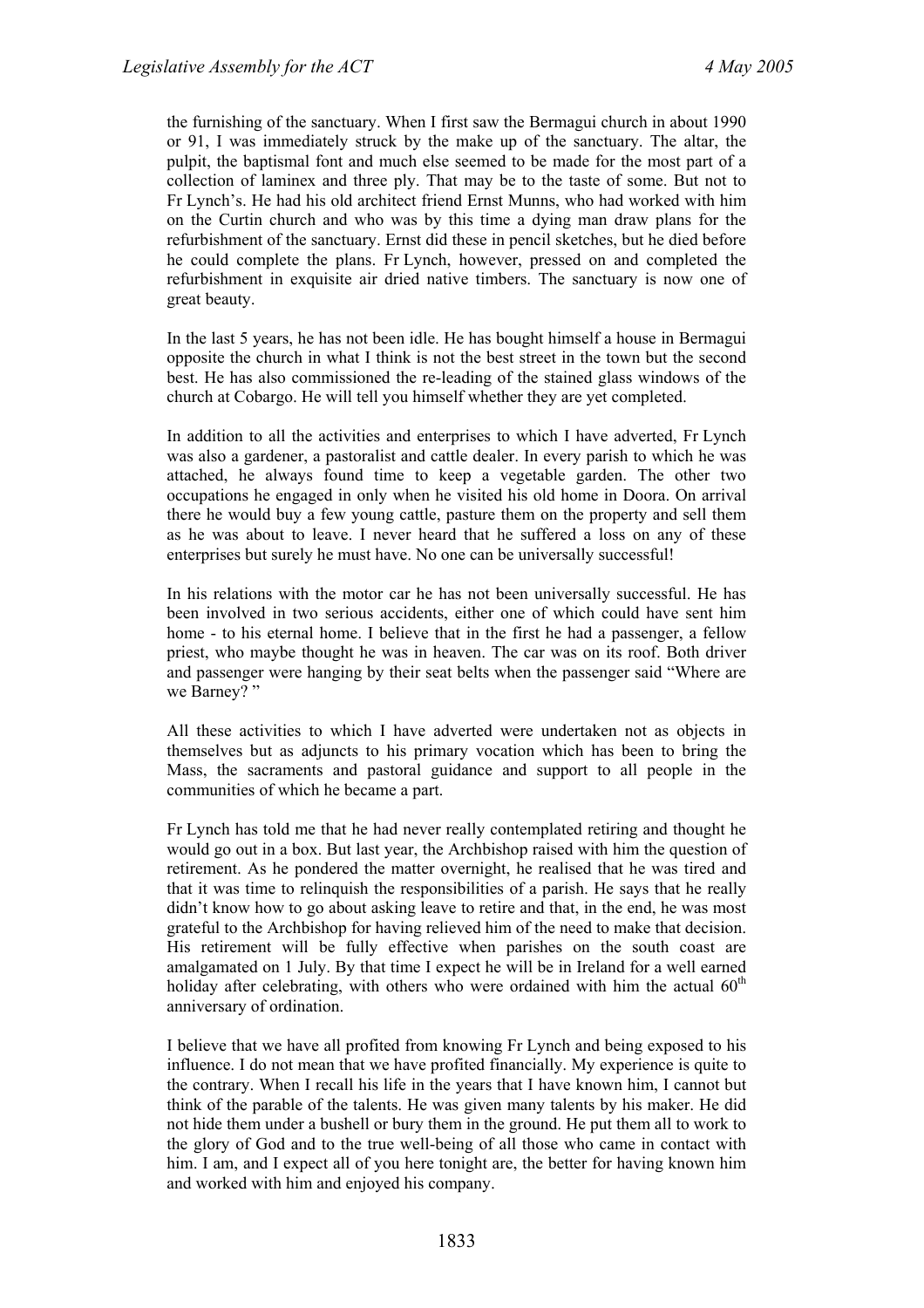the furnishing of the sanctuary. When I first saw the Bermagui church in about 1990 or 91, I was immediately struck by the make up of the sanctuary. The altar, the pulpit, the baptismal font and much else seemed to be made for the most part of a collection of laminex and three ply. That may be to the taste of some. But not to Fr Lynch's. He had his old architect friend Ernst Munns, who had worked with him on the Curtin church and who was by this time a dying man draw plans for the refurbishment of the sanctuary. Ernst did these in pencil sketches, but he died before he could complete the plans. Fr Lynch, however, pressed on and completed the refurbishment in exquisite air dried native timbers. The sanctuary is now one of great beauty.

In the last 5 years, he has not been idle. He has bought himself a house in Bermagui opposite the church in what I think is not the best street in the town but the second best. He has also commissioned the re-leading of the stained glass windows of the church at Cobargo. He will tell you himself whether they are yet completed.

In addition to all the activities and enterprises to which I have adverted, Fr Lynch was also a gardener, a pastoralist and cattle dealer. In every parish to which he was attached, he always found time to keep a vegetable garden. The other two occupations he engaged in only when he visited his old home in Doora. On arrival there he would buy a few young cattle, pasture them on the property and sell them as he was about to leave. I never heard that he suffered a loss on any of these enterprises but surely he must have. No one can be universally successful!

In his relations with the motor car he has not been universally successful. He has been involved in two serious accidents, either one of which could have sent him home - to his eternal home. I believe that in the first he had a passenger, a fellow priest, who maybe thought he was in heaven. The car was on its roof. Both driver and passenger were hanging by their seat belts when the passenger said "Where are we Barney?"

All these activities to which I have adverted were undertaken not as objects in themselves but as adjuncts to his primary vocation which has been to bring the Mass, the sacraments and pastoral guidance and support to all people in the communities of which he became a part.

Fr Lynch has told me that he had never really contemplated retiring and thought he would go out in a box. But last year, the Archbishop raised with him the question of retirement. As he pondered the matter overnight, he realised that he was tired and that it was time to relinquish the responsibilities of a parish. He says that he really didn't know how to go about asking leave to retire and that, in the end, he was most grateful to the Archbishop for having relieved him of the need to make that decision. His retirement will be fully effective when parishes on the south coast are amalgamated on 1 July. By that time I expect he will be in Ireland for a well earned holiday after celebrating, with others who were ordained with him the actual  $60<sup>th</sup>$ anniversary of ordination.

I believe that we have all profited from knowing Fr Lynch and being exposed to his influence. I do not mean that we have profited financially. My experience is quite to the contrary. When I recall his life in the years that I have known him, I cannot but think of the parable of the talents. He was given many talents by his maker. He did not hide them under a bushell or bury them in the ground. He put them all to work to the glory of God and to the true well-being of all those who came in contact with him. I am, and I expect all of you here tonight are, the better for having known him and worked with him and enjoyed his company.